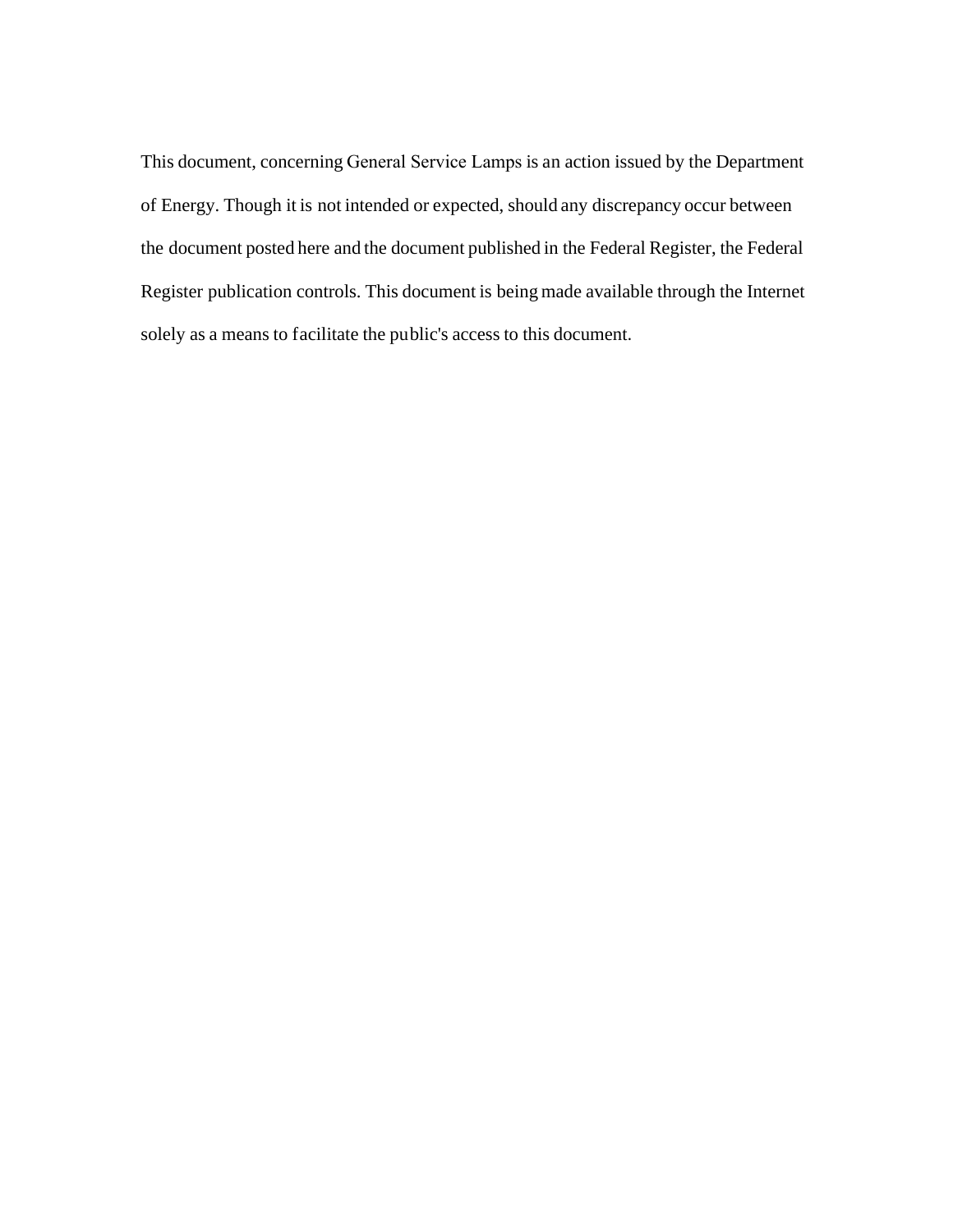This document, concerning General Service Lamps is an action issued by the Department of Energy. Though it is not intended or expected, should any discrepancy occur between the document posted here and the document published in the Federal Register, the Federal Register publication controls. This document is being made available through the Internet solely as a means to facilitate the public's access to this document.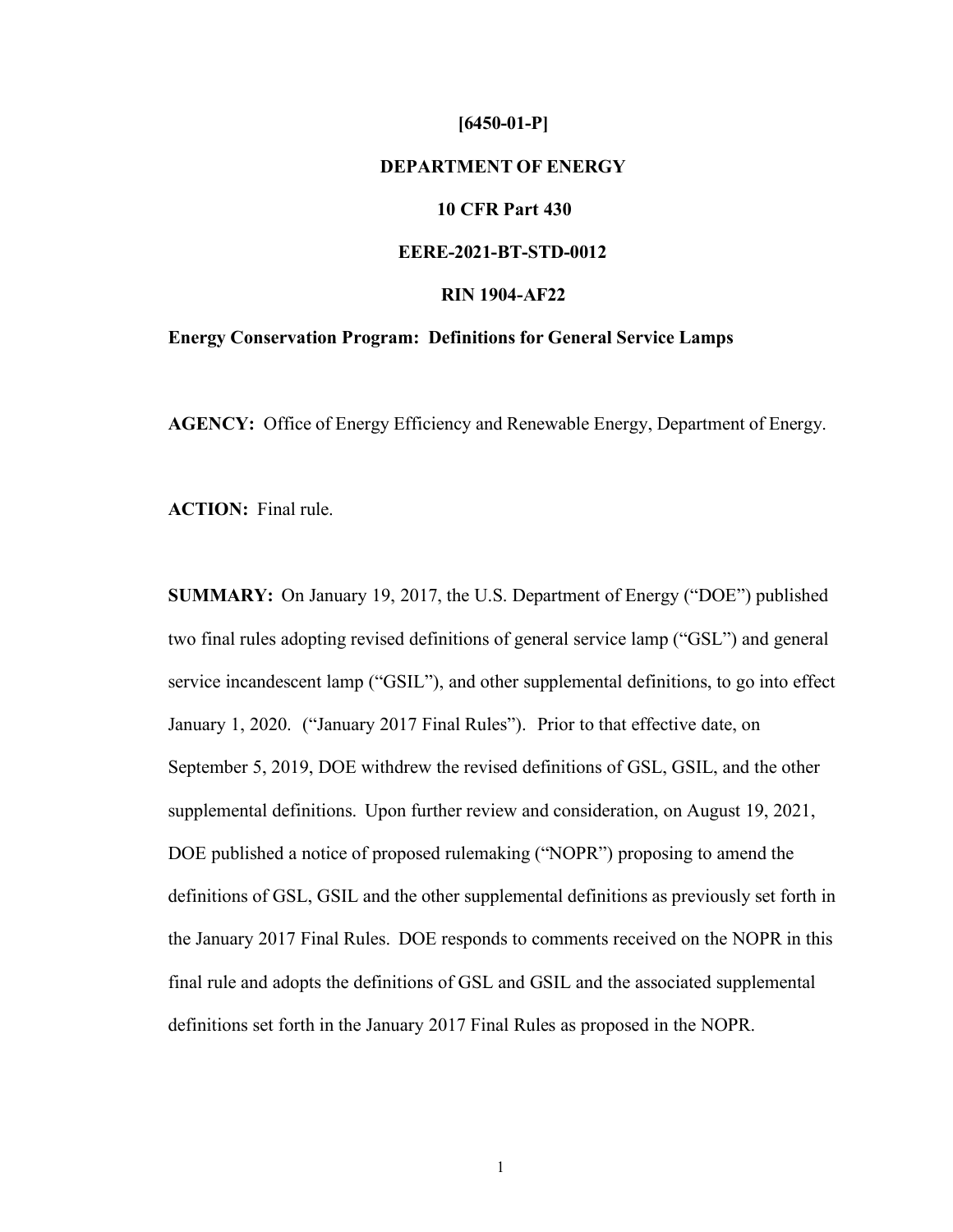# **[6450-01-P] DEPARTMENT OF ENERGY 10 CFR Part 430 EERE-2021-BT-STD-0012 RIN 1904-AF22 Energy Conservation Program: Definitions for General Service Lamps**

**AGENCY:** Office of Energy Efficiency and Renewable Energy, Department of Energy.

**ACTION:** Final rule.

**SUMMARY:** On January 19, 2017, the U.S. Department of Energy ("DOE") published two final rules adopting revised definitions of general service lamp ("GSL") and general service incandescent lamp ("GSIL"), and other supplemental definitions, to go into effect January 1, 2020. ("January 2017 Final Rules"). Prior to that effective date, on September 5, 2019, DOE withdrew the revised definitions of GSL, GSIL, and the other supplemental definitions. Upon further review and consideration, on August 19, 2021, DOE published a notice of proposed rulemaking ("NOPR") proposing to amend the definitions of GSL, GSIL and the other supplemental definitions as previously set forth in the January 2017 Final Rules. DOE responds to comments received on the NOPR in this final rule and adopts the definitions of GSL and GSIL and the associated supplemental definitions set forth in the January 2017 Final Rules as proposed in the NOPR.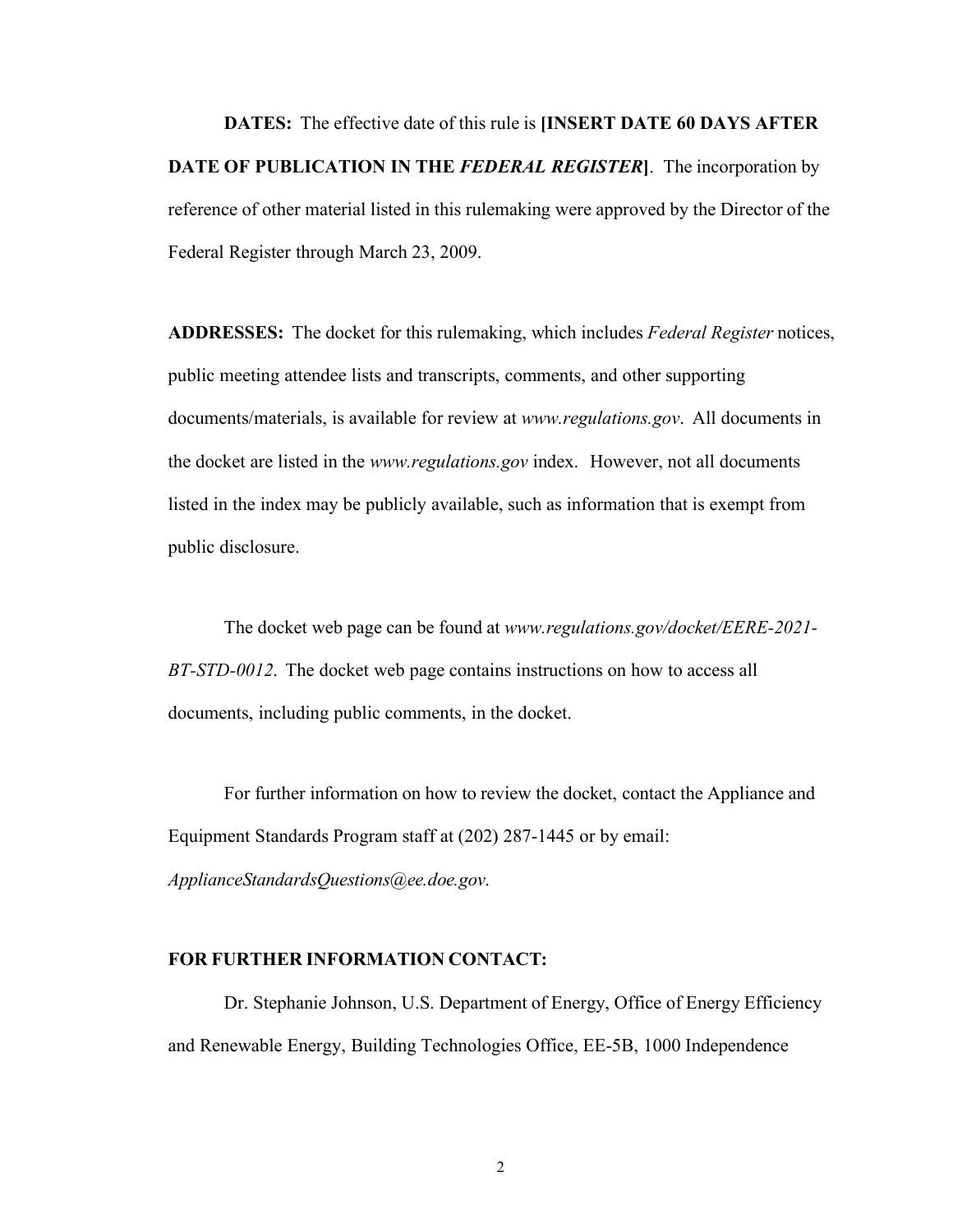**DATES:** The effective date of this rule is **[INSERT DATE 60 DAYS AFTER DATE OF PUBLICATION IN THE** *FEDERAL REGISTER***]**. The incorporation by reference of other material listed in this rulemaking were approved by the Director of the Federal Register through March 23, 2009.

**ADDRESSES:** The docket for this rulemaking, which includes *Federal Register* notices, public meeting attendee lists and transcripts, comments, and other supporting documents/materials, is available for review at *[www.regulations.gov](http://www.regulations.gov/)*. All documents in the docket are listed in the *[www.regulations.gov](http://www.regulations.gov/)* index. However, not all documents listed in the index may be publicly available, such as information that is exempt from public disclosure.

The docket web page can be found at *[www.regulations.gov/docket/EERE-2021-](http://www.regulations.gov/docket/EERE-2021-) BT-STD-0012*. The docket web page contains instructions on how to access all documents, including public comments, in the docket.

For further information on how to review the docket, contact the Appliance and Equipment Standards Program staff at (202) 287-1445 or by email:

*[ApplianceStandardsQuestions@ee.doe.gov](mailto:ApplianceStandardsQuestions@ee.doe.gov)*.

#### **FOR FURTHER INFORMATION CONTACT:**

Dr. Stephanie Johnson, U.S. Department of Energy, Office of Energy Efficiency and Renewable Energy, Building Technologies Office, EE-5B, 1000 Independence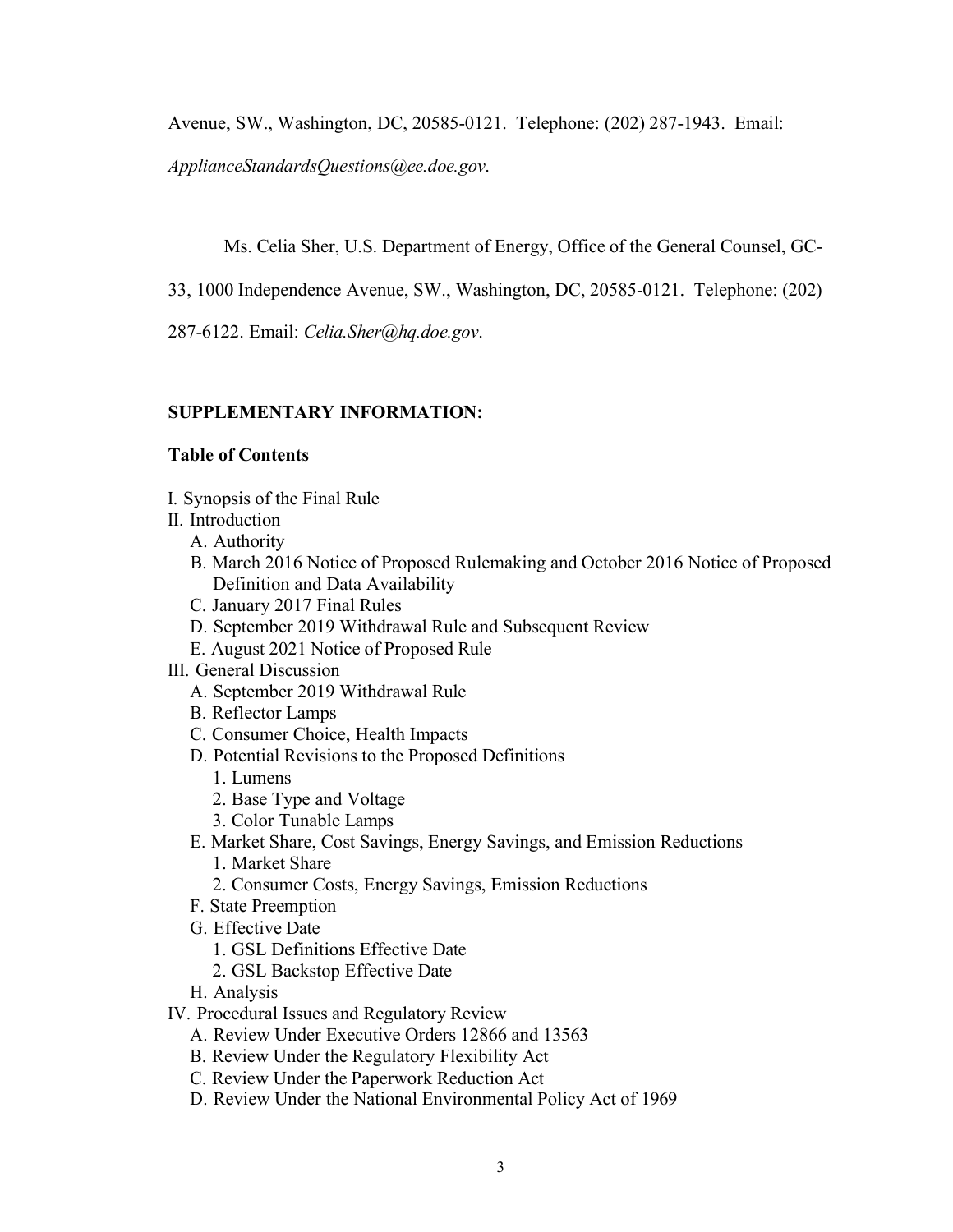Avenue, SW., Washington, DC, 20585-0121. Telephone: (202) 287-1943. Email:

*[ApplianceStandardsQuestions@ee.doe.gov](mailto:ApplianceStandardsQuestions@ee.doe.gov)*.

Ms. Celia Sher, U.S. Department of Energy, Office of the General Counsel, GC-

33, 1000 Independence Avenue, SW., Washington, DC, 20585-0121. Telephone: (202)

287-6122. Email: *[Celia.Sher@hq.doe.gov](mailto:Celia.Sher@hq.doe.gov)*.

## **SUPPLEMENTARY INFORMATION:**

### **Table of Contents**

- I. [Synopsis](#page-4-0) of the Final Rule
- II. [Introduction](#page-5-0)
	- A. [Authority](#page-5-1)
	- B. March 2016 Notice of Proposed [Rulemaking](#page-8-0) and October 2016 Notice of Proposed [Definition and Data Availability](#page-8-0)
	- C. [January](#page-9-0) 2017 Final Rules
	- D. September 2019 [Withdrawal](#page-10-0) Rule and Subsequent Review
	- E. August 2021 Notice of [Proposed](#page-13-0) Rule
- III. General [Discussion](#page-15-0)
	- A. September 2019 [Withdrawal](#page-23-0) Rule
	- B. [Reflector](#page-26-0) Lamps
	- C. [Consumer](#page-31-0) Choice, Health Impacts
	- D. Potential Revisions to the Proposed [Definitions](#page-34-0)
		- 1. [Lumens](#page-34-1)
		- 2. Base Type and [Voltage](#page-36-0)
		- 3. Color [Tunable](#page-40-0) Lamps
	- E. Market Share, Cost Savings, Energy Savings, and Emission [Reductions](#page-43-0)
		- 1. [Market](#page-43-1) Share
		- 2. Consumer Costs, Energy Savings, Emission [Reductions](#page-44-0)
	- F. State [Preemption](#page-48-0)
	- G. [Effective](#page-49-0) Date
		- 1. GSL [Definitions](#page-49-1) Effective Date
		- 2. GSL [Backstop](#page-56-0) Effective Date
	- H. [Analysis](#page-59-0)
- IV. Procedural Issues and [Regulatory](#page-69-0) Review
	- A. Review Under [Executive](#page-69-1) Orders 12866 and 13563
	- B. Review Under the [Regulatory](#page-71-0) Flexibility Act
	- C. Review Under the [Paperwork](#page-73-0) Reduction Act
	- D. Review Under the National [Environmental](#page-74-0) Policy Act of 1969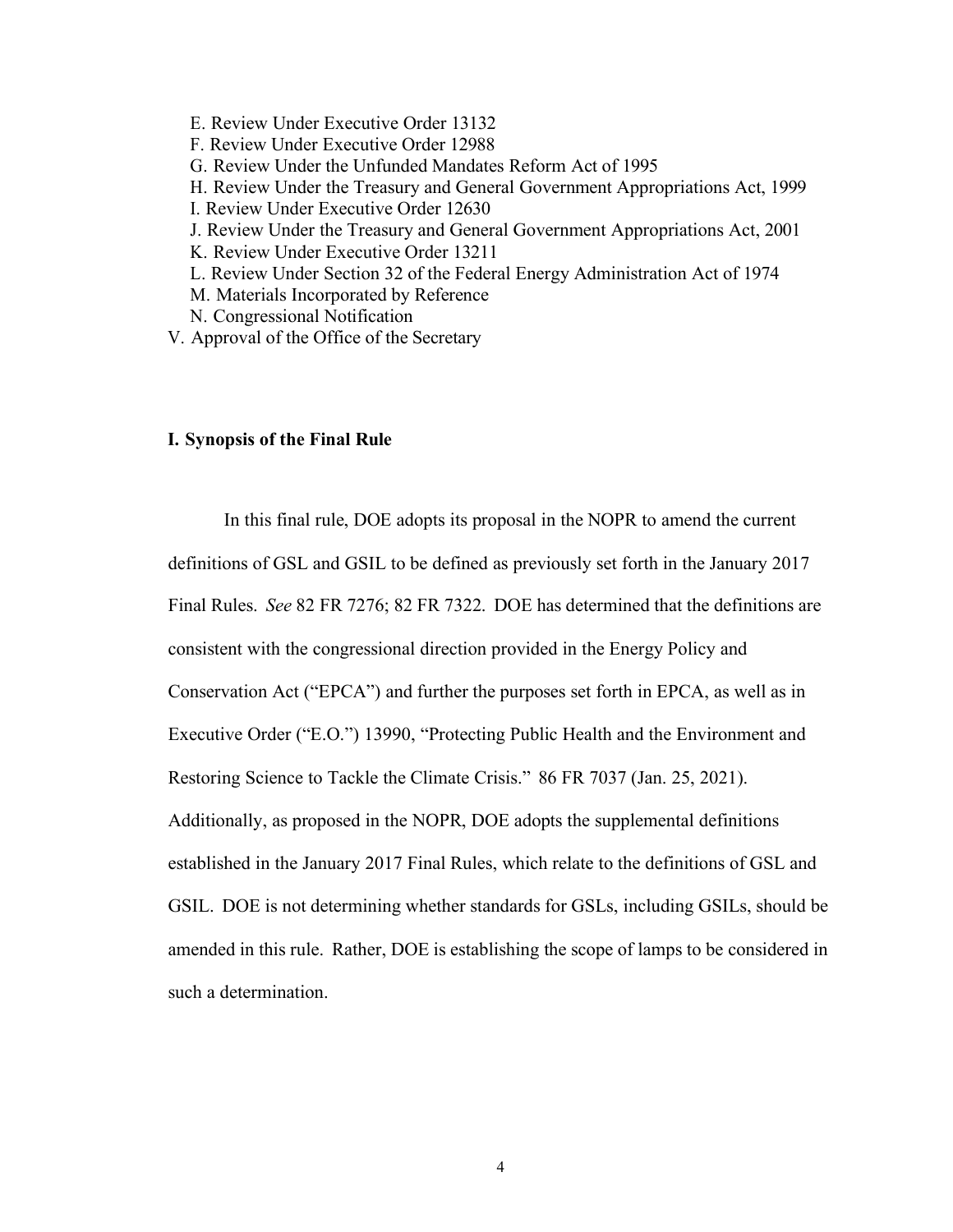- E. Review Under [Executive](#page-75-0) Order 13132
- F. Review Under [Executive](#page-75-1) Order 12988
- G. Review Under the [Unfunded](#page-76-0) Mandates Reform Act of 1995
- H. Review Under the Treasury and General Government [Appropriations](#page-78-0) Act, 1999
- I. Review Under [Executive](#page-78-1) Order 12630
- J. Review Under the Treasury and General Government [Appropriations](#page-78-2) Act, 2001
- K. Review Under [Executive](#page-79-0) Order 13211
- L. Review Under Section 32 of the Federal Energy [Administration](#page-80-0) Act of 1974
- M. Materials [Incorporated](#page-80-1) by Reference
- N. [Congressional](#page-81-0) Notification
- V. [Approval](#page-82-0) of the Office of the Secretary

#### <span id="page-4-0"></span>**I. Synopsis of the Final Rule**

In this final rule, DOE adopts its proposal in the NOPR to amend the current definitions of GSL and GSIL to be defined as previously set forth in the January 2017 Final Rules. *See* 82 FR 7276; 82 FR 7322. DOE has determined that the definitions are consistent with the congressional direction provided in the Energy Policy and Conservation Act ("EPCA") and further the purposes set forth in EPCA, as well as in Executive Order ("E.O.") 13990, "Protecting Public Health and the Environment and Restoring Science to Tackle the Climate Crisis." 86 FR 7037 (Jan. 25, 2021). Additionally, as proposed in the NOPR, DOE adopts the supplemental definitions established in the January 2017 Final Rules, which relate to the definitions of GSL and GSIL. DOE is not determining whether standards for GSLs, including GSILs, should be amended in this rule. Rather, DOE is establishing the scope of lamps to be considered in such a determination.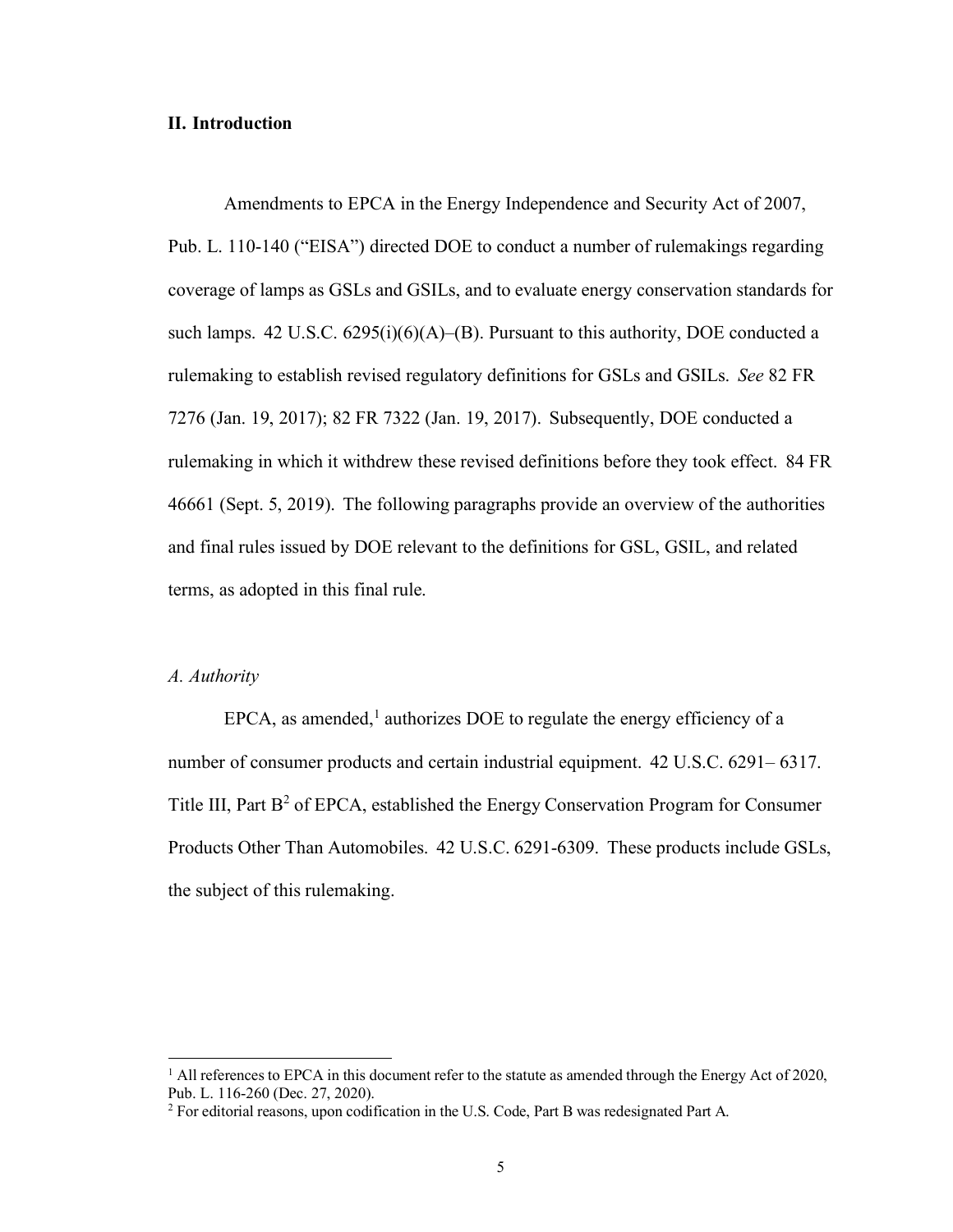#### <span id="page-5-0"></span>**II. Introduction**

Amendments to EPCA in the Energy Independence and Security Act of 2007, Pub. L. 110-140 ("EISA") directed DOE to conduct a number of rulemakings regarding coverage of lamps as GSLs and GSILs, and to evaluate energy conservation standards for such lamps. 42 U.S.C. 6295(i)(6)(A)–(B). Pursuant to this authority, DOE conducted a rulemaking to establish revised regulatory definitions for GSLs and GSILs. *See* 82 FR 7276 (Jan. 19, 2017); 82 FR 7322 (Jan. 19, 2017). Subsequently, DOE conducted a rulemaking in which it withdrew these revised definitions before they took effect. 84 FR 46661 (Sept. 5, 2019). The following paragraphs provide an overview of the authorities and final rules issued by DOE relevant to the definitions for GSL, GSIL, and related terms, as adopted in this final rule.

#### <span id="page-5-1"></span>*A. Authority*

EPCA, as amended, $<sup>1</sup>$  authorizes DOE to regulate the energy efficiency of a</sup> number of consumer products and certain industrial equipment. 42 U.S.C. 6291– 6317. Title III, Part  $B^2$  of EPCA, established the Energy Conservation Program for Consumer Products Other Than Automobiles. 42 U.S.C. 6291-6309. These products include GSLs, the subject of this rulemaking.

 $1$  All references to EPCA in this document refer to the statute as amended through the Energy Act of 2020, Pub. L. 116-260 (Dec. 27, 2020).

<sup>2</sup> For editorial reasons, upon codification in the U.S. Code, Part B was redesignated Part A.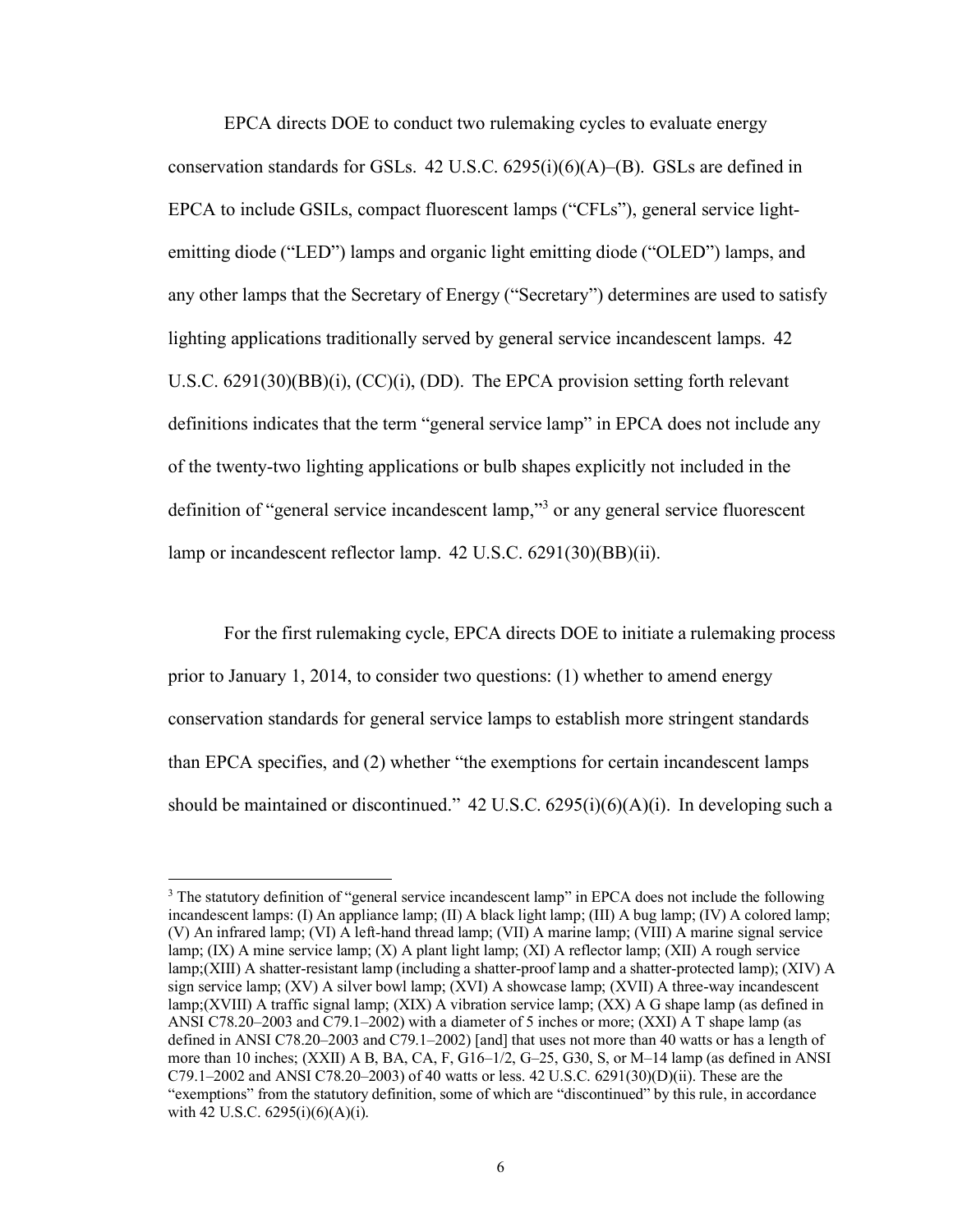EPCA directs DOE to conduct two rulemaking cycles to evaluate energy conservation standards for GSLs.  $42 \text{ U.S.C. } 6295(i)(6)(\text{A})-(\text{B})$ . GSLs are defined in EPCA to include GSILs, compact fluorescent lamps ("CFLs"), general service lightemitting diode ("LED") lamps and organic light emitting diode ("OLED") lamps, and any other lamps that the Secretary of Energy ("Secretary") determines are used to satisfy lighting applications traditionally served by general service incandescent lamps. 42 U.S.C. 6291(30)(BB)(i), (CC)(i), (DD). The EPCA provision setting forth relevant definitions indicates that the term "general service lamp" in EPCA does not include any of the twenty-two lighting applications or bulb shapes explicitly not included in the definition of "general service incandescent lamp,"<sup>3</sup> or any general service fluorescent lamp or incandescent reflector lamp. 42 U.S.C. 6291(30)(BB)(ii).

For the first rulemaking cycle, EPCA directs DOE to initiate a rulemaking process prior to January 1, 2014, to consider two questions: (1) whether to amend energy conservation standards for general service lamps to establish more stringent standards than EPCA specifies, and (2) whether "the exemptions for certain incandescent lamps should be maintained or discontinued." 42 U.S.C. 6295(i)(6)(A)(i). In developing such a

<sup>&</sup>lt;sup>3</sup> The statutory definition of "general service incandescent lamp" in EPCA does not include the following incandescent lamps: (I) An appliance lamp; (II) A black light lamp; (III) A bug lamp; (IV) A colored lamp; (V) An infrared lamp; (VI) A left-hand thread lamp; (VII) A marine lamp; (VIII) A marine signal service lamp; (IX) A mine service lamp; (X) A plant light lamp; (XI) A reflector lamp; (XII) A rough service lamp;(XIII) A shatter-resistant lamp (including a shatter-proof lamp and a shatter-protected lamp); (XIV) A sign service lamp; (XV) A silver bowl lamp; (XVI) A showcase lamp; (XVII) A three-way incandescent lamp;(XVIII) A traffic signal lamp; (XIX) A vibration service lamp; (XX) A G shape lamp (as defined in ANSI C78.20–2003 and C79.1–2002) with a diameter of 5 inches or more; (XXI) A T shape lamp (as defined in ANSI C78.20–2003 and C79.1–2002) [and] that uses not more than 40 watts or has a length of more than 10 inches; (XXII) A B, BA, CA, F, G16–1/2, G–25, G30, S, or M–14 lamp (as defined in ANSI C79.1–2002 and ANSI C78.20–2003) of 40 watts or less. 42 U.S.C. 6291(30)(D)(ii). These are the "exemptions" from the statutory definition, some of which are "discontinued" by this rule, in accordance with 42 U.S.C. 6295(i)(6)(A)(i).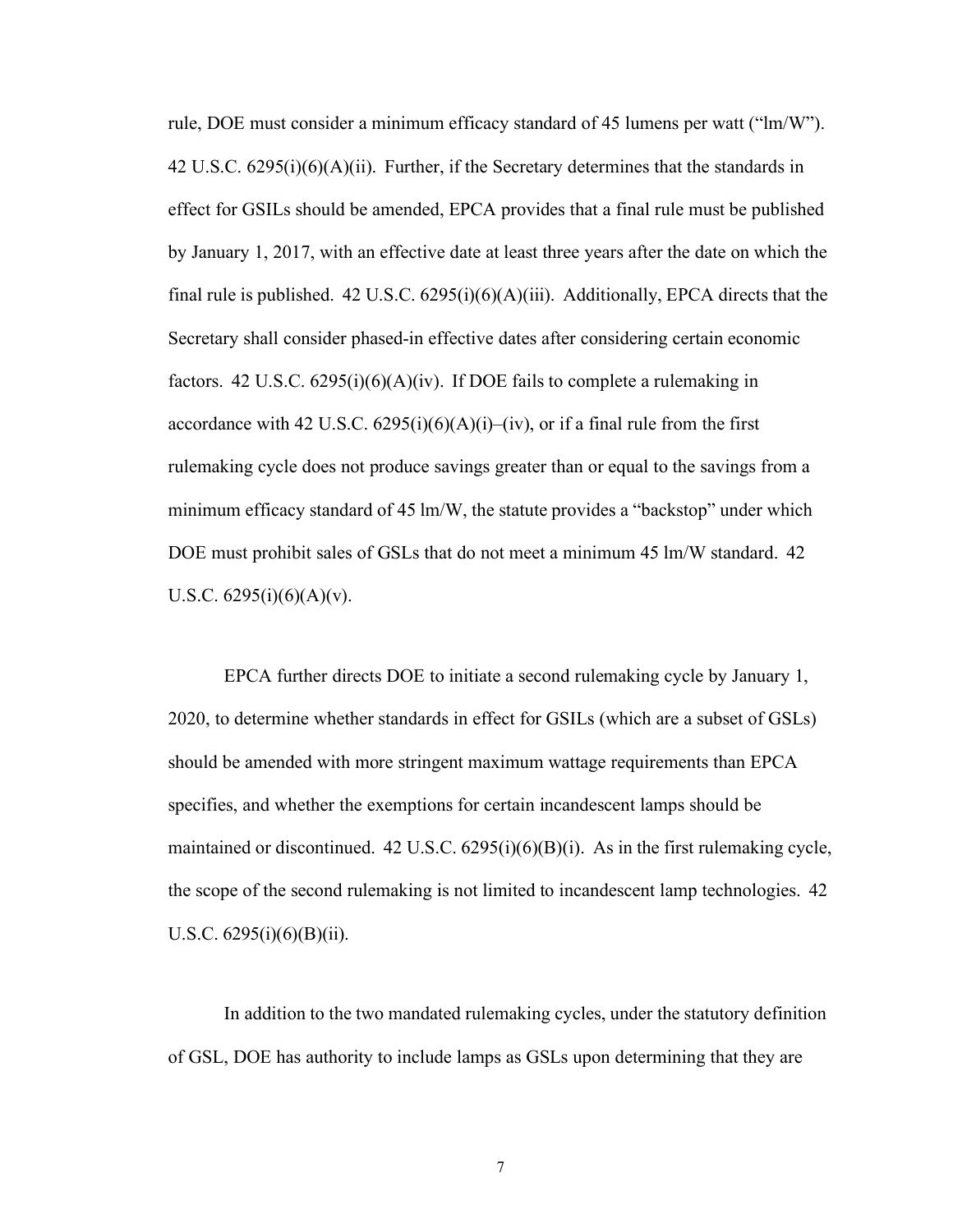rule, DOE must consider a minimum efficacy standard of 45 lumens per watt ("lm/W"). 42 U.S.C. 6295(i)(6)(A)(ii). Further, if the Secretary determines that the standards in effect for GSILs should be amended, EPCA provides that a final rule must be published by January 1, 2017, with an effective date at least three years after the date on which the final rule is published. 42 U.S.C.  $6295(i)(6)(A)(iii)$ . Additionally, EPCA directs that the Secretary shall consider phased-in effective dates after considering certain economic factors. 42 U.S.C.  $6295(i)(6)(A)(iv)$ . If DOE fails to complete a rulemaking in accordance with 42 U.S.C.  $6295(i)(6)(A)(i)$ –(iv), or if a final rule from the first rulemaking cycle does not produce savings greater than or equal to the savings from a minimum efficacy standard of 45 lm/W, the statute provides a "backstop" under which DOE must prohibit sales of GSLs that do not meet a minimum 45 lm/W standard. 42 U.S.C.  $6295(i)(6)(A)(v)$ .

EPCA further directs DOE to initiate a second rulemaking cycle by January 1, 2020, to determine whether standards in effect for GSILs (which are a subset of GSLs) should be amended with more stringent maximum wattage requirements than EPCA specifies, and whether the exemptions for certain incandescent lamps should be maintained or discontinued.  $42 \text{ U.S.C. } 6295(i)(6)(B)(i)$ . As in the first rulemaking cycle, the scope of the second rulemaking is not limited to incandescent lamp technologies. 42 U.S.C.  $6295(i)(6)(B)(ii)$ .

In addition to the two mandated rulemaking cycles, under the statutory definition of GSL, DOE has authority to include lamps as GSLs upon determining that they are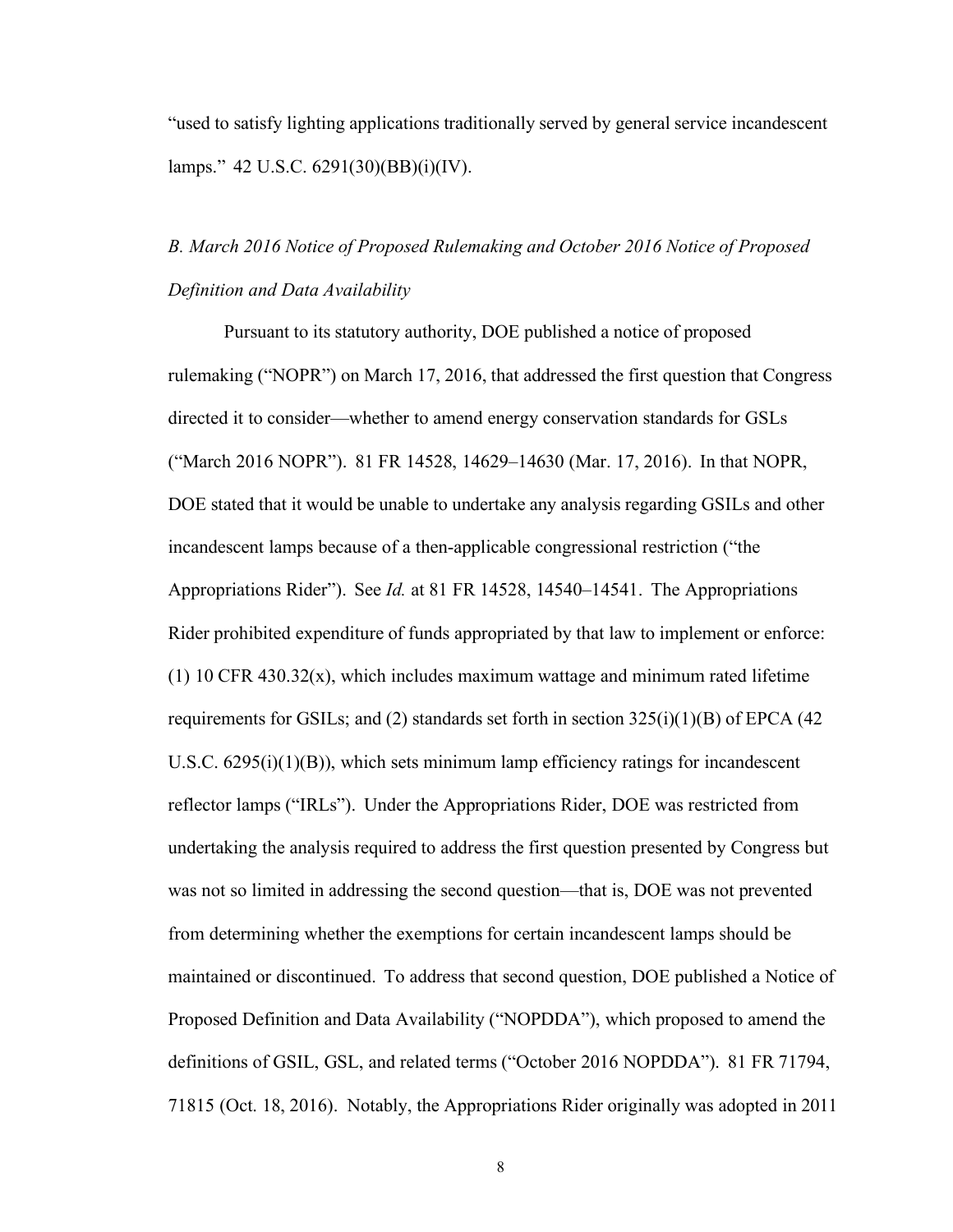"used to satisfy lighting applications traditionally served by general service incandescent lamps." 42 U.S.C. 6291(30)(BB)(i)(IV).

# <span id="page-8-0"></span>*B. March 2016 Notice of Proposed Rulemaking and October 2016 Notice of Proposed Definition and Data Availability*

Pursuant to its statutory authority, DOE published a notice of proposed rulemaking ("NOPR") on March 17, 2016, that addressed the first question that Congress directed it to consider—whether to amend energy conservation standards for GSLs ("March 2016 NOPR"). 81 FR 14528, 14629–14630 (Mar. 17, 2016). In that NOPR, DOE stated that it would be unable to undertake any analysis regarding GSILs and other incandescent lamps because of a then-applicable congressional restriction ("the Appropriations Rider"). See *Id.* at 81 FR 14528, 14540–14541. The Appropriations Rider prohibited expenditure of funds appropriated by that law to implement or enforce: (1) 10 CFR 430.32 $(x)$ , which includes maximum wattage and minimum rated lifetime requirements for GSILs; and (2) standards set forth in section  $325(i)(1)(B)$  of EPCA (42) U.S.C. 6295(i)(1)(B)), which sets minimum lamp efficiency ratings for incandescent reflector lamps ("IRLs"). Under the Appropriations Rider, DOE was restricted from undertaking the analysis required to address the first question presented by Congress but was not so limited in addressing the second question—that is, DOE was not prevented from determining whether the exemptions for certain incandescent lamps should be maintained or discontinued. To address that second question, DOE published a Notice of Proposed Definition and Data Availability ("NOPDDA"), which proposed to amend the definitions of GSIL, GSL, and related terms ("October 2016 NOPDDA"). 81 FR 71794, 71815 (Oct. 18, 2016). Notably, the Appropriations Rider originally was adopted in 2011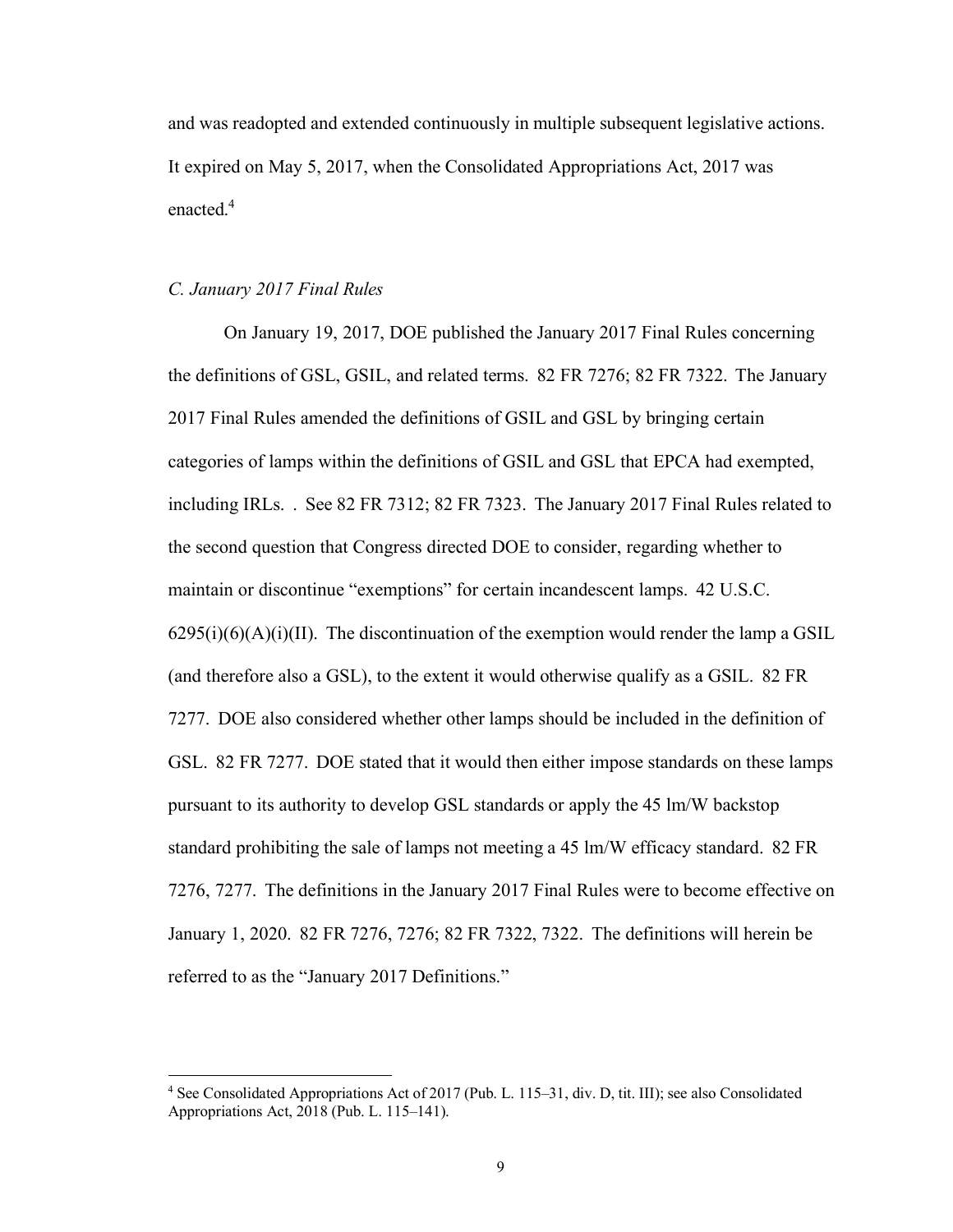and was readopted and extended continuously in multiple subsequent legislative actions. It expired on May 5, 2017, when the Consolidated Appropriations Act, 2017 was enacted.<sup>4</sup>

#### <span id="page-9-0"></span>*C. January 2017 Final Rules*

On January 19, 2017, DOE published the January 2017 Final Rules concerning the definitions of GSL, GSIL, and related terms. 82 FR 7276; 82 FR 7322. The January 2017 Final Rules amended the definitions of GSIL and GSL by bringing certain categories of lamps within the definitions of GSIL and GSL that EPCA had exempted, including IRLs. . See 82 FR 7312; 82 FR 7323. The January 2017 Final Rules related to the second question that Congress directed DOE to consider, regarding whether to maintain or discontinue "exemptions" for certain incandescent lamps. 42 U.S.C.  $6295(i)(6)(A)(i)(II)$ . The discontinuation of the exemption would render the lamp a GSIL (and therefore also a GSL), to the extent it would otherwise qualify as a GSIL. 82 FR 7277. DOE also considered whether other lamps should be included in the definition of GSL. 82 FR 7277. DOE stated that it would then either impose standards on these lamps pursuant to its authority to develop GSL standards or apply the 45 lm/W backstop standard prohibiting the sale of lamps not meeting a 45 lm/W efficacy standard. 82 FR 7276, 7277. The definitions in the January 2017 Final Rules were to become effective on January 1, 2020. 82 FR 7276, 7276; 82 FR 7322, 7322. The definitions will herein be referred to as the "January 2017 Definitions."

<sup>4</sup> See Consolidated Appropriations Act of 2017 (Pub. L. 115–31, div. D, tit. III); see also Consolidated Appropriations Act, 2018 (Pub. L. 115–141).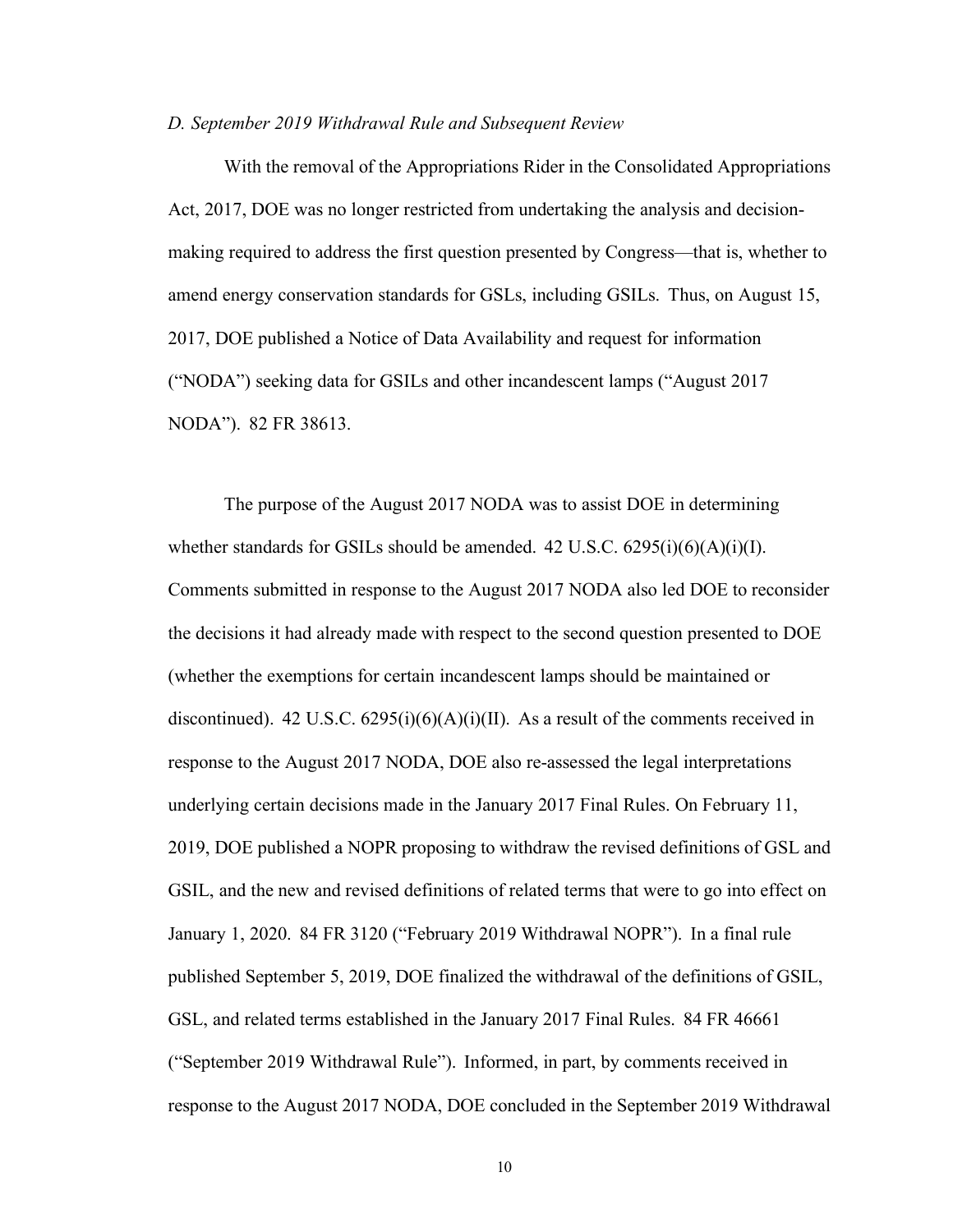#### <span id="page-10-0"></span>*D. September 2019 Withdrawal Rule and Subsequent Review*

With the removal of the Appropriations Rider in the Consolidated Appropriations Act, 2017, DOE was no longer restricted from undertaking the analysis and decisionmaking required to address the first question presented by Congress—that is, whether to amend energy conservation standards for GSLs, including GSILs. Thus, on August 15, 2017, DOE published a Notice of Data Availability and request for information ("NODA") seeking data for GSILs and other incandescent lamps ("August 2017 NODA"). 82 FR 38613.

The purpose of the August 2017 NODA was to assist DOE in determining whether standards for GSILs should be amended.  $42 \text{ U.S.C. } 6295(i)(6)(\text{A})(i)(\text{I}).$ Comments submitted in response to the August 2017 NODA also led DOE to reconsider the decisions it had already made with respect to the second question presented to DOE (whether the exemptions for certain incandescent lamps should be maintained or discontinued). 42 U.S.C.  $6295(i)(6)(A)(i)(II)$ . As a result of the comments received in response to the August 2017 NODA, DOE also re-assessed the legal interpretations underlying certain decisions made in the January 2017 Final Rules. On February 11, 2019, DOE published a NOPR proposing to withdraw the revised definitions of GSL and GSIL, and the new and revised definitions of related terms that were to go into effect on January 1, 2020. 84 FR 3120 ("February 2019 Withdrawal NOPR"). In a final rule published September 5, 2019, DOE finalized the withdrawal of the definitions of GSIL, GSL, and related terms established in the January 2017 Final Rules. 84 FR 46661 ("September 2019 Withdrawal Rule"). Informed, in part, by comments received in response to the August 2017 NODA, DOE concluded in the September 2019 Withdrawal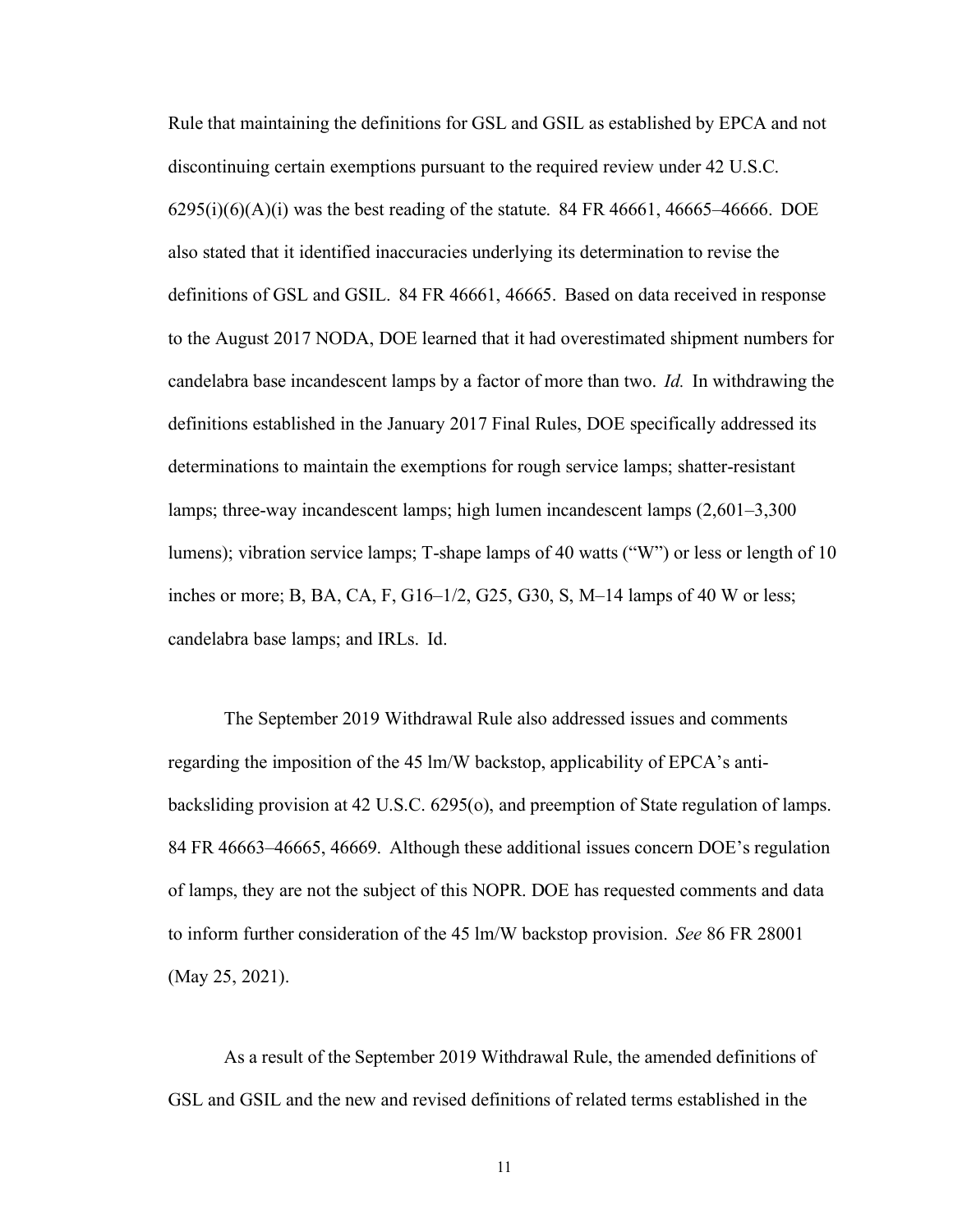Rule that maintaining the definitions for GSL and GSIL as established by EPCA and not discontinuing certain exemptions pursuant to the required review under 42 U.S.C.  $6295(i)(6)(A)(i)$  was the best reading of the statute. 84 FR 46661, 46665–46666. DOE also stated that it identified inaccuracies underlying its determination to revise the definitions of GSL and GSIL. 84 FR 46661, 46665. Based on data received in response to the August 2017 NODA, DOE learned that it had overestimated shipment numbers for candelabra base incandescent lamps by a factor of more than two. *Id.* In withdrawing the definitions established in the January 2017 Final Rules, DOE specifically addressed its determinations to maintain the exemptions for rough service lamps; shatter-resistant lamps; three-way incandescent lamps; high lumen incandescent lamps (2,601–3,300 lumens); vibration service lamps; T-shape lamps of 40 watts ("W") or less or length of 10 inches or more; B, BA, CA, F, G16–1/2, G25, G30, S, M–14 lamps of 40 W or less; candelabra base lamps; and IRLs. Id.

The September 2019 Withdrawal Rule also addressed issues and comments regarding the imposition of the 45 lm/W backstop, applicability of EPCA's antibacksliding provision at 42 U.S.C. 6295(o), and preemption of State regulation of lamps. 84 FR 46663–46665, 46669. Although these additional issues concern DOE's regulation of lamps, they are not the subject of this NOPR. DOE has requested comments and data to inform further consideration of the 45 lm/W backstop provision. *See* 86 FR 28001 (May 25, 2021).

As a result of the September 2019 Withdrawal Rule, the amended definitions of GSL and GSIL and the new and revised definitions of related terms established in the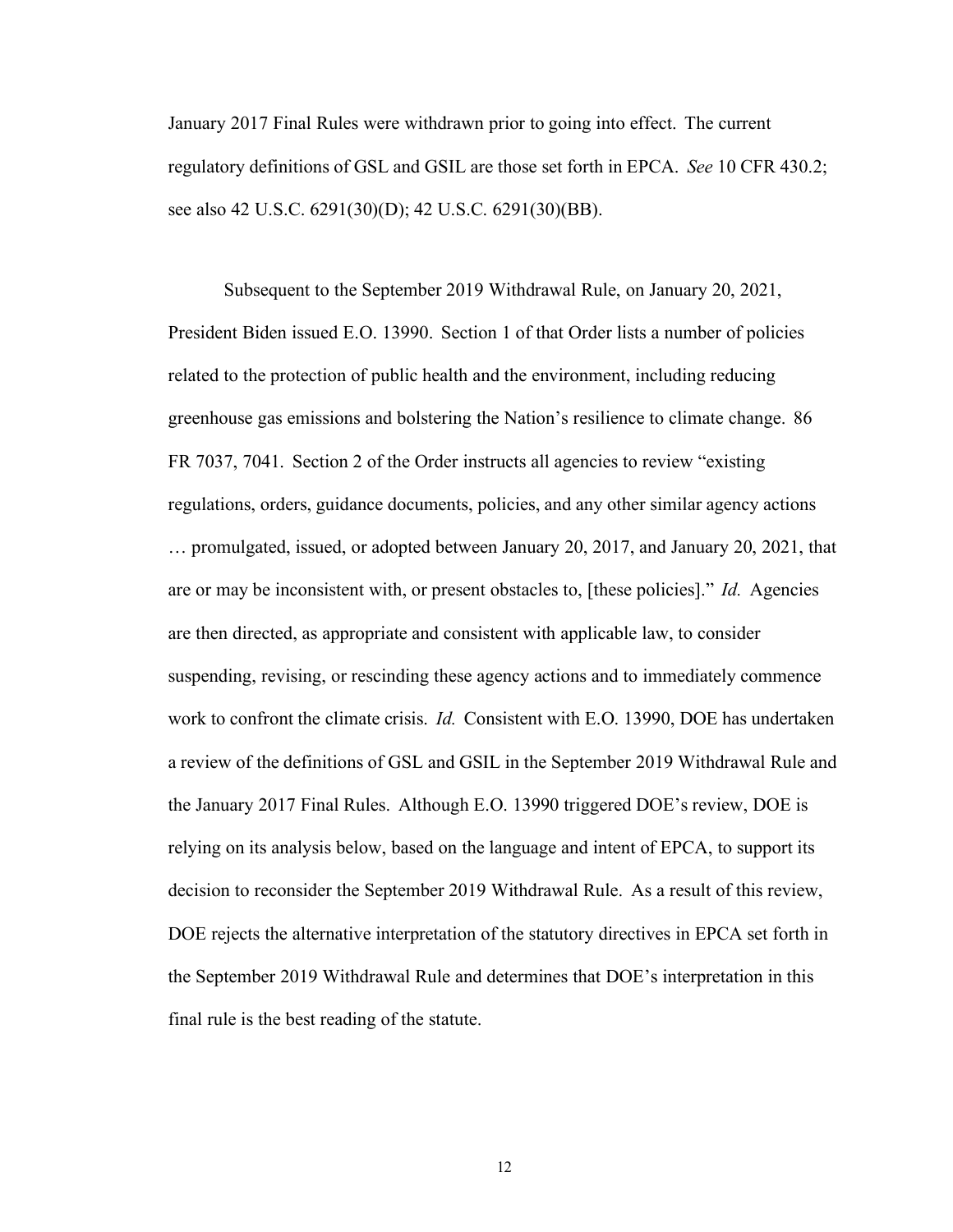January 2017 Final Rules were withdrawn prior to going into effect. The current regulatory definitions of GSL and GSIL are those set forth in EPCA. *See* 10 CFR 430.2; see also 42 U.S.C. 6291(30)(D); 42 U.S.C. 6291(30)(BB).

Subsequent to the September 2019 Withdrawal Rule, on January 20, 2021, President Biden issued E.O. 13990. Section 1 of that Order lists a number of policies related to the protection of public health and the environment, including reducing greenhouse gas emissions and bolstering the Nation's resilience to climate change. 86 FR 7037, 7041. Section 2 of the Order instructs all agencies to review "existing regulations, orders, guidance documents, policies, and any other similar agency actions … promulgated, issued, or adopted between January 20, 2017, and January 20, 2021, that are or may be inconsistent with, or present obstacles to, [these policies]." *Id.* Agencies are then directed, as appropriate and consistent with applicable law, to consider suspending, revising, or rescinding these agency actions and to immediately commence work to confront the climate crisis. *Id.* Consistent with E.O. 13990, DOE has undertaken a review of the definitions of GSL and GSIL in the September 2019 Withdrawal Rule and the January 2017 Final Rules. Although E.O. 13990 triggered DOE's review, DOE is relying on its analysis below, based on the language and intent of EPCA, to support its decision to reconsider the September 2019 Withdrawal Rule. As a result of this review, DOE rejects the alternative interpretation of the statutory directives in EPCA set forth in the September 2019 Withdrawal Rule and determines that DOE's interpretation in this final rule is the best reading of the statute.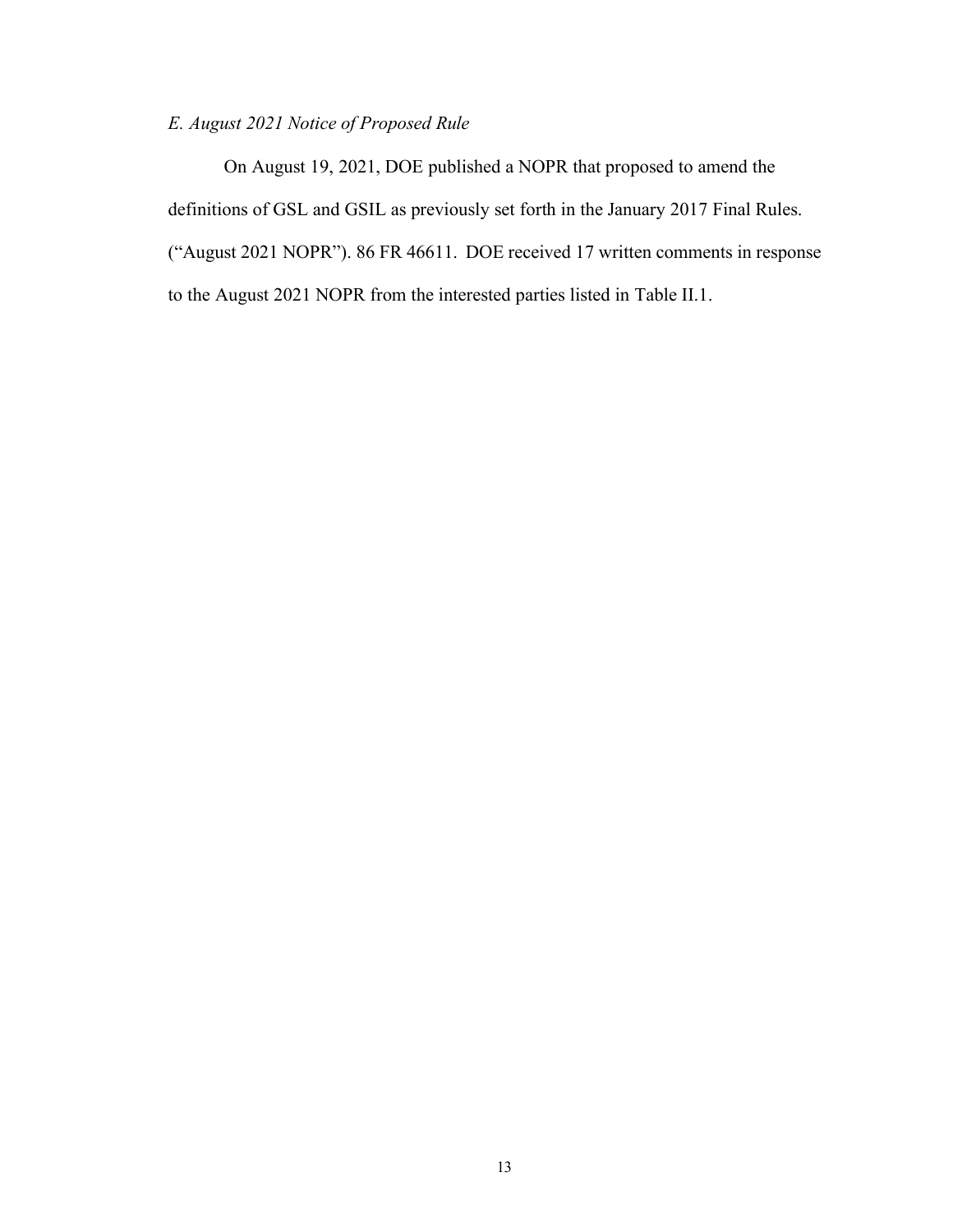# <span id="page-13-0"></span>*E. August 2021 Notice of Proposed Rule*

On August 19, 2021, DOE published a NOPR that proposed to amend the definitions of GSL and GSIL as previously set forth in the January 2017 Final Rules. ("August 2021 NOPR"). 86 FR 46611. DOE received 17 written comments in response to the August 2021 NOPR from the interested parties listed in Table II.1.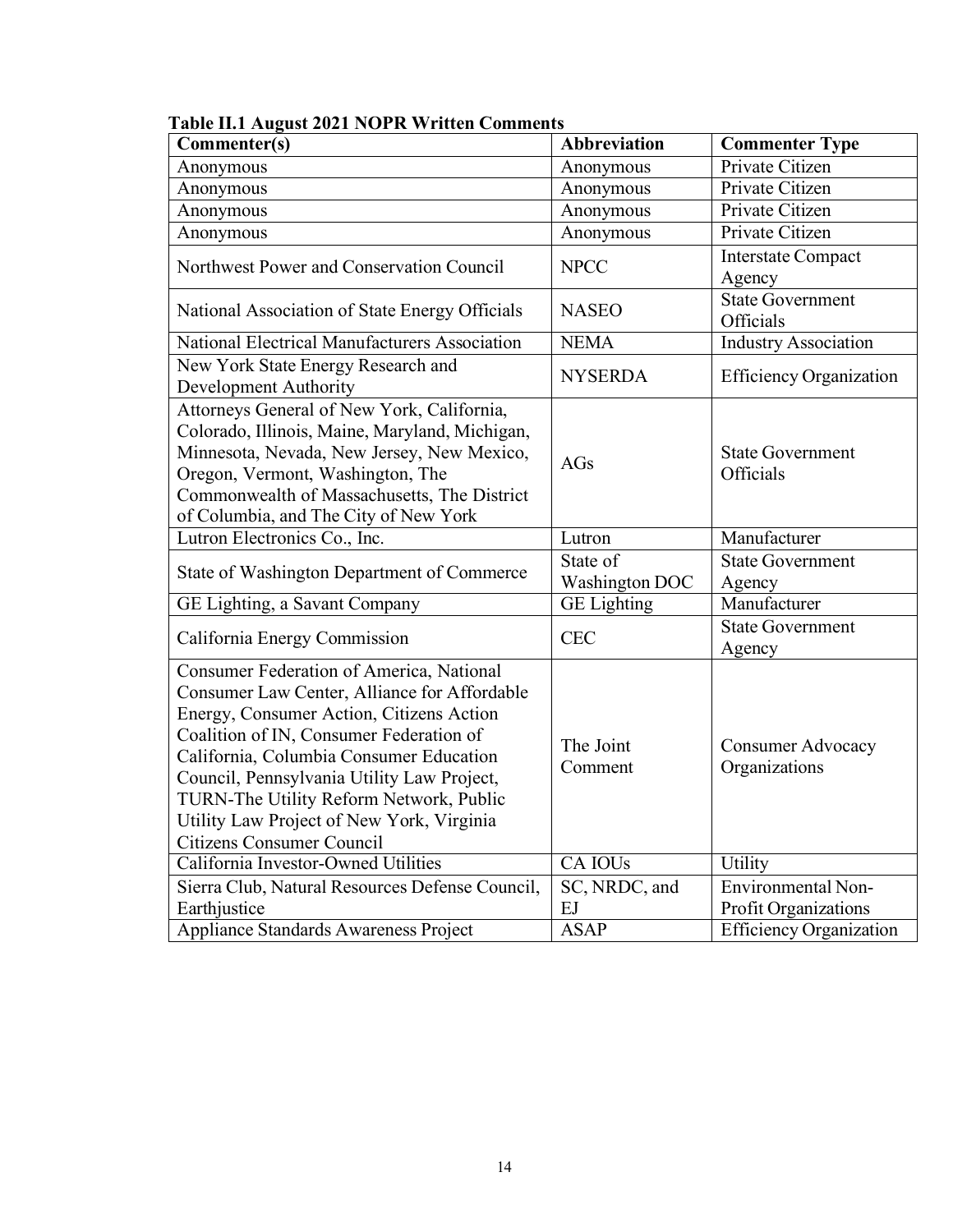| Commenter(s)                                                                                                                                                                                                                                                                                                                                                                                         | Abbreviation                      | <b>Commenter Type</b>                     |
|------------------------------------------------------------------------------------------------------------------------------------------------------------------------------------------------------------------------------------------------------------------------------------------------------------------------------------------------------------------------------------------------------|-----------------------------------|-------------------------------------------|
| Anonymous                                                                                                                                                                                                                                                                                                                                                                                            | Anonymous                         | Private Citizen                           |
| Anonymous                                                                                                                                                                                                                                                                                                                                                                                            | Anonymous                         | Private Citizen                           |
| Anonymous                                                                                                                                                                                                                                                                                                                                                                                            | Anonymous                         | Private Citizen                           |
| Anonymous                                                                                                                                                                                                                                                                                                                                                                                            | Anonymous                         | Private Citizen                           |
| Northwest Power and Conservation Council                                                                                                                                                                                                                                                                                                                                                             | <b>NPCC</b>                       | <b>Interstate Compact</b><br>Agency       |
| National Association of State Energy Officials                                                                                                                                                                                                                                                                                                                                                       | <b>NASEO</b>                      | <b>State Government</b><br>Officials      |
| National Electrical Manufacturers Association                                                                                                                                                                                                                                                                                                                                                        | <b>NEMA</b>                       | <b>Industry Association</b>               |
| New York State Energy Research and<br>Development Authority                                                                                                                                                                                                                                                                                                                                          | <b>NYSERDA</b>                    | <b>Efficiency Organization</b>            |
| Attorneys General of New York, California,<br>Colorado, Illinois, Maine, Maryland, Michigan,<br>Minnesota, Nevada, New Jersey, New Mexico,<br>Oregon, Vermont, Washington, The<br>Commonwealth of Massachusetts, The District<br>of Columbia, and The City of New York                                                                                                                               | AGs                               | <b>State Government</b><br>Officials      |
| Lutron Electronics Co., Inc.                                                                                                                                                                                                                                                                                                                                                                         | Lutron                            | Manufacturer                              |
| State of Washington Department of Commerce                                                                                                                                                                                                                                                                                                                                                           | State of<br><b>Washington DOC</b> | State Government<br>Agency                |
| GE Lighting, a Savant Company                                                                                                                                                                                                                                                                                                                                                                        | <b>GE</b> Lighting                | Manufacturer                              |
| California Energy Commission                                                                                                                                                                                                                                                                                                                                                                         | <b>CEC</b>                        | <b>State Government</b><br>Agency         |
| Consumer Federation of America, National<br>Consumer Law Center, Alliance for Affordable<br>Energy, Consumer Action, Citizens Action<br>Coalition of IN, Consumer Federation of<br>California, Columbia Consumer Education<br>Council, Pennsylvania Utility Law Project,<br>TURN-The Utility Reform Network, Public<br>Utility Law Project of New York, Virginia<br><b>Citizens Consumer Council</b> | The Joint<br>Comment              | <b>Consumer Advocacy</b><br>Organizations |
| California Investor-Owned Utilities                                                                                                                                                                                                                                                                                                                                                                  | CA IOU <sub>s</sub>               | Utility                                   |
| Sierra Club, Natural Resources Defense Council,                                                                                                                                                                                                                                                                                                                                                      | SC, NRDC, and                     | <b>Environmental Non-</b>                 |
| Earthjustice                                                                                                                                                                                                                                                                                                                                                                                         | EJ                                | Profit Organizations                      |
| Appliance Standards Awareness Project                                                                                                                                                                                                                                                                                                                                                                | <b>ASAP</b>                       | <b>Efficiency Organization</b>            |

# **Table II.1 August 2021 NOPR Written Comments**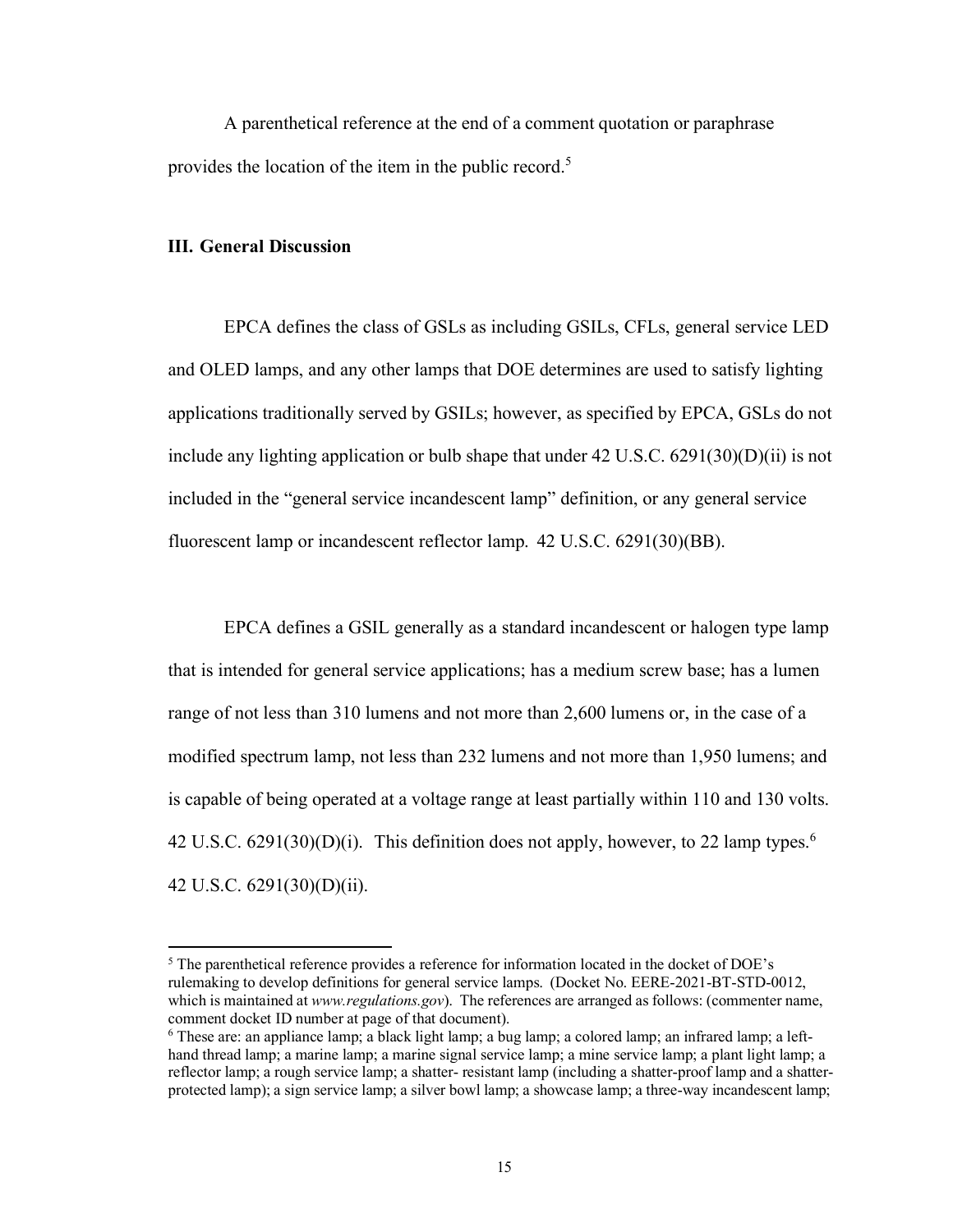A parenthetical reference at the end of a comment quotation or paraphrase provides the location of the item in the public record.<sup>5</sup>

#### <span id="page-15-0"></span>**III. General Discussion**

EPCA defines the class of GSLs as including GSILs, CFLs, general service LED and OLED lamps, and any other lamps that DOE determines are used to satisfy lighting applications traditionally served by GSILs; however, as specified by EPCA, GSLs do not include any lighting application or bulb shape that under  $42 \text{ U.S.C. } 6291(30)(D)(ii)$  is not included in the "general service incandescent lamp" definition, or any general service fluorescent lamp or incandescent reflector lamp. 42 U.S.C. 6291(30)(BB).

EPCA defines a GSIL generally as a standard incandescent or halogen type lamp that is intended for general service applications; has a medium screw base; has a lumen range of not less than 310 lumens and not more than 2,600 lumens or, in the case of a modified spectrum lamp, not less than 232 lumens and not more than 1,950 lumens; and is capable of being operated at a voltage range at least partially within 110 and 130 volts. 42 U.S.C.  $6291(30)(D)(i)$ . This definition does not apply, however, to 22 lamp types.<sup>6</sup> 42 U.S.C. 6291(30)(D)(ii).

 $<sup>5</sup>$  The parenthetical reference provides a reference for information located in the docket of DOE's</sup> rulemaking to develop definitions for general service lamps. (Docket No. EERE-2021-BT-STD-0012, which is maintained at *www.regulations.gov*). The references are arranged as follows: (commenter name, comment docket ID number at page of that document).

<sup>6</sup> These are: an appliance lamp; a black light lamp; a bug lamp; a colored lamp; an infrared lamp; a lefthand thread lamp; a marine lamp; a marine signal service lamp; a mine service lamp; a plant light lamp; a reflector lamp; a rough service lamp; a shatter- resistant lamp (including a shatter-proof lamp and a shatterprotected lamp); a sign service lamp; a silver bowl lamp; a showcase lamp; a three-way incandescent lamp;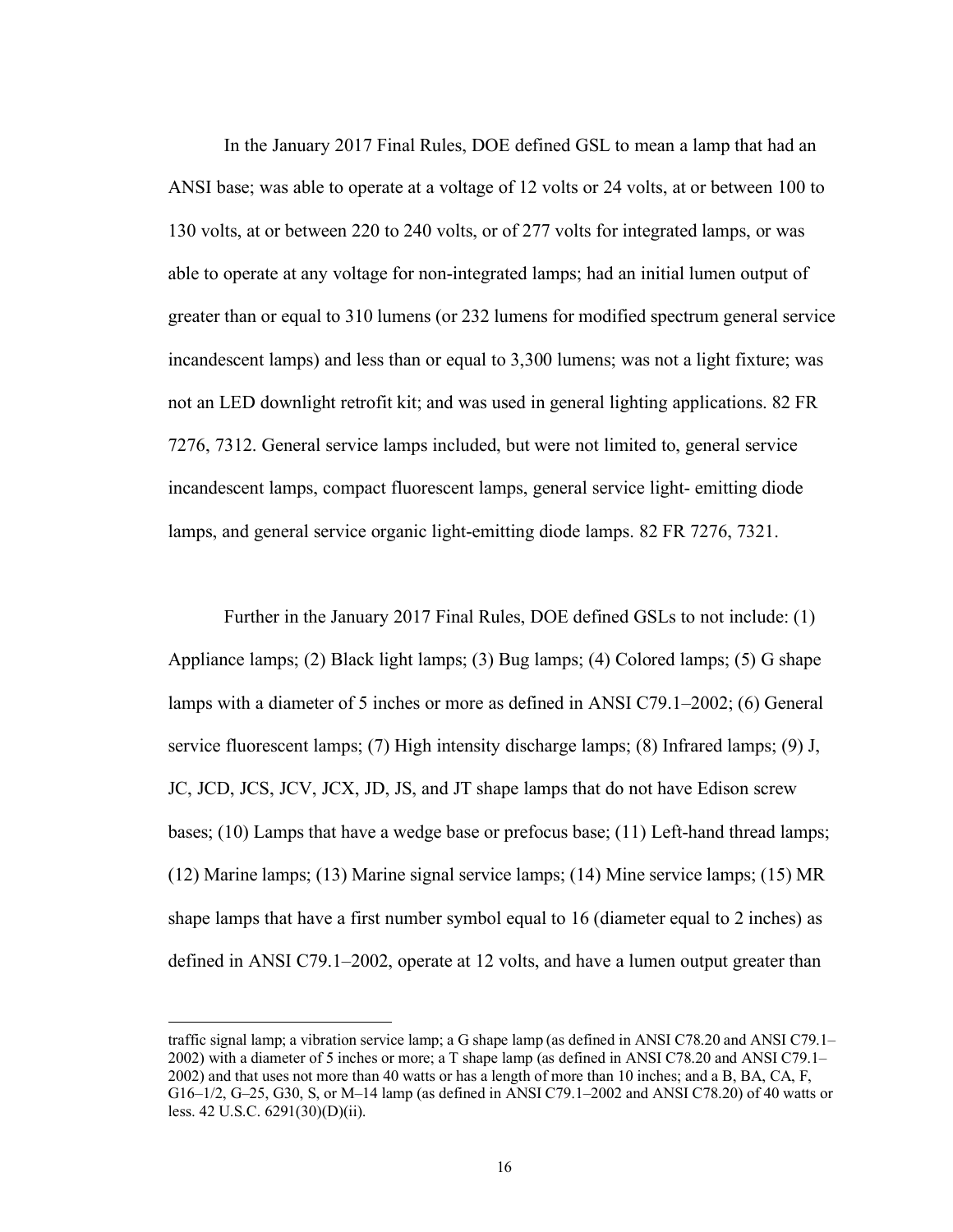In the January 2017 Final Rules, DOE defined GSL to mean a lamp that had an ANSI base; was able to operate at a voltage of 12 volts or 24 volts, at or between 100 to 130 volts, at or between 220 to 240 volts, or of 277 volts for integrated lamps, or was able to operate at any voltage for non-integrated lamps; had an initial lumen output of greater than or equal to 310 lumens (or 232 lumens for modified spectrum general service incandescent lamps) and less than or equal to 3,300 lumens; was not a light fixture; was not an LED downlight retrofit kit; and was used in general lighting applications. 82 FR 7276, 7312. General service lamps included, but were not limited to, general service incandescent lamps, compact fluorescent lamps, general service light- emitting diode lamps, and general service organic light-emitting diode lamps. 82 FR 7276, 7321.

Further in the January 2017 Final Rules, DOE defined GSLs to not include: (1) Appliance lamps; (2) Black light lamps; (3) Bug lamps; (4) Colored lamps; (5) G shape lamps with a diameter of 5 inches or more as defined in ANSI C79.1–2002; (6) General service fluorescent lamps; (7) High intensity discharge lamps; (8) Infrared lamps; (9) J, JC, JCD, JCS, JCV, JCX, JD, JS, and JT shape lamps that do not have Edison screw bases; (10) Lamps that have a wedge base or prefocus base; (11) Left-hand thread lamps; (12) Marine lamps; (13) Marine signal service lamps; (14) Mine service lamps; (15) MR shape lamps that have a first number symbol equal to 16 (diameter equal to 2 inches) as defined in ANSI C79.1–2002, operate at 12 volts, and have a lumen output greater than

traffic signal lamp; a vibration service lamp; a G shape lamp (as defined in ANSI C78.20 and ANSI C79.1– 2002) with a diameter of 5 inches or more; a T shape lamp (as defined in ANSI C78.20 and ANSI C79.1– 2002) and that uses not more than 40 watts or has a length of more than 10 inches; and a B, BA, CA, F, G16–1/2, G–25, G30, S, or M–14 lamp (as defined in ANSI C79.1–2002 and ANSI C78.20) of 40 watts or less. 42 U.S.C. 6291(30)(D)(ii).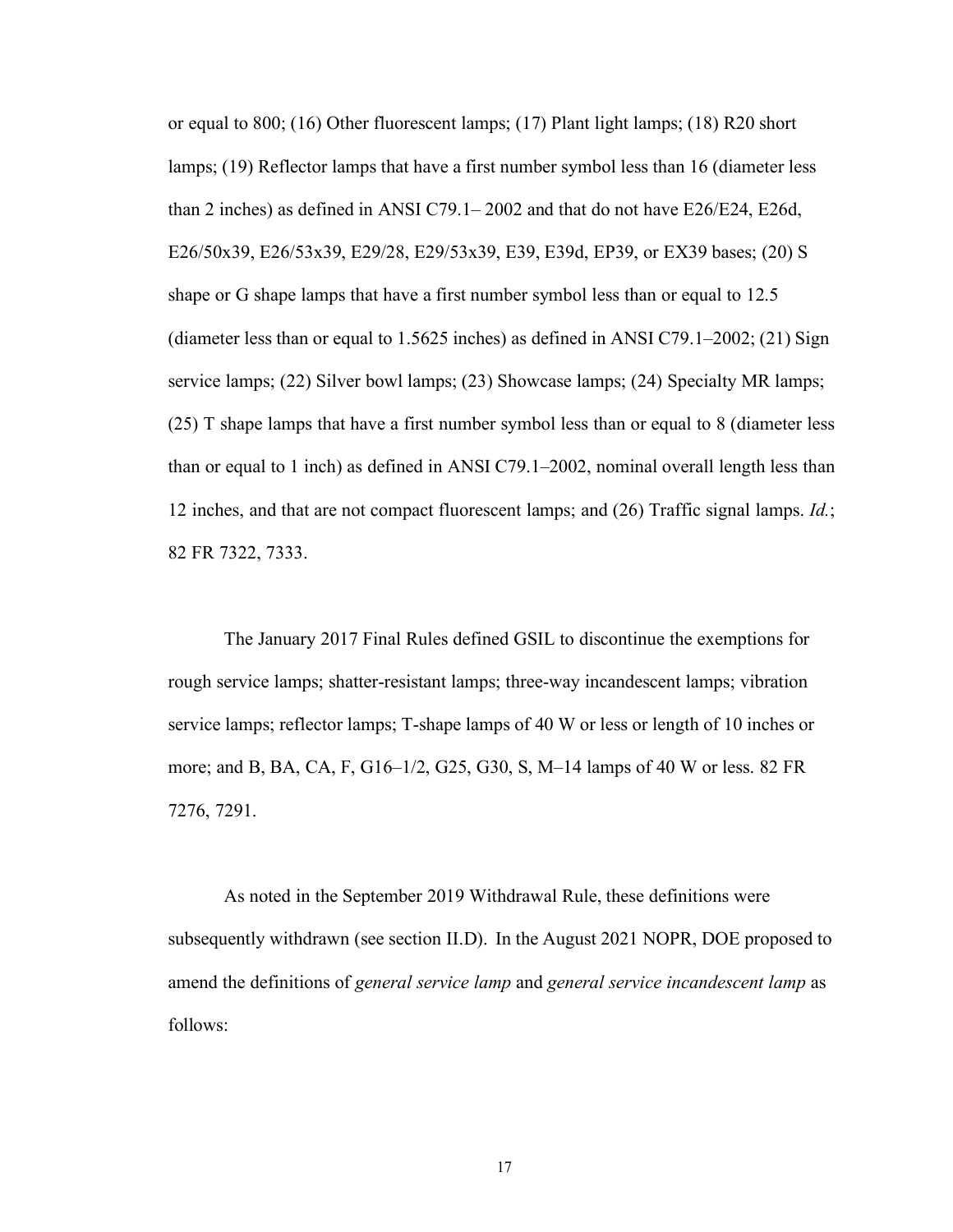or equal to 800; (16) Other fluorescent lamps; (17) Plant light lamps; (18) R20 short lamps; (19) Reflector lamps that have a first number symbol less than 16 (diameter less than 2 inches) as defined in ANSI C79.1– 2002 and that do not have E26/E24, E26d, E26/50x39, E26/53x39, E29/28, E29/53x39, E39, E39d, EP39, or EX39 bases; (20) S shape or G shape lamps that have a first number symbol less than or equal to 12.5 (diameter less than or equal to 1.5625 inches) as defined in ANSI C79.1–2002; (21) Sign service lamps; (22) Silver bowl lamps; (23) Showcase lamps; (24) Specialty MR lamps; (25) T shape lamps that have a first number symbol less than or equal to 8 (diameter less than or equal to 1 inch) as defined in ANSI C79.1–2002, nominal overall length less than 12 inches, and that are not compact fluorescent lamps; and (26) Traffic signal lamps. *Id.*; 82 FR 7322, 7333.

The January 2017 Final Rules defined GSIL to discontinue the exemptions for rough service lamps; shatter-resistant lamps; three-way incandescent lamps; vibration service lamps; reflector lamps; T-shape lamps of 40 W or less or length of 10 inches or more; and B, BA, CA, F, G16–1/2, G25, G30, S, M–14 lamps of 40 W or less. 82 FR 7276, 7291.

As noted in the September 2019 Withdrawal Rule, these definitions were subsequently withdrawn (see section [II.D\)](#page-10-0). In the August 2021 NOPR, DOE proposed to amend the definitions of *general service lamp* and *general service incandescent lamp* as follows: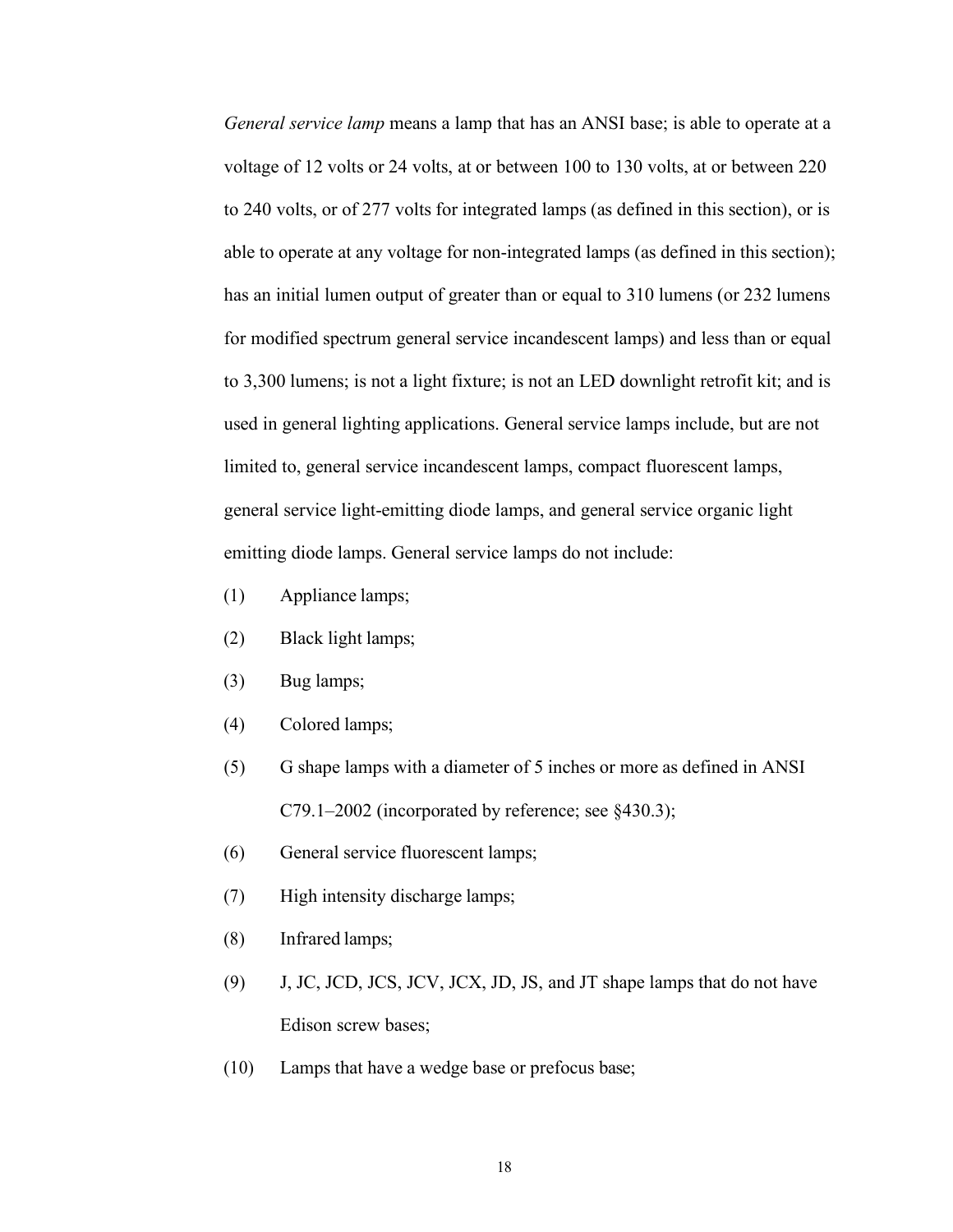*General service lamp* means a lamp that has an ANSI base; is able to operate at a voltage of 12 volts or 24 volts, at or between 100 to 130 volts, at or between 220 to 240 volts, or of 277 volts for integrated lamps (as defined in this section), or is able to operate at any voltage for non-integrated lamps (as defined in this section); has an initial lumen output of greater than or equal to 310 lumens (or 232 lumens for modified spectrum general service incandescent lamps) and less than or equal to 3,300 lumens; is not a light fixture; is not an LED downlight retrofit kit; and is used in general lighting applications. General service lamps include, but are not limited to, general service incandescent lamps, compact fluorescent lamps, general service light-emitting diode lamps, and general service organic light emitting diode lamps. General service lamps do not include:

- (1) Appliance lamps;
- (2) Black light lamps;
- (3) Bug lamps;
- (4) Colored lamps;
- (5) G shape lamps with a diameter of 5 inches or more as defined in ANSI C79.1–2002 (incorporated by reference; see §430.3);
- (6) General service fluorescent lamps;
- (7) High intensity discharge lamps;
- (8) Infrared lamps;
- (9) J, JC, JCD, JCS, JCV, JCX, JD, JS, and JT shape lamps that do not have Edison screw bases;
- (10) Lamps that have a wedge base or prefocus base;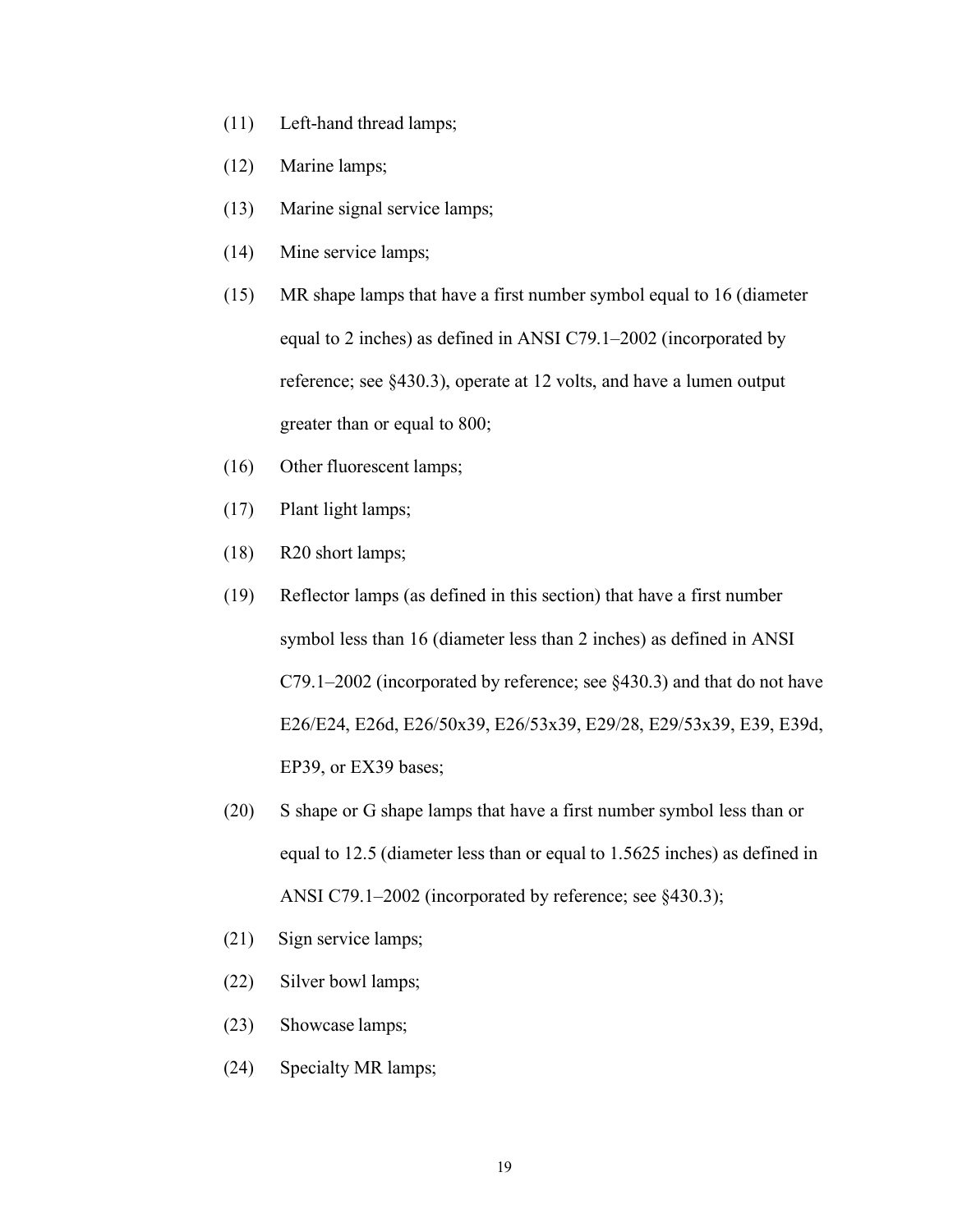- (11) Left-hand thread lamps;
- (12) Marine lamps;
- (13) Marine signal service lamps;
- (14) Mine service lamps;
- (15) MR shape lamps that have a first number symbol equal to 16 (diameter equal to 2 inches) as defined in ANSI C79.1–2002 (incorporated by reference; see §430.3), operate at 12 volts, and have a lumen output greater than or equal to 800;
- (16) Other fluorescent lamps;
- (17) Plant light lamps;
- (18) R20 short lamps;
- (19) Reflector lamps (as defined in this section) that have a first number symbol less than 16 (diameter less than 2 inches) as defined in ANSI C79.1–2002 (incorporated by reference; see §430.3) and that do not have E26/E24, E26d, E26/50x39, E26/53x39, E29/28, E29/53x39, E39, E39d, EP39, or EX39 bases;
- (20) S shape or G shape lamps that have a first number symbol less than or equal to 12.5 (diameter less than or equal to 1.5625 inches) as defined in ANSI C79.1–2002 (incorporated by reference; see §430.3);
- (21) Sign service lamps;
- (22) Silver bowl lamps;
- (23) Showcase lamps;
- (24) Specialty MR lamps;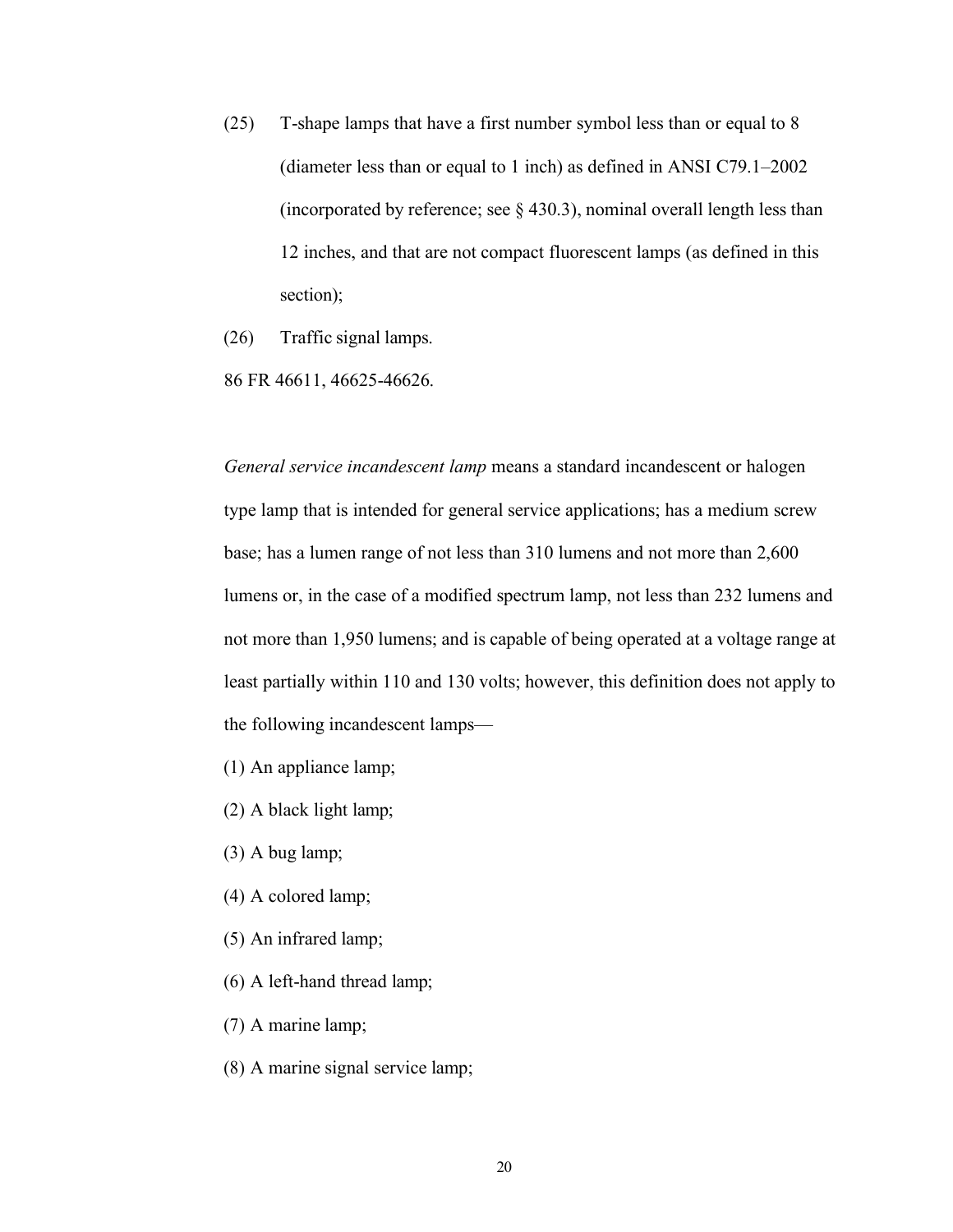- (25) T-shape lamps that have a first number symbol less than or equal to 8 (diameter less than or equal to 1 inch) as defined in ANSI C79.1–2002 (incorporated by reference; see  $\S$  430.3), nominal overall length less than 12 inches, and that are not compact fluorescent lamps (as defined in this section);
- (26) Traffic signal lamps.
- 86 FR 46611, 46625-46626.

*General service incandescent lamp* means a standard incandescent or halogen type lamp that is intended for general service applications; has a medium screw base; has a lumen range of not less than 310 lumens and not more than 2,600 lumens or, in the case of a modified spectrum lamp, not less than 232 lumens and not more than 1,950 lumens; and is capable of being operated at a voltage range at least partially within 110 and 130 volts; however, this definition does not apply to the following incandescent lamps—

- (1) An appliance lamp;
- (2) A black light lamp;
- (3) A bug lamp;
- (4) A colored lamp;
- (5) An infrared lamp;
- (6) A left-hand thread lamp;
- (7) A marine lamp;
- (8) A marine signal service lamp;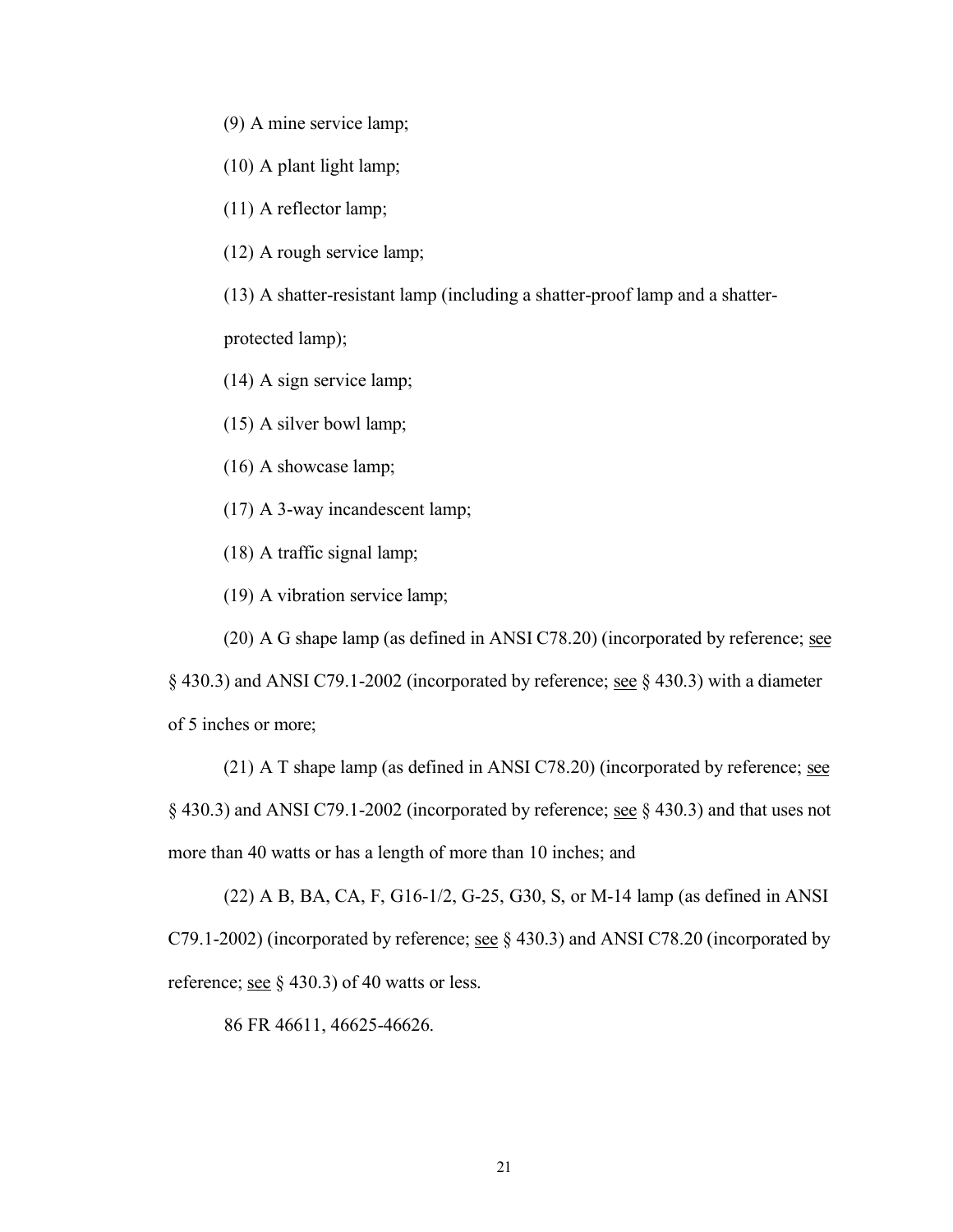- (9) A mine service lamp;
- (10) A plant light lamp;
- (11) A reflector lamp;
- (12) A rough service lamp;

(13) A shatter-resistant lamp (including a shatter-proof lamp and a shatter-

protected lamp);

(14) A sign service lamp;

(15) A silver bowl lamp;

(16) A showcase lamp;

(17) A 3-way incandescent lamp;

(18) A traffic signal lamp;

(19) A vibration service lamp;

(20) A G shape lamp (as defined in ANSI C78.20) (incorporated by reference; see

§ 430.3) and ANSI C79.1-2002 (incorporated by reference; see § 430.3) with a diameter of 5 inches or more;

 $(21)$  A T shape lamp (as defined in ANSI C78.20) (incorporated by reference; see  $\S$  430.3) and ANSI C79.1-2002 (incorporated by reference; <u>see</u>  $\S$  430.3) and that uses not more than 40 watts or has a length of more than 10 inches; and

(22) A B, BA, CA, F, G16-1/2, G-25, G30, S, or M-14 lamp (as defined in ANSI C79.1-2002) (incorporated by reference; <u>see</u>  $\S$  430.3) and ANSI C78.20 (incorporated by reference; <u>see</u> § 430.3) of 40 watts or less.

86 FR 46611, 46625-46626.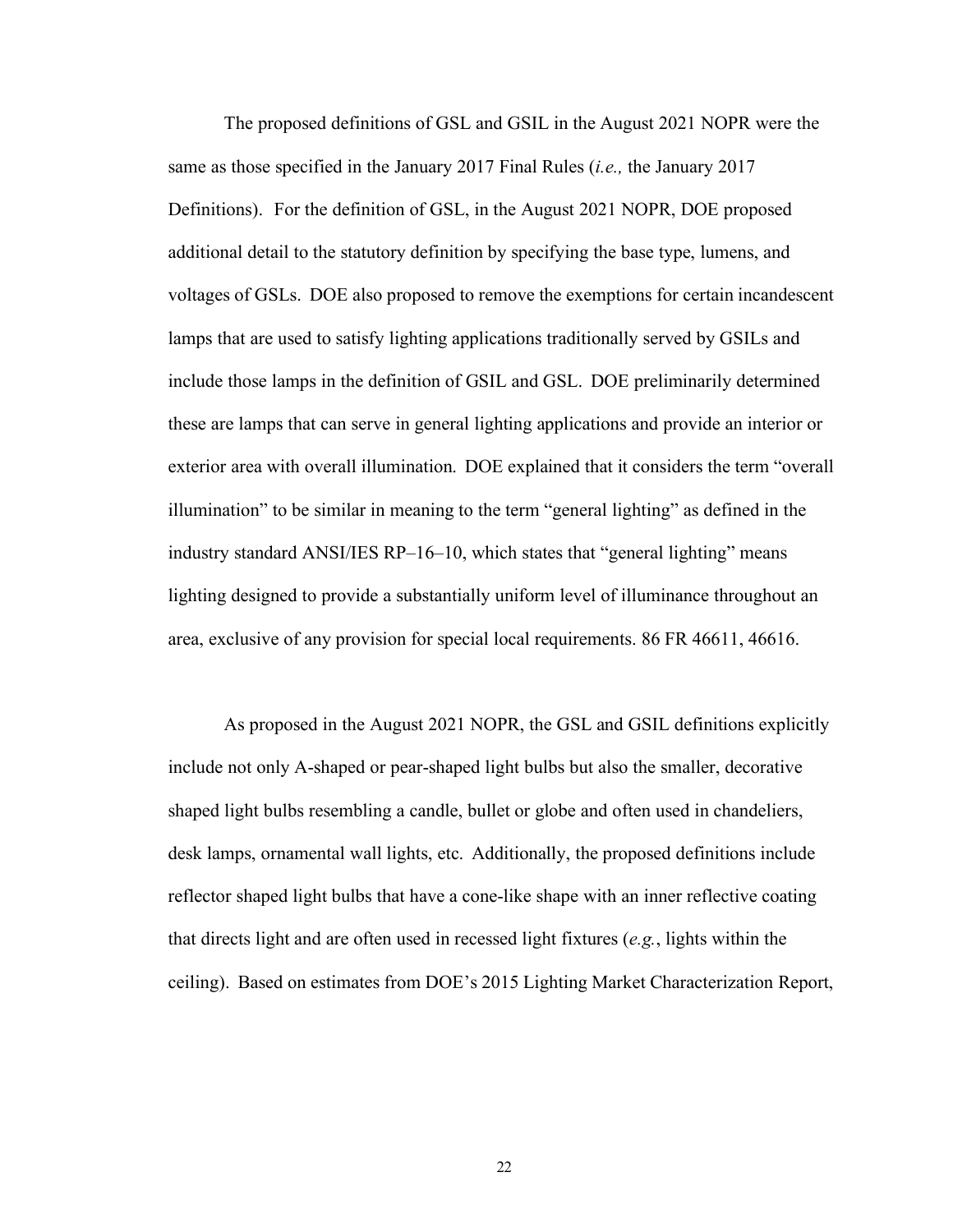The proposed definitions of GSL and GSIL in the August 2021 NOPR were the same as those specified in the January 2017 Final Rules (*i.e.,* the January 2017 Definitions). For the definition of GSL, in the August 2021 NOPR, DOE proposed additional detail to the statutory definition by specifying the base type, lumens, and voltages of GSLs. DOE also proposed to remove the exemptions for certain incandescent lamps that are used to satisfy lighting applications traditionally served by GSILs and include those lamps in the definition of GSIL and GSL. DOE preliminarily determined these are lamps that can serve in general lighting applications and provide an interior or exterior area with overall illumination. DOE explained that it considers the term "overall illumination" to be similar in meaning to the term "general lighting" as defined in the industry standard ANSI/IES RP–16–10, which states that "general lighting" means lighting designed to provide a substantially uniform level of illuminance throughout an area, exclusive of any provision for special local requirements. 86 FR 46611, 46616.

As proposed in the August 2021 NOPR, the GSL and GSIL definitions explicitly include not only A-shaped or pear-shaped light bulbs but also the smaller, decorative shaped light bulbs resembling a candle, bullet or globe and often used in chandeliers, desk lamps, ornamental wall lights, etc. Additionally, the proposed definitions include reflector shaped light bulbs that have a cone-like shape with an inner reflective coating that directs light and are often used in recessed light fixtures (*e.g.*, lights within the ceiling). Based on estimates from DOE's 2015 Lighting Market Characterization Report,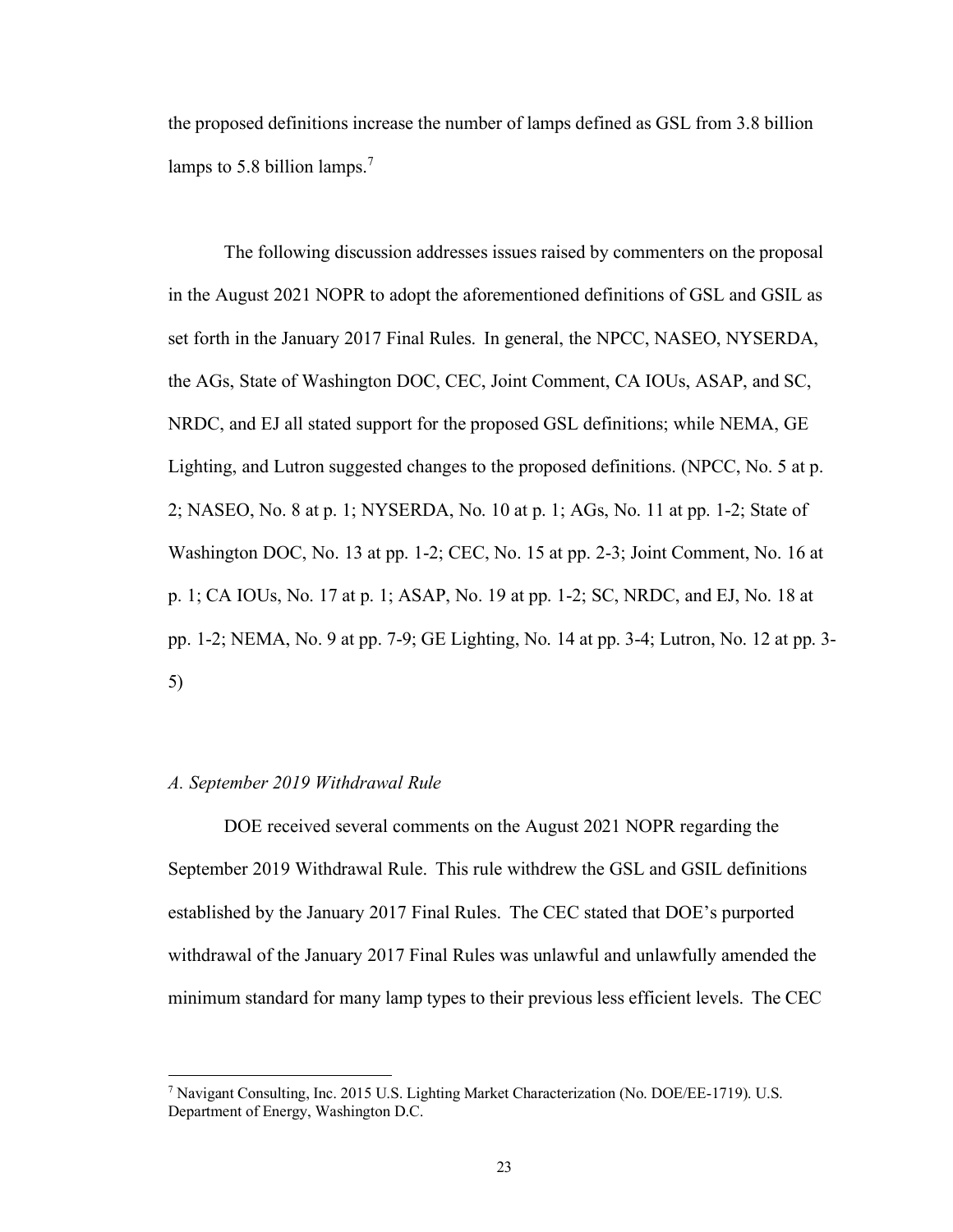the proposed definitions increase the number of lamps defined as GSL from 3.8 billion lamps to 5.8 billion lamps.<sup>7</sup>

The following discussion addresses issues raised by commenters on the proposal in the August 2021 NOPR to adopt the aforementioned definitions of GSL and GSIL as set forth in the January 2017 Final Rules. In general, the NPCC, NASEO, NYSERDA, the AGs, State of Washington DOC, CEC, Joint Comment, CA IOUs, ASAP, and SC, NRDC, and EJ all stated support for the proposed GSL definitions; while NEMA, GE Lighting, and Lutron suggested changes to the proposed definitions. (NPCC, No. 5 at p. 2; NASEO, No. 8 at p. 1; NYSERDA, No. 10 at p. 1; AGs, No. 11 at pp. 1-2; State of Washington DOC, No. 13 at pp. 1-2; CEC, No. 15 at pp. 2-3; Joint Comment, No. 16 at p. 1; CA IOUs, No. 17 at p. 1; ASAP, No. 19 at pp. 1-2; SC, NRDC, and EJ, No. 18 at pp. 1-2; NEMA, No. 9 at pp. 7-9; GE Lighting, No. 14 at pp. 3-4; Lutron, No. 12 at pp. 3- 5)

#### <span id="page-23-0"></span>*A. September 2019 Withdrawal Rule*

DOE received several comments on the August 2021 NOPR regarding the September 2019 Withdrawal Rule. This rule withdrew the GSL and GSIL definitions established by the January 2017 Final Rules. The CEC stated that DOE's purported withdrawal of the January 2017 Final Rules was unlawful and unlawfully amended the minimum standard for many lamp types to their previous less efficient levels. The CEC

<sup>7</sup> Navigant Consulting, Inc. 2015 U.S. Lighting Market Characterization (No. DOE/EE-1719). U.S. Department of Energy, Washington D.C.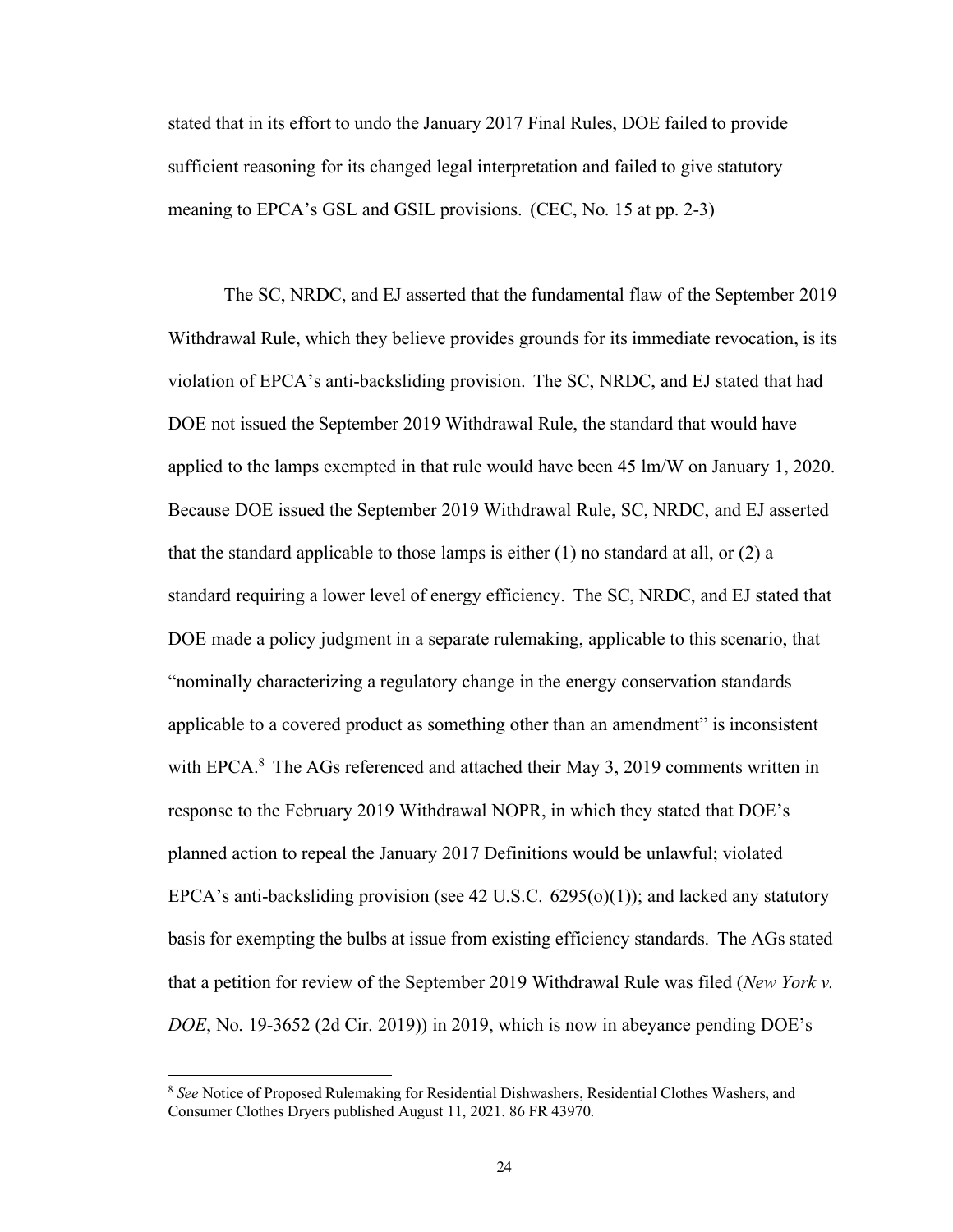stated that in its effort to undo the January 2017 Final Rules, DOE failed to provide sufficient reasoning for its changed legal interpretation and failed to give statutory meaning to EPCA's GSL and GSIL provisions. (CEC, No. 15 at pp. 2-3)

The SC, NRDC, and EJ asserted that the fundamental flaw of the September 2019 Withdrawal Rule, which they believe provides grounds for its immediate revocation, is its violation of EPCA's anti-backsliding provision. The SC, NRDC, and EJ stated that had DOE not issued the September 2019 Withdrawal Rule, the standard that would have applied to the lamps exempted in that rule would have been 45 lm/W on January 1, 2020. Because DOE issued the September 2019 Withdrawal Rule, SC, NRDC, and EJ asserted that the standard applicable to those lamps is either  $(1)$  no standard at all, or  $(2)$  a standard requiring a lower level of energy efficiency. The SC, NRDC, and EJ stated that DOE made a policy judgment in a separate rulemaking, applicable to this scenario, that "nominally characterizing a regulatory change in the energy conservation standards applicable to a covered product as something other than an amendment" is inconsistent with EPCA.<sup>8</sup> The AGs referenced and attached their May 3, 2019 comments written in response to the February 2019 Withdrawal NOPR, in which they stated that DOE's planned action to repeal the January 2017 Definitions would be unlawful; violated EPCA's anti-backsliding provision (see 42 U.S.C. 6295(o)(1)); and lacked any statutory basis for exempting the bulbs at issue from existing efficiency standards. The AGs stated that a petition for review of the September 2019 Withdrawal Rule was filed (*New York v. DOE*, No. 19-3652 (2d Cir. 2019)) in 2019, which is now in abeyance pending DOE's

<sup>8</sup> *See* Notice of Proposed Rulemaking for Residential Dishwashers, Residential Clothes Washers, and Consumer Clothes Dryers published August 11, 2021. 86 FR 43970.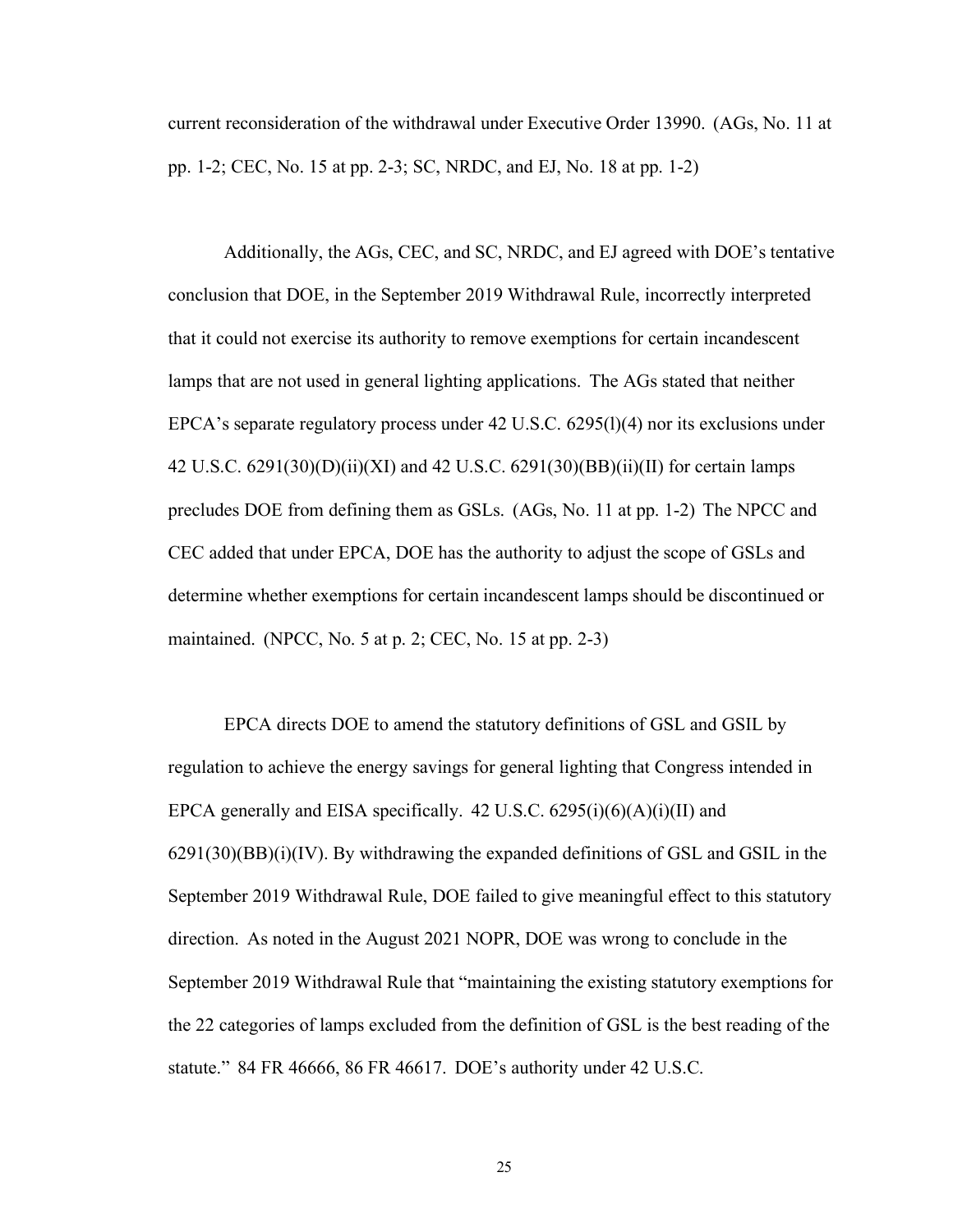current reconsideration of the withdrawal under Executive Order 13990. (AGs, No. 11 at pp. 1-2; CEC, No. 15 at pp. 2-3; SC, NRDC, and EJ, No. 18 at pp. 1-2)

Additionally, the AGs, CEC, and SC, NRDC, and EJ agreed with DOE's tentative conclusion that DOE, in the September 2019 Withdrawal Rule, incorrectly interpreted that it could not exercise its authority to remove exemptions for certain incandescent lamps that are not used in general lighting applications. The AGs stated that neither EPCA's separate regulatory process under 42 U.S.C. 6295(l)(4) nor its exclusions under 42 U.S.C. 6291(30)(D)(ii)(XI) and 42 U.S.C. 6291(30)(BB)(ii)(II) for certain lamps precludes DOE from defining them as GSLs. (AGs, No. 11 at pp. 1-2) The NPCC and CEC added that under EPCA, DOE has the authority to adjust the scope of GSLs and determine whether exemptions for certain incandescent lamps should be discontinued or maintained. (NPCC, No. 5 at p. 2; CEC, No. 15 at pp. 2-3)

EPCA directs DOE to amend the statutory definitions of GSL and GSIL by regulation to achieve the energy savings for general lighting that Congress intended in EPCA generally and EISA specifically. 42 U.S.C.  $6295(i)(6)(A)(i)(II)$  and 6291(30)(BB)(i)(IV). By withdrawing the expanded definitions of GSL and GSIL in the September 2019 Withdrawal Rule, DOE failed to give meaningful effect to this statutory direction. As noted in the August 2021 NOPR, DOE was wrong to conclude in the September 2019 Withdrawal Rule that "maintaining the existing statutory exemptions for the 22 categories of lamps excluded from the definition of GSL is the best reading of the statute." 84 FR 46666, 86 FR 46617. DOE's authority under 42 U.S.C.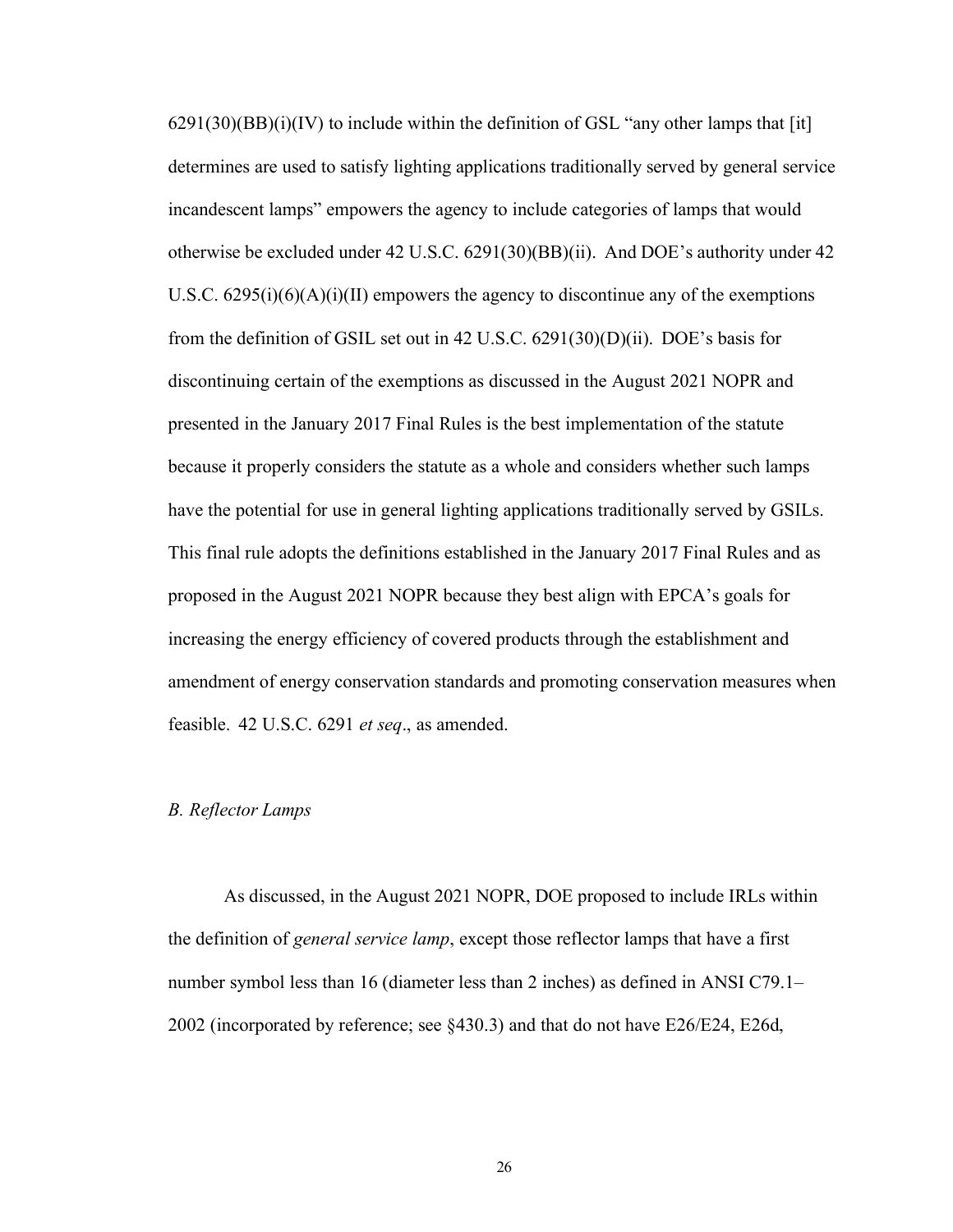$6291(30)(BB)(i)(IV)$  to include within the definition of GSL "any other lamps that [it] determines are used to satisfy lighting applications traditionally served by general service incandescent lamps" empowers the agency to include categories of lamps that would otherwise be excluded under 42 U.S.C. 6291(30)(BB)(ii). And DOE's authority under 42 U.S.C.  $6295(i)(6)(A)(i)(II)$  empowers the agency to discontinue any of the exemptions from the definition of GSIL set out in 42 U.S.C. 6291(30)(D)(ii). DOE's basis for discontinuing certain of the exemptions as discussed in the August 2021 NOPR and presented in the January 2017 Final Rules is the best implementation of the statute because it properly considers the statute as a whole and considers whether such lamps have the potential for use in general lighting applications traditionally served by GSILs. This final rule adopts the definitions established in the January 2017 Final Rules and as proposed in the August 2021 NOPR because they best align with EPCA's goals for increasing the energy efficiency of covered products through the establishment and amendment of energy conservation standards and promoting conservation measures when feasible. 42 U.S.C. 6291 *et seq*., as amended.

#### <span id="page-26-0"></span>*B. Reflector Lamps*

As discussed, in the August 2021 NOPR, DOE proposed to include IRLs within the definition of *general service lamp*, except those reflector lamps that have a first number symbol less than 16 (diameter less than 2 inches) as defined in ANSI C79.1– 2002 (incorporated by reference; see §430.3) and that do not have E26/E24, E26d,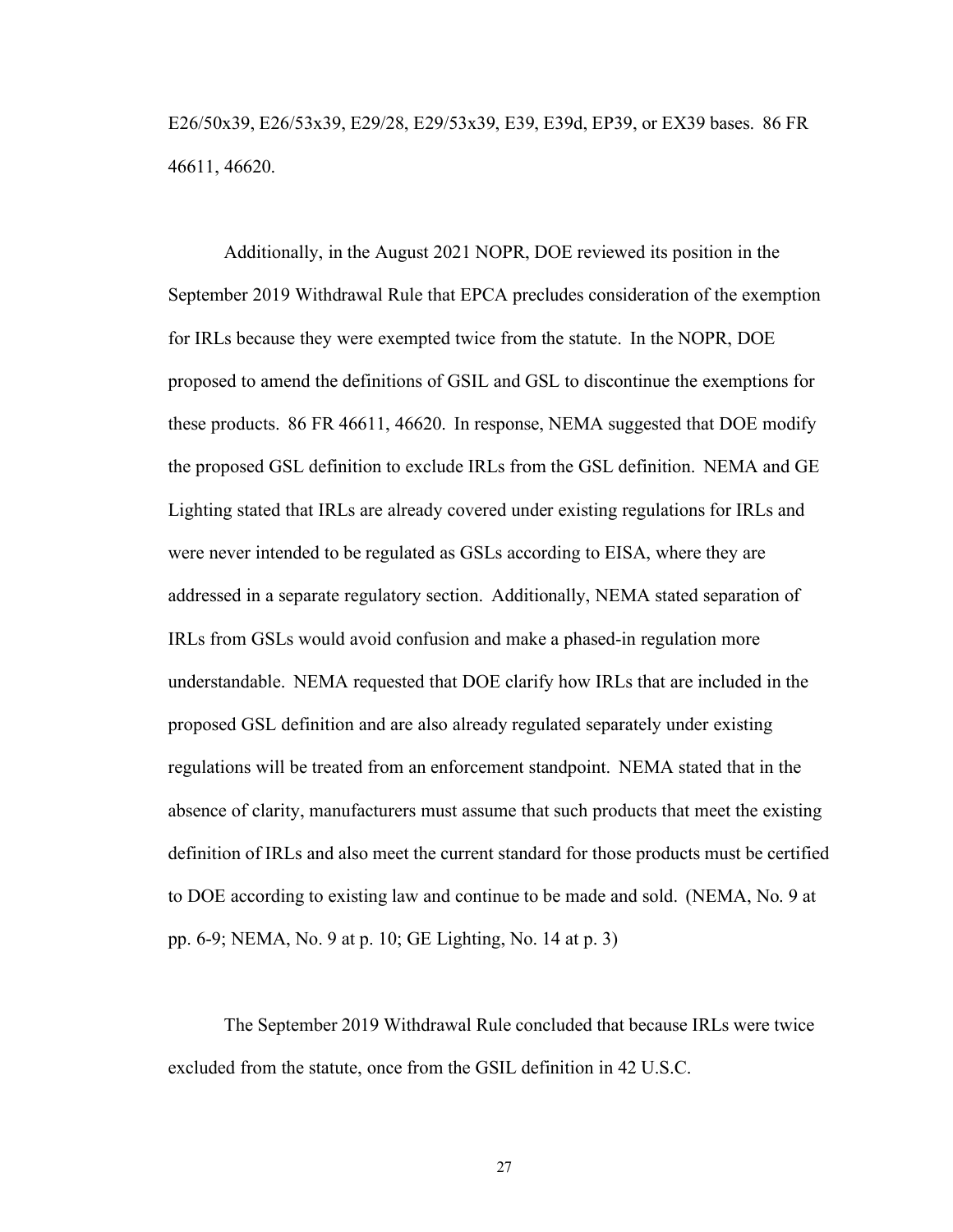E26/50x39, E26/53x39, E29/28, E29/53x39, E39, E39d, EP39, or EX39 bases. 86 FR 46611, 46620.

Additionally, in the August 2021 NOPR, DOE reviewed its position in the September 2019 Withdrawal Rule that EPCA precludes consideration of the exemption for IRLs because they were exempted twice from the statute. In the NOPR, DOE proposed to amend the definitions of GSIL and GSL to discontinue the exemptions for these products. 86 FR 46611, 46620. In response, NEMA suggested that DOE modify the proposed GSL definition to exclude IRLs from the GSL definition. NEMA and GE Lighting stated that IRLs are already covered under existing regulations for IRLs and were never intended to be regulated as GSLs according to EISA, where they are addressed in a separate regulatory section. Additionally, NEMA stated separation of IRLs from GSLs would avoid confusion and make a phased-in regulation more understandable. NEMA requested that DOE clarify how IRLs that are included in the proposed GSL definition and are also already regulated separately under existing regulations will be treated from an enforcement standpoint. NEMA stated that in the absence of clarity, manufacturers must assume that such products that meet the existing definition of IRLs and also meet the current standard for those products must be certified to DOE according to existing law and continue to be made and sold. (NEMA, No. 9 at pp. 6-9; NEMA, No. 9 at p. 10; GE Lighting, No. 14 at p. 3)

The September 2019 Withdrawal Rule concluded that because IRLs were twice excluded from the statute, once from the GSIL definition in 42 U.S.C.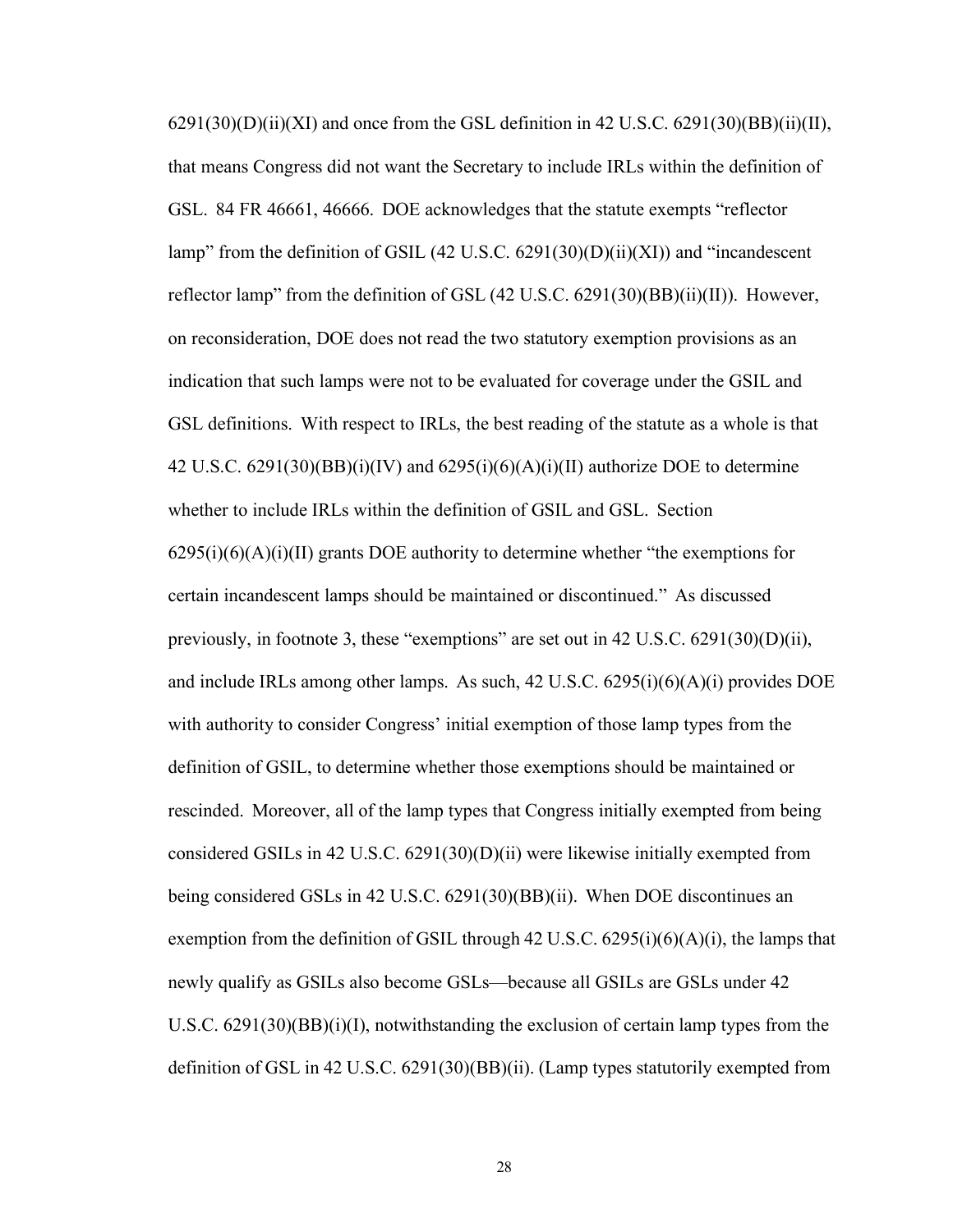$6291(30)(D)(ii)(XI)$  and once from the GSL definition in 42 U.S.C.  $6291(30)(BB)(ii)(II)$ , that means Congress did not want the Secretary to include IRLs within the definition of GSL. 84 FR 46661, 46666. DOE acknowledges that the statute exempts "reflector lamp" from the definition of GSIL (42 U.S.C. 6291(30)(D)(ii)(XI)) and "incandescent reflector lamp" from the definition of GSL  $(42 \text{ U.S.C. } 6291(30)(\text{BB})(ii)(\text{II}))$ . However, on reconsideration, DOE does not read the two statutory exemption provisions as an indication that such lamps were not to be evaluated for coverage under the GSIL and GSL definitions. With respect to IRLs, the best reading of the statute as a whole is that 42 U.S.C.  $6291(30)(BB)(i)(IV)$  and  $6295(i)(6)(A)(i)(II)$  authorize DOE to determine whether to include IRLs within the definition of GSIL and GSL. Section  $6295(i)(6)(A)(i)(II)$  grants DOE authority to determine whether "the exemptions for certain incandescent lamps should be maintained or discontinued." As discussed previously, in footnote 3, these "exemptions" are set out in 42 U.S.C. 6291(30)(D)(ii), and include IRLs among other lamps. As such,  $42 \text{ U.S.C. } 6295(i)(6)(A)(i)$  provides DOE with authority to consider Congress' initial exemption of those lamp types from the definition of GSIL, to determine whether those exemptions should be maintained or rescinded. Moreover, all of the lamp types that Congress initially exempted from being considered GSILs in 42 U.S.C.  $6291(30)(D)(ii)$  were likewise initially exempted from being considered GSLs in 42 U.S.C. 6291(30)(BB)(ii). When DOE discontinues an exemption from the definition of GSIL through 42 U.S.C.  $6295(i)(6)(A)(i)$ , the lamps that newly qualify as GSILs also become GSLs—because all GSILs are GSLs under 42 U.S.C. 6291(30)(BB)(i)(I), notwithstanding the exclusion of certain lamp types from the definition of GSL in 42 U.S.C. 6291(30)(BB)(ii). (Lamp types statutorily exempted from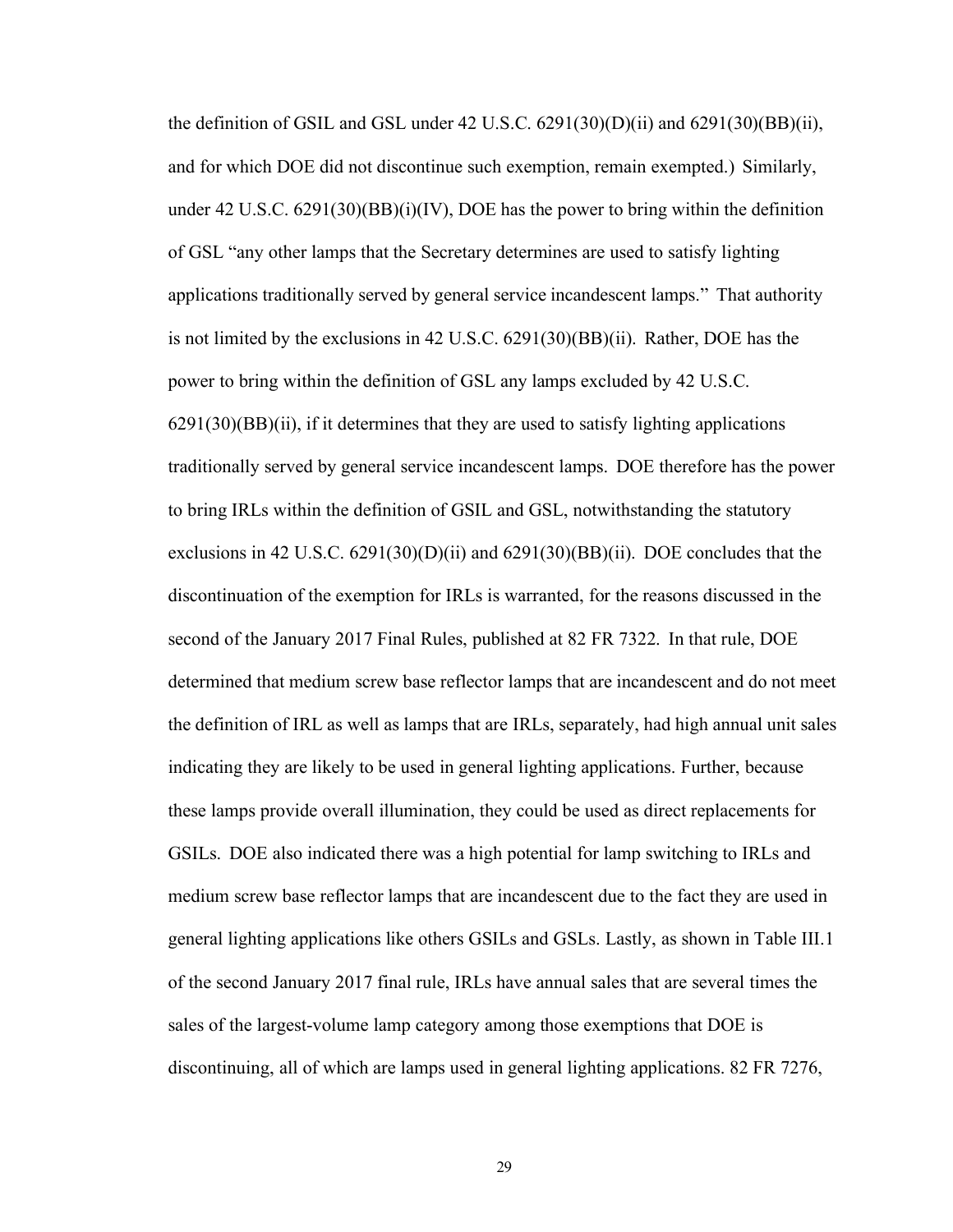the definition of GSIL and GSL under 42 U.S.C.  $6291(30)(D)(ii)$  and  $6291(30)(BB)(ii)$ , and for which DOE did not discontinue such exemption, remain exempted.) Similarly, under 42 U.S.C.  $6291(30)(BB)(i)(IV)$ , DOE has the power to bring within the definition of GSL "any other lamps that the Secretary determines are used to satisfy lighting applications traditionally served by general service incandescent lamps." That authority is not limited by the exclusions in 42 U.S.C. 6291(30)(BB)(ii). Rather, DOE has the power to bring within the definition of GSL any lamps excluded by 42 U.S.C. 6291(30)(BB)(ii), if it determines that they are used to satisfy lighting applications traditionally served by general service incandescent lamps. DOE therefore has the power to bring IRLs within the definition of GSIL and GSL, notwithstanding the statutory exclusions in 42 U.S.C.  $6291(30)(D)(ii)$  and  $6291(30)(BB)(ii)$ . DOE concludes that the discontinuation of the exemption for IRLs is warranted, for the reasons discussed in the second of the January 2017 Final Rules, published at 82 FR 7322. In that rule, DOE determined that medium screw base reflector lamps that are incandescent and do not meet the definition of IRL as well as lamps that are IRLs, separately, had high annual unit sales indicating they are likely to be used in general lighting applications. Further, because these lamps provide overall illumination, they could be used as direct replacements for GSILs. DOE also indicated there was a high potential for lamp switching to IRLs and medium screw base reflector lamps that are incandescent due to the fact they are used in general lighting applications like others GSILs and GSLs. Lastly, as shown in Table III.1 of the second January 2017 final rule, IRLs have annual sales that are several times the sales of the largest-volume lamp category among those exemptions that DOE is discontinuing, all of which are lamps used in general lighting applications. 82 FR 7276,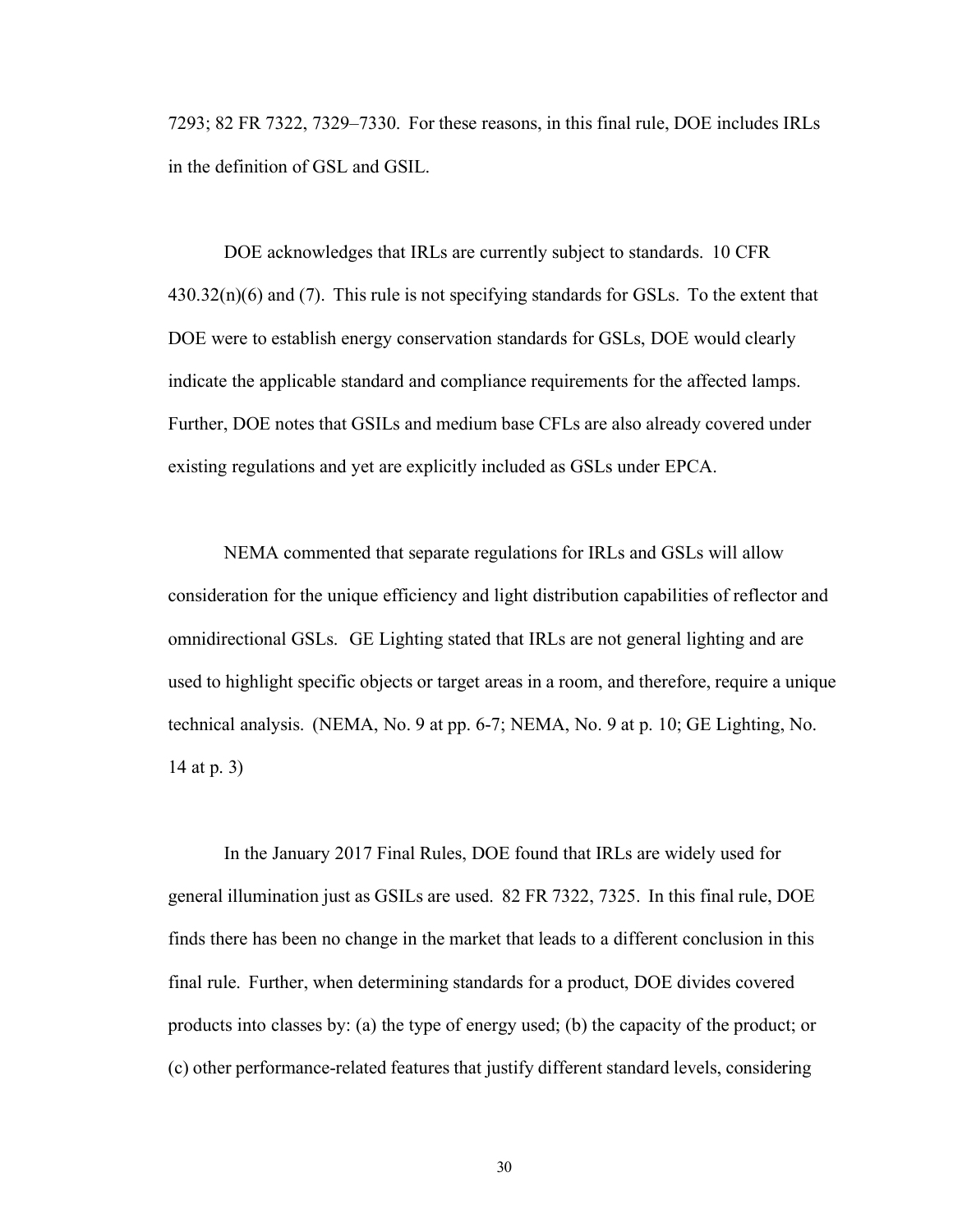7293; 82 FR 7322, 7329–7330. For these reasons, in this final rule, DOE includes IRLs in the definition of GSL and GSIL.

DOE acknowledges that IRLs are currently subject to standards. 10 CFR  $430.32(n)(6)$  and (7). This rule is not specifying standards for GSLs. To the extent that DOE were to establish energy conservation standards for GSLs, DOE would clearly indicate the applicable standard and compliance requirements for the affected lamps. Further, DOE notes that GSILs and medium base CFLs are also already covered under existing regulations and yet are explicitly included as GSLs under EPCA.

NEMA commented that separate regulations for IRLs and GSLs will allow consideration for the unique efficiency and light distribution capabilities of reflector and omnidirectional GSLs. GE Lighting stated that IRLs are not general lighting and are used to highlight specific objects or target areas in a room, and therefore, require a unique technical analysis. (NEMA, No. 9 at pp. 6-7; NEMA, No. 9 at p. 10; GE Lighting, No. 14 at p. 3)

In the January 2017 Final Rules, DOE found that IRLs are widely used for general illumination just as GSILs are used. 82 FR 7322, 7325. In this final rule, DOE finds there has been no change in the market that leads to a different conclusion in this final rule. Further, when determining standards for a product, DOE divides covered products into classes by: (a) the type of energy used; (b) the capacity of the product; or (c) other performance-related features that justify different standard levels, considering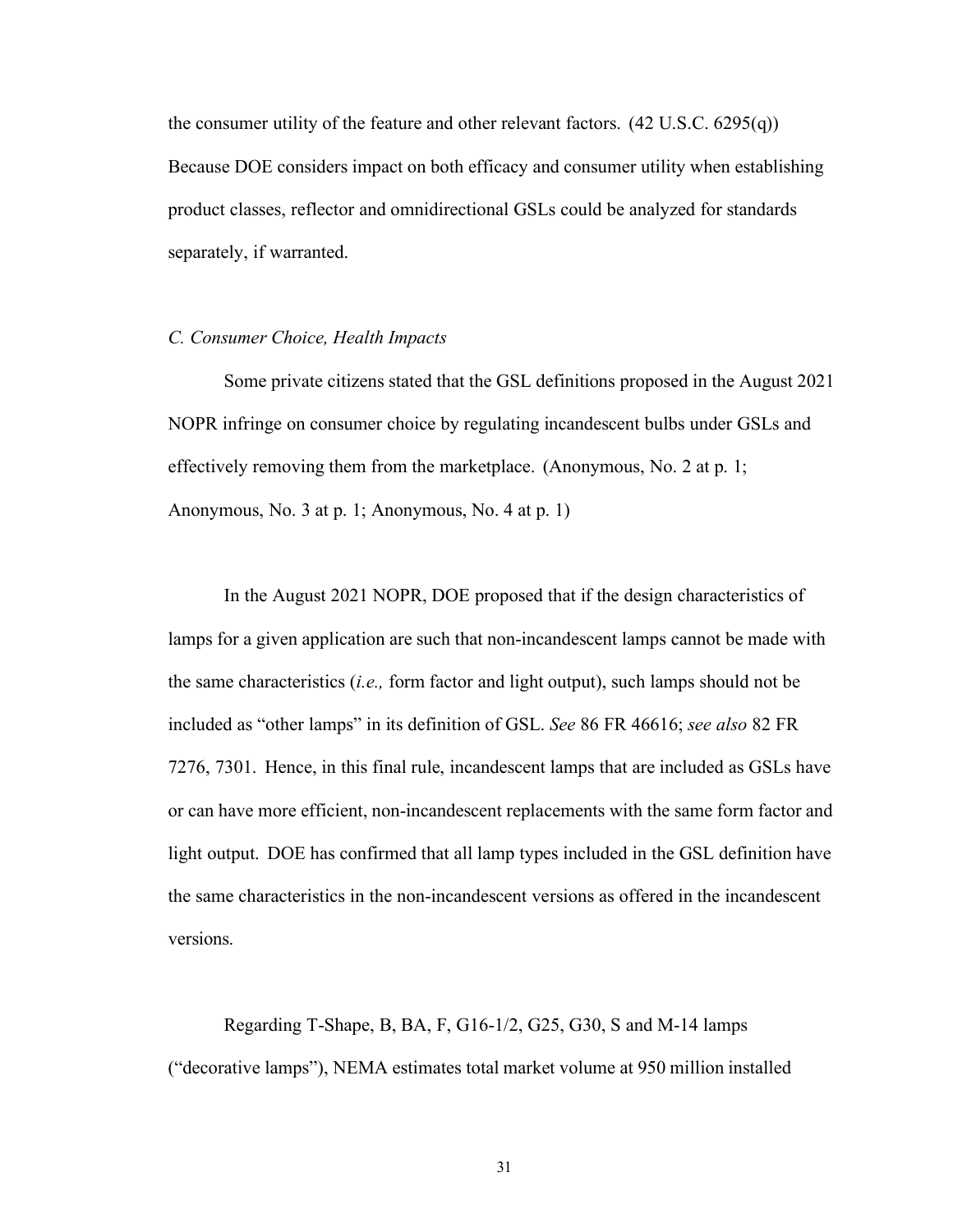the consumer utility of the feature and other relevant factors. (42 U.S.C. 6295(q)) Because DOE considers impact on both efficacy and consumer utility when establishing product classes, reflector and omnidirectional GSLs could be analyzed for standards separately, if warranted.

#### <span id="page-31-0"></span>*C. Consumer Choice, Health Impacts*

Some private citizens stated that the GSL definitions proposed in the August 2021 NOPR infringe on consumer choice by regulating incandescent bulbs under GSLs and effectively removing them from the marketplace. (Anonymous, No. 2 at p. 1; Anonymous, No. 3 at p. 1; Anonymous, No. 4 at p. 1)

In the August 2021 NOPR, DOE proposed that if the design characteristics of lamps for a given application are such that non-incandescent lamps cannot be made with the same characteristics (*i.e.,* form factor and light output), such lamps should not be included as "other lamps" in its definition of GSL. *See* 86 FR 46616; *see also* 82 FR 7276, 7301. Hence, in this final rule, incandescent lamps that are included as GSLs have or can have more efficient, non-incandescent replacements with the same form factor and light output. DOE has confirmed that all lamp types included in the GSL definition have the same characteristics in the non-incandescent versions as offered in the incandescent versions.

Regarding T-Shape, B, BA, F, G16-1/2, G25, G30, S and M-14 lamps ("decorative lamps"), NEMA estimates total market volume at 950 million installed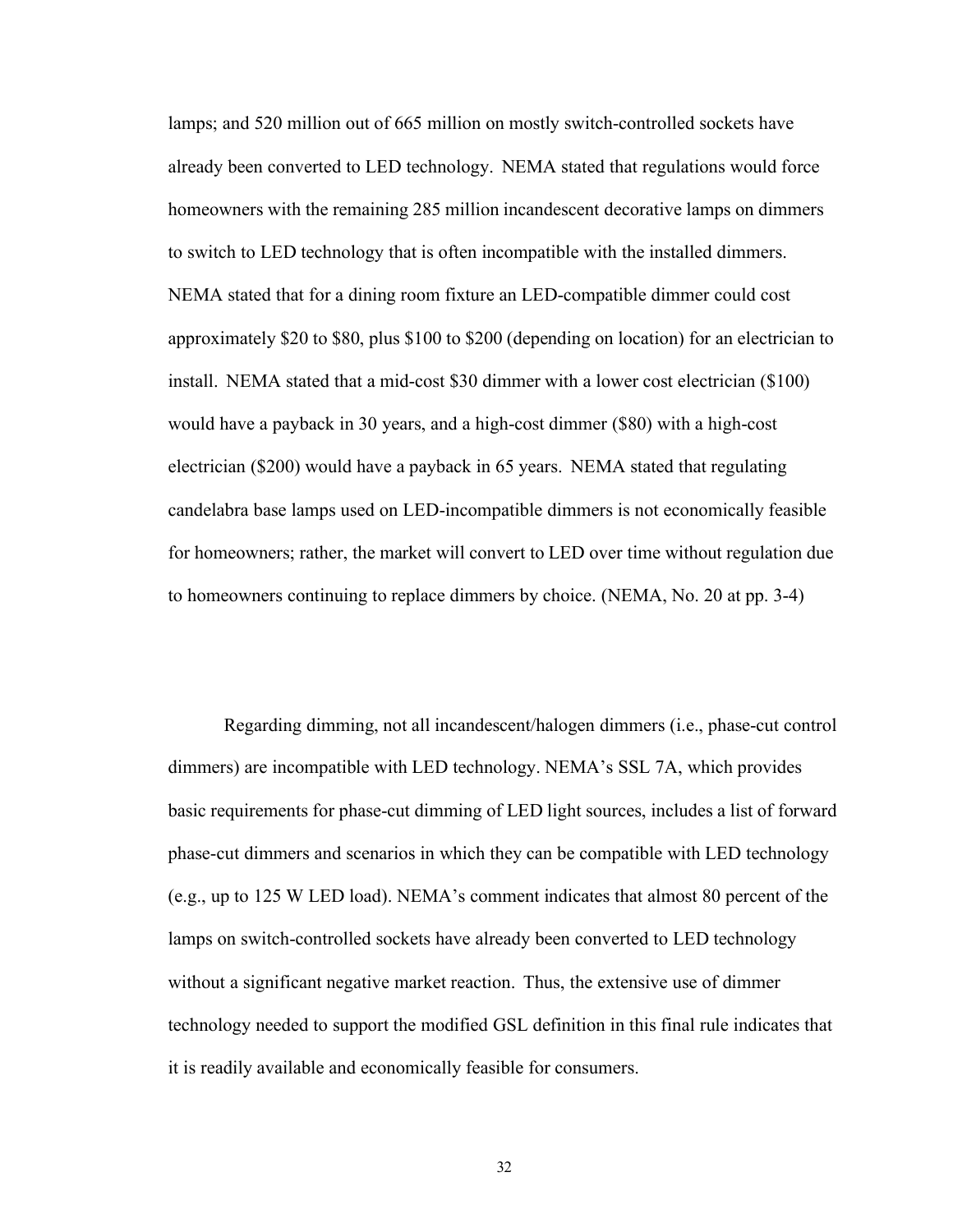lamps; and 520 million out of 665 million on mostly switch-controlled sockets have already been converted to LED technology. NEMA stated that regulations would force homeowners with the remaining 285 million incandescent decorative lamps on dimmers to switch to LED technology that is often incompatible with the installed dimmers. NEMA stated that for a dining room fixture an LED-compatible dimmer could cost approximately \$20 to \$80, plus \$100 to \$200 (depending on location) for an electrician to install. NEMA stated that a mid-cost \$30 dimmer with a lower cost electrician (\$100) would have a payback in 30 years, and a high-cost dimmer (\$80) with a high-cost electrician (\$200) would have a payback in 65 years. NEMA stated that regulating candelabra base lamps used on LED-incompatible dimmers is not economically feasible for homeowners; rather, the market will convert to LED over time without regulation due to homeowners continuing to replace dimmers by choice. (NEMA, No. 20 at pp. 3-4)

Regarding dimming, not all incandescent/halogen dimmers (i.e., phase-cut control dimmers) are incompatible with LED technology. NEMA's SSL 7A, which provides basic requirements for phase-cut dimming of LED light sources, includes a list of forward phase-cut dimmers and scenarios in which they can be compatible with LED technology (e.g., up to 125 W LED load). NEMA's comment indicates that almost 80 percent of the lamps on switch-controlled sockets have already been converted to LED technology without a significant negative market reaction. Thus, the extensive use of dimmer technology needed to support the modified GSL definition in this final rule indicates that it is readily available and economically feasible for consumers.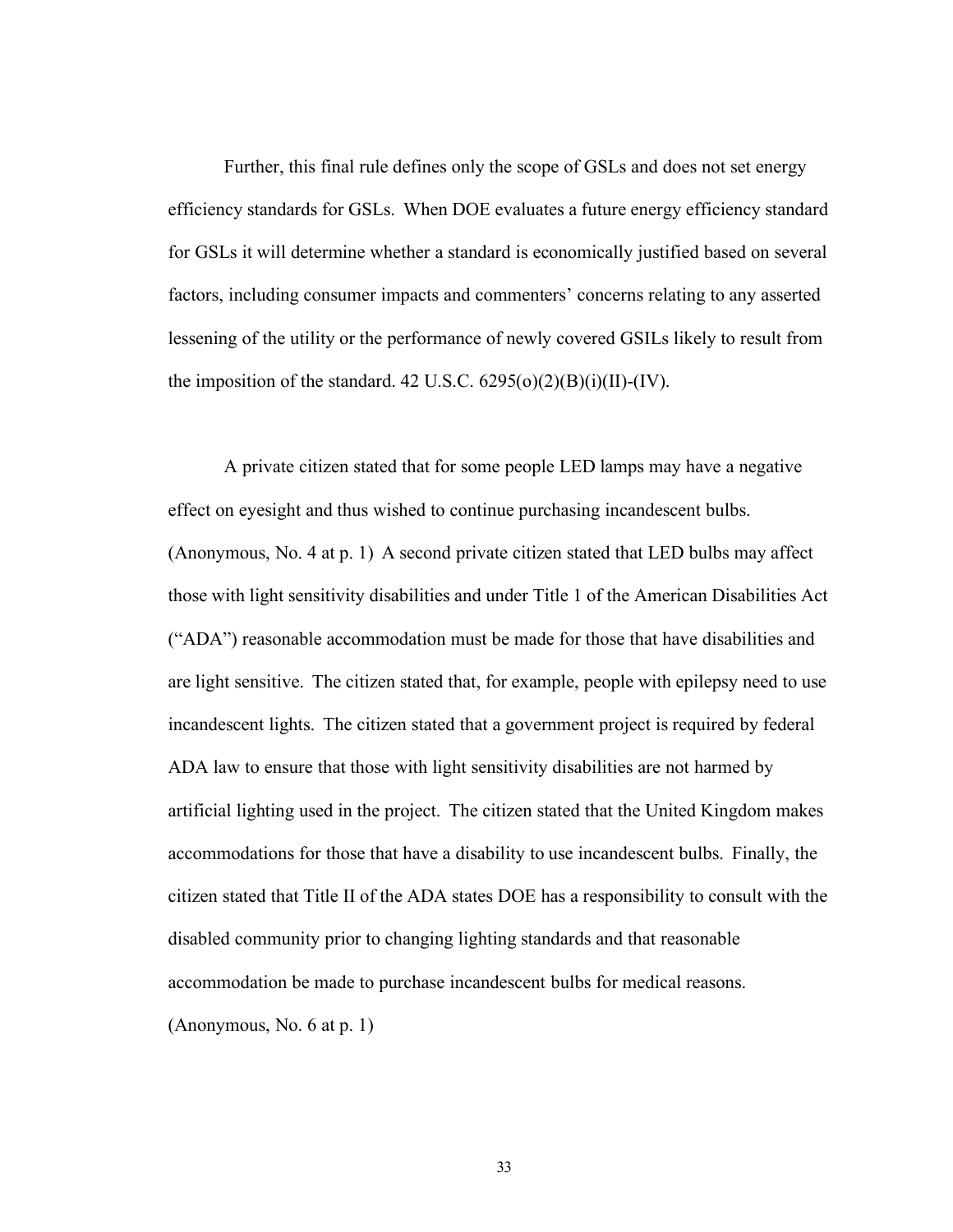Further, this final rule defines only the scope of GSLs and does not set energy efficiency standards for GSLs. When DOE evaluates a future energy efficiency standard for GSLs it will determine whether a standard is economically justified based on several factors, including consumer impacts and commenters' concerns relating to any asserted lessening of the utility or the performance of newly covered GSILs likely to result from the imposition of the standard. 42 U.S.C.  $6295(o)(2)(B)(i)(II)-(IV)$ .

A private citizen stated that for some people LED lamps may have a negative effect on eyesight and thus wished to continue purchasing incandescent bulbs. (Anonymous, No. 4 at p. 1) A second private citizen stated that LED bulbs may affect those with light sensitivity disabilities and under Title 1 of the American Disabilities Act ("ADA") reasonable accommodation must be made for those that have disabilities and are light sensitive. The citizen stated that, for example, people with epilepsy need to use incandescent lights. The citizen stated that a government project is required by federal ADA law to ensure that those with light sensitivity disabilities are not harmed by artificial lighting used in the project. The citizen stated that the United Kingdom makes accommodations for those that have a disability to use incandescent bulbs. Finally, the citizen stated that Title II of the ADA states DOE has a responsibility to consult with the disabled community prior to changing lighting standards and that reasonable accommodation be made to purchase incandescent bulbs for medical reasons. (Anonymous, No. 6 at p. 1)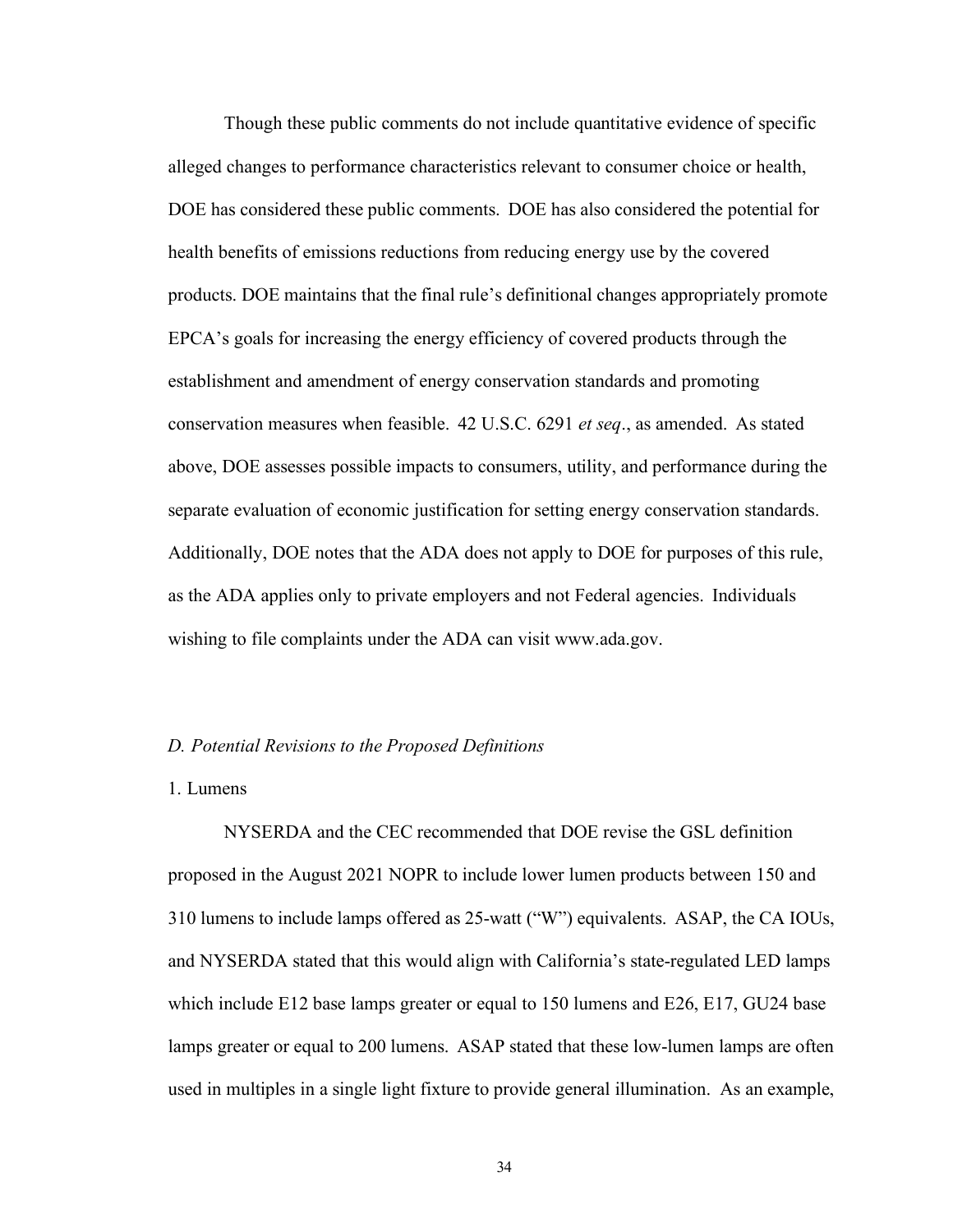Though these public comments do not include quantitative evidence of specific alleged changes to performance characteristics relevant to consumer choice or health, DOE has considered these public comments. DOE has also considered the potential for health benefits of emissions reductions from reducing energy use by the covered products. DOE maintains that the final rule's definitional changes appropriately promote EPCA's goals for increasing the energy efficiency of covered products through the establishment and amendment of energy conservation standards and promoting conservation measures when feasible. 42 U.S.C. 6291 *et seq*., as amended. As stated above, DOE assesses possible impacts to consumers, utility, and performance during the separate evaluation of economic justification for setting energy conservation standards. Additionally, DOE notes that the ADA does not apply to DOE for purposes of this rule, as the ADA applies only to private employers and not Federal agencies. Individuals wishing to file complaints under the ADA can visit [www.ada.gov.](http://www.ada.gov/)

#### <span id="page-34-0"></span>*D. Potential Revisions to the Proposed Definitions*

#### <span id="page-34-1"></span>1. Lumens

NYSERDA and the CEC recommended that DOE revise the GSL definition proposed in the August 2021 NOPR to include lower lumen products between 150 and 310 lumens to include lamps offered as 25-watt ("W") equivalents. ASAP, the CA IOUs, and NYSERDA stated that this would align with California's state-regulated LED lamps which include E12 base lamps greater or equal to 150 lumens and E26, E17, GU24 base lamps greater or equal to 200 lumens. ASAP stated that these low-lumen lamps are often used in multiples in a single light fixture to provide general illumination. As an example,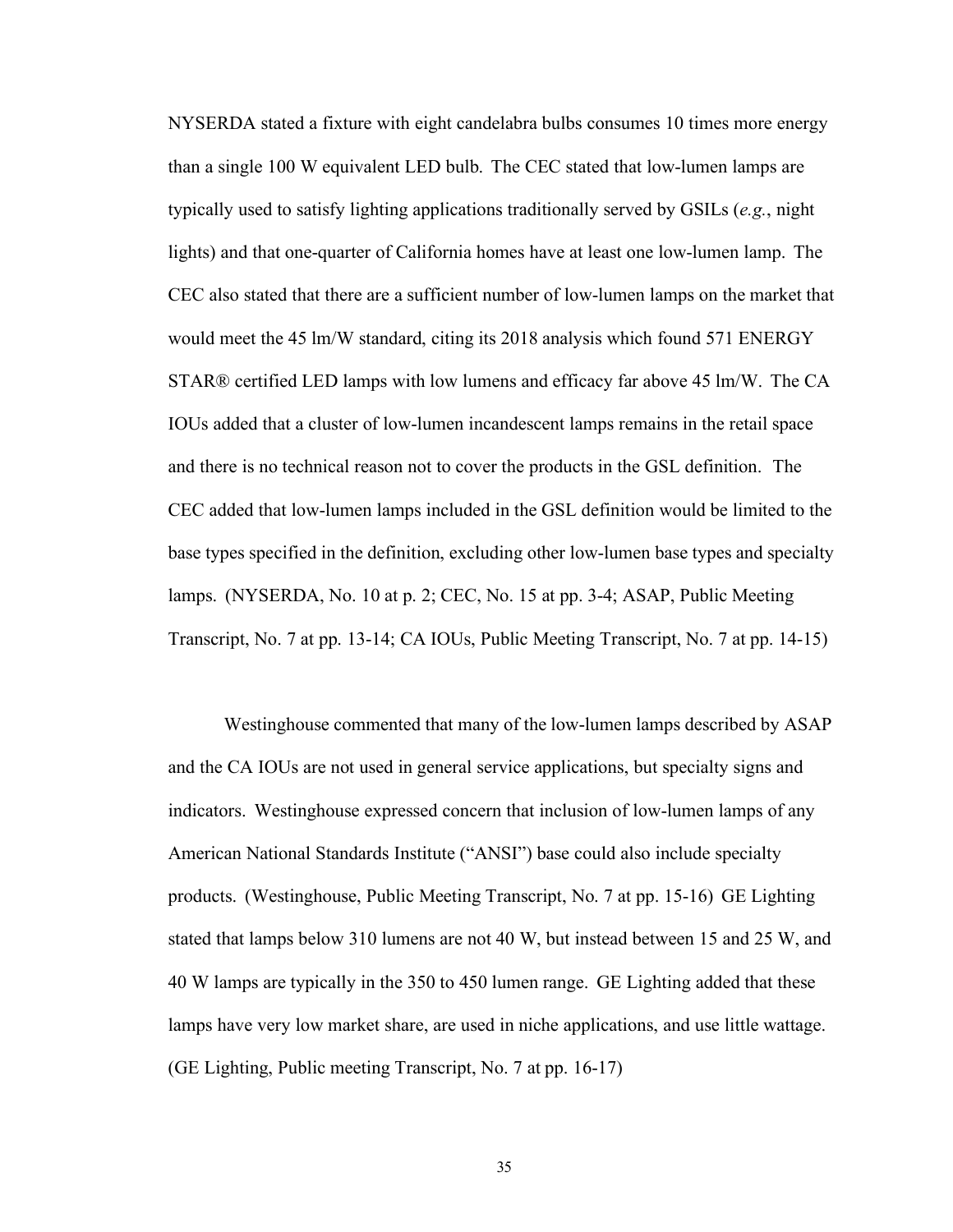NYSERDA stated a fixture with eight candelabra bulbs consumes 10 times more energy than a single 100 W equivalent LED bulb. The CEC stated that low-lumen lamps are typically used to satisfy lighting applications traditionally served by GSILs (*e.g.*, night lights) and that one-quarter of California homes have at least one low-lumen lamp. The CEC also stated that there are a sufficient number of low-lumen lamps on the market that would meet the 45 lm/W standard, citing its 2018 analysis which found 571 ENERGY STAR® certified LED lamps with low lumens and efficacy far above 45 lm/W. The CA IOUs added that a cluster of low-lumen incandescent lamps remains in the retail space and there is no technical reason not to cover the products in the GSL definition. The CEC added that low-lumen lamps included in the GSL definition would be limited to the base types specified in the definition, excluding other low-lumen base types and specialty lamps. (NYSERDA, No. 10 at p. 2; CEC, No. 15 at pp. 3-4; ASAP, Public Meeting Transcript, No. 7 at pp. 13-14; CA IOUs, Public Meeting Transcript, No. 7 at pp. 14-15)

Westinghouse commented that many of the low-lumen lamps described by ASAP and the CA IOUs are not used in general service applications, but specialty signs and indicators. Westinghouse expressed concern that inclusion of low-lumen lamps of any American National Standards Institute ("ANSI") base could also include specialty products. (Westinghouse, Public Meeting Transcript, No. 7 at pp. 15-16) GE Lighting stated that lamps below 310 lumens are not 40 W, but instead between 15 and 25 W, and 40 W lamps are typically in the 350 to 450 lumen range. GE Lighting added that these lamps have very low market share, are used in niche applications, and use little wattage. (GE Lighting, Public meeting Transcript, No. 7 at pp. 16-17)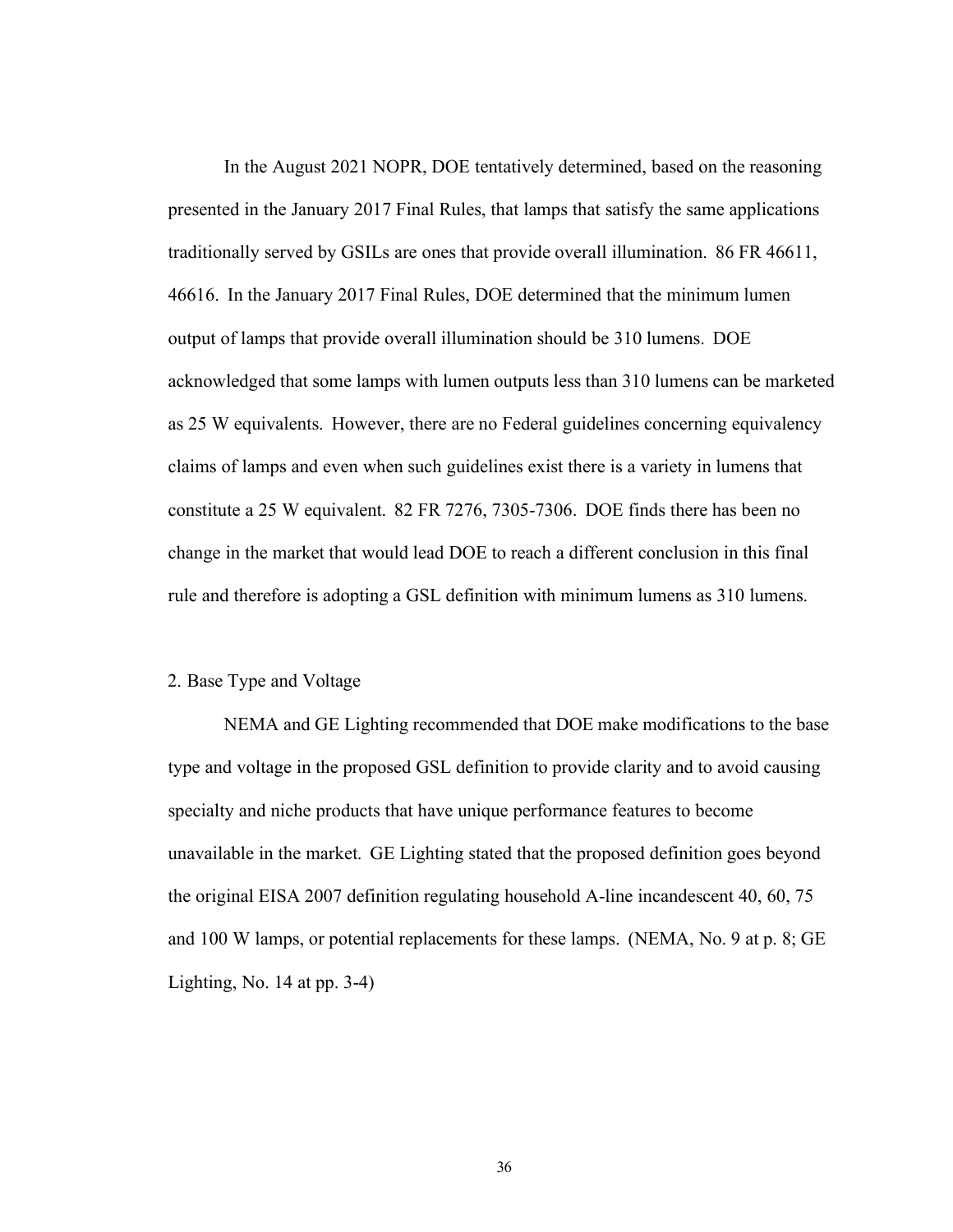In the August 2021 NOPR, DOE tentatively determined, based on the reasoning presented in the January 2017 Final Rules, that lamps that satisfy the same applications traditionally served by GSILs are ones that provide overall illumination. 86 FR 46611, 46616. In the January 2017 Final Rules, DOE determined that the minimum lumen output of lamps that provide overall illumination should be 310 lumens. DOE acknowledged that some lamps with lumen outputs less than 310 lumens can be marketed as 25 W equivalents. However, there are no Federal guidelines concerning equivalency claims of lamps and even when such guidelines exist there is a variety in lumens that constitute a 25 W equivalent. 82 FR 7276, 7305-7306. DOE finds there has been no change in the market that would lead DOE to reach a different conclusion in this final rule and therefore is adopting a GSL definition with minimum lumens as 310 lumens.

#### 2. Base Type and Voltage

NEMA and GE Lighting recommended that DOE make modifications to the base type and voltage in the proposed GSL definition to provide clarity and to avoid causing specialty and niche products that have unique performance features to become unavailable in the market. GE Lighting stated that the proposed definition goes beyond the original EISA 2007 definition regulating household A-line incandescent 40, 60, 75 and 100 W lamps, or potential replacements for these lamps. (NEMA, No. 9 at p. 8; GE Lighting, No. 14 at pp. 3-4)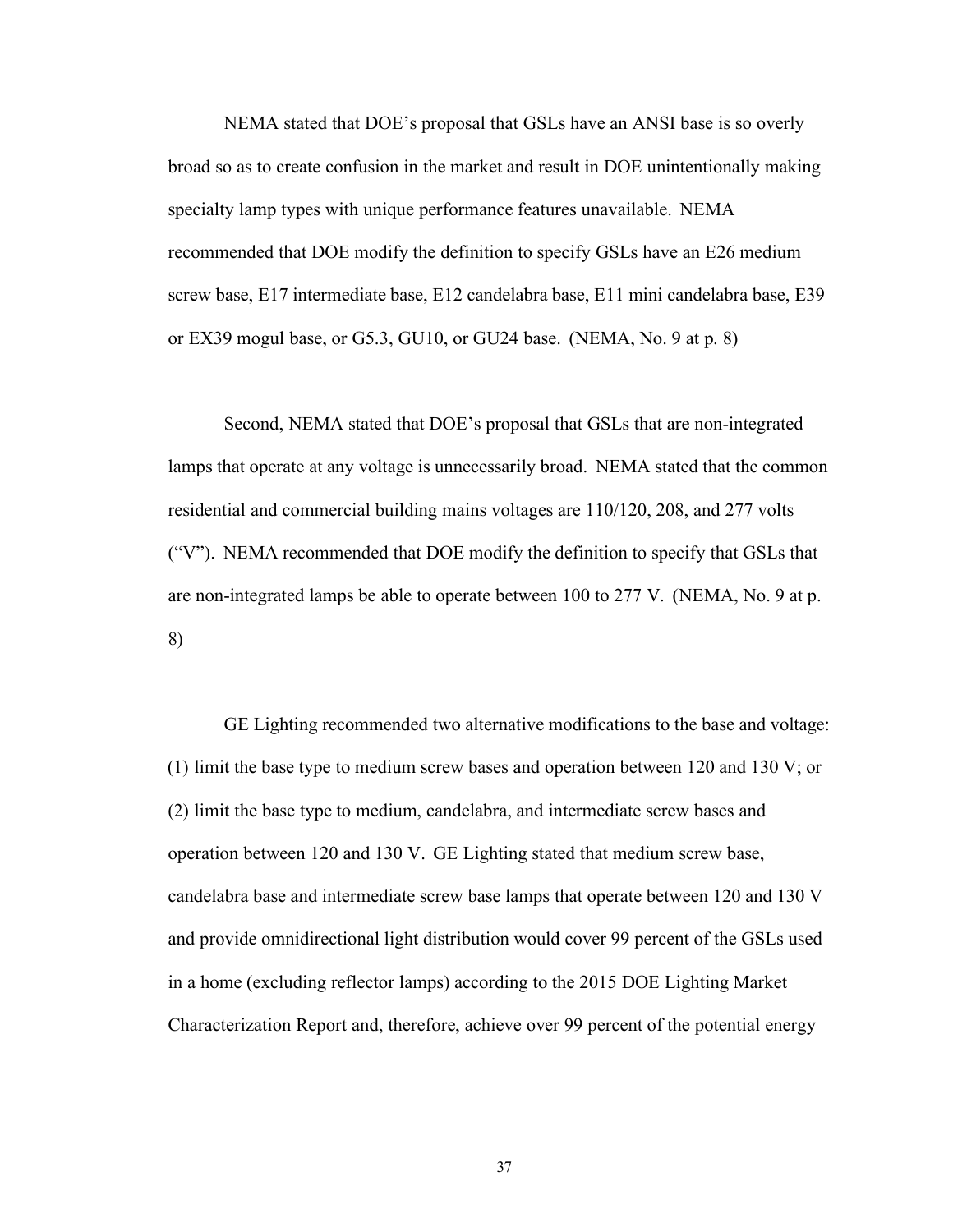NEMA stated that DOE's proposal that GSLs have an ANSI base is so overly broad so as to create confusion in the market and result in DOE unintentionally making specialty lamp types with unique performance features unavailable. NEMA recommended that DOE modify the definition to specify GSLs have an E26 medium screw base, E17 intermediate base, E12 candelabra base, E11 mini candelabra base, E39 or EX39 mogul base, or G5.3, GU10, or GU24 base. (NEMA, No. 9 at p. 8)

Second, NEMA stated that DOE's proposal that GSLs that are non-integrated lamps that operate at any voltage is unnecessarily broad. NEMA stated that the common residential and commercial building mains voltages are 110/120, 208, and 277 volts ("V"). NEMA recommended that DOE modify the definition to specify that GSLs that are non-integrated lamps be able to operate between 100 to 277 V. (NEMA, No. 9 at p. 8)

GE Lighting recommended two alternative modifications to the base and voltage: (1) limit the base type to medium screw bases and operation between 120 and 130 V; or (2) limit the base type to medium, candelabra, and intermediate screw bases and operation between 120 and 130 V. GE Lighting stated that medium screw base, candelabra base and intermediate screw base lamps that operate between 120 and 130 V and provide omnidirectional light distribution would cover 99 percent of the GSLs used in a home (excluding reflector lamps) according to the 2015 DOE Lighting Market Characterization Report and, therefore, achieve over 99 percent of the potential energy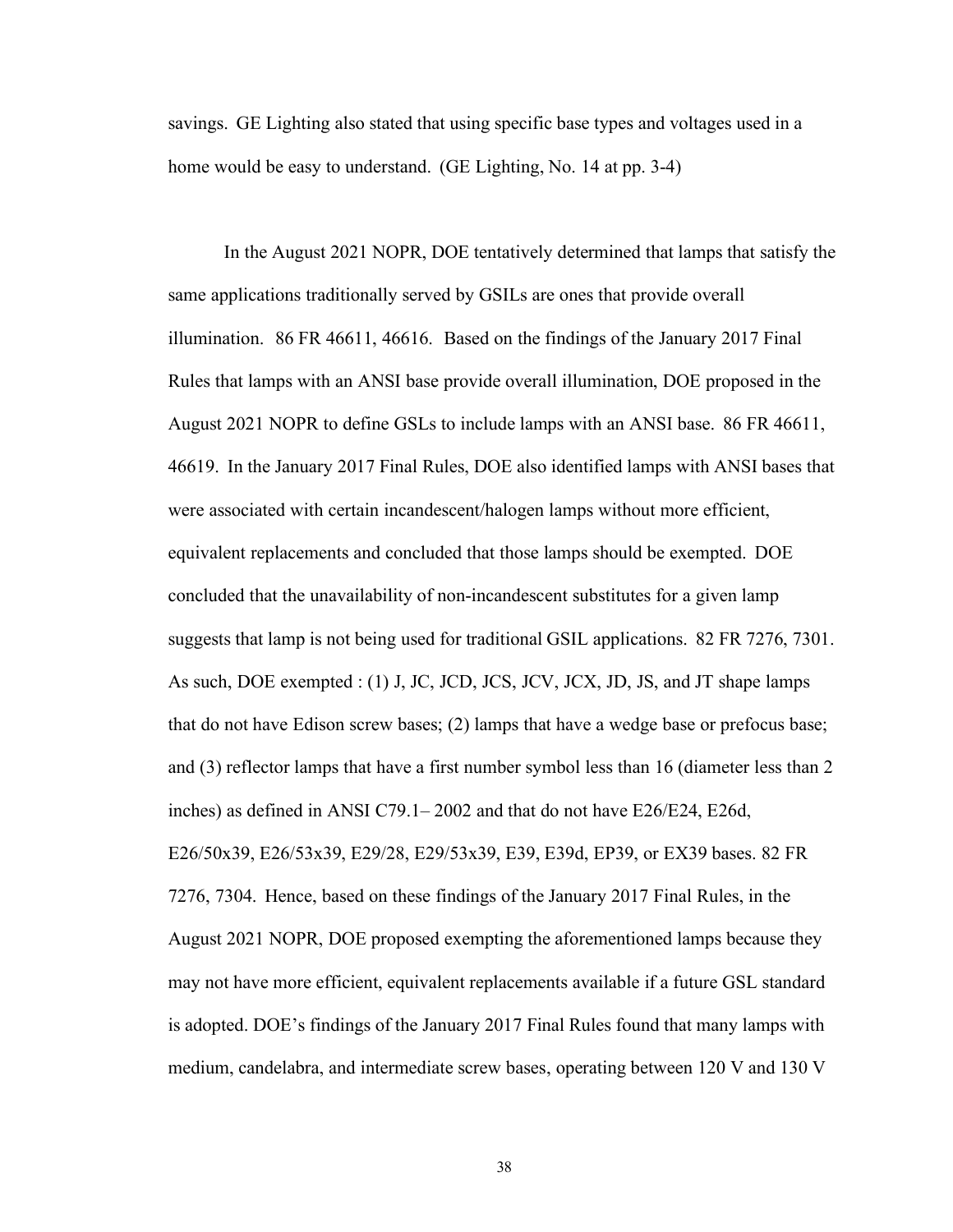savings. GE Lighting also stated that using specific base types and voltages used in a home would be easy to understand. (GE Lighting, No. 14 at pp. 3-4)

In the August 2021 NOPR, DOE tentatively determined that lamps that satisfy the same applications traditionally served by GSILs are ones that provide overall illumination. 86 FR 46611, 46616. Based on the findings of the January 2017 Final Rules that lamps with an ANSI base provide overall illumination, DOE proposed in the August 2021 NOPR to define GSLs to include lamps with an ANSI base. 86 FR 46611, 46619. In the January 2017 Final Rules, DOE also identified lamps with ANSI bases that were associated with certain incandescent/halogen lamps without more efficient, equivalent replacements and concluded that those lamps should be exempted. DOE concluded that the unavailability of non-incandescent substitutes for a given lamp suggests that lamp is not being used for traditional GSIL applications. 82 FR 7276, 7301. As such, DOE exempted : (1) J, JC, JCD, JCS, JCV, JCX, JD, JS, and JT shape lamps that do not have Edison screw bases; (2) lamps that have a wedge base or prefocus base; and (3) reflector lamps that have a first number symbol less than 16 (diameter less than 2 inches) as defined in ANSI C79.1– 2002 and that do not have E26/E24, E26d, E26/50x39, E26/53x39, E29/28, E29/53x39, E39, E39d, EP39, or EX39 bases. 82 FR 7276, 7304. Hence, based on these findings of the January 2017 Final Rules, in the August 2021 NOPR, DOE proposed exempting the aforementioned lamps because they may not have more efficient, equivalent replacements available if a future GSL standard is adopted. DOE's findings of the January 2017 Final Rules found that many lamps with medium, candelabra, and intermediate screw bases, operating between 120 V and 130 V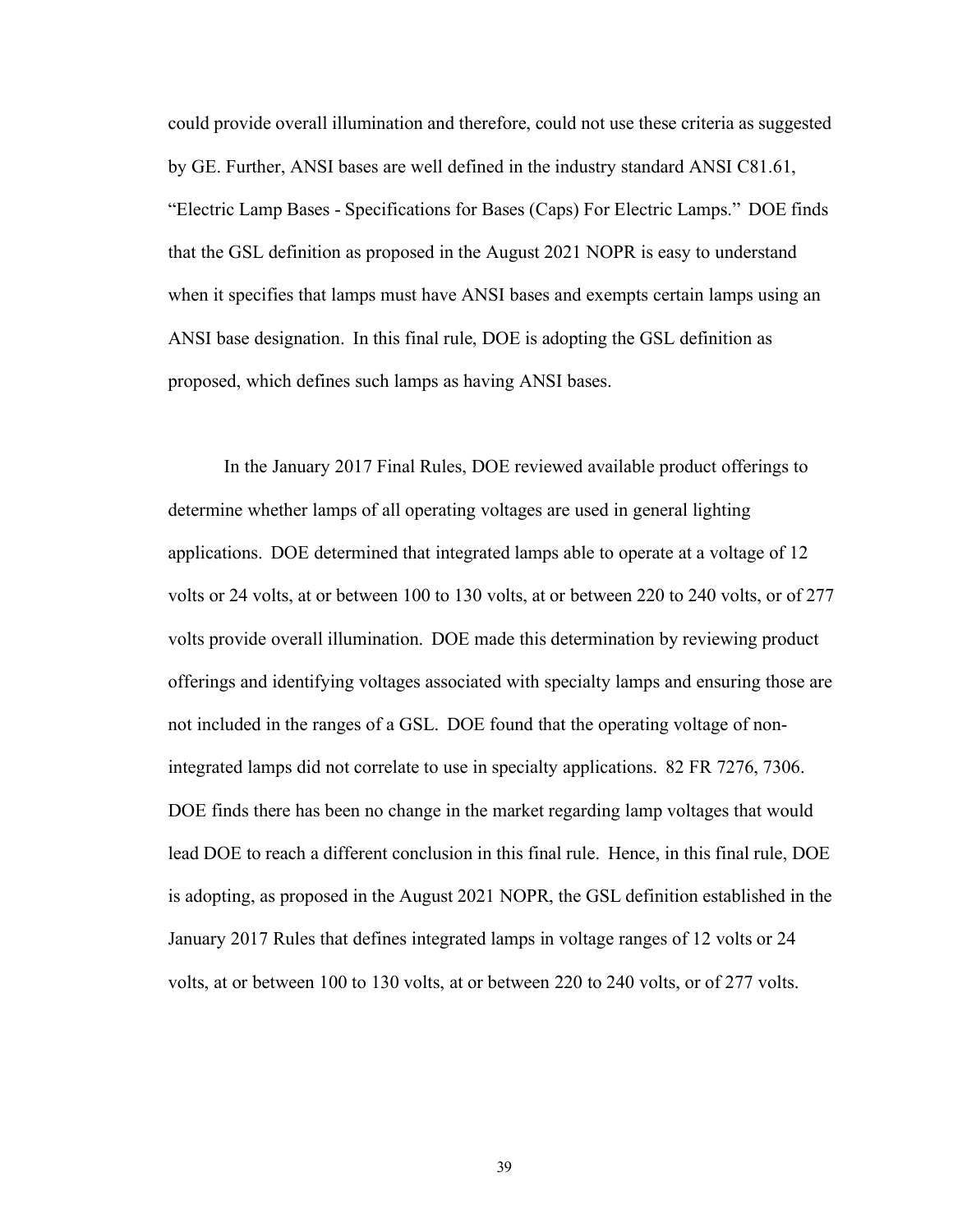could provide overall illumination and therefore, could not use these criteria as suggested by GE. Further, ANSI bases are well defined in the industry standard ANSI C81.61, "Electric Lamp Bases - Specifications for Bases (Caps) For Electric Lamps." DOE finds that the GSL definition as proposed in the August 2021 NOPR is easy to understand when it specifies that lamps must have ANSI bases and exempts certain lamps using an ANSI base designation. In this final rule, DOE is adopting the GSL definition as proposed, which defines such lamps as having ANSI bases.

In the January 2017 Final Rules, DOE reviewed available product offerings to determine whether lamps of all operating voltages are used in general lighting applications. DOE determined that integrated lamps able to operate at a voltage of 12 volts or 24 volts, at or between 100 to 130 volts, at or between 220 to 240 volts, or of 277 volts provide overall illumination. DOE made this determination by reviewing product offerings and identifying voltages associated with specialty lamps and ensuring those are not included in the ranges of a GSL. DOE found that the operating voltage of nonintegrated lamps did not correlate to use in specialty applications. 82 FR 7276, 7306. DOE finds there has been no change in the market regarding lamp voltages that would lead DOE to reach a different conclusion in this final rule. Hence, in this final rule, DOE is adopting, as proposed in the August 2021 NOPR, the GSL definition established in the January 2017 Rules that defines integrated lamps in voltage ranges of 12 volts or 24 volts, at or between 100 to 130 volts, at or between 220 to 240 volts, or of 277 volts.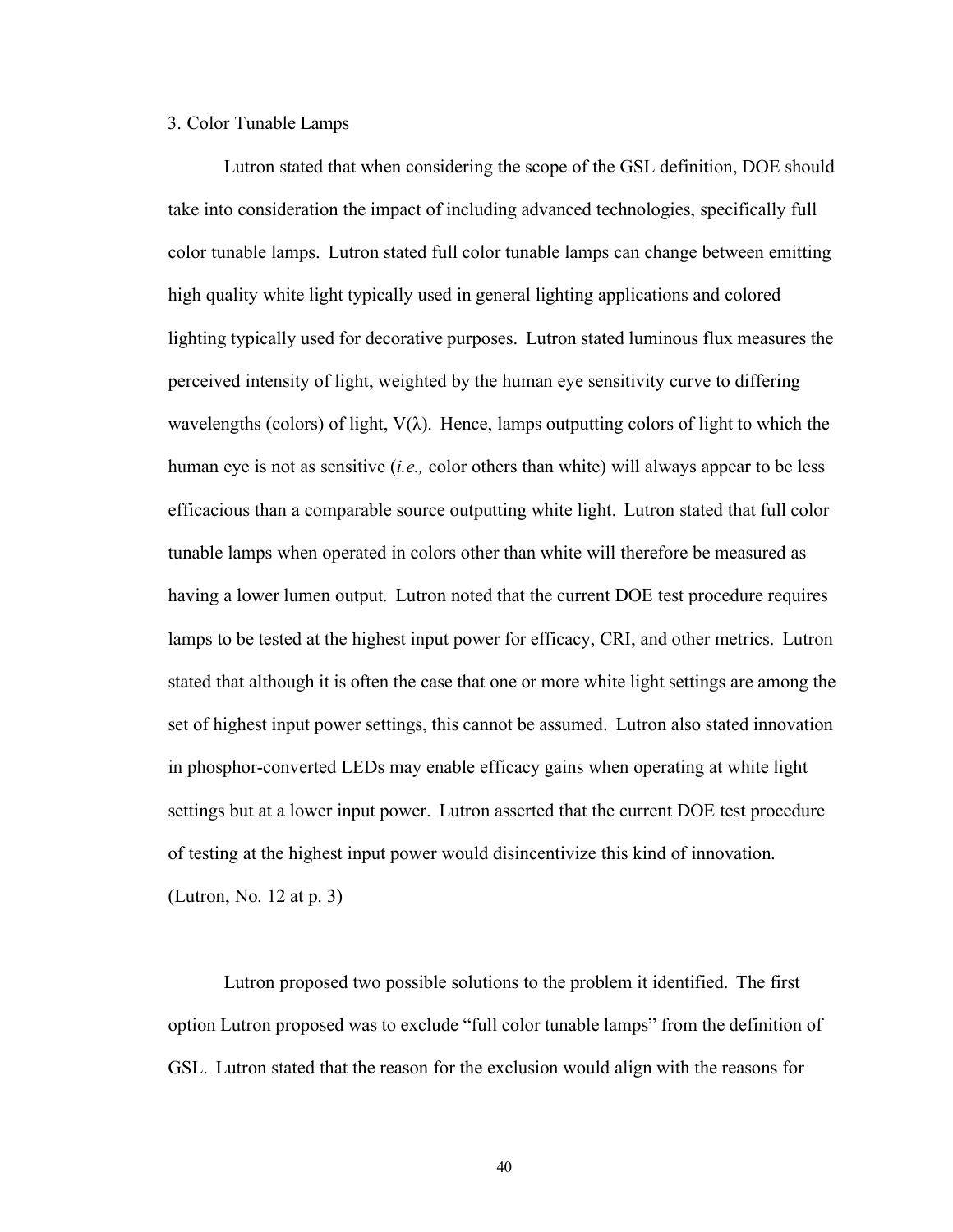#### 3. Color Tunable Lamps

Lutron stated that when considering the scope of the GSL definition, DOE should take into consideration the impact of including advanced technologies, specifically full color tunable lamps. Lutron stated full color tunable lamps can change between emitting high quality white light typically used in general lighting applications and colored lighting typically used for decorative purposes. Lutron stated luminous flux measures the perceived intensity of light, weighted by the human eye sensitivity curve to differing wavelengths (colors) of light,  $V(\lambda)$ . Hence, lamps outputting colors of light to which the human eye is not as sensitive (*i.e.,* color others than white) will always appear to be less efficacious than a comparable source outputting white light. Lutron stated that full color tunable lamps when operated in colors other than white will therefore be measured as having a lower lumen output. Lutron noted that the current DOE test procedure requires lamps to be tested at the highest input power for efficacy, CRI, and other metrics. Lutron stated that although it is often the case that one or more white light settings are among the set of highest input power settings, this cannot be assumed. Lutron also stated innovation in phosphor-converted LEDs may enable efficacy gains when operating at white light settings but at a lower input power. Lutron asserted that the current DOE test procedure of testing at the highest input power would disincentivize this kind of innovation. (Lutron, No. 12 at p. 3)

Lutron proposed two possible solutions to the problem it identified. The first option Lutron proposed was to exclude "full color tunable lamps" from the definition of GSL. Lutron stated that the reason for the exclusion would align with the reasons for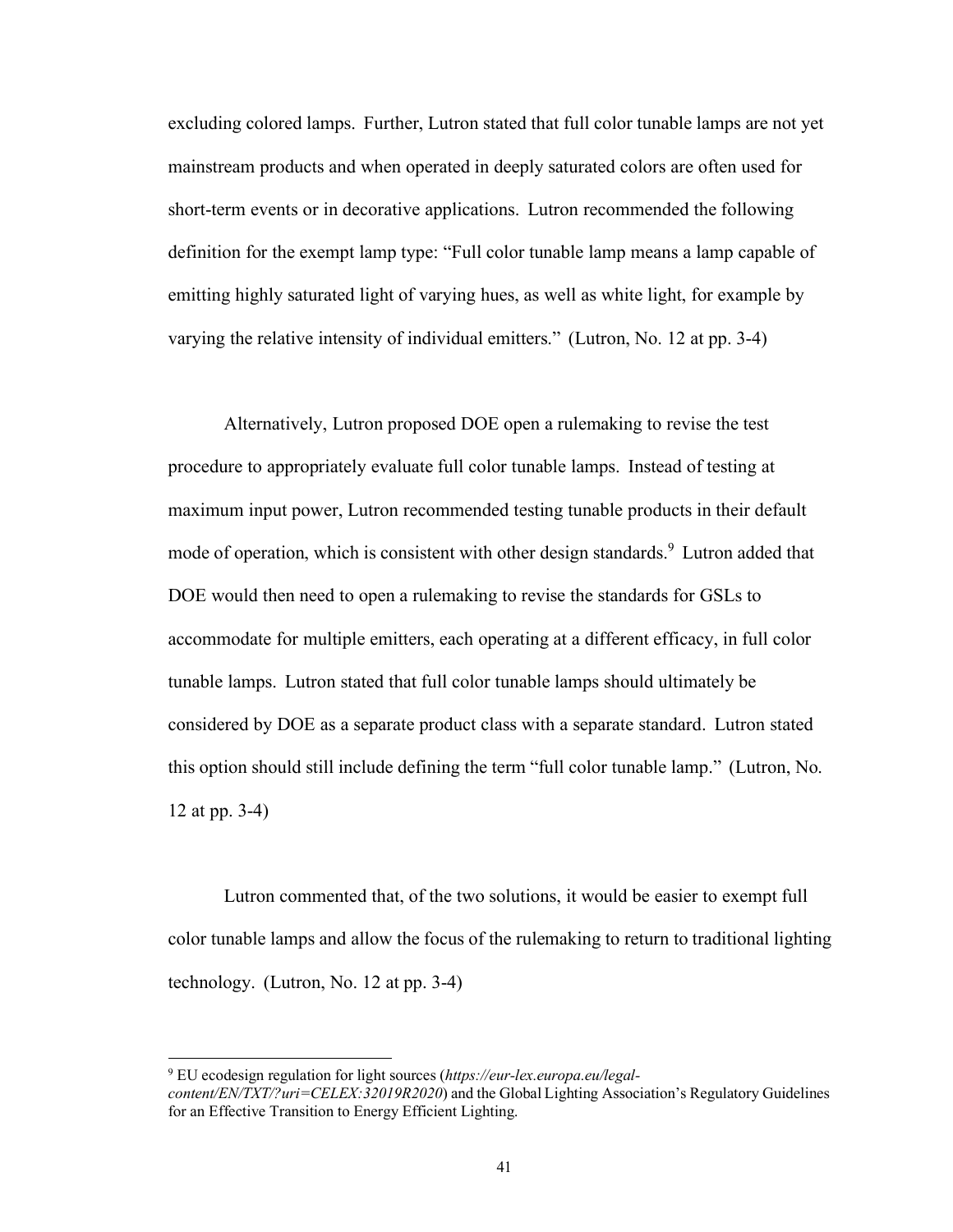excluding colored lamps. Further, Lutron stated that full color tunable lamps are not yet mainstream products and when operated in deeply saturated colors are often used for short-term events or in decorative applications. Lutron recommended the following definition for the exempt lamp type: "Full color tunable lamp means a lamp capable of emitting highly saturated light of varying hues, as well as white light, for example by varying the relative intensity of individual emitters." (Lutron, No. 12 at pp. 3-4)

Alternatively, Lutron proposed DOE open a rulemaking to revise the test procedure to appropriately evaluate full color tunable lamps. Instead of testing at maximum input power, Lutron recommended testing tunable products in their default mode of operation, which is consistent with other design standards.<sup>9</sup> Lutron added that DOE would then need to open a rulemaking to revise the standards for GSLs to accommodate for multiple emitters, each operating at a different efficacy, in full color tunable lamps. Lutron stated that full color tunable lamps should ultimately be considered by DOE as a separate product class with a separate standard. Lutron stated this option should still include defining the term "full color tunable lamp." (Lutron, No. 12 at pp. 3-4)

Lutron commented that, of the two solutions, it would be easier to exempt full color tunable lamps and allow the focus of the rulemaking to return to traditional lighting technology. (Lutron, No. 12 at pp. 3-4)

<sup>9</sup> EU ecodesign regulation for light sources (*https://eur-lex.europa.eu/legalcontent/EN/TXT/?uri=CELEX:32019R2020*) and the Global Lighting Association's Regulatory Guidelines for an Effective Transition to Energy Efficient Lighting.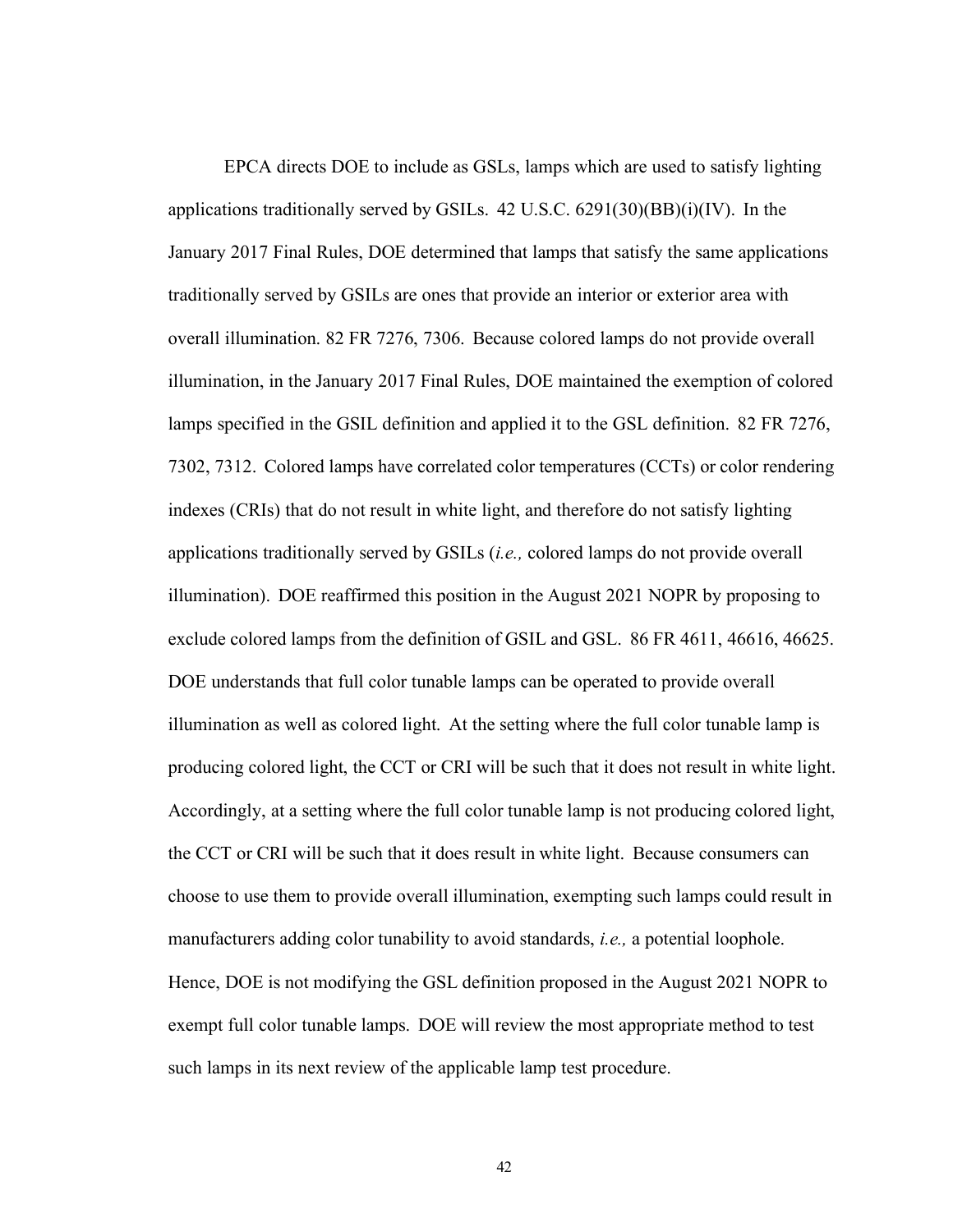EPCA directs DOE to include as GSLs, lamps which are used to satisfy lighting applications traditionally served by GSILs.  $42$  U.S.C.  $6291(30)(BB)(i)(IV)$ . In the January 2017 Final Rules, DOE determined that lamps that satisfy the same applications traditionally served by GSILs are ones that provide an interior or exterior area with overall illumination. 82 FR 7276, 7306. Because colored lamps do not provide overall illumination, in the January 2017 Final Rules, DOE maintained the exemption of colored lamps specified in the GSIL definition and applied it to the GSL definition. 82 FR 7276, 7302, 7312. Colored lamps have correlated color temperatures (CCTs) or color rendering indexes (CRIs) that do not result in white light, and therefore do not satisfy lighting applications traditionally served by GSILs (*i.e.,* colored lamps do not provide overall illumination). DOE reaffirmed this position in the August 2021 NOPR by proposing to exclude colored lamps from the definition of GSIL and GSL. 86 FR 4611, 46616, 46625. DOE understands that full color tunable lamps can be operated to provide overall illumination as well as colored light. At the setting where the full color tunable lamp is producing colored light, the CCT or CRI will be such that it does not result in white light. Accordingly, at a setting where the full color tunable lamp is not producing colored light, the CCT or CRI will be such that it does result in white light. Because consumers can choose to use them to provide overall illumination, exempting such lamps could result in manufacturers adding color tunability to avoid standards, *i.e.,* a potential loophole. Hence, DOE is not modifying the GSL definition proposed in the August 2021 NOPR to exempt full color tunable lamps. DOE will review the most appropriate method to test such lamps in its next review of the applicable lamp test procedure.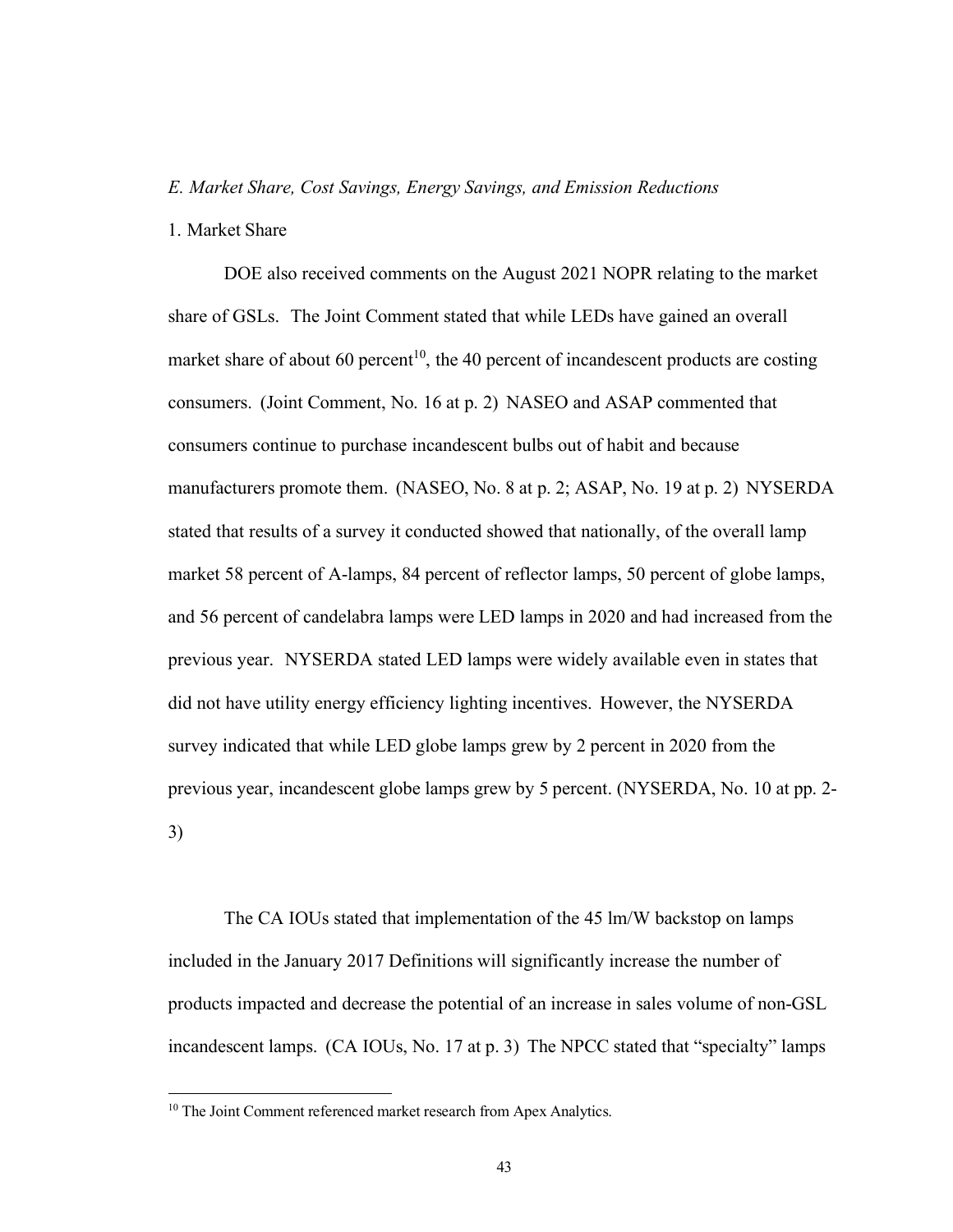### *E. Market Share, Cost Savings, Energy Savings, and Emission Reductions*

1. Market Share

DOE also received comments on the August 2021 NOPR relating to the market share of GSLs. The Joint Comment stated that while LEDs have gained an overall market share of about 60 percent<sup>10</sup>, the 40 percent of incandescent products are costing consumers. (Joint Comment, No. 16 at p. 2) NASEO and ASAP commented that consumers continue to purchase incandescent bulbs out of habit and because manufacturers promote them. (NASEO, No. 8 at p. 2; ASAP, No. 19 at p. 2) NYSERDA stated that results of a survey it conducted showed that nationally, of the overall lamp market 58 percent of A-lamps, 84 percent of reflector lamps, 50 percent of globe lamps, and 56 percent of candelabra lamps were LED lamps in 2020 and had increased from the previous year. NYSERDA stated LED lamps were widely available even in states that did not have utility energy efficiency lighting incentives. However, the NYSERDA survey indicated that while LED globe lamps grew by 2 percent in 2020 from the previous year, incandescent globe lamps grew by 5 percent. (NYSERDA, No. 10 at pp. 2- 3)

The CA IOUs stated that implementation of the 45 lm/W backstop on lamps included in the January 2017 Definitions will significantly increase the number of products impacted and decrease the potential of an increase in sales volume of non-GSL incandescent lamps. (CA IOUs, No. 17 at p. 3) The NPCC stated that "specialty" lamps

<sup>&</sup>lt;sup>10</sup> The Joint Comment referenced market research from Apex Analytics.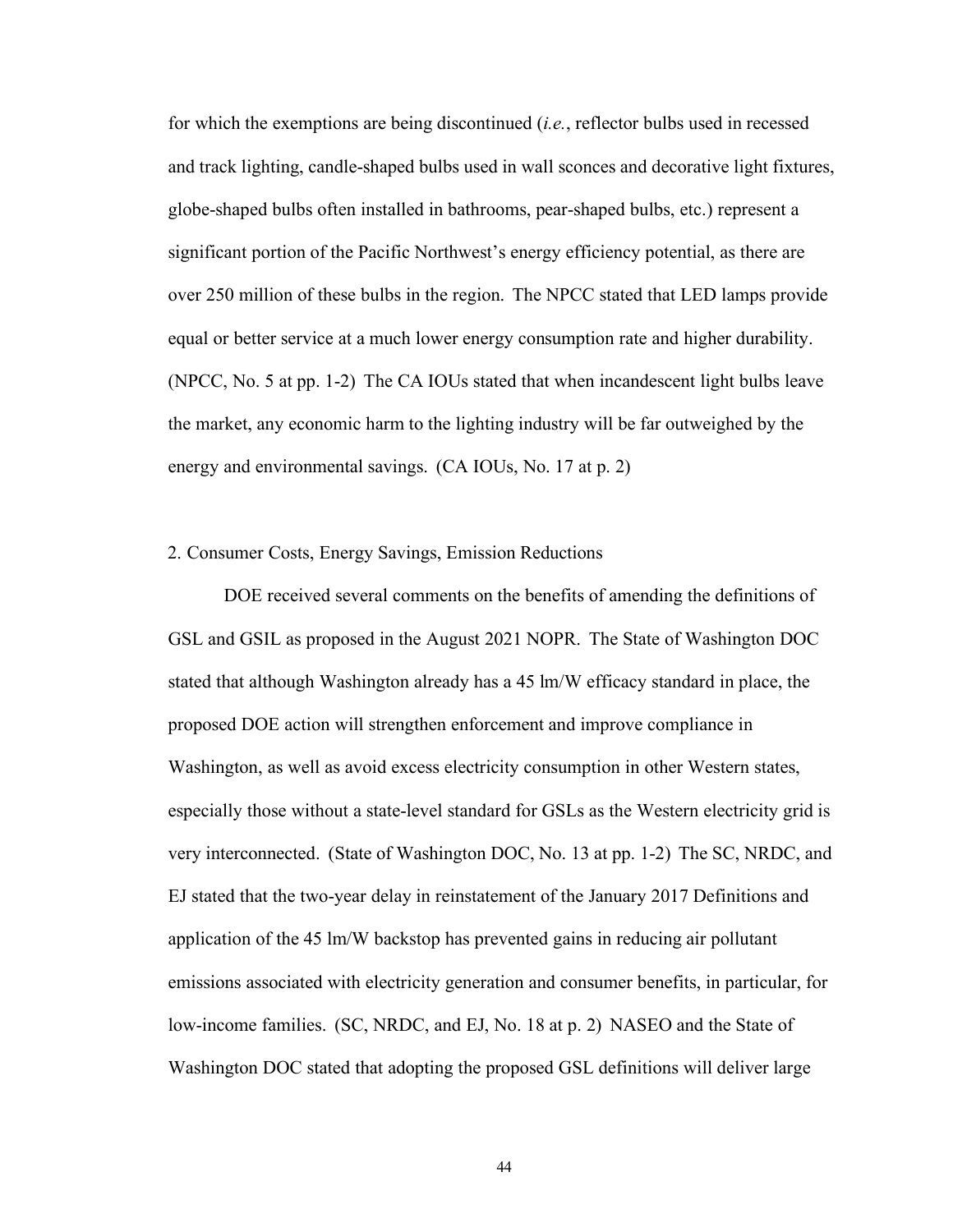for which the exemptions are being discontinued (*i.e.*, reflector bulbs used in recessed and track lighting, candle-shaped bulbs used in wall sconces and decorative light fixtures, globe-shaped bulbs often installed in bathrooms, pear-shaped bulbs, etc.) represent a significant portion of the Pacific Northwest's energy efficiency potential, as there are over 250 million of these bulbs in the region. The NPCC stated that LED lamps provide equal or better service at a much lower energy consumption rate and higher durability. (NPCC, No. 5 at pp. 1-2) The CA IOUs stated that when incandescent light bulbs leave the market, any economic harm to the lighting industry will be far outweighed by the energy and environmental savings. (CA IOUs, No. 17 at p. 2)

#### 2. Consumer Costs, Energy Savings, Emission Reductions

DOE received several comments on the benefits of amending the definitions of GSL and GSIL as proposed in the August 2021 NOPR. The State of Washington DOC stated that although Washington already has a 45 lm/W efficacy standard in place, the proposed DOE action will strengthen enforcement and improve compliance in Washington, as well as avoid excess electricity consumption in other Western states, especially those without a state-level standard for GSLs as the Western electricity grid is very interconnected. (State of Washington DOC, No. 13 at pp. 1-2) The SC, NRDC, and EJ stated that the two-year delay in reinstatement of the January 2017 Definitions and application of the 45 lm/W backstop has prevented gains in reducing air pollutant emissions associated with electricity generation and consumer benefits, in particular, for low-income families. (SC, NRDC, and EJ, No. 18 at p. 2) NASEO and the State of Washington DOC stated that adopting the proposed GSL definitions will deliver large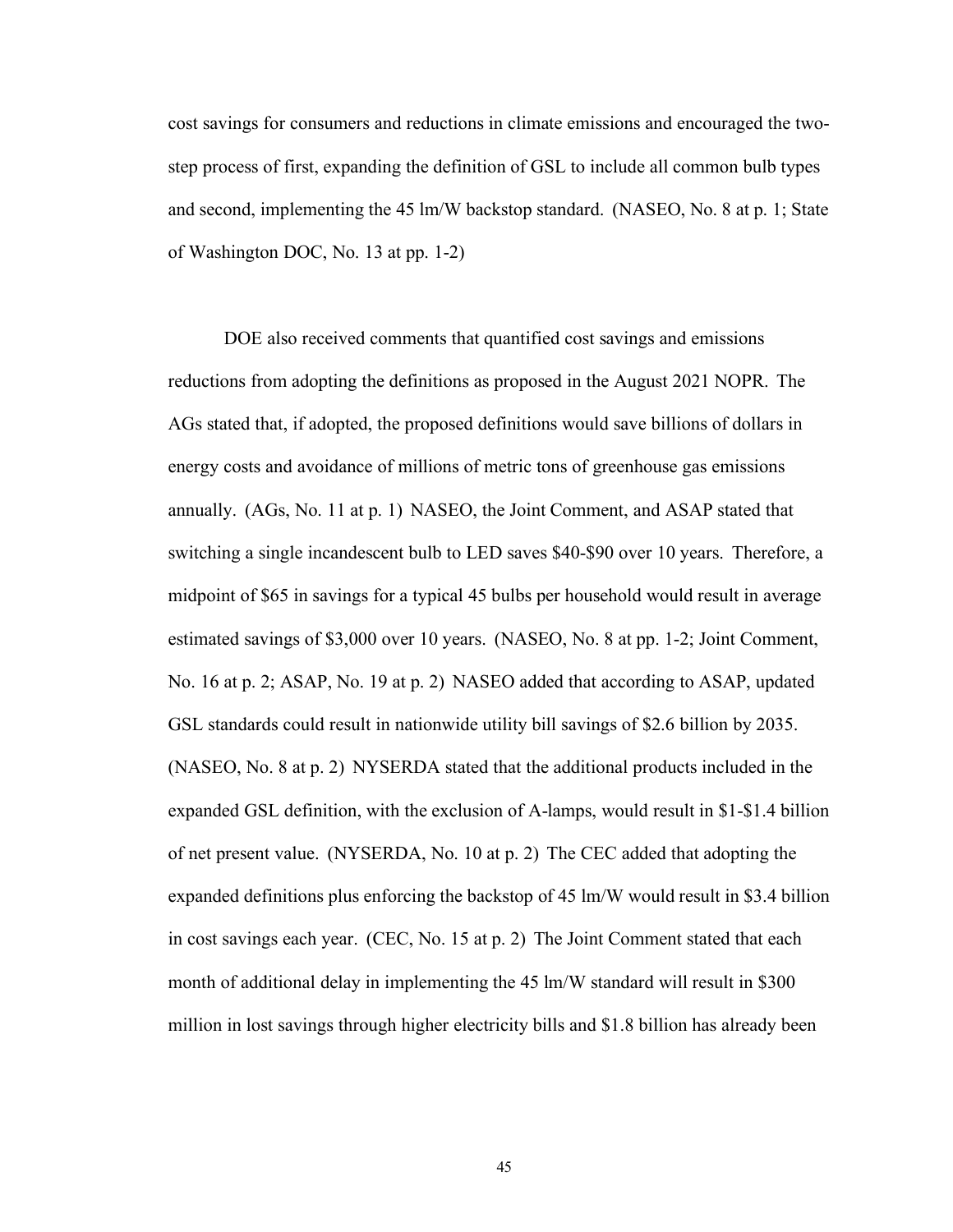cost savings for consumers and reductions in climate emissions and encouraged the twostep process of first, expanding the definition of GSL to include all common bulb types and second, implementing the 45 lm/W backstop standard. (NASEO, No. 8 at p. 1; State of Washington DOC, No. 13 at pp. 1-2)

DOE also received comments that quantified cost savings and emissions reductions from adopting the definitions as proposed in the August 2021 NOPR. The AGs stated that, if adopted, the proposed definitions would save billions of dollars in energy costs and avoidance of millions of metric tons of greenhouse gas emissions annually. (AGs, No. 11 at p. 1) NASEO, the Joint Comment, and ASAP stated that switching a single incandescent bulb to LED saves \$40-\$90 over 10 years. Therefore, a midpoint of \$65 in savings for a typical 45 bulbs per household would result in average estimated savings of \$3,000 over 10 years. (NASEO, No. 8 at pp. 1-2; Joint Comment, No. 16 at p. 2; ASAP, No. 19 at p. 2) NASEO added that according to ASAP, updated GSL standards could result in nationwide utility bill savings of \$2.6 billion by 2035. (NASEO, No. 8 at p. 2) NYSERDA stated that the additional products included in the expanded GSL definition, with the exclusion of A-lamps, would result in \$1-\$1.4 billion of net present value. (NYSERDA, No. 10 at p. 2) The CEC added that adopting the expanded definitions plus enforcing the backstop of 45 lm/W would result in \$3.4 billion in cost savings each year. (CEC, No. 15 at p. 2) The Joint Comment stated that each month of additional delay in implementing the 45 lm/W standard will result in \$300 million in lost savings through higher electricity bills and \$1.8 billion has already been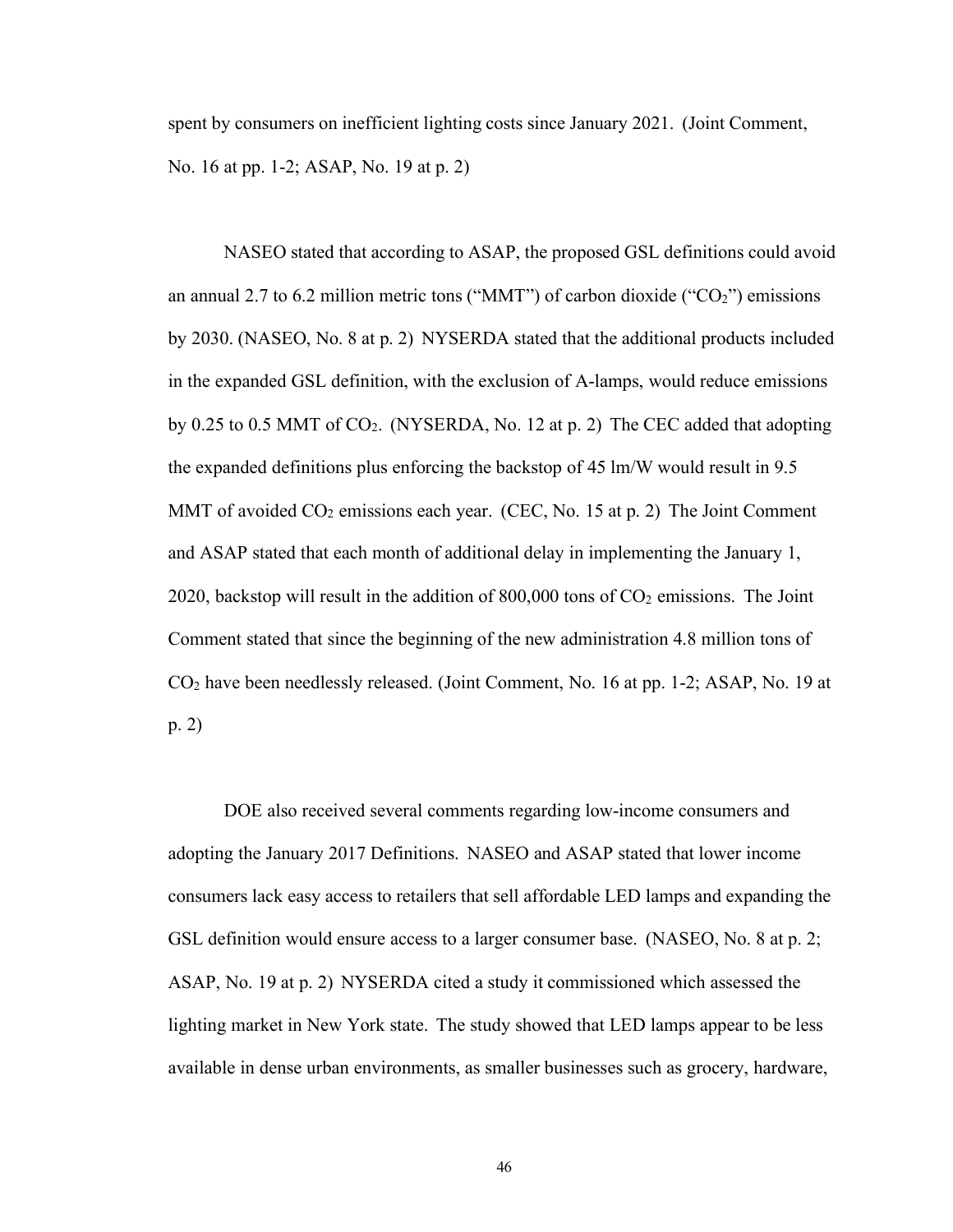spent by consumers on inefficient lighting costs since January 2021. (Joint Comment, No. 16 at pp. 1-2; ASAP, No. 19 at p. 2)

NASEO stated that according to ASAP, the proposed GSL definitions could avoid an annual 2.7 to 6.2 million metric tons ("MMT") of carbon dioxide (" $CO<sub>2</sub>$ ") emissions by 2030. (NASEO, No. 8 at p. 2) NYSERDA stated that the additional products included in the expanded GSL definition, with the exclusion of A-lamps, would reduce emissions by 0.25 to 0.5 MMT of  $CO<sub>2</sub>$ . (NYSERDA, No. 12 at p. 2) The CEC added that adopting the expanded definitions plus enforcing the backstop of 45 lm/W would result in 9.5 MMT of avoided  $CO<sub>2</sub>$  emissions each year. (CEC, No. 15 at p. 2) The Joint Comment and ASAP stated that each month of additional delay in implementing the January 1, 2020, backstop will result in the addition of  $800,000$  tons of  $CO<sub>2</sub>$  emissions. The Joint Comment stated that since the beginning of the new administration 4.8 million tons of CO2 have been needlessly released. (Joint Comment, No. 16 at pp. 1-2; ASAP, No. 19 at p. 2)

DOE also received several comments regarding low-income consumers and adopting the January 2017 Definitions. NASEO and ASAP stated that lower income consumers lack easy access to retailers that sell affordable LED lamps and expanding the GSL definition would ensure access to a larger consumer base. (NASEO, No. 8 at p. 2; ASAP, No. 19 at p. 2) NYSERDA cited a study it commissioned which assessed the lighting market in New York state. The study showed that LED lamps appear to be less available in dense urban environments, as smaller businesses such as grocery, hardware,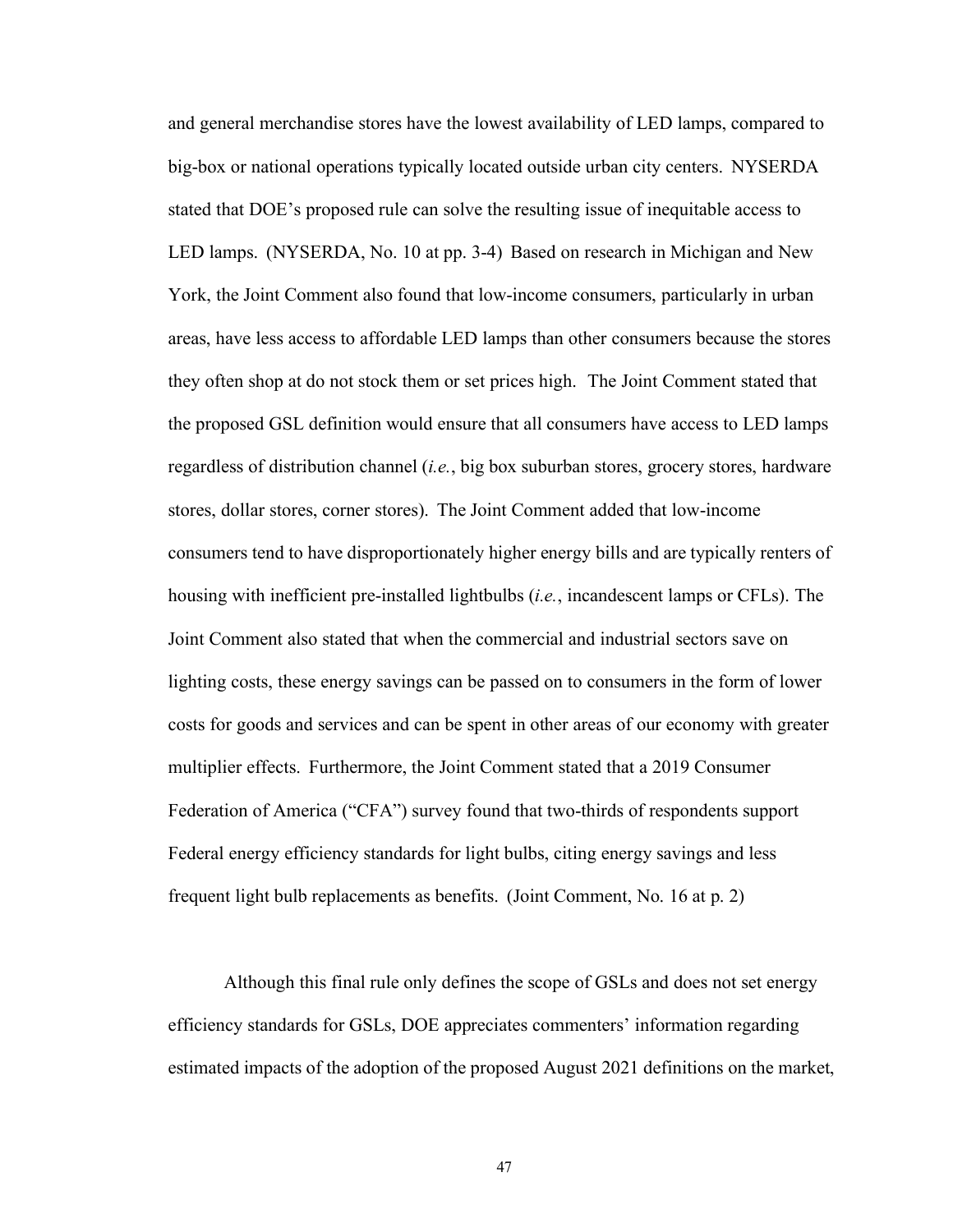and general merchandise stores have the lowest availability of LED lamps, compared to big-box or national operations typically located outside urban city centers. NYSERDA stated that DOE's proposed rule can solve the resulting issue of inequitable access to LED lamps. (NYSERDA, No. 10 at pp. 3-4) Based on research in Michigan and New York, the Joint Comment also found that low-income consumers, particularly in urban areas, have less access to affordable LED lamps than other consumers because the stores they often shop at do not stock them or set prices high. The Joint Comment stated that the proposed GSL definition would ensure that all consumers have access to LED lamps regardless of distribution channel (*i.e.*, big box suburban stores, grocery stores, hardware stores, dollar stores, corner stores). The Joint Comment added that low-income consumers tend to have disproportionately higher energy bills and are typically renters of housing with inefficient pre-installed lightbulbs (*i.e.*, incandescent lamps or CFLs). The Joint Comment also stated that when the commercial and industrial sectors save on lighting costs, these energy savings can be passed on to consumers in the form of lower costs for goods and services and can be spent in other areas of our economy with greater multiplier effects. Furthermore, the Joint Comment stated that a 2019 Consumer Federation of America ("CFA") survey found that two-thirds of respondents support Federal energy efficiency standards for light bulbs, citing energy savings and less frequent light bulb replacements as benefits. (Joint Comment, No. 16 at p. 2)

Although this final rule only defines the scope of GSLs and does not set energy efficiency standards for GSLs, DOE appreciates commenters' information regarding estimated impacts of the adoption of the proposed August 2021 definitions on the market,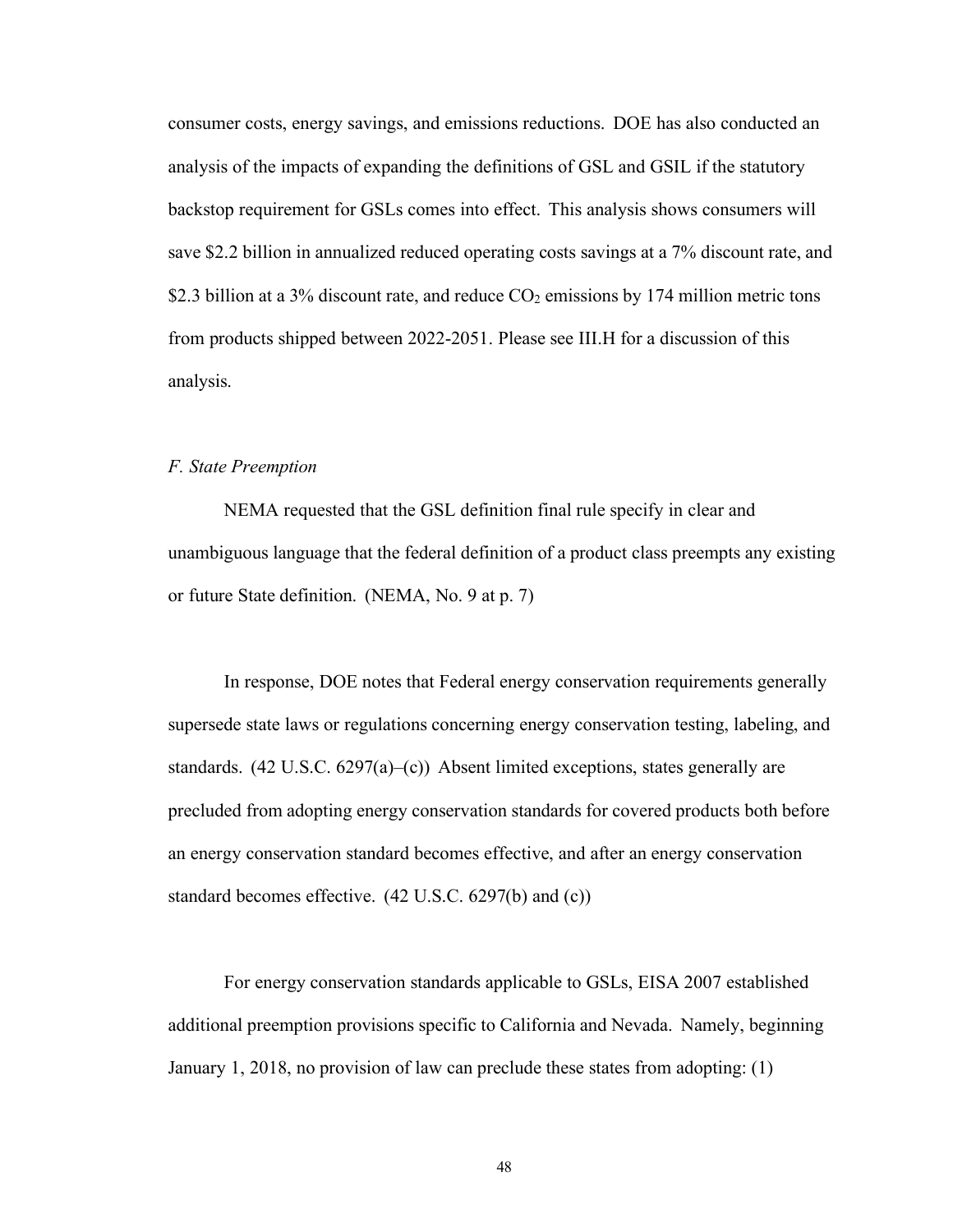consumer costs, energy savings, and emissions reductions. DOE has also conducted an analysis of the impacts of expanding the definitions of GSL and GSIL if the statutory backstop requirement for GSLs comes into effect. This analysis shows consumers will save \$2.2 billion in annualized reduced operating costs savings at a 7% discount rate, and \$2.3 billion at a 3% discount rate, and reduce  $CO<sub>2</sub>$  emissions by 174 million metric tons from products shipped between 2022-2051. Please see [III.H f](#page-59-0)or a discussion of this analysis.

# *F. State Preemption*

NEMA requested that the GSL definition final rule specify in clear and unambiguous language that the federal definition of a product class preempts any existing or future State definition. (NEMA, No. 9 at p. 7)

In response, DOE notes that Federal energy conservation requirements generally supersede state laws or regulations concerning energy conservation testing, labeling, and standards.  $(42 \text{ U.S.C. } 6297(a) - (c))$  Absent limited exceptions, states generally are precluded from adopting energy conservation standards for covered products both before an energy conservation standard becomes effective, and after an energy conservation standard becomes effective. (42 U.S.C. 6297(b) and (c))

For energy conservation standards applicable to GSLs, EISA 2007 established additional preemption provisions specific to California and Nevada. Namely, beginning January 1, 2018, no provision of law can preclude these states from adopting: (1)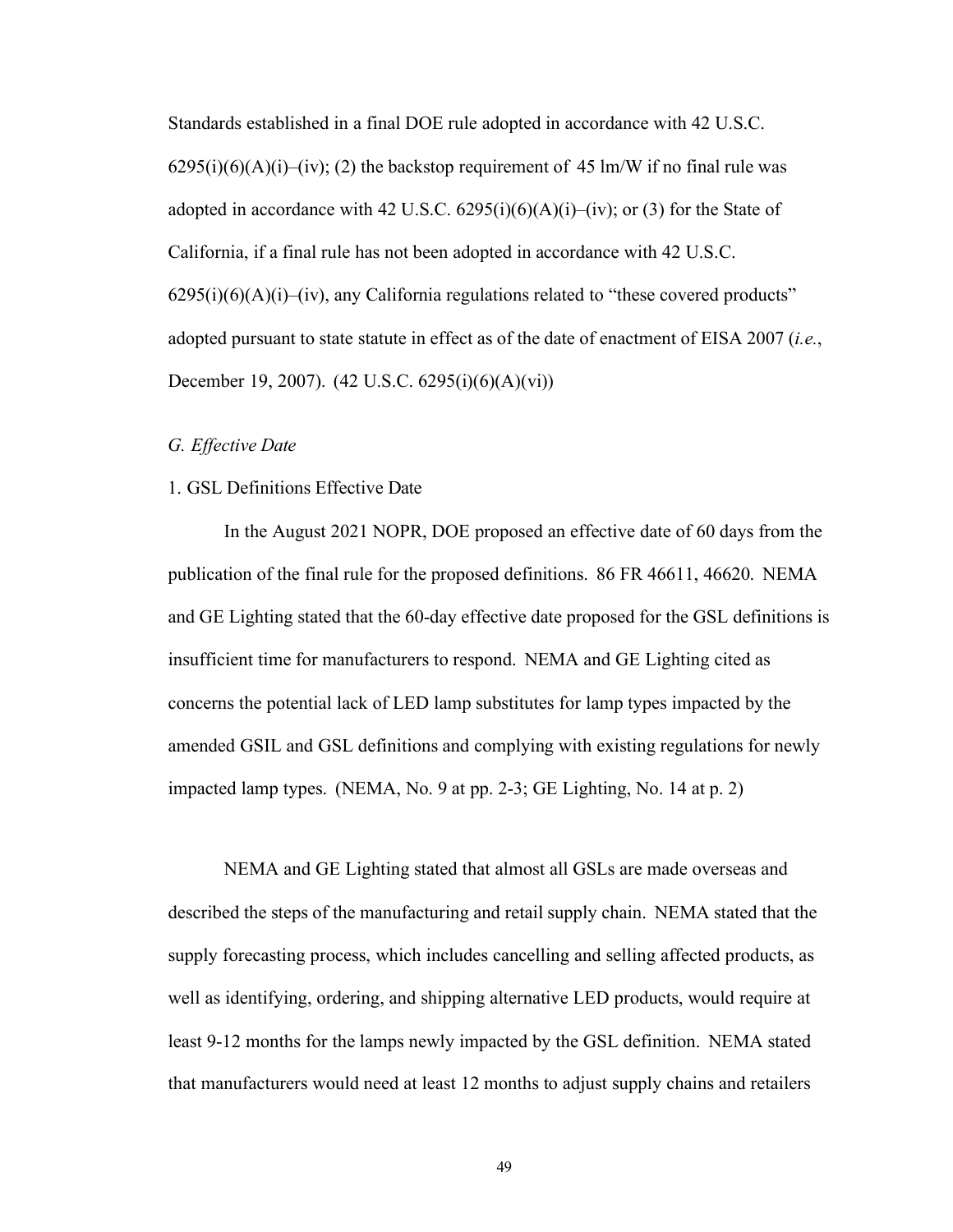Standards established in a final DOE rule adopted in accordance with 42 U.S.C.  $6295(i)(6)(A)(i)–(iv); (2)$  the backstop requirement of 45 lm/W if no final rule was adopted in accordance with 42 U.S.C.  $6295(i)(6)(A)(i)$ –(iv); or (3) for the State of California, if a final rule has not been adopted in accordance with 42 U.S.C.  $6295(i)(6)(A)(i)$ –(iv), any California regulations related to "these covered products" adopted pursuant to state statute in effect as of the date of enactment of EISA 2007 (*i.e.*, December 19, 2007). (42 U.S.C. 6295(i)(6)(A)(vi))

# *G. Effective Date*

# 1. GSL Definitions Effective Date

In the August 2021 NOPR, DOE proposed an effective date of 60 days from the publication of the final rule for the proposed definitions. 86 FR 46611, 46620. NEMA and GE Lighting stated that the 60-day effective date proposed for the GSL definitions is insufficient time for manufacturers to respond. NEMA and GE Lighting cited as concerns the potential lack of LED lamp substitutes for lamp types impacted by the amended GSIL and GSL definitions and complying with existing regulations for newly impacted lamp types. (NEMA, No. 9 at pp. 2-3; GE Lighting, No. 14 at p. 2)

NEMA and GE Lighting stated that almost all GSLs are made overseas and described the steps of the manufacturing and retail supply chain. NEMA stated that the supply forecasting process, which includes cancelling and selling affected products, as well as identifying, ordering, and shipping alternative LED products, would require at least 9-12 months for the lamps newly impacted by the GSL definition. NEMA stated that manufacturers would need at least 12 months to adjust supply chains and retailers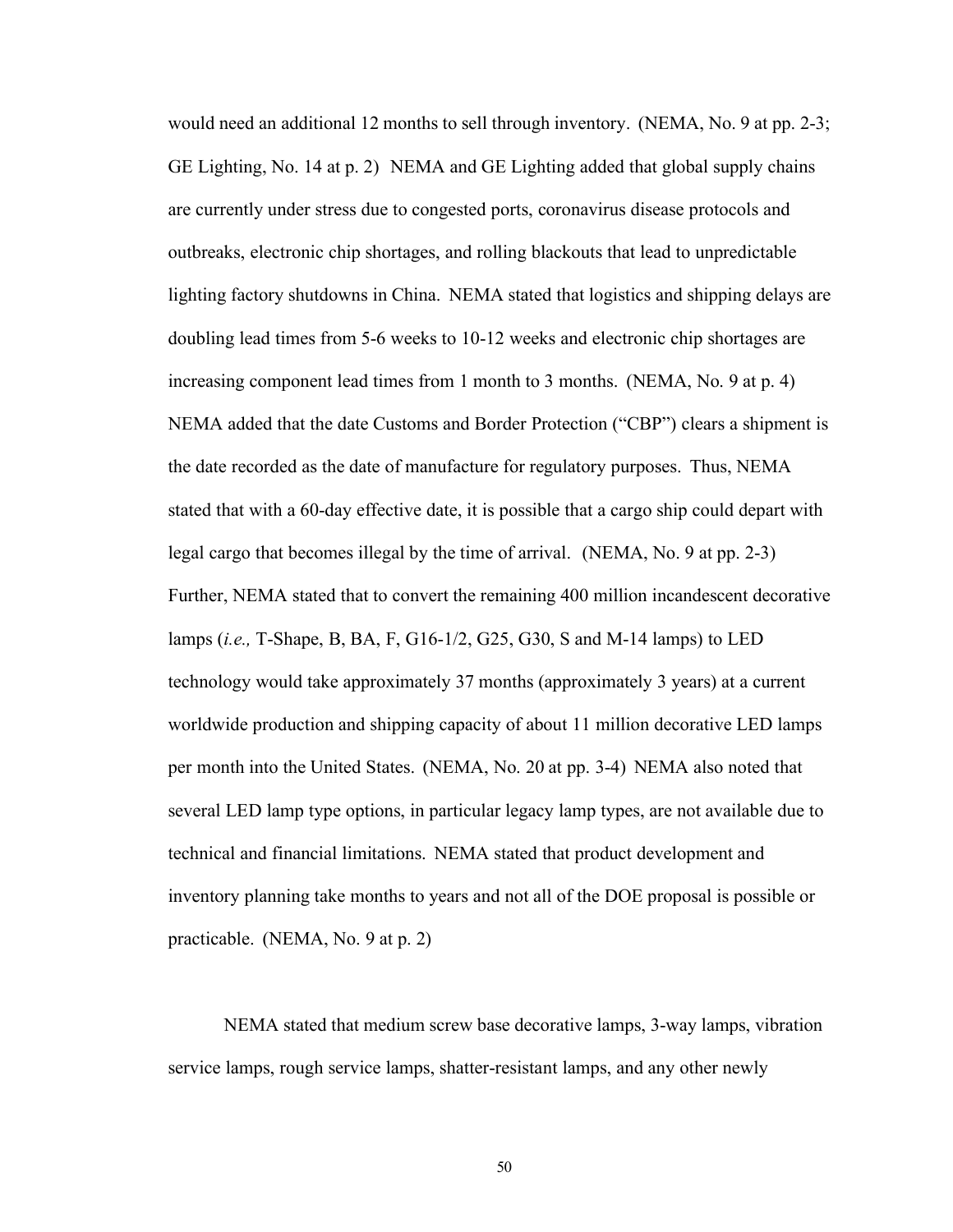would need an additional 12 months to sell through inventory. (NEMA, No. 9 at pp. 2-3; GE Lighting, No. 14 at p. 2) NEMA and GE Lighting added that global supply chains are currently under stress due to congested ports, coronavirus disease protocols and outbreaks, electronic chip shortages, and rolling blackouts that lead to unpredictable lighting factory shutdowns in China. NEMA stated that logistics and shipping delays are doubling lead times from 5-6 weeks to 10-12 weeks and electronic chip shortages are increasing component lead times from 1 month to 3 months. (NEMA, No. 9 at p. 4) NEMA added that the date Customs and Border Protection ("CBP") clears a shipment is the date recorded as the date of manufacture for regulatory purposes. Thus, NEMA stated that with a 60-day effective date, it is possible that a cargo ship could depart with legal cargo that becomes illegal by the time of arrival. (NEMA, No. 9 at pp. 2-3) Further, NEMA stated that to convert the remaining 400 million incandescent decorative lamps (*i.e.,* T-Shape, B, BA, F, G16-1/2, G25, G30, S and M-14 lamps) to LED technology would take approximately 37 months (approximately 3 years) at a current worldwide production and shipping capacity of about 11 million decorative LED lamps per month into the United States. (NEMA, No. 20 at pp. 3-4) NEMA also noted that several LED lamp type options, in particular legacy lamp types, are not available due to technical and financial limitations. NEMA stated that product development and inventory planning take months to years and not all of the DOE proposal is possible or practicable. (NEMA, No. 9 at p. 2)

NEMA stated that medium screw base decorative lamps, 3-way lamps, vibration service lamps, rough service lamps, shatter-resistant lamps, and any other newly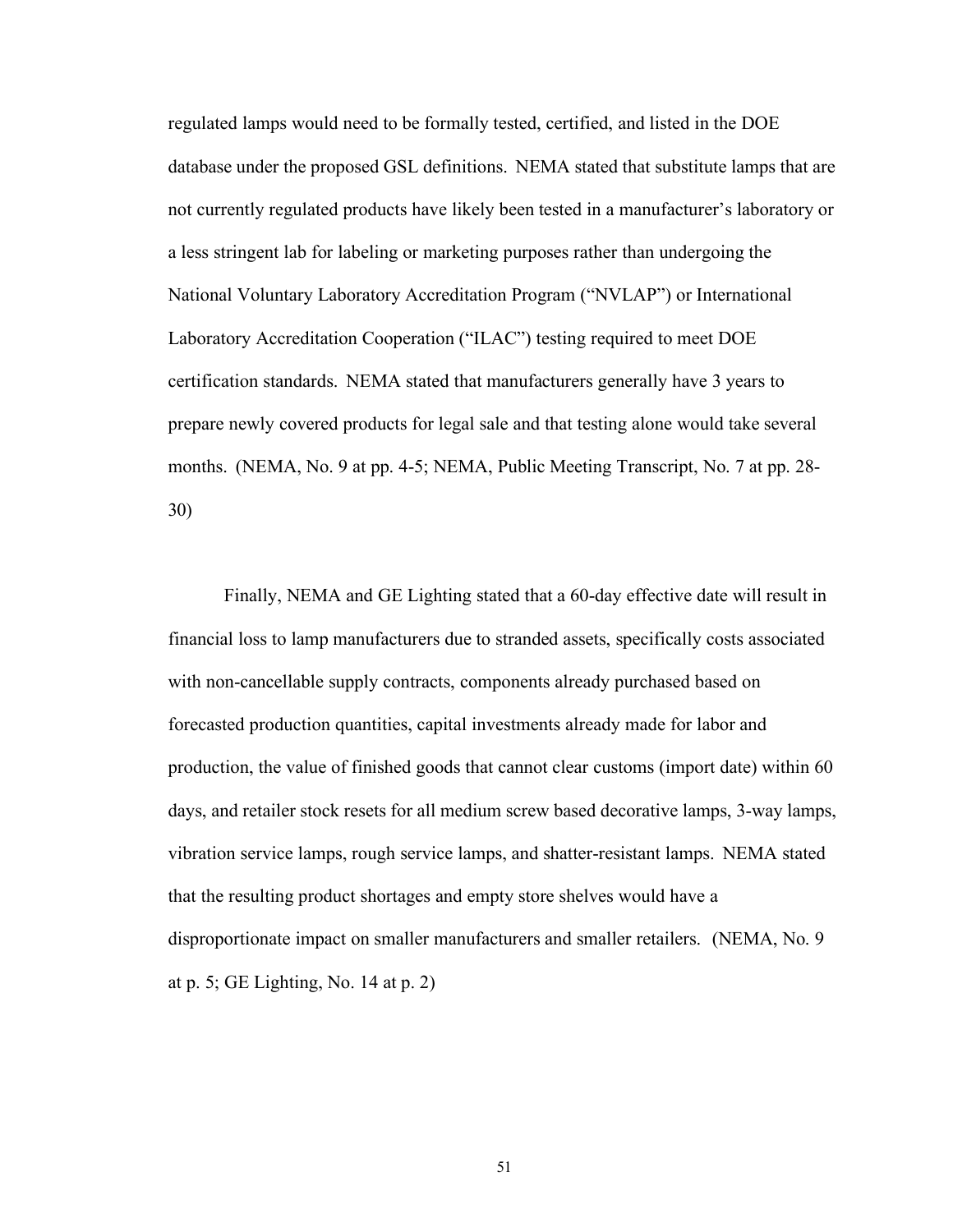regulated lamps would need to be formally tested, certified, and listed in the DOE database under the proposed GSL definitions. NEMA stated that substitute lamps that are not currently regulated products have likely been tested in a manufacturer's laboratory or a less stringent lab for labeling or marketing purposes rather than undergoing the National Voluntary Laboratory Accreditation Program ("NVLAP") or International Laboratory Accreditation Cooperation ("ILAC") testing required to meet DOE certification standards. NEMA stated that manufacturers generally have 3 years to prepare newly covered products for legal sale and that testing alone would take several months. (NEMA, No. 9 at pp. 4-5; NEMA, Public Meeting Transcript, No. 7 at pp. 28- 30)

Finally, NEMA and GE Lighting stated that a 60-day effective date will result in financial loss to lamp manufacturers due to stranded assets, specifically costs associated with non-cancellable supply contracts, components already purchased based on forecasted production quantities, capital investments already made for labor and production, the value of finished goods that cannot clear customs (import date) within 60 days, and retailer stock resets for all medium screw based decorative lamps, 3-way lamps, vibration service lamps, rough service lamps, and shatter-resistant lamps. NEMA stated that the resulting product shortages and empty store shelves would have a disproportionate impact on smaller manufacturers and smaller retailers. (NEMA, No. 9 at p. 5; GE Lighting, No. 14 at p. 2)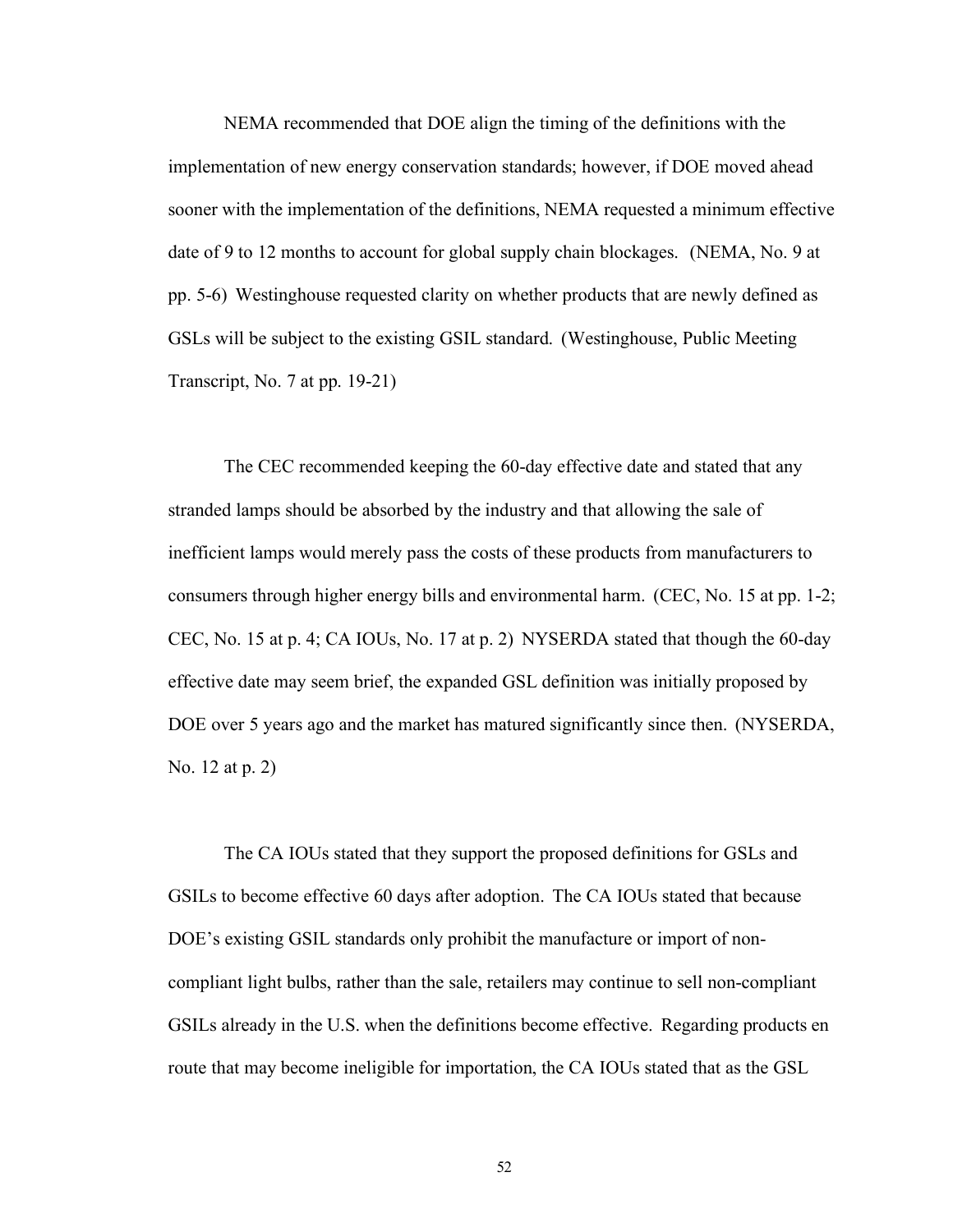NEMA recommended that DOE align the timing of the definitions with the implementation of new energy conservation standards; however, if DOE moved ahead sooner with the implementation of the definitions, NEMA requested a minimum effective date of 9 to 12 months to account for global supply chain blockages. (NEMA, No. 9 at pp. 5-6) Westinghouse requested clarity on whether products that are newly defined as GSLs will be subject to the existing GSIL standard. (Westinghouse, Public Meeting Transcript, No. 7 at pp. 19-21)

The CEC recommended keeping the 60-day effective date and stated that any stranded lamps should be absorbed by the industry and that allowing the sale of inefficient lamps would merely pass the costs of these products from manufacturers to consumers through higher energy bills and environmental harm. (CEC, No. 15 at pp. 1-2; CEC, No. 15 at p. 4; CA IOUs, No. 17 at p. 2) NYSERDA stated that though the 60-day effective date may seem brief, the expanded GSL definition was initially proposed by DOE over 5 years ago and the market has matured significantly since then. (NYSERDA, No. 12 at p. 2)

The CA IOUs stated that they support the proposed definitions for GSLs and GSILs to become effective 60 days after adoption. The CA IOUs stated that because DOE's existing GSIL standards only prohibit the manufacture or import of noncompliant light bulbs, rather than the sale, retailers may continue to sell non-compliant GSILs already in the U.S. when the definitions become effective. Regarding products en route that may become ineligible for importation, the CA IOUs stated that as the GSL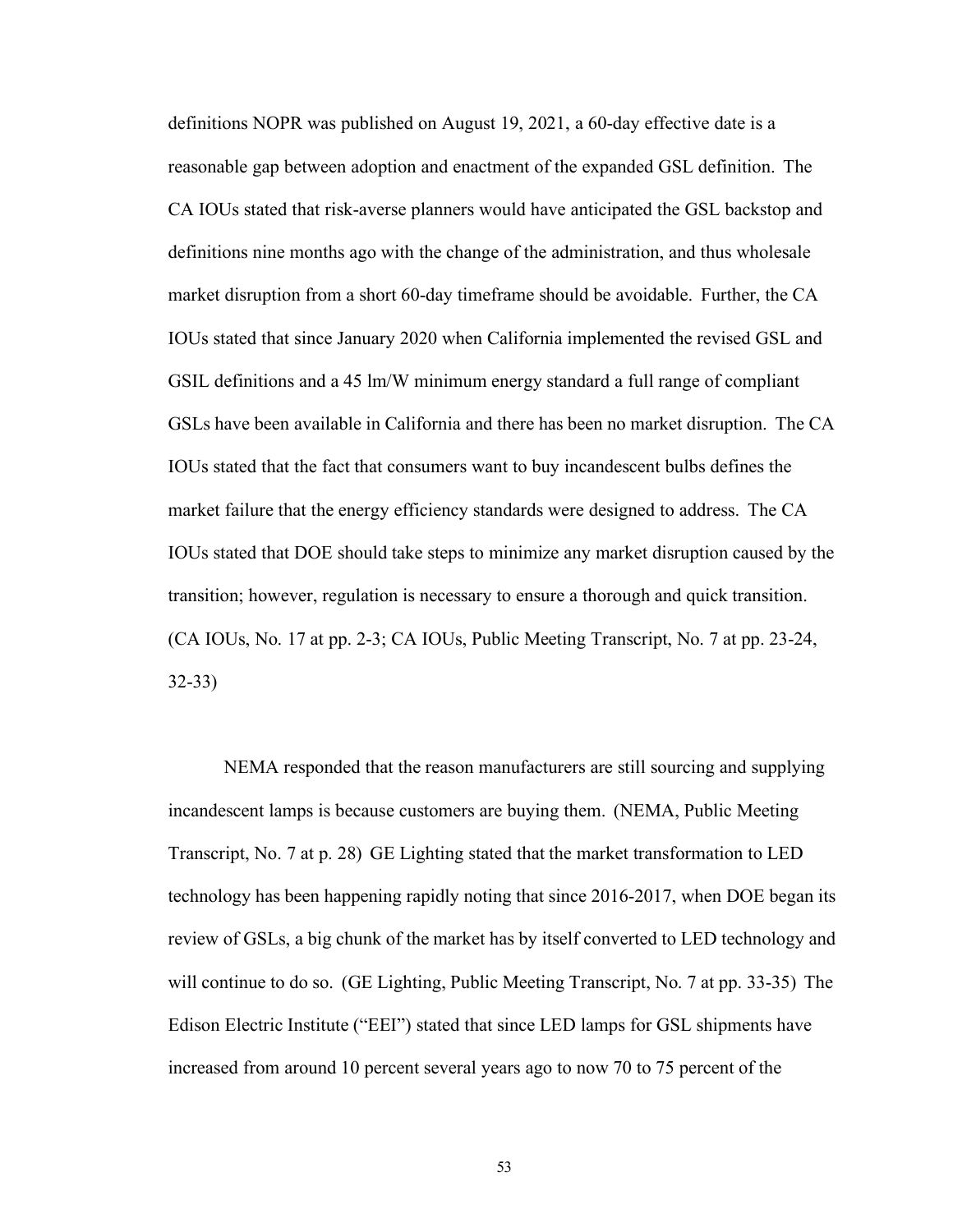definitions NOPR was published on August 19, 2021, a 60-day effective date is a reasonable gap between adoption and enactment of the expanded GSL definition. The CA IOUs stated that risk-averse planners would have anticipated the GSL backstop and definitions nine months ago with the change of the administration, and thus wholesale market disruption from a short 60-day timeframe should be avoidable. Further, the CA IOUs stated that since January 2020 when California implemented the revised GSL and GSIL definitions and a 45 lm/W minimum energy standard a full range of compliant GSLs have been available in California and there has been no market disruption. The CA IOUs stated that the fact that consumers want to buy incandescent bulbs defines the market failure that the energy efficiency standards were designed to address. The CA IOUs stated that DOE should take steps to minimize any market disruption caused by the transition; however, regulation is necessary to ensure a thorough and quick transition. (CA IOUs, No. 17 at pp. 2-3; CA IOUs, Public Meeting Transcript, No. 7 at pp. 23-24, 32-33)

NEMA responded that the reason manufacturers are still sourcing and supplying incandescent lamps is because customers are buying them. (NEMA, Public Meeting Transcript, No. 7 at p. 28) GE Lighting stated that the market transformation to LED technology has been happening rapidly noting that since 2016-2017, when DOE began its review of GSLs, a big chunk of the market has by itself converted to LED technology and will continue to do so. (GE Lighting, Public Meeting Transcript, No. 7 at pp. 33-35) The Edison Electric Institute ("EEI") stated that since LED lamps for GSL shipments have increased from around 10 percent several years ago to now 70 to 75 percent of the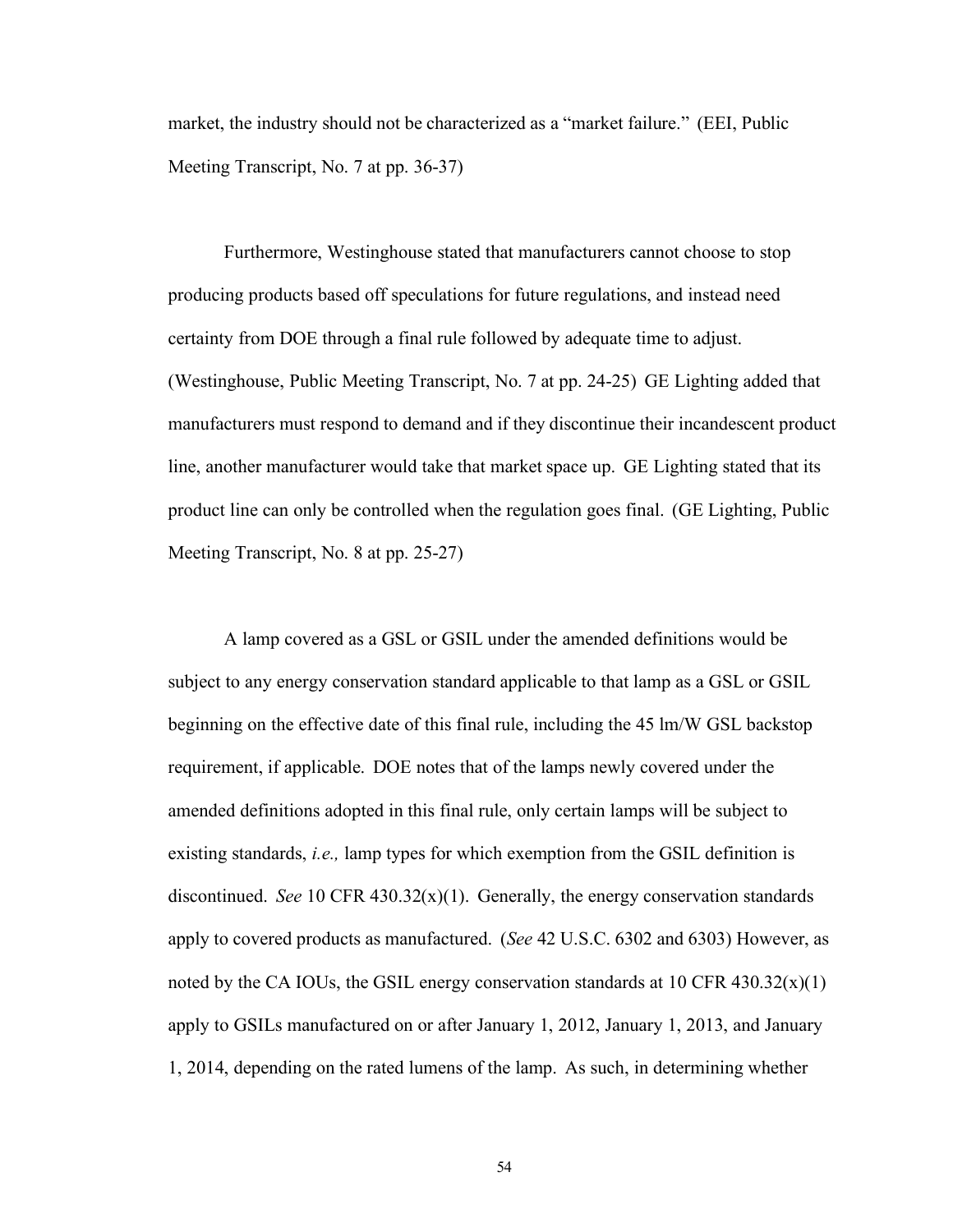market, the industry should not be characterized as a "market failure." (EEI, Public Meeting Transcript, No. 7 at pp. 36-37)

Furthermore, Westinghouse stated that manufacturers cannot choose to stop producing products based off speculations for future regulations, and instead need certainty from DOE through a final rule followed by adequate time to adjust. (Westinghouse, Public Meeting Transcript, No. 7 at pp. 24-25) GE Lighting added that manufacturers must respond to demand and if they discontinue their incandescent product line, another manufacturer would take that market space up. GE Lighting stated that its product line can only be controlled when the regulation goes final. (GE Lighting, Public Meeting Transcript, No. 8 at pp. 25-27)

A lamp covered as a GSL or GSIL under the amended definitions would be subject to any energy conservation standard applicable to that lamp as a GSL or GSIL beginning on the effective date of this final rule, including the 45 lm/W GSL backstop requirement, if applicable. DOE notes that of the lamps newly covered under the amended definitions adopted in this final rule, only certain lamps will be subject to existing standards, *i.e.,* lamp types for which exemption from the GSIL definition is discontinued. *See* 10 CFR 430.32 $(x)(1)$ . Generally, the energy conservation standards apply to covered products as manufactured. (*See* 42 U.S.C. 6302 and 6303) However, as noted by the CA IOUs, the GSIL energy conservation standards at 10 CFR  $430.32(x)(1)$ apply to GSILs manufactured on or after January 1, 2012, January 1, 2013, and January 1, 2014, depending on the rated lumens of the lamp. As such, in determining whether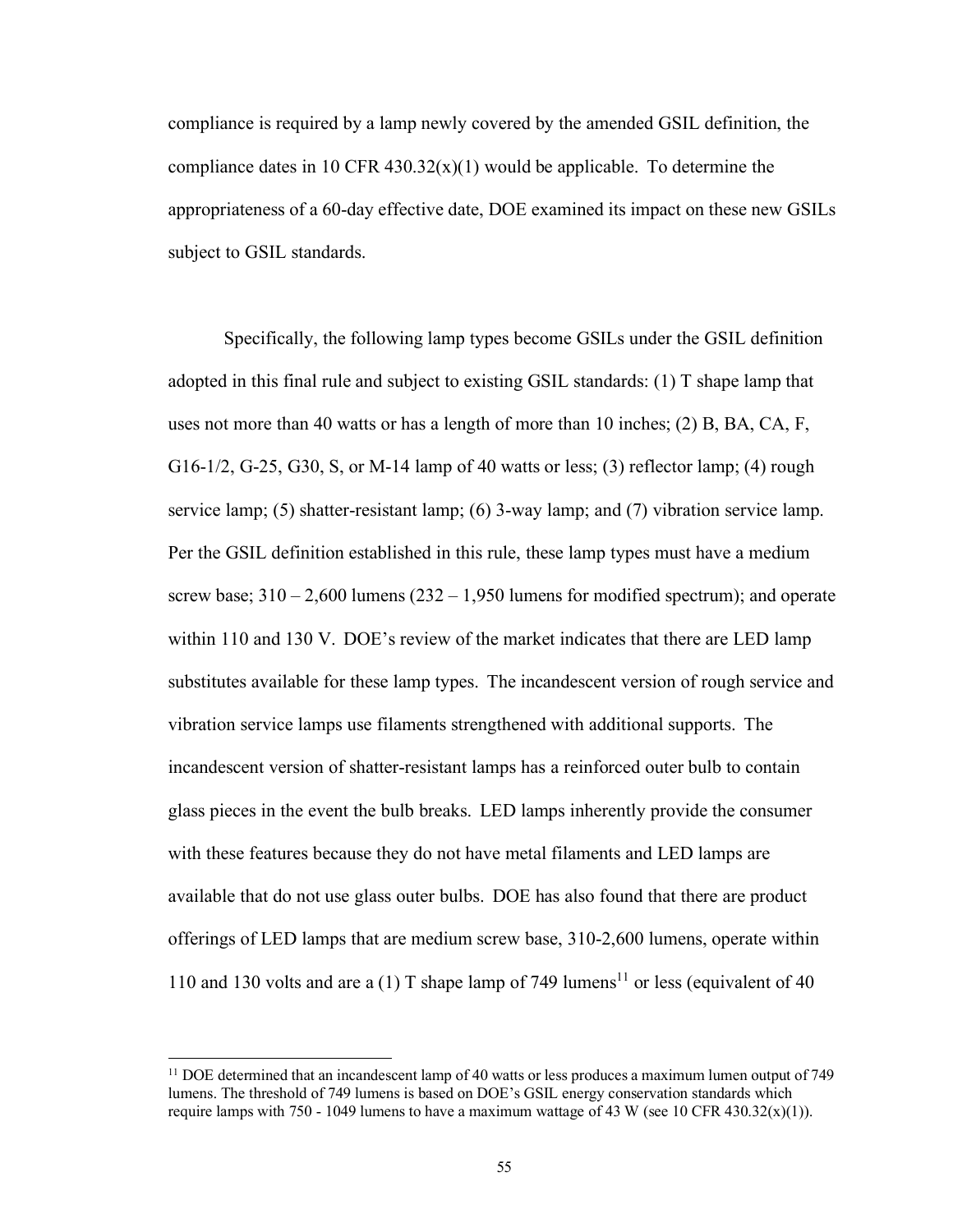compliance is required by a lamp newly covered by the amended GSIL definition, the compliance dates in 10 CFR  $430.32(x)(1)$  would be applicable. To determine the appropriateness of a 60-day effective date, DOE examined its impact on these new GSILs subject to GSIL standards.

Specifically, the following lamp types become GSILs under the GSIL definition adopted in this final rule and subject to existing GSIL standards: (1) T shape lamp that uses not more than 40 watts or has a length of more than 10 inches; (2) B, BA, CA, F, G16-1/2, G-25, G30, S, or M-14 lamp of 40 watts or less; (3) reflector lamp; (4) rough service lamp; (5) shatter-resistant lamp; (6) 3-way lamp; and (7) vibration service lamp. Per the GSIL definition established in this rule, these lamp types must have a medium screw base;  $310 - 2{,}600$  lumens  $(232 - 1{,}950$  lumens for modified spectrum); and operate within 110 and 130 V. DOE's review of the market indicates that there are LED lamp substitutes available for these lamp types. The incandescent version of rough service and vibration service lamps use filaments strengthened with additional supports. The incandescent version of shatter-resistant lamps has a reinforced outer bulb to contain glass pieces in the event the bulb breaks. LED lamps inherently provide the consumer with these features because they do not have metal filaments and LED lamps are available that do not use glass outer bulbs. DOE has also found that there are product offerings of LED lamps that are medium screw base, 310-2,600 lumens, operate within 110 and 130 volts and are a (1) T shape lamp of 749 lumens<sup>11</sup> or less (equivalent of 40

 $11$  DOE determined that an incandescent lamp of 40 watts or less produces a maximum lumen output of 749 lumens. The threshold of 749 lumens is based on DOE's GSIL energy conservation standards which require lamps with 750 - 1049 lumens to have a maximum wattage of 43 W (see 10 CFR 430.32(x)(1)).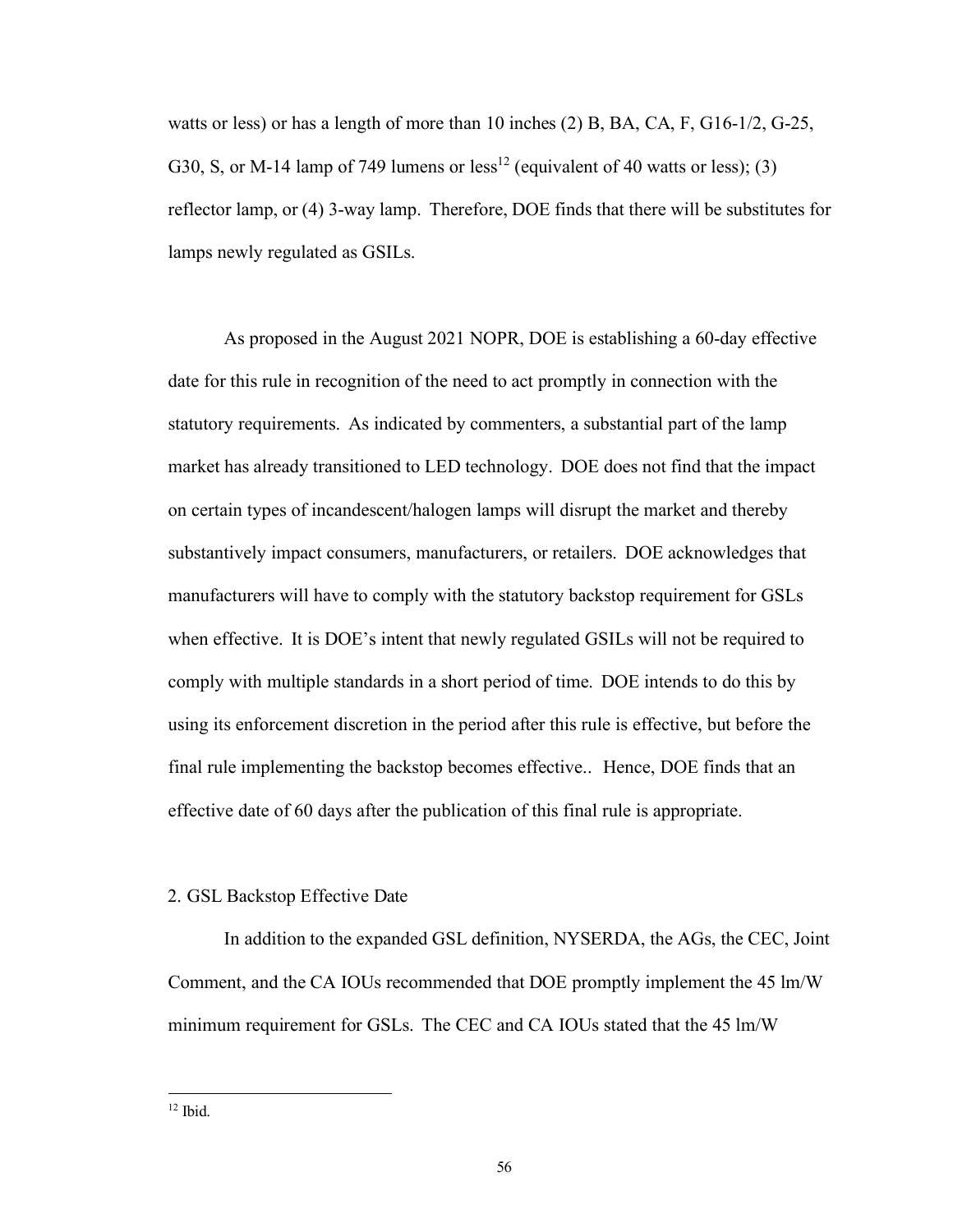watts or less) or has a length of more than 10 inches (2) B, BA, CA, F, G16-1/2, G-25, G30, S, or M-14 lamp of 749 lumens or less<sup>12</sup> (equivalent of 40 watts or less); (3) reflector lamp, or (4) 3-way lamp. Therefore, DOE finds that there will be substitutes for lamps newly regulated as GSILs.

As proposed in the August 2021 NOPR, DOE is establishing a 60-day effective date for this rule in recognition of the need to act promptly in connection with the statutory requirements. As indicated by commenters, a substantial part of the lamp market has already transitioned to LED technology. DOE does not find that the impact on certain types of incandescent/halogen lamps will disrupt the market and thereby substantively impact consumers, manufacturers, or retailers. DOE acknowledges that manufacturers will have to comply with the statutory backstop requirement for GSLs when effective. It is DOE's intent that newly regulated GSILs will not be required to comply with multiple standards in a short period of time. DOE intends to do this by using its enforcement discretion in the period after this rule is effective, but before the final rule implementing the backstop becomes effective.. Hence, DOE finds that an effective date of 60 days after the publication of this final rule is appropriate.

#### 2. GSL Backstop Effective Date

In addition to the expanded GSL definition, NYSERDA, the AGs, the CEC, Joint Comment, and the CA IOUs recommended that DOE promptly implement the 45 lm/W minimum requirement for GSLs. The CEC and CA IOUs stated that the 45 lm/W

 $12$  Ibid.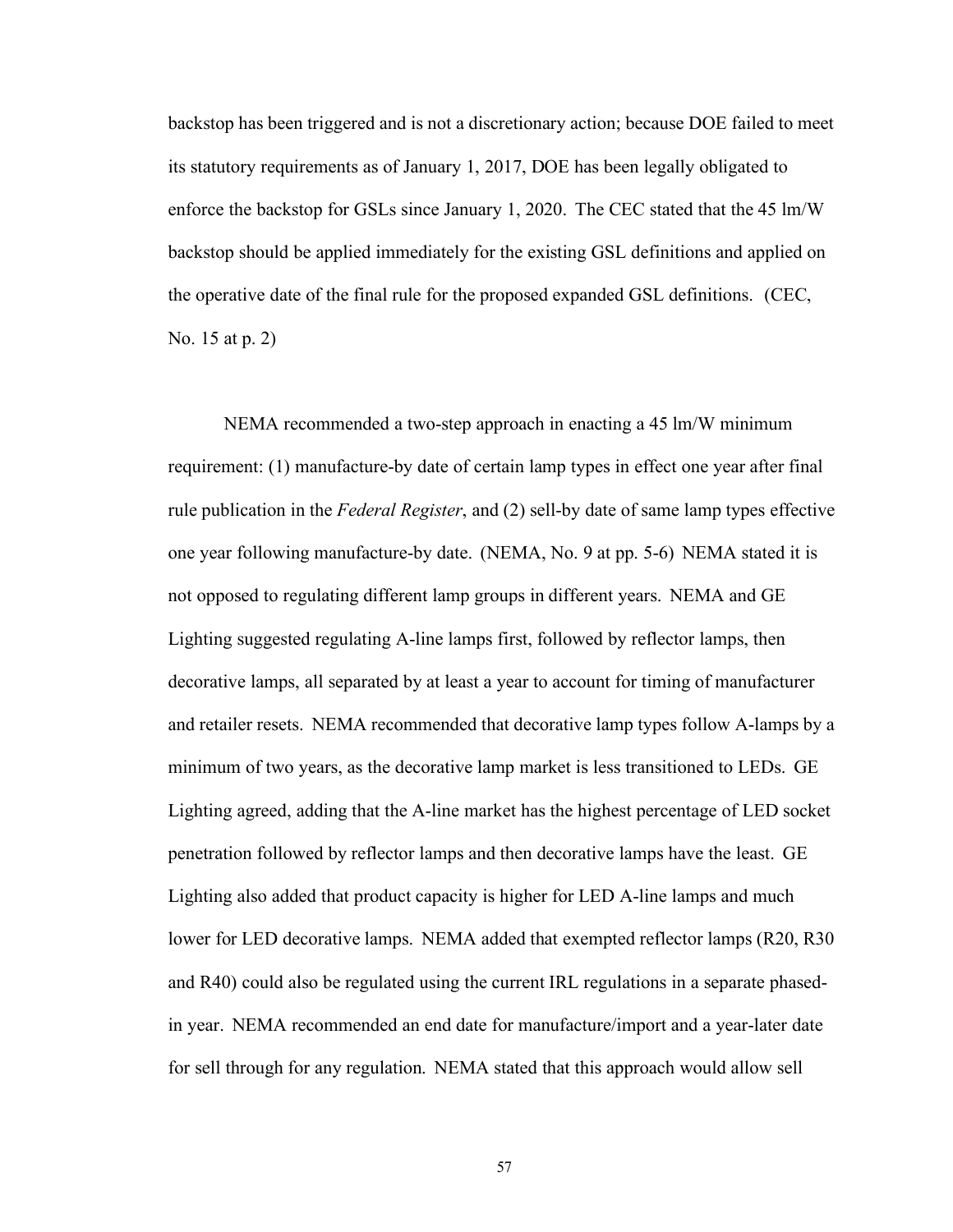backstop has been triggered and is not a discretionary action; because DOE failed to meet its statutory requirements as of January 1, 2017, DOE has been legally obligated to enforce the backstop for GSLs since January 1, 2020. The CEC stated that the 45 lm/W backstop should be applied immediately for the existing GSL definitions and applied on the operative date of the final rule for the proposed expanded GSL definitions. (CEC, No. 15 at p. 2)

NEMA recommended a two-step approach in enacting a 45 lm/W minimum requirement: (1) manufacture-by date of certain lamp types in effect one year after final rule publication in the *Federal Register*, and (2) sell-by date of same lamp types effective one year following manufacture-by date. (NEMA, No. 9 at pp. 5-6) NEMA stated it is not opposed to regulating different lamp groups in different years. NEMA and GE Lighting suggested regulating A-line lamps first, followed by reflector lamps, then decorative lamps, all separated by at least a year to account for timing of manufacturer and retailer resets. NEMA recommended that decorative lamp types follow A-lamps by a minimum of two years, as the decorative lamp market is less transitioned to LEDs. GE Lighting agreed, adding that the A-line market has the highest percentage of LED socket penetration followed by reflector lamps and then decorative lamps have the least. GE Lighting also added that product capacity is higher for LED A-line lamps and much lower for LED decorative lamps. NEMA added that exempted reflector lamps (R20, R30 and R40) could also be regulated using the current IRL regulations in a separate phasedin year. NEMA recommended an end date for manufacture/import and a year-later date for sell through for any regulation. NEMA stated that this approach would allow sell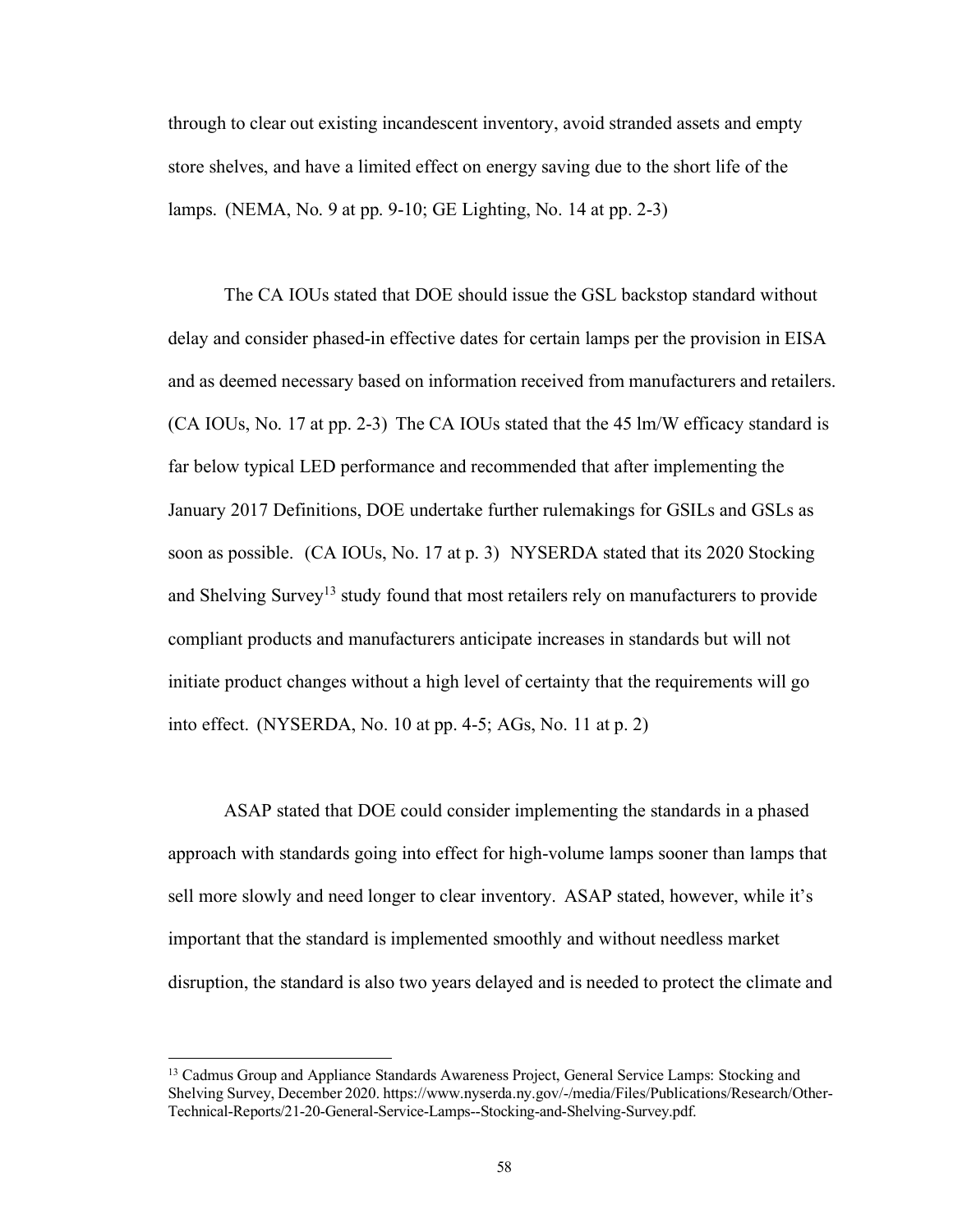through to clear out existing incandescent inventory, avoid stranded assets and empty store shelves, and have a limited effect on energy saving due to the short life of the lamps. (NEMA, No. 9 at pp. 9-10; GE Lighting, No. 14 at pp. 2-3)

The CA IOUs stated that DOE should issue the GSL backstop standard without delay and consider phased-in effective dates for certain lamps per the provision in EISA and as deemed necessary based on information received from manufacturers and retailers. (CA IOUs, No. 17 at pp. 2-3) The CA IOUs stated that the 45 lm/W efficacy standard is far below typical LED performance and recommended that after implementing the January 2017 Definitions, DOE undertake further rulemakings for GSILs and GSLs as soon as possible. (CA IOUs, No. 17 at p. 3) NYSERDA stated that its 2020 Stocking and Shelving Survey<sup>13</sup> study found that most retailers rely on manufacturers to provide compliant products and manufacturers anticipate increases in standards but will not initiate product changes without a high level of certainty that the requirements will go into effect. (NYSERDA, No. 10 at pp. 4-5; AGs, No. 11 at p. 2)

ASAP stated that DOE could consider implementing the standards in a phased approach with standards going into effect for high-volume lamps sooner than lamps that sell more slowly and need longer to clear inventory. ASAP stated, however, while it's important that the standard is implemented smoothly and without needless market disruption, the standard is also two years delayed and is needed to protect the climate and

<sup>&</sup>lt;sup>13</sup> Cadmus Group and Appliance Standards Awareness Project, General Service Lamps: Stocking and Shelving Survey, December 2020. http[s://www.n](http://www.nyserda.ny.gov/-/media/Files/Publications/Research/Other-)y[serda.ny.gov/-/media/Files/Publications/Research/Other-](http://www.nyserda.ny.gov/-/media/Files/Publications/Research/Other-)Technical-Reports/21-20-General-Service-Lamps--Stocking-and-Shelving-Survey.pdf.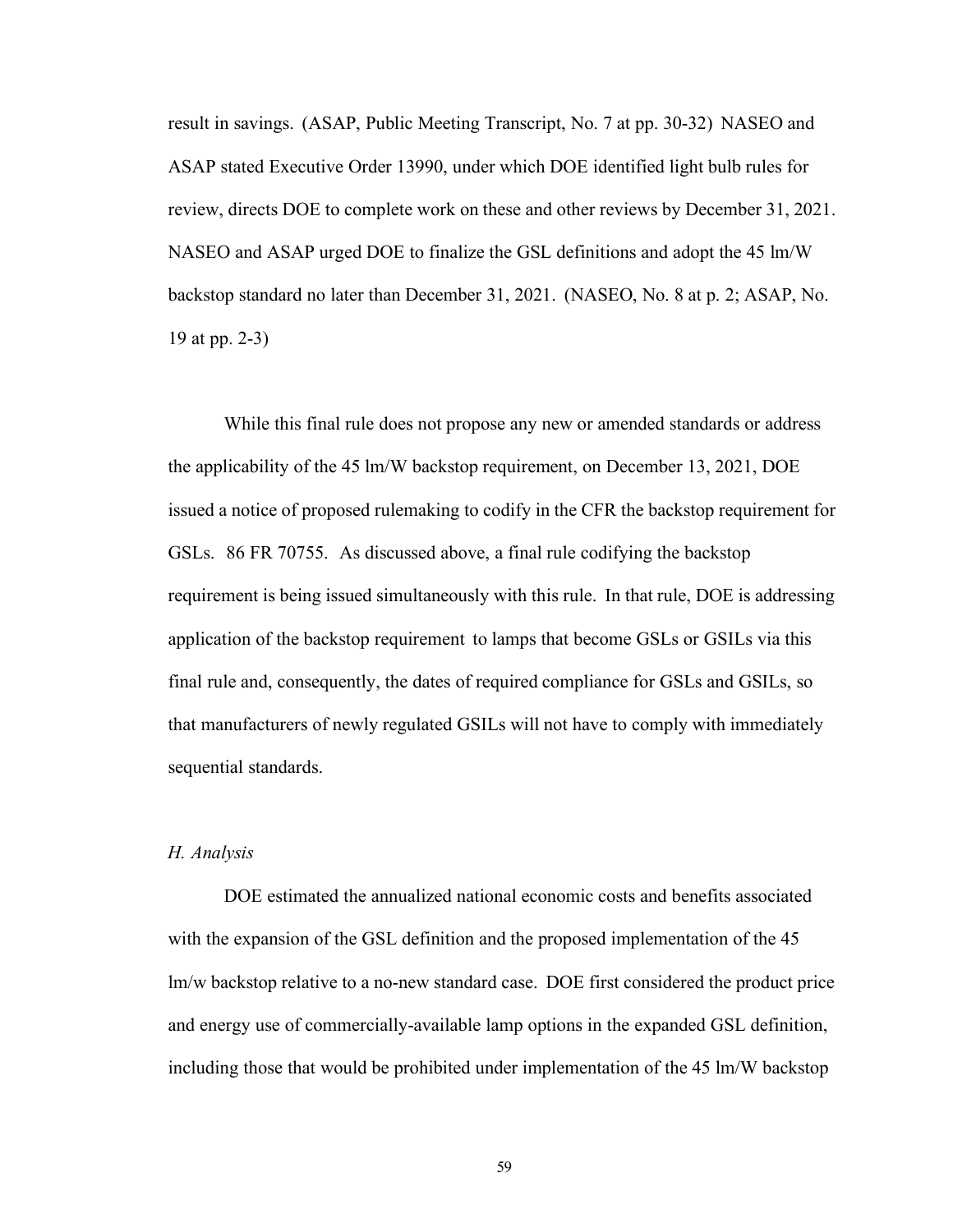result in savings. (ASAP, Public Meeting Transcript, No. 7 at pp. 30-32) NASEO and ASAP stated Executive Order 13990, under which DOE identified light bulb rules for review, directs DOE to complete work on these and other reviews by December 31, 2021. NASEO and ASAP urged DOE to finalize the GSL definitions and adopt the 45 lm/W backstop standard no later than December 31, 2021. (NASEO, No. 8 at p. 2; ASAP, No. 19 at pp. 2-3)

While this final rule does not propose any new or amended standards or address the applicability of the 45 lm/W backstop requirement, on December 13, 2021, DOE issued a notice of proposed rulemaking to codify in the CFR the backstop requirement for GSLs. 86 FR 70755. As discussed above, a final rule codifying the backstop requirement is being issued simultaneously with this rule. In that rule, DOE is addressing application of the backstop requirement to lamps that become GSLs or GSILs via this final rule and, consequently, the dates of required compliance for GSLs and GSILs, so that manufacturers of newly regulated GSILs will not have to comply with immediately sequential standards.

### <span id="page-59-0"></span>*H. Analysis*

DOE estimated the annualized national economic costs and benefits associated with the expansion of the GSL definition and the proposed implementation of the 45 lm/w backstop relative to a no-new standard case. DOE first considered the product price and energy use of commercially-available lamp options in the expanded GSL definition, including those that would be prohibited under implementation of the 45 lm/W backstop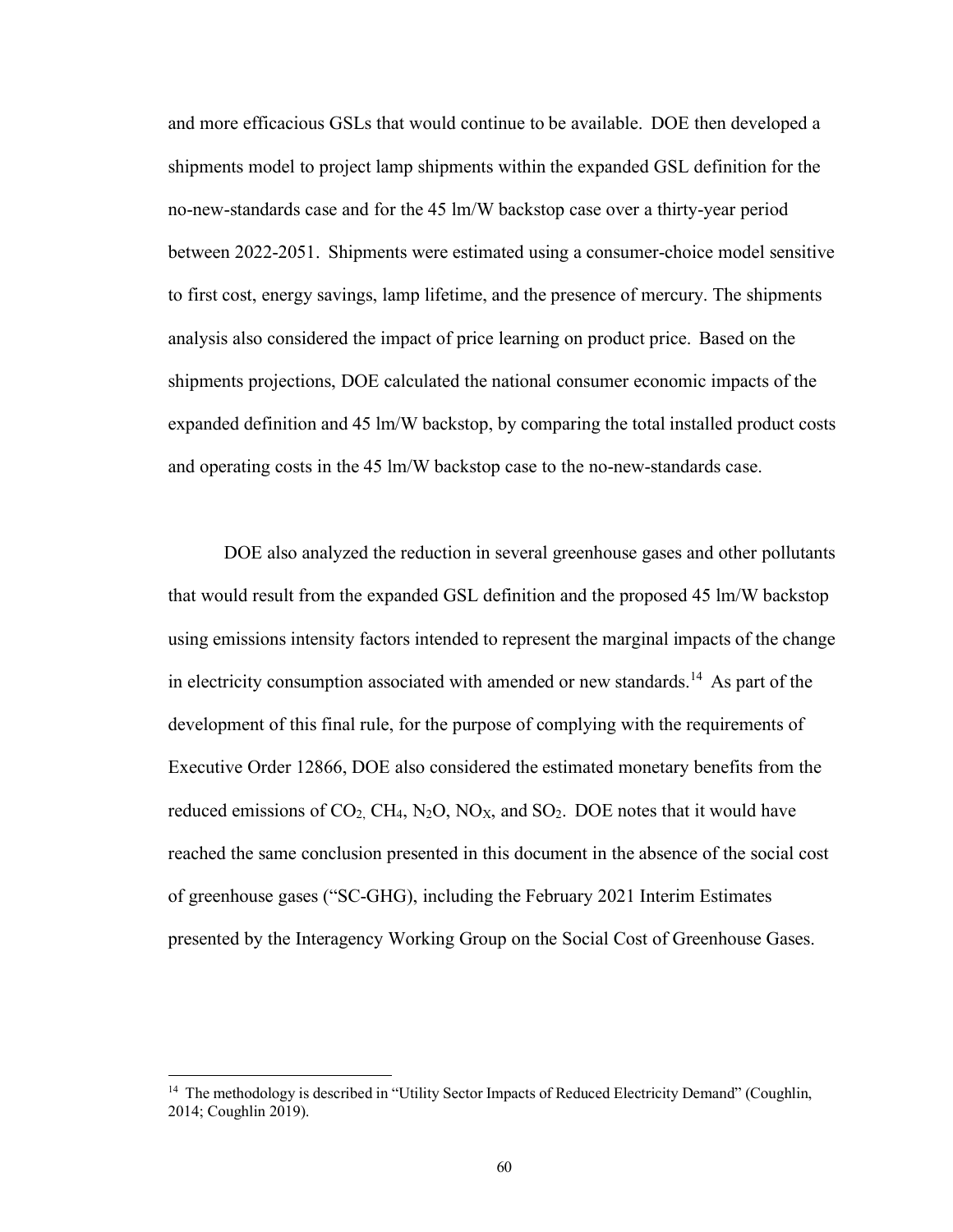and more efficacious GSLs that would continue to be available. DOE then developed a shipments model to project lamp shipments within the expanded GSL definition for the no-new-standards case and for the 45 lm/W backstop case over a thirty-year period between 2022-2051. Shipments were estimated using a consumer-choice model sensitive to first cost, energy savings, lamp lifetime, and the presence of mercury. The shipments analysis also considered the impact of price learning on product price. Based on the shipments projections, DOE calculated the national consumer economic impacts of the expanded definition and 45 lm/W backstop, by comparing the total installed product costs and operating costs in the 45 lm/W backstop case to the no-new-standards case.

DOE also analyzed the reduction in several greenhouse gases and other pollutants that would result from the expanded GSL definition and the proposed 45 lm/W backstop using emissions intensity factors intended to represent the marginal impacts of the change in electricity consumption associated with amended or new standards.<sup>14</sup> As part of the development of this final rule, for the purpose of complying with the requirements of Executive Order 12866, DOE also considered the estimated monetary benefits from the reduced emissions of  $CO_2$ , CH<sub>4</sub>, N<sub>2</sub>O, NO<sub>X</sub>, and SO<sub>2</sub>. DOE notes that it would have reached the same conclusion presented in this document in the absence of the social cost of greenhouse gases ("SC-GHG), including the February 2021 Interim Estimates presented by the Interagency Working Group on the Social Cost of Greenhouse Gases.

<sup>&</sup>lt;sup>14</sup> The methodology is described in "Utility Sector Impacts of Reduced Electricity Demand" (Coughlin, 2014; Coughlin 2019).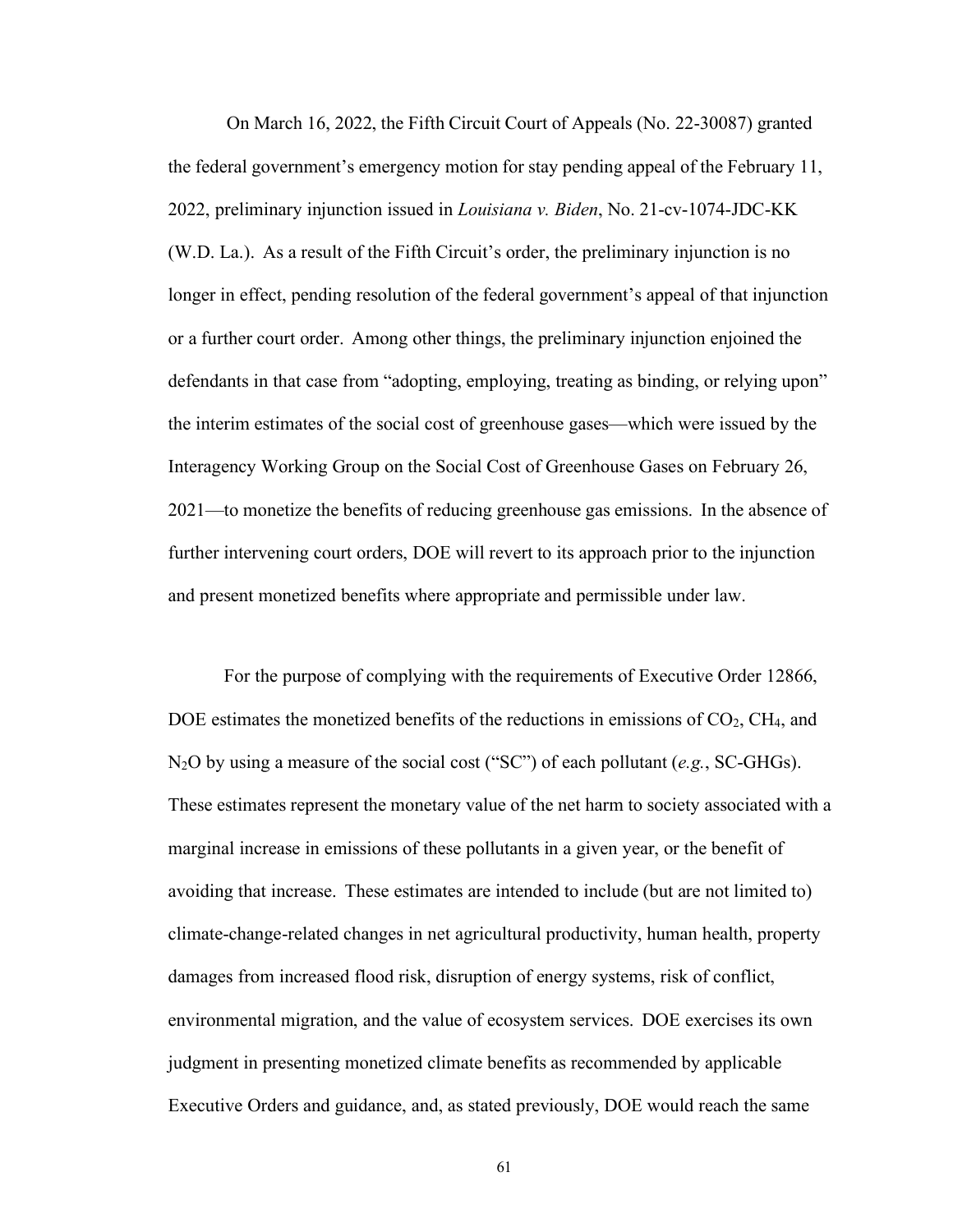On March 16, 2022, the Fifth Circuit Court of Appeals (No. 22-30087) granted the federal government's emergency motion for stay pending appeal of the February 11, 2022, preliminary injunction issued in *Louisiana v. Biden*, No. 21-cv-1074-JDC-KK (W.D. La.). As a result of the Fifth Circuit's order, the preliminary injunction is no longer in effect, pending resolution of the federal government's appeal of that injunction or a further court order. Among other things, the preliminary injunction enjoined the defendants in that case from "adopting, employing, treating as binding, or relying upon" the interim estimates of the social cost of greenhouse gases—which were issued by the Interagency Working Group on the Social Cost of Greenhouse Gases on February 26, 2021—to monetize the benefits of reducing greenhouse gas emissions. In the absence of further intervening court orders, DOE will revert to its approach prior to the injunction and present monetized benefits where appropriate and permissible under law.

For the purpose of complying with the requirements of Executive Order 12866, DOE estimates the monetized benefits of the reductions in emissions of  $CO<sub>2</sub>$ , CH<sub>4</sub>, and N2O by using a measure of the social cost ("SC") of each pollutant (*e.g.*, SC-GHGs). These estimates represent the monetary value of the net harm to society associated with a marginal increase in emissions of these pollutants in a given year, or the benefit of avoiding that increase. These estimates are intended to include (but are not limited to) climate-change-related changes in net agricultural productivity, human health, property damages from increased flood risk, disruption of energy systems, risk of conflict, environmental migration, and the value of ecosystem services. DOE exercises its own judgment in presenting monetized climate benefits as recommended by applicable Executive Orders and guidance, and, as stated previously, DOE would reach the same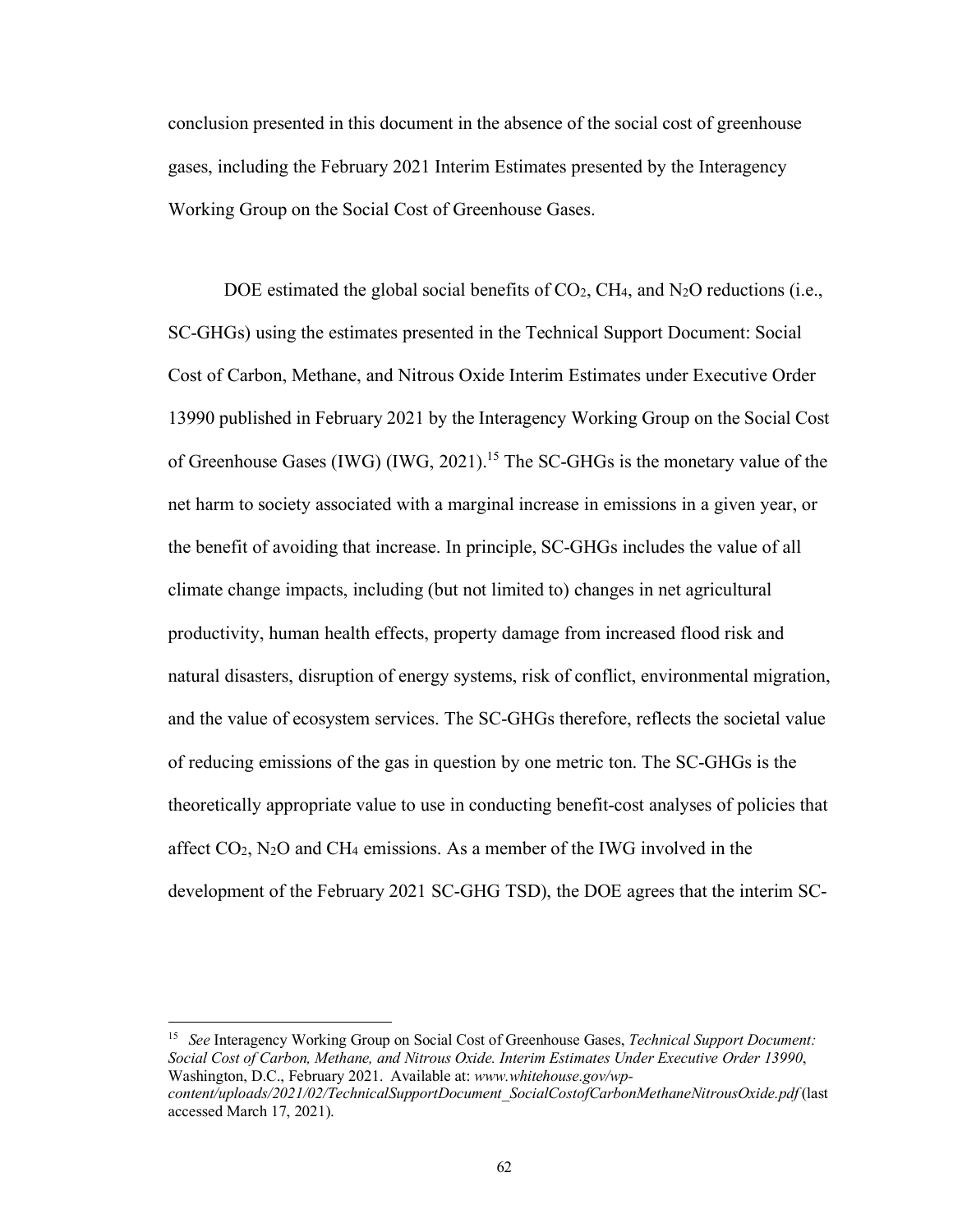conclusion presented in this document in the absence of the social cost of greenhouse gases, including the February 2021 Interim Estimates presented by the Interagency Working Group on the Social Cost of Greenhouse Gases.

DOE estimated the global social benefits of  $CO<sub>2</sub>$ , CH<sub>4</sub>, and N<sub>2</sub>O reductions (i.e., SC-GHGs) using the estimates presented in the Technical Support Document: Social Cost of Carbon, Methane, and Nitrous Oxide Interim Estimates under Executive Order 13990 published in February 2021 by the Interagency Working Group on the Social Cost of Greenhouse Gases (IWG) (IWG, 2021).<sup>15</sup> The SC-GHGs is the monetary value of the net harm to society associated with a marginal increase in emissions in a given year, or the benefit of avoiding that increase. In principle, SC-GHGs includes the value of all climate change impacts, including (but not limited to) changes in net agricultural productivity, human health effects, property damage from increased flood risk and natural disasters, disruption of energy systems, risk of conflict, environmental migration, and the value of ecosystem services. The SC-GHGs therefore, reflects the societal value of reducing emissions of the gas in question by one metric ton. The SC-GHGs is the theoretically appropriate value to use in conducting benefit-cost analyses of policies that affect  $CO_2$ , N<sub>2</sub>O and CH<sub>4</sub> emissions. As a member of the IWG involved in the development of the February 2021 SC-GHG TSD), the DOE agrees that the interim SC-

<sup>15</sup> *See* Interagency Working Group on Social Cost of Greenhouse Gases, *Technical Support Document: Social Cost of Carbon, Methane, and Nitrous Oxide. Interim Estimates Under Executive Order 13990*, Washington, D.C., February 2021. Available at: *[www.whitehouse.gov/wp](http://www.whitehouse.gov/wp-)content/uploads/2021/02/TechnicalSupportDocument\_SocialCostofCarbonMethaneNitrousOxide.pdf* (last accessed March 17, 2021).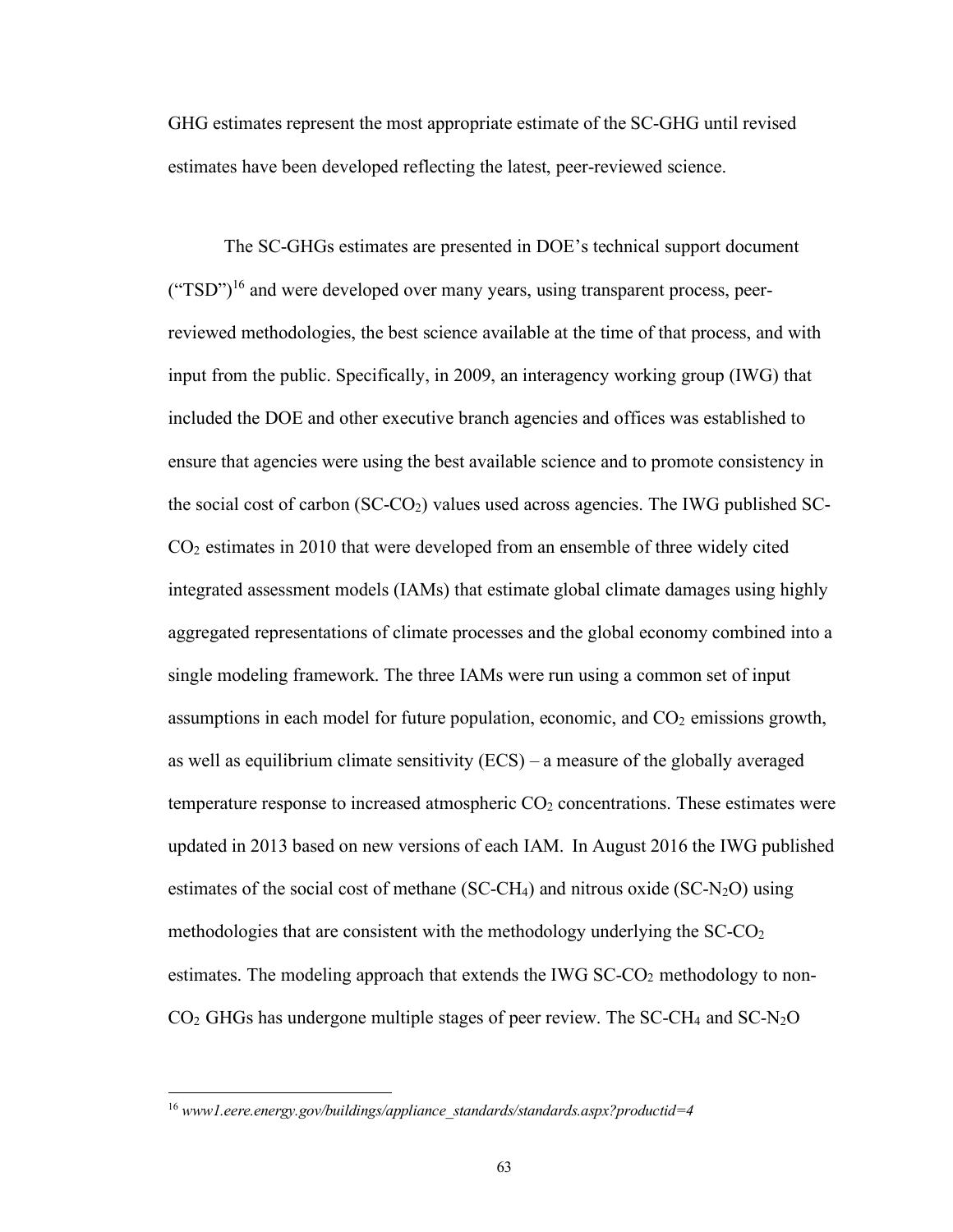GHG estimates represent the most appropriate estimate of the SC-GHG until revised estimates have been developed reflecting the latest, peer-reviewed science.

The SC-GHGs estimates are presented in DOE's technical support document  $({\rm 'TSD'})^{16}$  and were developed over many years, using transparent process, peerreviewed methodologies, the best science available at the time of that process, and with input from the public. Specifically, in 2009, an interagency working group (IWG) that included the DOE and other executive branch agencies and offices was established to ensure that agencies were using the best available science and to promote consistency in the social cost of carbon (SC-CO2) values used across agencies. The IWG published SC-CO2 estimates in 2010 that were developed from an ensemble of three widely cited integrated assessment models (IAMs) that estimate global climate damages using highly aggregated representations of climate processes and the global economy combined into a single modeling framework. The three IAMs were run using a common set of input assumptions in each model for future population, economic, and  $CO<sub>2</sub>$  emissions growth, as well as equilibrium climate sensitivity (ECS) – a measure of the globally averaged temperature response to increased atmospheric  $CO<sub>2</sub>$  concentrations. These estimates were updated in 2013 based on new versions of each IAM. In August 2016 the IWG published estimates of the social cost of methane (SC-CH<sub>4</sub>) and nitrous oxide (SC-N<sub>2</sub>O) using methodologies that are consistent with the methodology underlying the  $SC-CO<sub>2</sub>$ estimates. The modeling approach that extends the IWG  $SCCO<sub>2</sub>$  methodology to non- $CO<sub>2</sub>$  GHGs has undergone multiple stages of peer review. The SC-CH<sub>4</sub> and SC-N<sub>2</sub>O

<sup>16</sup> *www1.eere.energy.gov/buildings/appliance\_standards/standards.aspx?productid=4*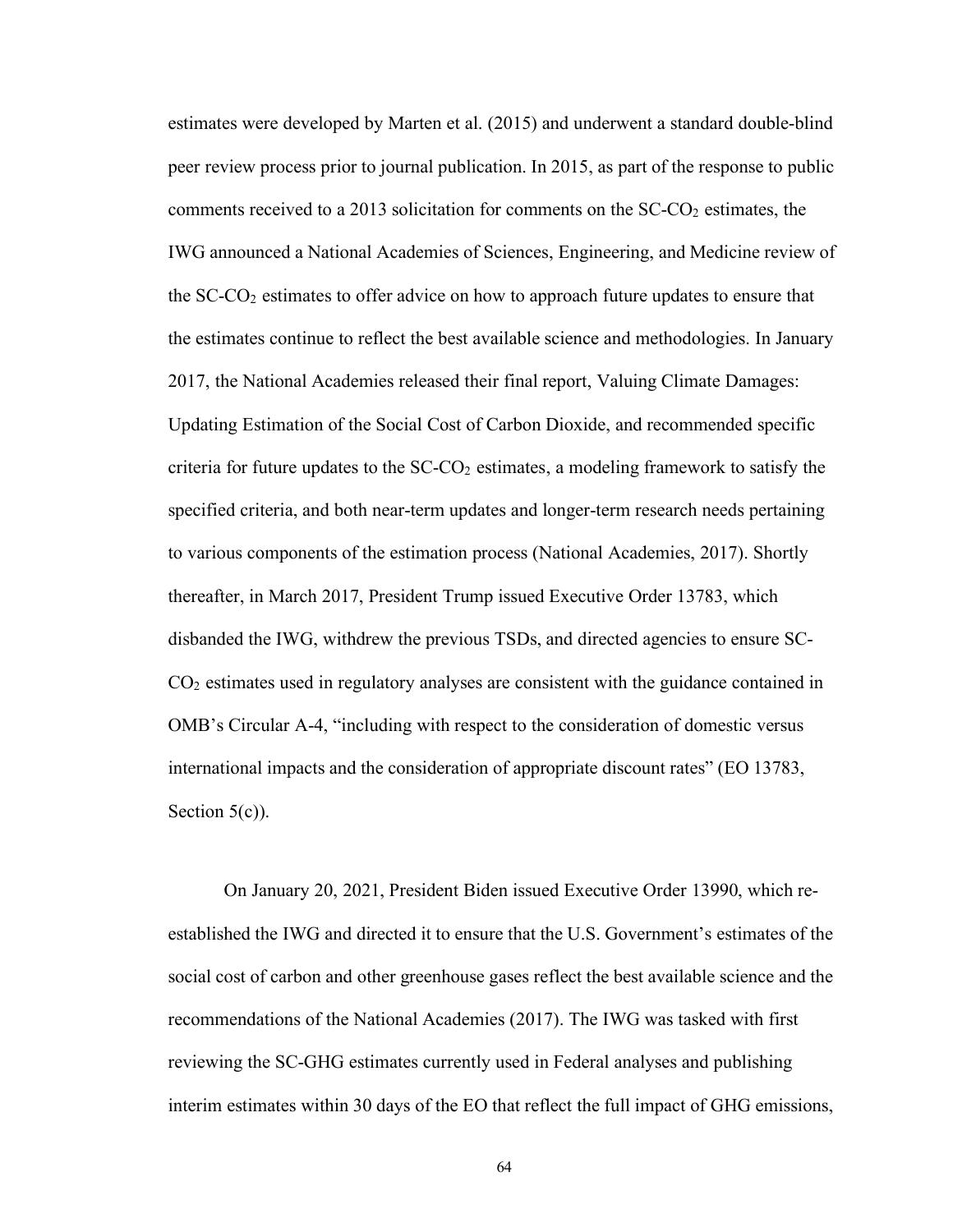estimates were developed by Marten et al. (2015) and underwent a standard double-blind peer review process prior to journal publication. In 2015, as part of the response to public comments received to a 2013 solicitation for comments on the  $SC-CO<sub>2</sub>$  estimates, the IWG announced a National Academies of Sciences, Engineering, and Medicine review of the  $SC-CO<sub>2</sub>$  estimates to offer advice on how to approach future updates to ensure that the estimates continue to reflect the best available science and methodologies. In January 2017, the National Academies released their final report, Valuing Climate Damages: Updating Estimation of the Social Cost of Carbon Dioxide, and recommended specific criteria for future updates to the  $SC\text{-}CO<sub>2</sub>$  estimates, a modeling framework to satisfy the specified criteria, and both near-term updates and longer-term research needs pertaining to various components of the estimation process (National Academies, 2017). Shortly thereafter, in March 2017, President Trump issued Executive Order 13783, which disbanded the IWG, withdrew the previous TSDs, and directed agencies to ensure SC- $CO<sub>2</sub>$  estimates used in regulatory analyses are consistent with the guidance contained in OMB's Circular A-4, "including with respect to the consideration of domestic versus international impacts and the consideration of appropriate discount rates" (EO 13783, Section  $5(c)$ ).

On January 20, 2021, President Biden issued Executive Order 13990, which reestablished the IWG and directed it to ensure that the U.S. Government's estimates of the social cost of carbon and other greenhouse gases reflect the best available science and the recommendations of the National Academies (2017). The IWG was tasked with first reviewing the SC-GHG estimates currently used in Federal analyses and publishing interim estimates within 30 days of the EO that reflect the full impact of GHG emissions,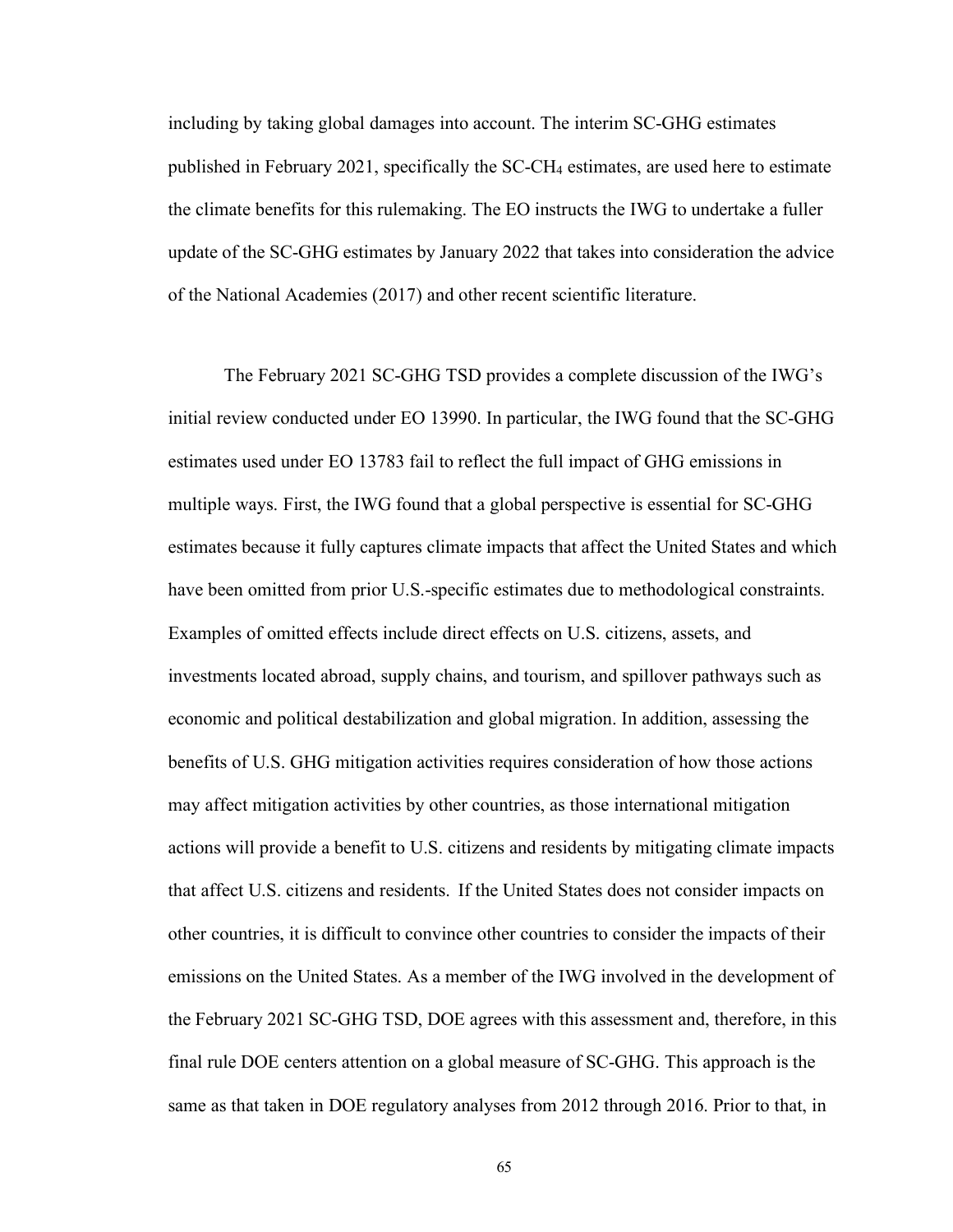including by taking global damages into account. The interim SC-GHG estimates published in February 2021, specifically the SC-CH4 estimates, are used here to estimate the climate benefits for this rulemaking. The EO instructs the IWG to undertake a fuller update of the SC-GHG estimates by January 2022 that takes into consideration the advice of the National Academies (2017) and other recent scientific literature.

The February 2021 SC-GHG TSD provides a complete discussion of the IWG's initial review conducted under EO 13990. In particular, the IWG found that the SC-GHG estimates used under EO 13783 fail to reflect the full impact of GHG emissions in multiple ways. First, the IWG found that a global perspective is essential for SC-GHG estimates because it fully captures climate impacts that affect the United States and which have been omitted from prior U.S.-specific estimates due to methodological constraints. Examples of omitted effects include direct effects on U.S. citizens, assets, and investments located abroad, supply chains, and tourism, and spillover pathways such as economic and political destabilization and global migration. In addition, assessing the benefits of U.S. GHG mitigation activities requires consideration of how those actions may affect mitigation activities by other countries, as those international mitigation actions will provide a benefit to U.S. citizens and residents by mitigating climate impacts that affect U.S. citizens and residents. If the United States does not consider impacts on other countries, it is difficult to convince other countries to consider the impacts of their emissions on the United States. As a member of the IWG involved in the development of the February 2021 SC-GHG TSD, DOE agrees with this assessment and, therefore, in this final rule DOE centers attention on a global measure of SC-GHG. This approach is the same as that taken in DOE regulatory analyses from 2012 through 2016. Prior to that, in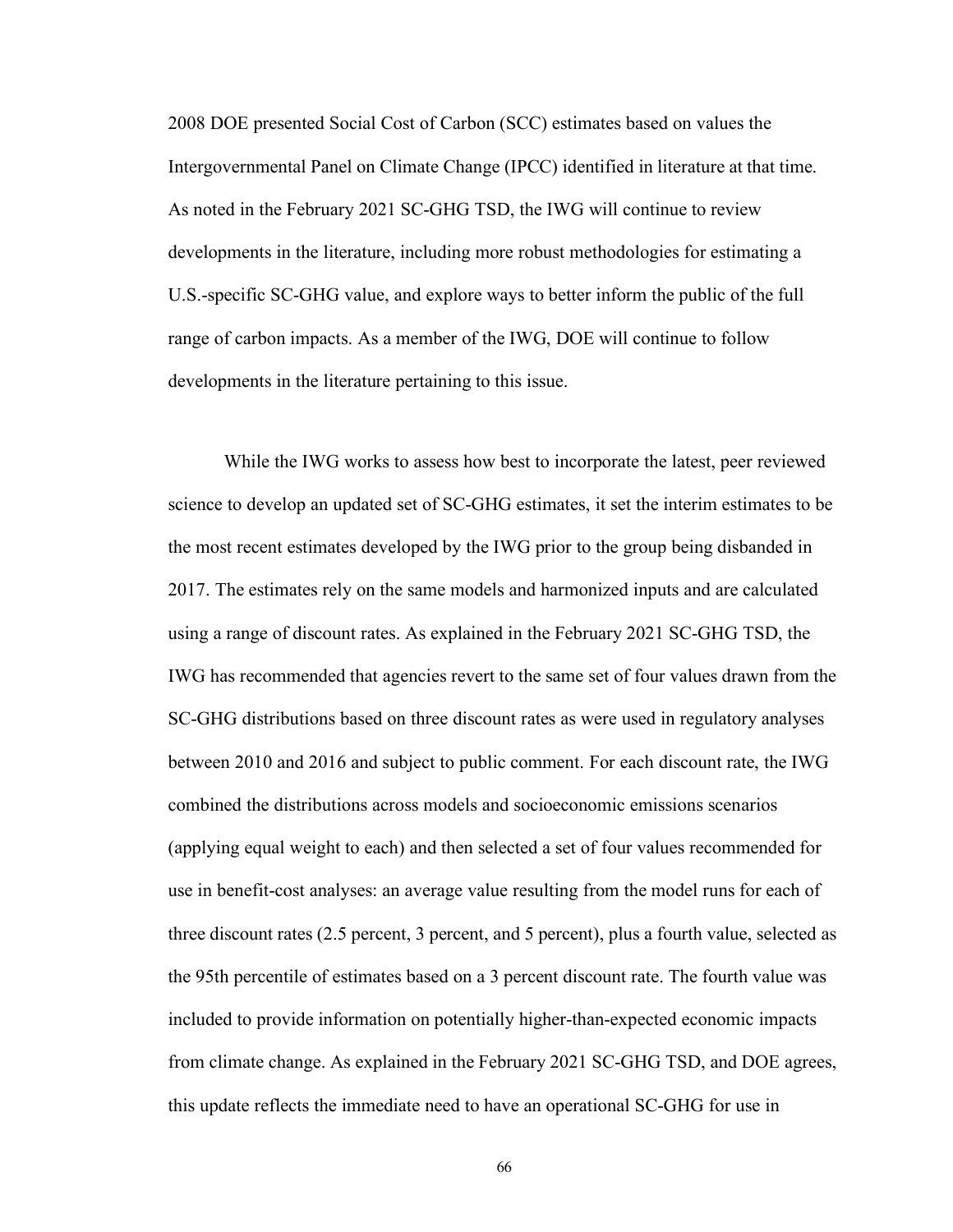2008 DOE presented Social Cost of Carbon (SCC) estimates based on values the Intergovernmental Panel on Climate Change (IPCC) identified in literature at that time. As noted in the February 2021 SC-GHG TSD, the IWG will continue to review developments in the literature, including more robust methodologies for estimating a U.S.-specific SC-GHG value, and explore ways to better inform the public of the full range of carbon impacts. As a member of the IWG, DOE will continue to follow developments in the literature pertaining to this issue.

While the IWG works to assess how best to incorporate the latest, peer reviewed science to develop an updated set of SC-GHG estimates, it set the interim estimates to be the most recent estimates developed by the IWG prior to the group being disbanded in 2017. The estimates rely on the same models and harmonized inputs and are calculated using a range of discount rates. As explained in the February 2021 SC-GHG TSD, the IWG has recommended that agencies revert to the same set of four values drawn from the SC-GHG distributions based on three discount rates as were used in regulatory analyses between 2010 and 2016 and subject to public comment. For each discount rate, the IWG combined the distributions across models and socioeconomic emissions scenarios (applying equal weight to each) and then selected a set of four values recommended for use in benefit-cost analyses: an average value resulting from the model runs for each of three discount rates (2.5 percent, 3 percent, and 5 percent), plus a fourth value, selected as the 95th percentile of estimates based on a 3 percent discount rate. The fourth value was included to provide information on potentially higher-than-expected economic impacts from climate change. As explained in the February 2021 SC-GHG TSD, and DOE agrees, this update reflects the immediate need to have an operational SC-GHG for use in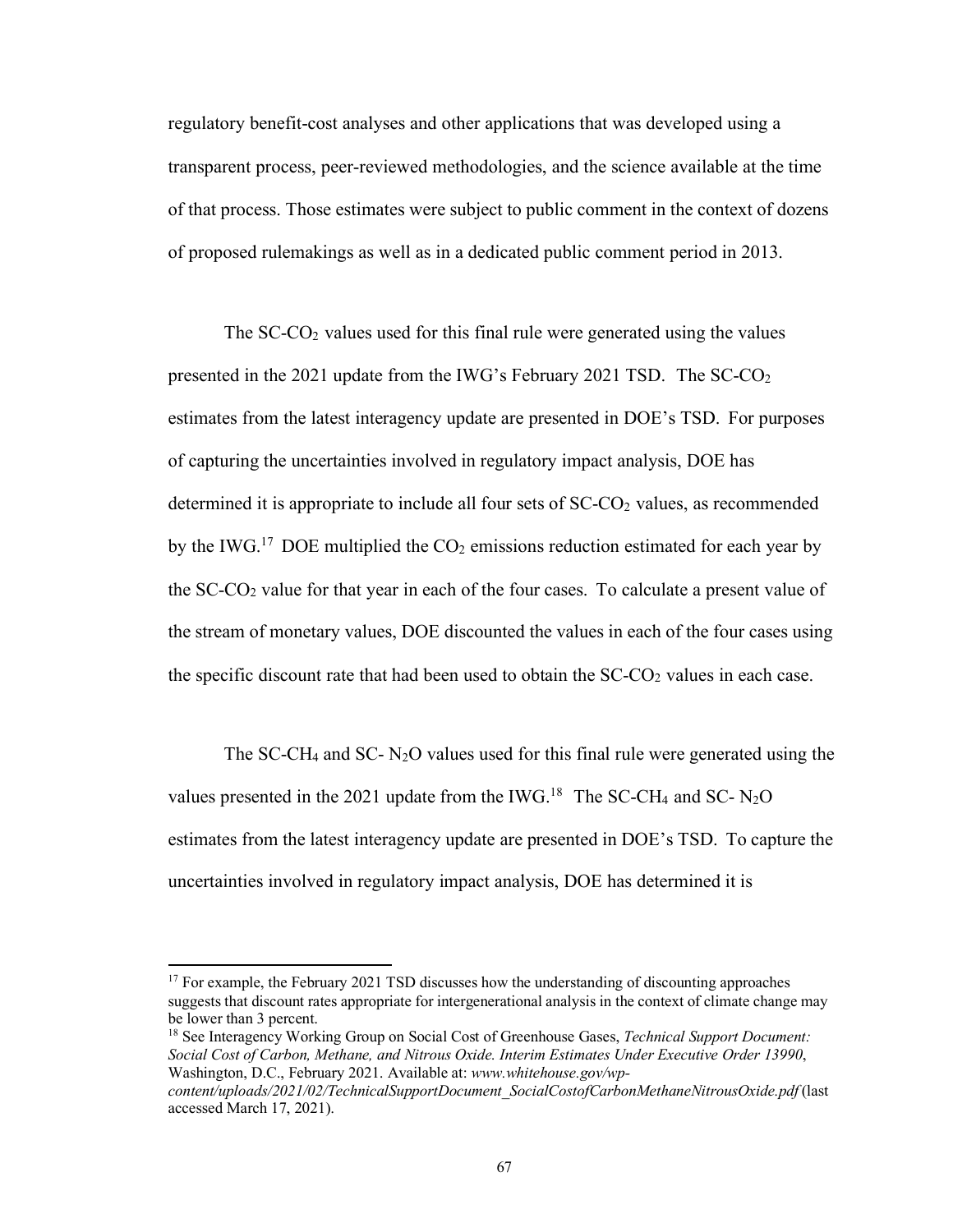regulatory benefit-cost analyses and other applications that was developed using a transparent process, peer-reviewed methodologies, and the science available at the time of that process. Those estimates were subject to public comment in the context of dozens of proposed rulemakings as well as in a dedicated public comment period in 2013.

The  $SC-CO<sub>2</sub>$  values used for this final rule were generated using the values presented in the 2021 update from the IWG's February 2021 TSD. The  $SC\text{-}CO<sub>2</sub>$ estimates from the latest interagency update are presented in DOE's TSD. For purposes of capturing the uncertainties involved in regulatory impact analysis, DOE has determined it is appropriate to include all four sets of  $SCCO<sub>2</sub>$  values, as recommended by the IWG.<sup>17</sup> DOE multiplied the  $CO<sub>2</sub>$  emissions reduction estimated for each year by the SC-CO2 value for that year in each of the four cases. To calculate a present value of the stream of monetary values, DOE discounted the values in each of the four cases using the specific discount rate that had been used to obtain the  $SC\text{-}CO<sub>2</sub>$  values in each case.

The SC-CH<sub>4</sub> and SC-  $N_2O$  values used for this final rule were generated using the values presented in the 2021 update from the IWG.<sup>18</sup> The SC-CH<sub>4</sub> and SC- N<sub>2</sub>O estimates from the latest interagency update are presented in DOE's TSD. To capture the uncertainties involved in regulatory impact analysis, DOE has determined it is

<sup>18</sup> See Interagency Working Group on Social Cost of Greenhouse Gases, *Technical Support Document: Social Cost of Carbon, Methane, and Nitrous Oxide. Interim Estimates Under Executive Order 13990*, Washington, D.C., February 2021. Available at: *[www.whitehouse.gov/wp-](http://www.whitehouse.gov/wp-)*

<sup>&</sup>lt;sup>17</sup> For example, the February 2021 TSD discusses how the understanding of discounting approaches suggests that discount rates appropriate for intergenerational analysis in the context of climate change may be lower than 3 percent.

*content/uploads/2021/02/TechnicalSupportDocument\_SocialCostofCarbonMethaneNitrousOxide.pdf* (last accessed March 17, 2021).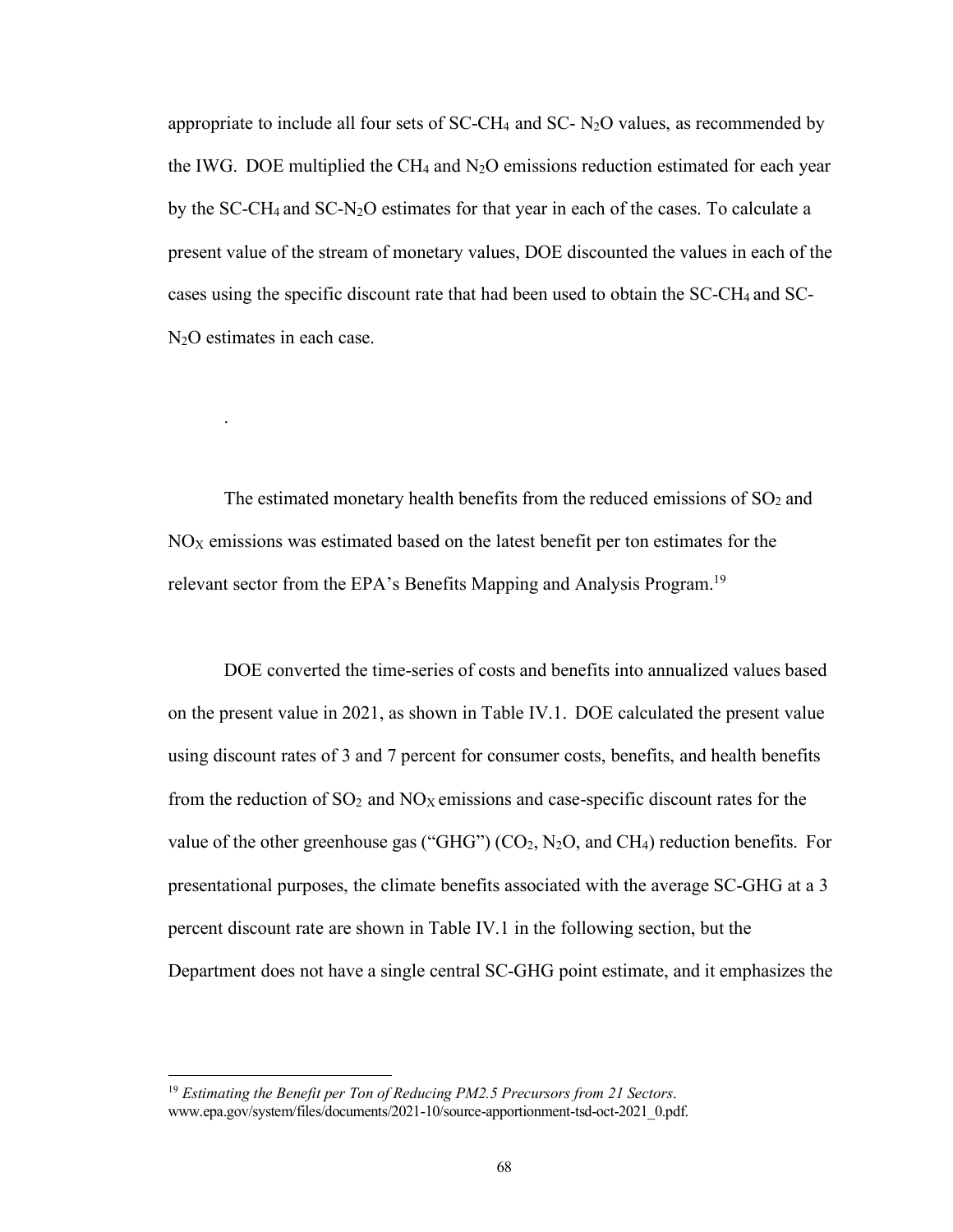appropriate to include all four sets of  $SC-CH_4$  and  $SC- N_2O$  values, as recommended by the IWG. DOE multiplied the CH<sub>4</sub> and  $N_2O$  emissions reduction estimated for each year by the SC-CH4 and SC-N2O estimates for that year in each of the cases. To calculate a present value of the stream of monetary values, DOE discounted the values in each of the cases using the specific discount rate that had been used to obtain the SC-CH4 and SC-N2O estimates in each case.

The estimated monetary health benefits from the reduced emissions of  $SO<sub>2</sub>$  and  $NO<sub>X</sub>$  emissions was estimated based on the latest benefit per ton estimates for the relevant sector from the EPA's Benefits Mapping and Analysis Program.<sup>19</sup>

.

DOE converted the time-series of costs and benefits into annualized values based on the present value in 2021, as shown in Table IV.1. DOE calculated the present value using discount rates of 3 and 7 percent for consumer costs, benefits, and health benefits from the reduction of  $SO_2$  and  $NO<sub>X</sub>$  emissions and case-specific discount rates for the value of the other greenhouse gas ("GHG")  $(CO_2, N_2O, \text{ and } CH_4)$  reduction benefits. For presentational purposes, the climate benefits associated with the average SC-GHG at a 3 percent discount rate are shown in Table IV.1 in the following section, but the Department does not have a single central SC-GHG point estimate, and it emphasizes the

<sup>19</sup> *Estimating the Benefit per Ton of Reducing PM2.5 Precursors from 21 Sectors*. [www.epa.gov/system/files/documents/2021-10/source-apportionment-tsd-oct-2021\\_0.pdf.](http://www.epa.gov/system/files/documents/2021-10/source-apportionment-tsd-oct-2021_0.pdf)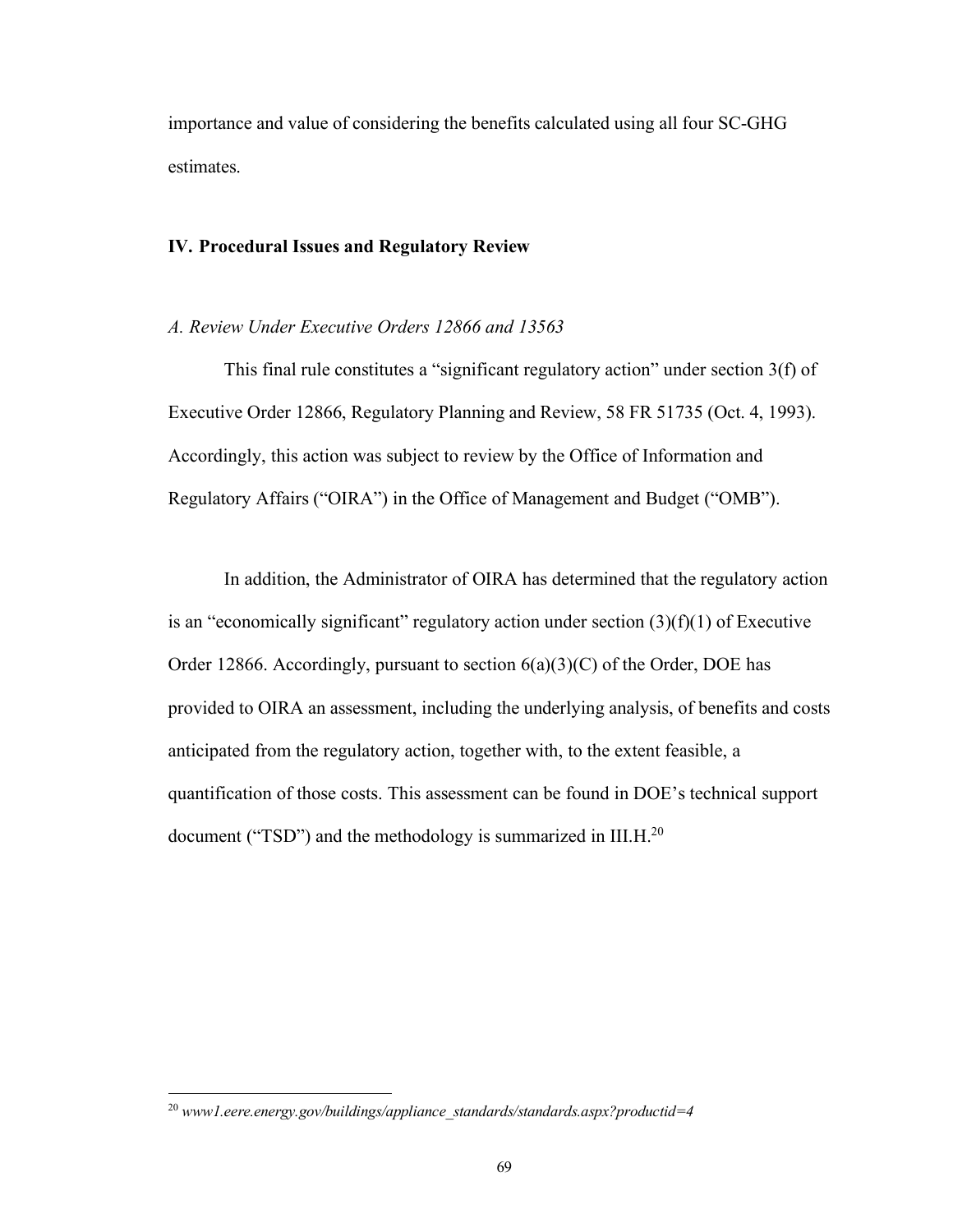importance and value of considering the benefits calculated using all four SC-GHG estimates.

## **IV. Procedural Issues and Regulatory Review**

# *A. Review Under Executive Orders 12866 and 13563*

This final rule constitutes a "significant regulatory action" under section 3(f) of Executive Order 12866, Regulatory Planning and Review, 58 FR 51735 (Oct. 4, 1993). Accordingly, this action was subject to review by the Office of Information and Regulatory Affairs ("OIRA") in the Office of Management and Budget ("OMB").

In addition, the Administrator of OIRA has determined that the regulatory action is an "economically significant" regulatory action under section  $(3)(f)(1)$  of Executive Order 12866. Accordingly, pursuant to section  $6(a)(3)(C)$  of the Order, DOE has provided to OIRA an assessment, including the underlying analysis, of benefits and costs anticipated from the regulatory action, together with, to the extent feasible, a quantification of those costs. This assessment can be found in DOE's technical support document ("TSD") and the methodology is summarized in III.H.<sup>20</sup>

<sup>20</sup> *www1.eere.energy.gov/buildings/appliance\_standards/standards.aspx?productid=4*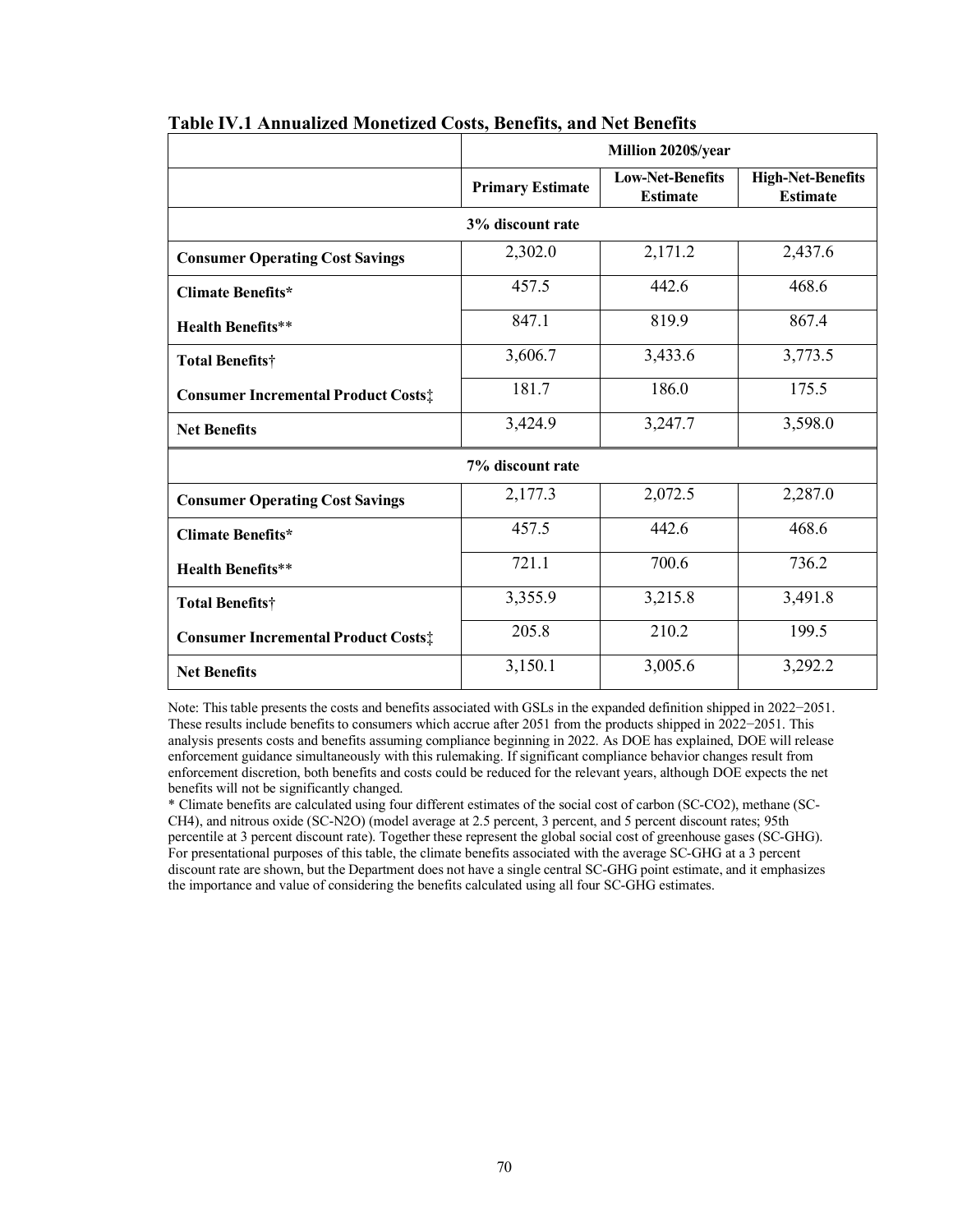|                                            | Million 2020\$/year     |                                            |                                             |
|--------------------------------------------|-------------------------|--------------------------------------------|---------------------------------------------|
|                                            | <b>Primary Estimate</b> | <b>Low-Net-Benefits</b><br><b>Estimate</b> | <b>High-Net-Benefits</b><br><b>Estimate</b> |
| 3% discount rate                           |                         |                                            |                                             |
| <b>Consumer Operating Cost Savings</b>     | 2,302.0                 | 2,171.2                                    | 2,437.6                                     |
| <b>Climate Benefits*</b>                   | 457.5                   | 442.6                                      | 468.6                                       |
| <b>Health Benefits**</b>                   | 847.1                   | 819.9                                      | 867.4                                       |
| Total Benefits†                            | 3,606.7                 | 3,433.6                                    | 3,773.5                                     |
| <b>Consumer Incremental Product Costs:</b> | 181.7                   | 186.0                                      | 175.5                                       |
| <b>Net Benefits</b>                        | 3,424.9                 | 3,247.7                                    | 3,598.0                                     |
| 7% discount rate                           |                         |                                            |                                             |
| <b>Consumer Operating Cost Savings</b>     | 2,177.3                 | 2,072.5                                    | 2,287.0                                     |
| <b>Climate Benefits*</b>                   | 457.5                   | 442.6                                      | 468.6                                       |
| <b>Health Benefits**</b>                   | 721.1                   | 700.6                                      | 736.2                                       |
| <b>Total Benefits†</b>                     | 3,355.9                 | 3,215.8                                    | 3,491.8                                     |
| <b>Consumer Incremental Product Costs:</b> | 205.8                   | 210.2                                      | 199.5                                       |
| <b>Net Benefits</b>                        | 3,150.1                 | 3,005.6                                    | 3,292.2                                     |

### **Table IV.1 Annualized Monetized Costs, Benefits, and Net Benefits**

Note: Thistable presents the costs and benefits associated with GSLs in the expanded definition shipped in 2022−2051. These results include benefits to consumers which accrue after 2051 from the products shipped in 2022−2051. This analysis presents costs and benefits assuming compliance beginning in 2022. As DOE has explained, DOE will release enforcement guidance simultaneously with this rulemaking. If significant compliance behavior changes result from enforcement discretion, both benefits and costs could be reduced for the relevant years, although DOE expects the net benefits will not be significantly changed.

\* Climate benefits are calculated using four different estimates of the social cost of carbon (SC-CO2), methane (SC-CH4), and nitrous oxide (SC-N2O) (model average at 2.5 percent, 3 percent, and 5 percent discount rates; 95th percentile at 3 percent discount rate). Together these represent the global social cost of greenhouse gases (SC-GHG). For presentational purposes of this table, the climate benefits associated with the average SC-GHG at a 3 percent discount rate are shown, but the Department does not have a single central SC-GHG point estimate, and it emphasizes the importance and value of considering the benefits calculated using all four SC-GHG estimates.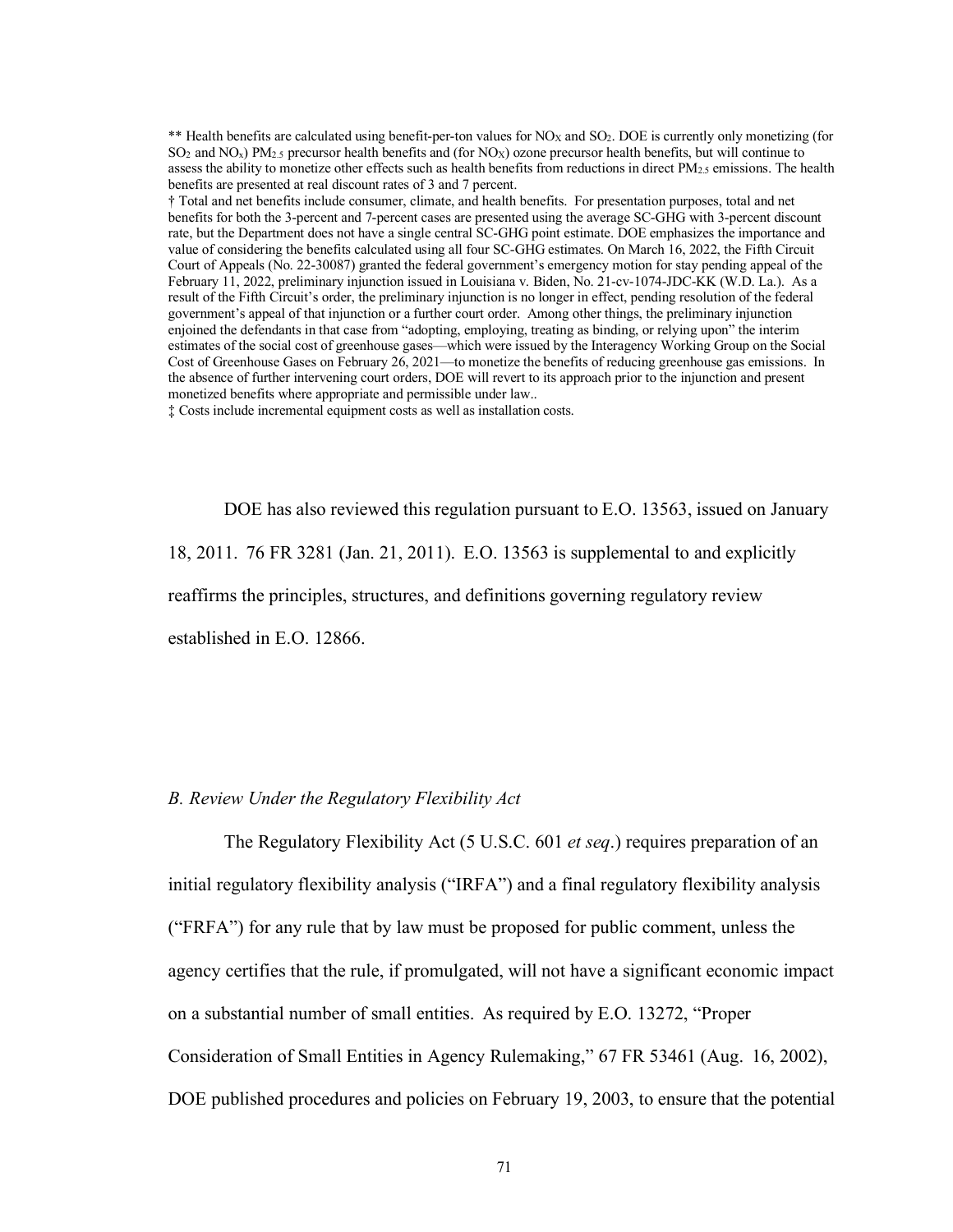\*\* Health benefits are calculated using benefit-per-ton values for NO<sub>X</sub> and SO<sub>2</sub>. DOE is currently only monetizing (for  $SO_2$  and  $NO_x$ ) PM<sub>2.5</sub> precursor health benefits and (for NO<sub>x</sub>) ozone precursor health benefits, but will continue to assess the ability to monetize other effects such as health benefits from reductions in direct PM<sub>2.5</sub> emissions. The health benefits are presented at real discount rates of 3 and 7 percent.

† Total and net benefits include consumer, climate, and health benefits. For presentation purposes, total and net benefits for both the 3-percent and 7-percent cases are presented using the average SC-GHG with 3-percent discount rate, but the Department does not have a single central SC-GHG point estimate. DOE emphasizes the importance and value of considering the benefits calculated using all four SC-GHG estimates. On March 16, 2022, the Fifth Circuit Court of Appeals (No. 22-30087) granted the federal government's emergency motion for stay pending appeal of the February 11, 2022, preliminary injunction issued in Louisiana v. Biden, No. 21-cv-1074-JDC-KK (W.D. La.). As a result of the Fifth Circuit's order, the preliminary injunction is no longer in effect, pending resolution of the federal government's appeal of that injunction or a further court order. Among other things, the preliminary injunction enjoined the defendants in that case from "adopting, employing, treating as binding, or relying upon" the interim estimates of the social cost of greenhouse gases—which were issued by the Interagency Working Group on the Social Cost of Greenhouse Gases on February 26, 2021—to monetize the benefits of reducing greenhouse gas emissions. In the absence of further intervening court orders, DOE will revert to its approach prior to the injunction and present monetized benefits where appropriate and permissible under law..

‡ Costs include incremental equipment costs as well as installation costs.

DOE has also reviewed this regulation pursuant to E.O. 13563, issued on January 18, 2011. 76 FR 3281 (Jan. 21, 2011). E.O. 13563 is supplemental to and explicitly reaffirms the principles, structures, and definitions governing regulatory review established in E.O. 12866.

### *B. Review Under the Regulatory Flexibility Act*

The Regulatory Flexibility Act (5 U.S.C. 601 *et seq*.) requires preparation of an initial regulatory flexibility analysis ("IRFA") and a final regulatory flexibility analysis ("FRFA") for any rule that by law must be proposed for public comment, unless the agency certifies that the rule, if promulgated, will not have a significant economic impact on a substantial number of small entities. As required by E.O. 13272, "Proper Consideration of Small Entities in Agency Rulemaking," 67 FR 53461 (Aug. 16, 2002), DOE published procedures and policies on February 19, 2003, to ensure that the potential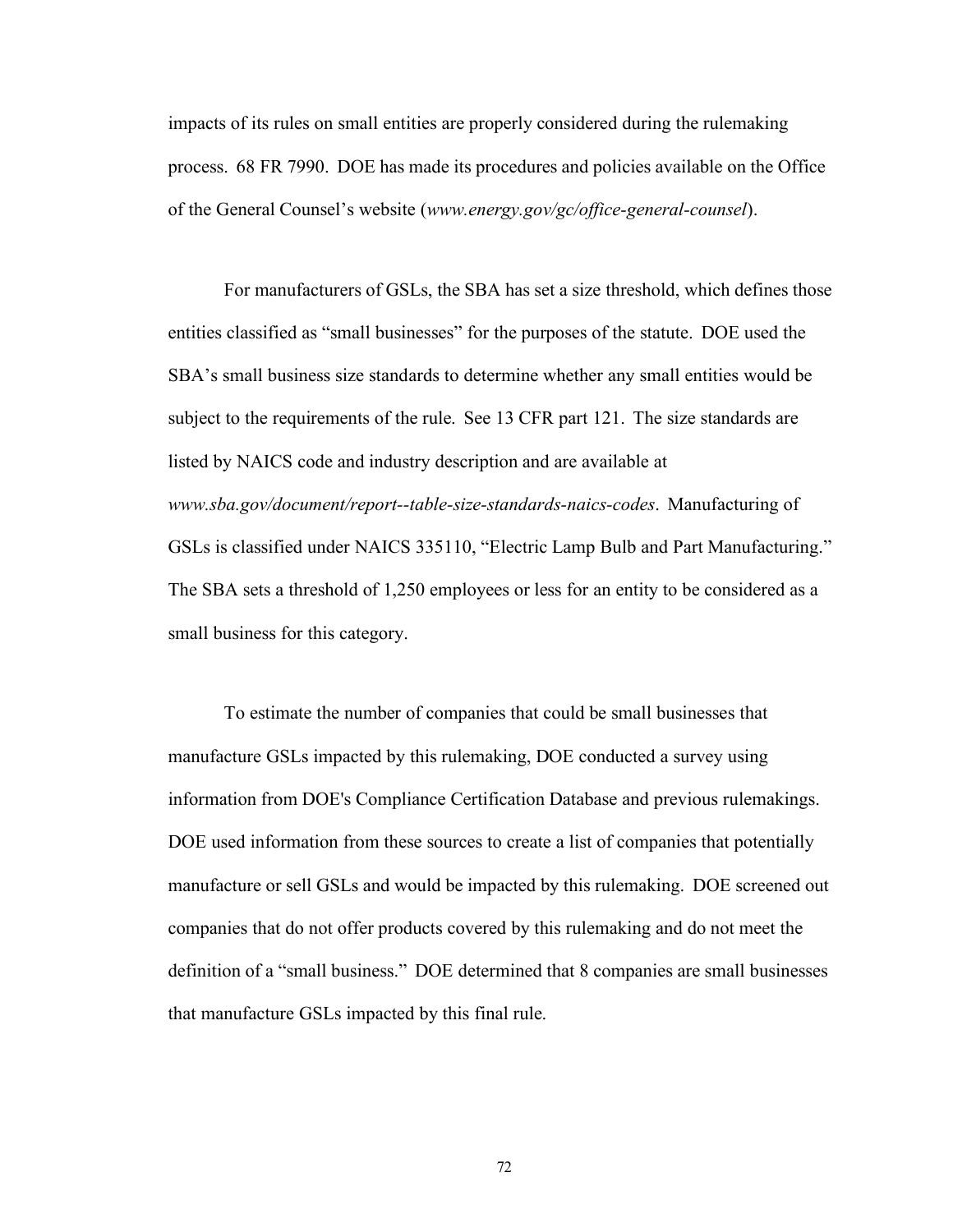impacts of its rules on small entities are properly considered during the rulemaking process. 68 FR 7990. DOE has made its procedures and policies available on the Office of the General Counsel's website (*[www.energy.gov/gc/office-general-counsel](http://www.energy.gov/gc/office-general-counsel))*).

For manufacturers of GSLs, the SBA has set a size threshold, which defines those entities classified as "small businesses" for the purposes of the statute. DOE used the SBA's small business size standards to determine whether any small entities would be subject to the requirements of the rule. See 13 CFR part 121. The size standards are listed by NAICS code and industry description and are available at *[www.sba.gov/document/report--table-size-standards-naics-codes](http://www.sba.gov/document/report--table-size-standards-naics-codes)*. Manufacturing of GSLs is classified under NAICS 335110, "Electric Lamp Bulb and Part Manufacturing." The SBA sets a threshold of 1,250 employees or less for an entity to be considered as a small business for this category.

To estimate the number of companies that could be small businesses that manufacture GSLs impacted by this rulemaking, DOE conducted a survey using information from DOE's Compliance Certification Database and previous rulemakings. DOE used information from these sources to create a list of companies that potentially manufacture or sell GSLs and would be impacted by this rulemaking. DOE screened out companies that do not offer products covered by this rulemaking and do not meet the definition of a "small business." DOE determined that 8 companies are small businesses that manufacture GSLs impacted by this final rule.

72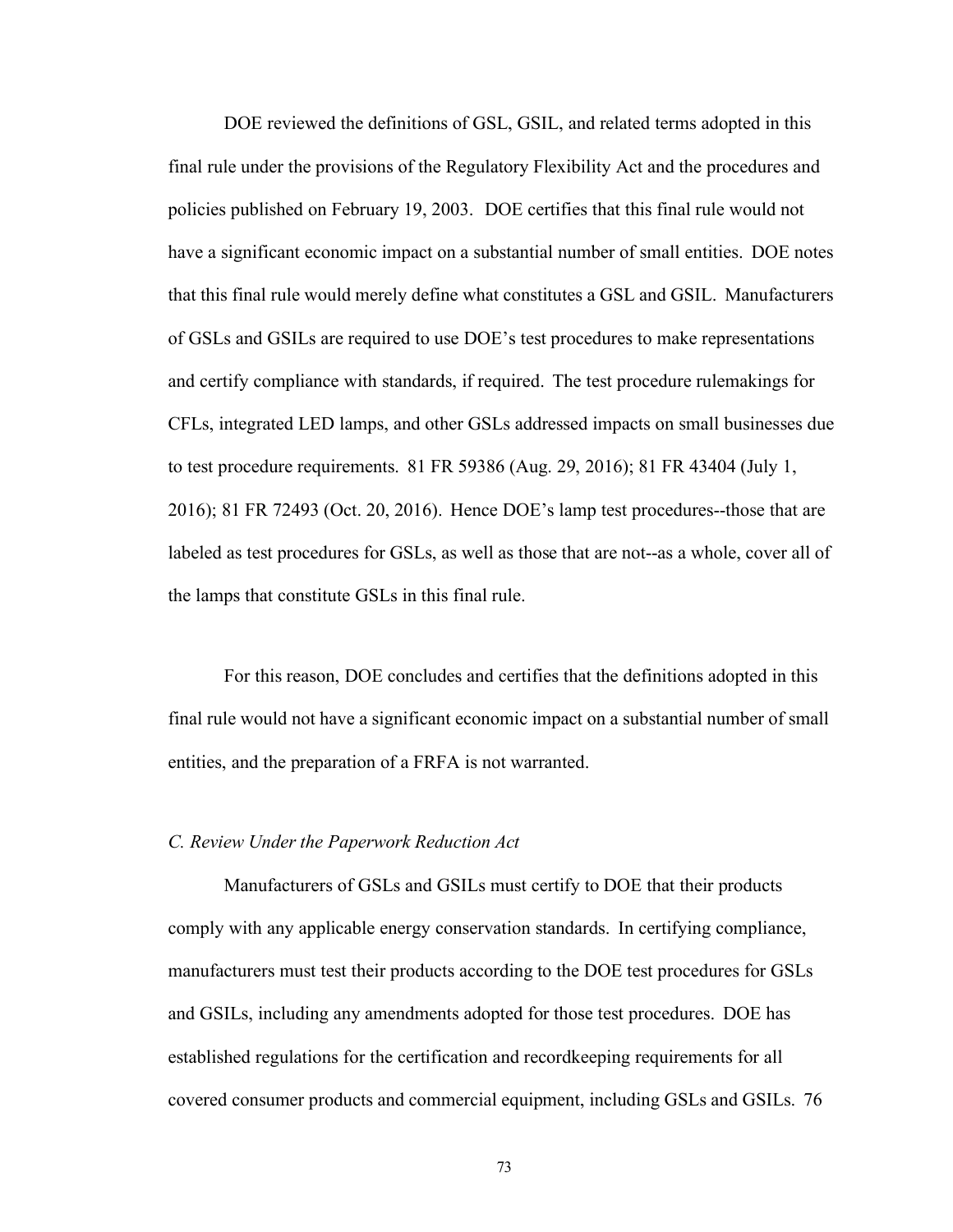DOE reviewed the definitions of GSL, GSIL, and related terms adopted in this final rule under the provisions of the Regulatory Flexibility Act and the procedures and policies published on February 19, 2003. DOE certifies that this final rule would not have a significant economic impact on a substantial number of small entities. DOE notes that this final rule would merely define what constitutes a GSL and GSIL. Manufacturers of GSLs and GSILs are required to use DOE's test procedures to make representations and certify compliance with standards, if required. The test procedure rulemakings for CFLs, integrated LED lamps, and other GSLs addressed impacts on small businesses due to test procedure requirements. 81 FR 59386 (Aug. 29, 2016); 81 FR 43404 (July 1, 2016); 81 FR 72493 (Oct. 20, 2016). Hence DOE's lamp test procedures--those that are labeled as test procedures for GSLs, as well as those that are not--as a whole, cover all of the lamps that constitute GSLs in this final rule.

For this reason, DOE concludes and certifies that the definitions adopted in this final rule would not have a significant economic impact on a substantial number of small entities, and the preparation of a FRFA is not warranted.

#### *C. Review Under the Paperwork Reduction Act*

Manufacturers of GSLs and GSILs must certify to DOE that their products comply with any applicable energy conservation standards. In certifying compliance, manufacturers must test their products according to the DOE test procedures for GSLs and GSILs, including any amendments adopted for those test procedures. DOE has established regulations for the certification and recordkeeping requirements for all covered consumer products and commercial equipment, including GSLs and GSILs. 76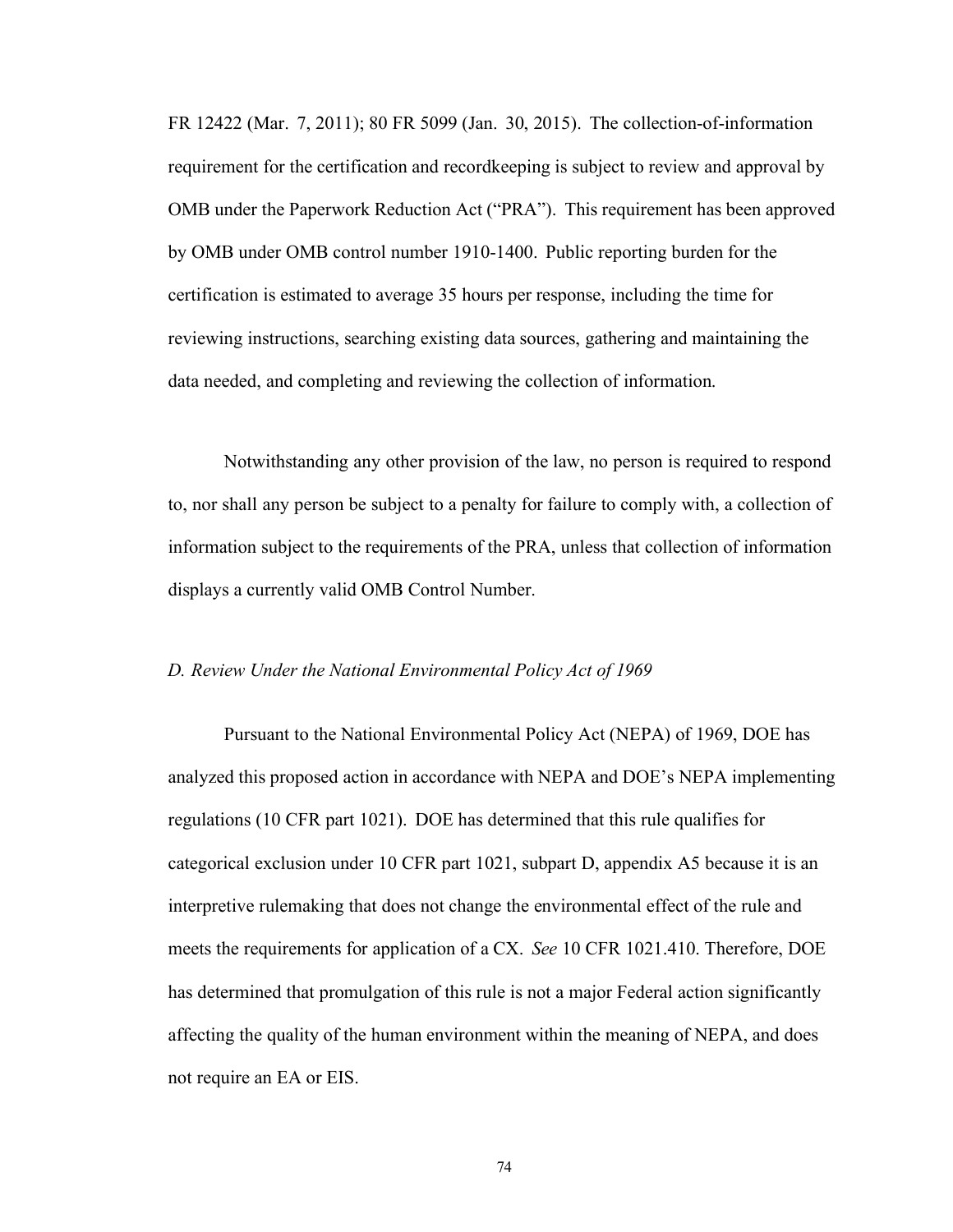FR 12422 (Mar. 7, 2011); 80 FR 5099 (Jan. 30, 2015). The collection-of-information requirement for the certification and recordkeeping is subject to review and approval by OMB under the Paperwork Reduction Act ("PRA"). This requirement has been approved by OMB under OMB control number 1910-1400. Public reporting burden for the certification is estimated to average 35 hours per response, including the time for reviewing instructions, searching existing data sources, gathering and maintaining the data needed, and completing and reviewing the collection of information.

Notwithstanding any other provision of the law, no person is required to respond to, nor shall any person be subject to a penalty for failure to comply with, a collection of information subject to the requirements of the PRA, unless that collection of information displays a currently valid OMB Control Number.

# *D. Review Under the National Environmental Policy Act of 1969*

Pursuant to the National Environmental Policy Act (NEPA) of 1969, DOE has analyzed this proposed action in accordance with NEPA and DOE's NEPA implementing regulations (10 CFR part 1021). DOE has determined that this rule qualifies for categorical exclusion under 10 CFR part 1021, subpart D, appendix A5 because it is an interpretive rulemaking that does not change the environmental effect of the rule and meets the requirements for application of a CX. *See* 10 CFR 1021.410. Therefore, DOE has determined that promulgation of this rule is not a major Federal action significantly affecting the quality of the human environment within the meaning of NEPA, and does not require an EA or EIS.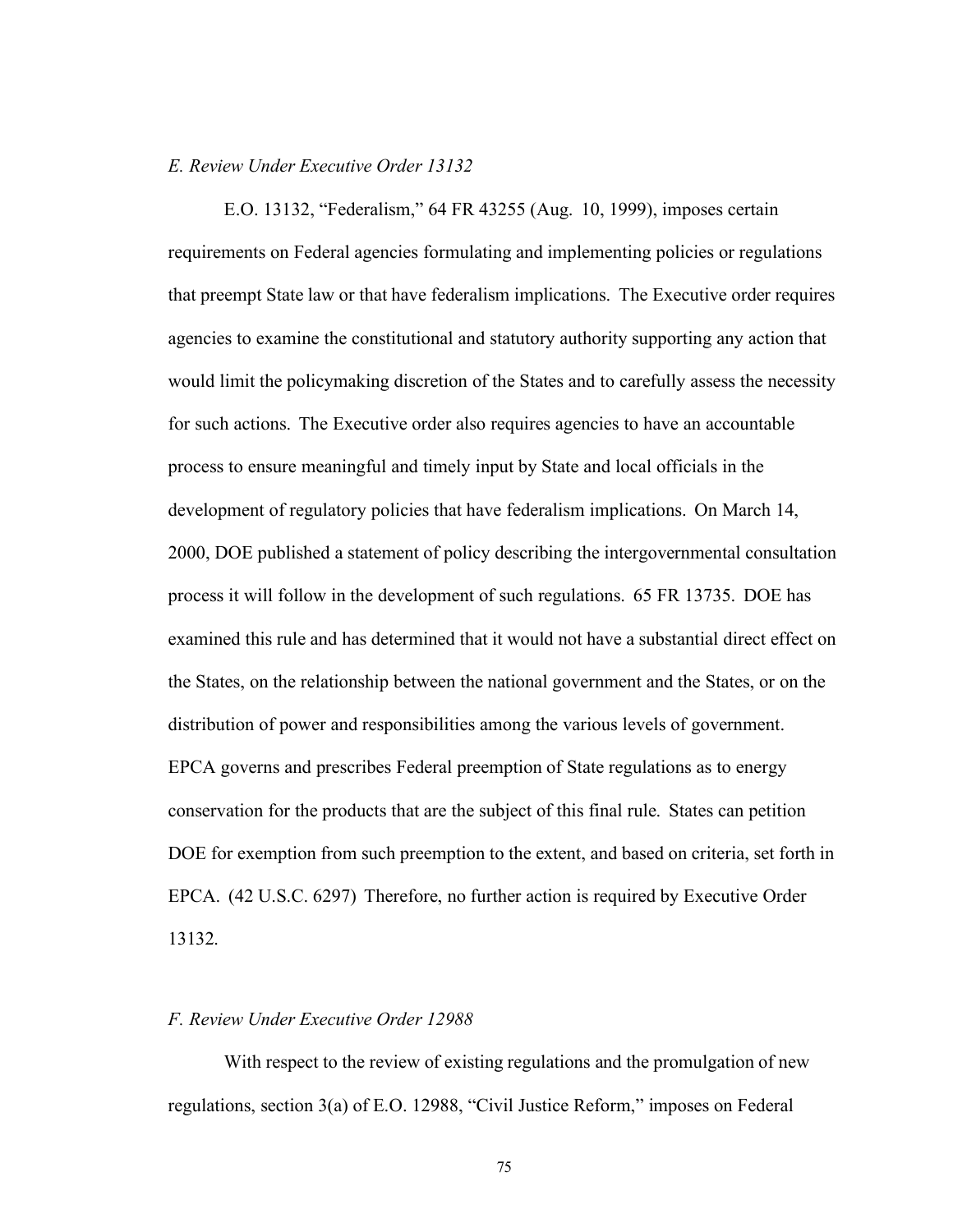#### *E. Review Under Executive Order 13132*

E.O. 13132, "Federalism," 64 FR 43255 (Aug. 10, 1999), imposes certain requirements on Federal agencies formulating and implementing policies or regulations that preempt State law or that have federalism implications. The Executive order requires agencies to examine the constitutional and statutory authority supporting any action that would limit the policymaking discretion of the States and to carefully assess the necessity for such actions. The Executive order also requires agencies to have an accountable process to ensure meaningful and timely input by State and local officials in the development of regulatory policies that have federalism implications. On March 14, 2000, DOE published a statement of policy describing the intergovernmental consultation process it will follow in the development of such regulations. 65 FR 13735. DOE has examined this rule and has determined that it would not have a substantial direct effect on the States, on the relationship between the national government and the States, or on the distribution of power and responsibilities among the various levels of government. EPCA governs and prescribes Federal preemption of State regulations as to energy conservation for the products that are the subject of this final rule. States can petition DOE for exemption from such preemption to the extent, and based on criteria, set forth in EPCA. (42 U.S.C. 6297) Therefore, no further action is required by Executive Order 13132.

#### *F. Review Under Executive Order 12988*

With respect to the review of existing regulations and the promulgation of new regulations, section 3(a) of E.O. 12988, "Civil Justice Reform," imposes on Federal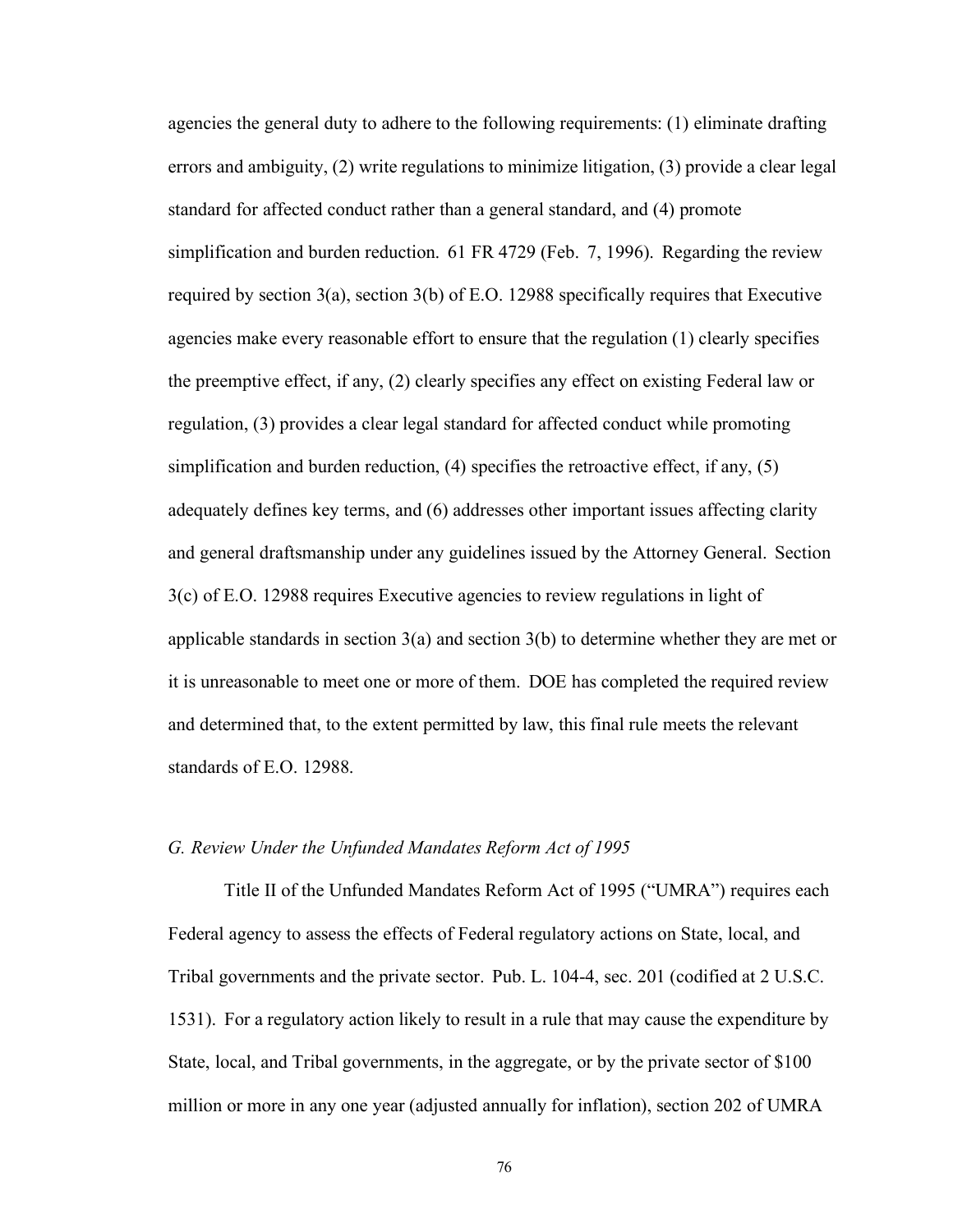agencies the general duty to adhere to the following requirements: (1) eliminate drafting errors and ambiguity, (2) write regulations to minimize litigation, (3) provide a clear legal standard for affected conduct rather than a general standard, and (4) promote simplification and burden reduction. 61 FR 4729 (Feb. 7, 1996). Regarding the review required by section 3(a), section 3(b) of E.O. 12988 specifically requires that Executive agencies make every reasonable effort to ensure that the regulation (1) clearly specifies the preemptive effect, if any, (2) clearly specifies any effect on existing Federal law or regulation, (3) provides a clear legal standard for affected conduct while promoting simplification and burden reduction, (4) specifies the retroactive effect, if any, (5) adequately defines key terms, and (6) addresses other important issues affecting clarity and general draftsmanship under any guidelines issued by the Attorney General. Section 3(c) of E.O. 12988 requires Executive agencies to review regulations in light of applicable standards in section 3(a) and section 3(b) to determine whether they are met or it is unreasonable to meet one or more of them. DOE has completed the required review and determined that, to the extent permitted by law, this final rule meets the relevant standards of E.O. 12988.

#### *G. Review Under the Unfunded Mandates Reform Act of 1995*

Title II of the Unfunded Mandates Reform Act of 1995 ("UMRA") requires each Federal agency to assess the effects of Federal regulatory actions on State, local, and Tribal governments and the private sector. Pub. L. 104-4, sec. 201 (codified at 2 U.S.C. 1531). For a regulatory action likely to result in a rule that may cause the expenditure by State, local, and Tribal governments, in the aggregate, or by the private sector of \$100 million or more in any one year (adjusted annually for inflation), section 202 of UMRA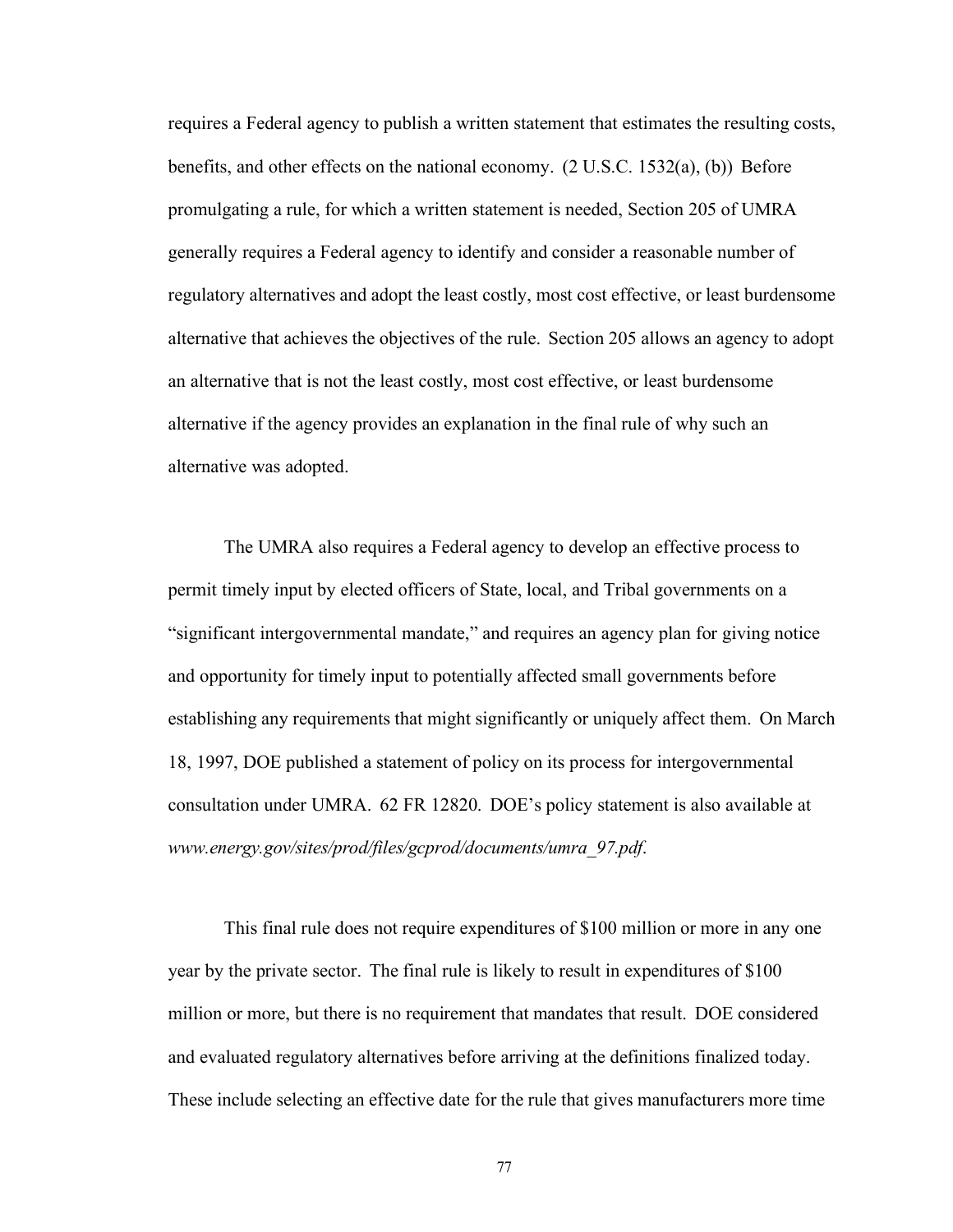requires a Federal agency to publish a written statement that estimates the resulting costs, benefits, and other effects on the national economy. (2 U.S.C. 1532(a), (b)) Before promulgating a rule, for which a written statement is needed, Section 205 of UMRA generally requires a Federal agency to identify and consider a reasonable number of regulatory alternatives and adopt the least costly, most cost effective, or least burdensome alternative that achieves the objectives of the rule. Section 205 allows an agency to adopt an alternative that is not the least costly, most cost effective, or least burdensome alternative if the agency provides an explanation in the final rule of why such an alternative was adopted.

The UMRA also requires a Federal agency to develop an effective process to permit timely input by elected officers of State, local, and Tribal governments on a "significant intergovernmental mandate," and requires an agency plan for giving notice and opportunity for timely input to potentially affected small governments before establishing any requirements that might significantly or uniquely affect them. On March 18, 1997, DOE published a statement of policy on its process for intergovernmental consultation under UMRA. 62 FR 12820. DOE's policy statement is also available at *[www.energy.gov/sites/prod/files/gcprod/documents/umra\\_97.pdf](http://www.energy.gov/sites/prod/files/gcprod/documents/umra_97.pdf)*.

This final rule does not require expenditures of \$100 million or more in any one year by the private sector. The final rule is likely to result in expenditures of \$100 million or more, but there is no requirement that mandates that result. DOE considered and evaluated regulatory alternatives before arriving at the definitions finalized today. These include selecting an effective date for the rule that gives manufacturers more time

77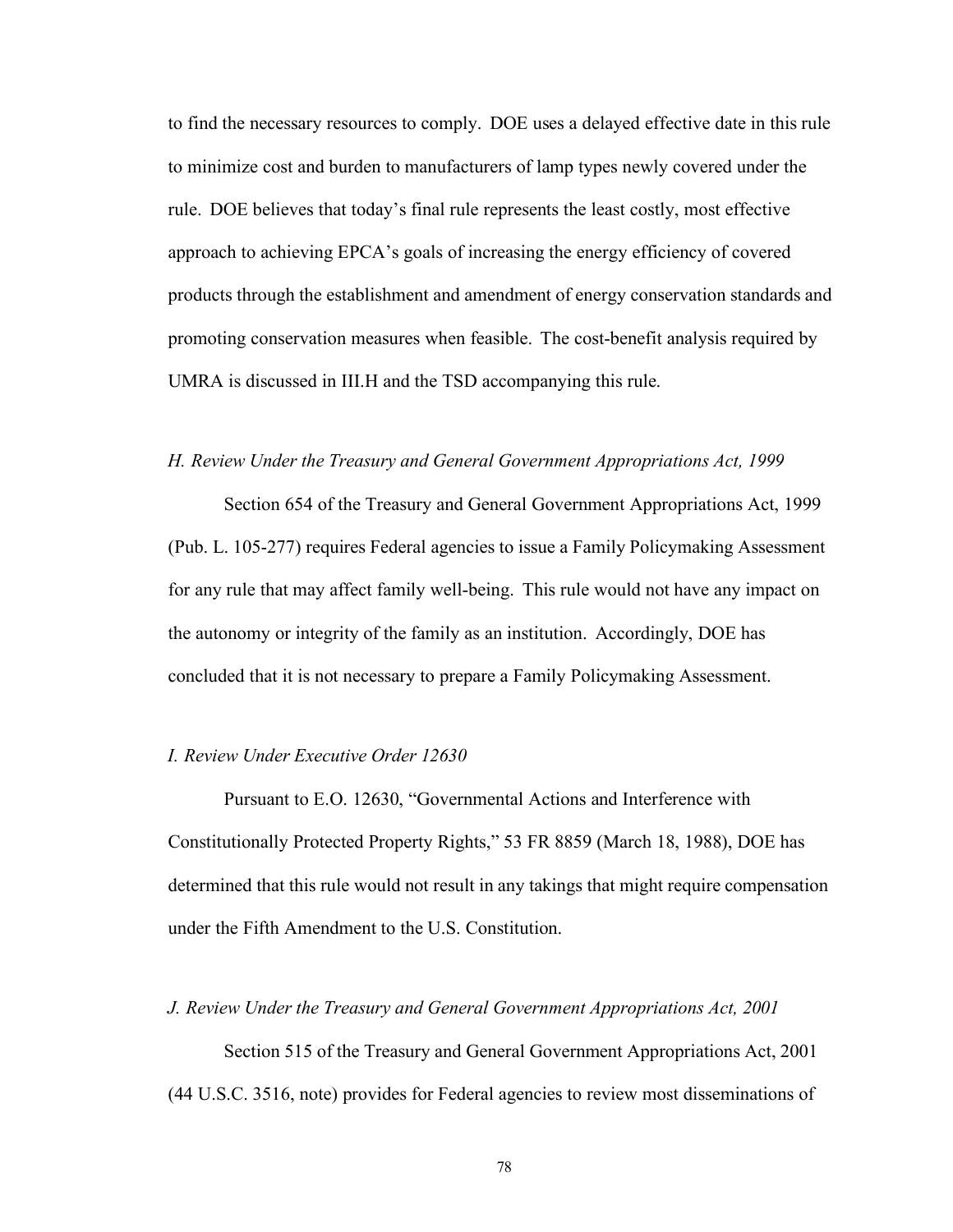to find the necessary resources to comply. DOE uses a delayed effective date in this rule to minimize cost and burden to manufacturers of lamp types newly covered under the rule. DOE believes that today's final rule represents the least costly, most effective approach to achieving EPCA's goals of increasing the energy efficiency of covered products through the establishment and amendment of energy conservation standards and promoting conservation measures when feasible. The cost-benefit analysis required by UMRA is discussed in III.H and the TSD accompanying this rule.

# *H. Review Under the Treasury and General Government Appropriations Act, 1999*

Section 654 of the Treasury and General Government Appropriations Act, 1999 (Pub. L. 105-277) requires Federal agencies to issue a Family Policymaking Assessment for any rule that may affect family well-being. This rule would not have any impact on the autonomy or integrity of the family as an institution. Accordingly, DOE has concluded that it is not necessary to prepare a Family Policymaking Assessment.

#### *I. Review Under Executive Order 12630*

Pursuant to E.O. 12630, "Governmental Actions and Interference with Constitutionally Protected Property Rights," 53 FR 8859 (March 18, 1988), DOE has determined that this rule would not result in any takings that might require compensation under the Fifth Amendment to the U.S. Constitution.

#### *J. Review Under the Treasury and General Government Appropriations Act, 2001*

Section 515 of the Treasury and General Government Appropriations Act, 2001 (44 U.S.C. 3516, note) provides for Federal agencies to review most disseminations of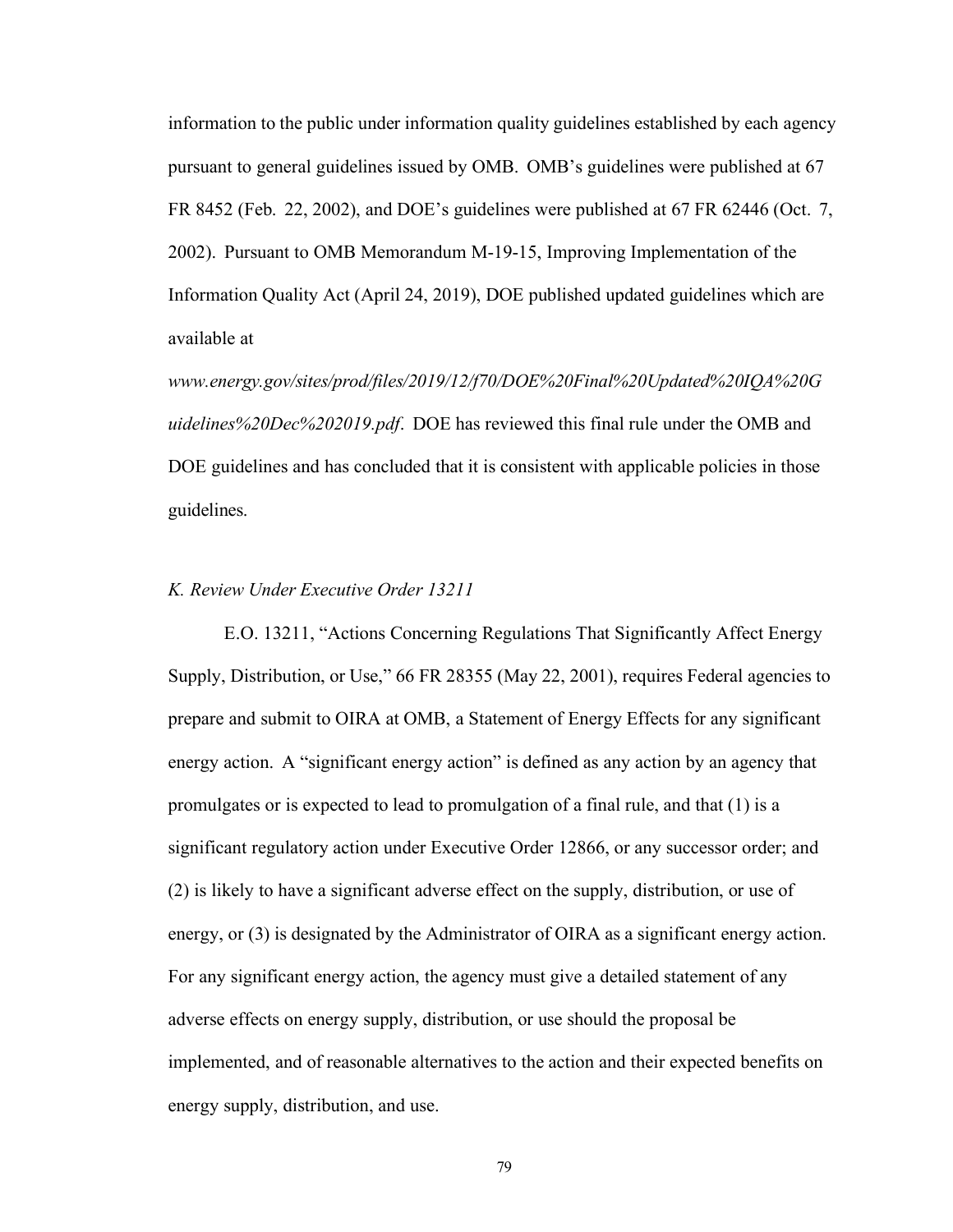information to the public under information quality guidelines established by each agency pursuant to general guidelines issued by OMB. OMB's guidelines were published at 67 FR 8452 (Feb. 22, 2002), and DOE's guidelines were published at 67 FR 62446 (Oct. 7, 2002). Pursuant to OMB Memorandum M-19-15, Improving Implementation of the Information Quality Act (April 24, 2019), DOE published updated guidelines which are available at

*[www.energy.gov/sites/prod/files/2019/12/f70/DOE%20Final%20Updated%20IQA%20G](http://www.energy.gov/sites/prod/files/2019/12/f70/DOE%20Final%20Updated%20IQA%20G) uidelines%20Dec%202019.pdf*. DOE has reviewed this final rule under the OMB and DOE guidelines and has concluded that it is consistent with applicable policies in those guidelines.

# *K. Review Under Executive Order 13211*

E.O. 13211, "Actions Concerning Regulations That Significantly Affect Energy Supply, Distribution, or Use," 66 FR 28355 (May 22, 2001), requires Federal agencies to prepare and submit to OIRA at OMB, a Statement of Energy Effects for any significant energy action. A "significant energy action" is defined as any action by an agency that promulgates or is expected to lead to promulgation of a final rule, and that (1) is a significant regulatory action under Executive Order 12866, or any successor order; and (2) is likely to have a significant adverse effect on the supply, distribution, or use of energy, or (3) is designated by the Administrator of OIRA as a significant energy action. For any significant energy action, the agency must give a detailed statement of any adverse effects on energy supply, distribution, or use should the proposal be implemented, and of reasonable alternatives to the action and their expected benefits on energy supply, distribution, and use.

79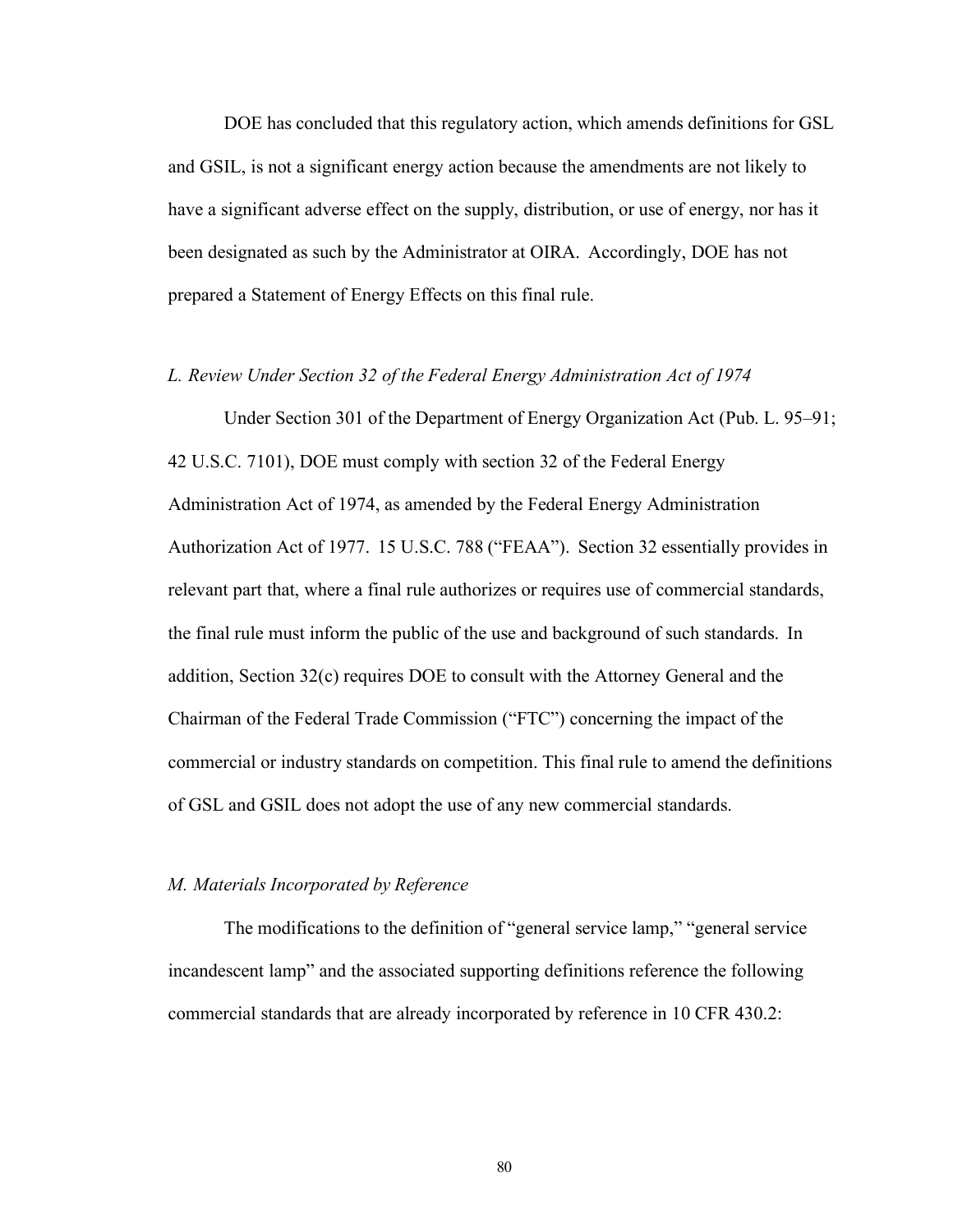DOE has concluded that this regulatory action, which amends definitions for GSL and GSIL, is not a significant energy action because the amendments are not likely to have a significant adverse effect on the supply, distribution, or use of energy, nor has it been designated as such by the Administrator at OIRA. Accordingly, DOE has not prepared a Statement of Energy Effects on this final rule.

# *L. Review Under Section 32 of the Federal Energy Administration Act of 1974*

Under Section 301 of the Department of Energy Organization Act (Pub. L. 95–91; 42 U.S.C. 7101), DOE must comply with section 32 of the Federal Energy Administration Act of 1974, as amended by the Federal Energy Administration Authorization Act of 1977. 15 U.S.C. 788 ("FEAA"). Section 32 essentially provides in relevant part that, where a final rule authorizes or requires use of commercial standards, the final rule must inform the public of the use and background of such standards. In addition, Section 32(c) requires DOE to consult with the Attorney General and the Chairman of the Federal Trade Commission ("FTC") concerning the impact of the commercial or industry standards on competition. This final rule to amend the definitions of GSL and GSIL does not adopt the use of any new commercial standards.

#### *M. Materials Incorporated by Reference*

The modifications to the definition of "general service lamp," "general service incandescent lamp" and the associated supporting definitions reference the following commercial standards that are already incorporated by reference in 10 CFR 430.2:

80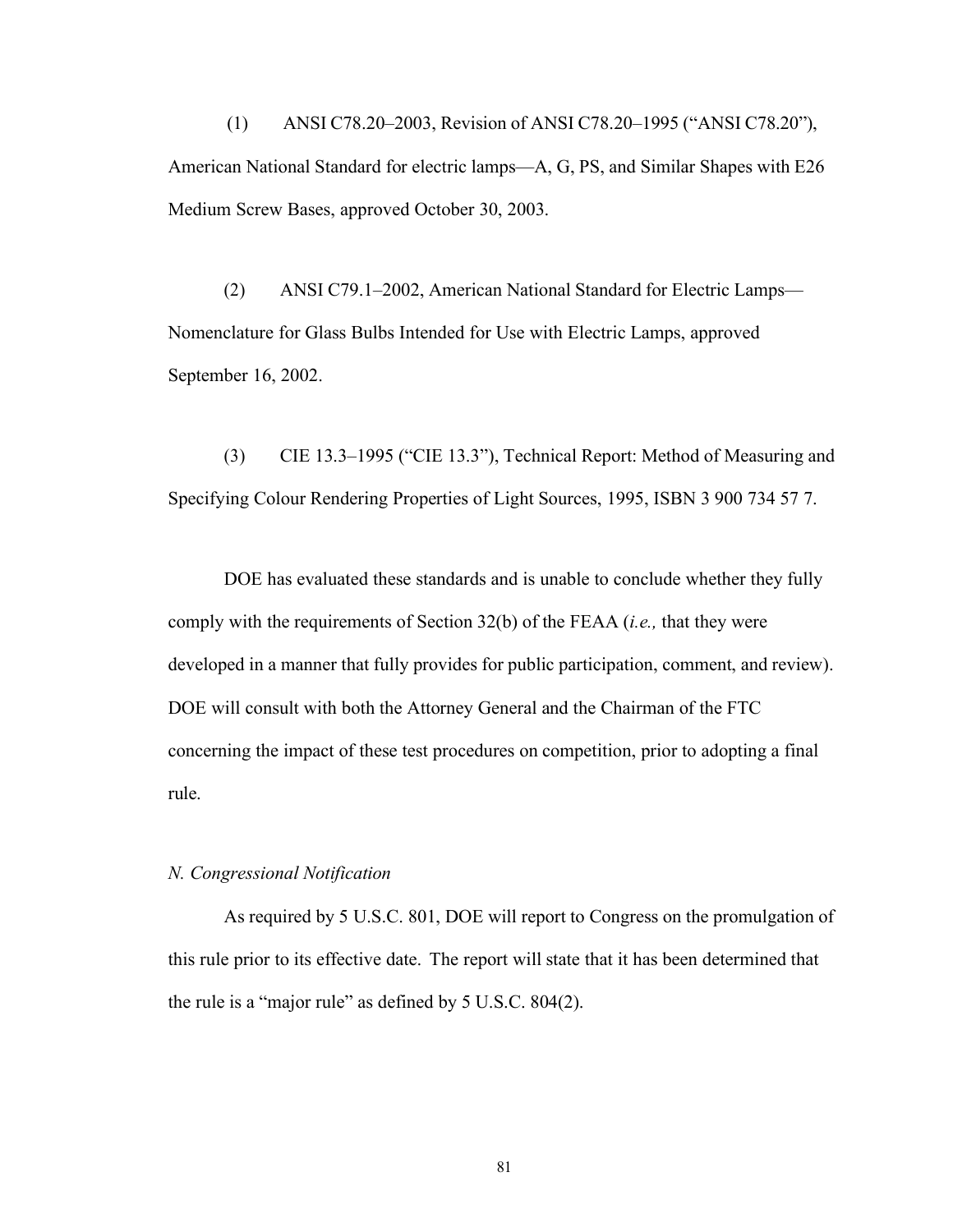(1) ANSI C78.20–2003, Revision of ANSI C78.20–1995 ("ANSI C78.20"), American National Standard for electric lamps—A, G, PS, and Similar Shapes with E26 Medium Screw Bases, approved October 30, 2003.

(2) ANSI C79.1–2002, American National Standard for Electric Lamps— Nomenclature for Glass Bulbs Intended for Use with Electric Lamps, approved September 16, 2002.

(3) CIE 13.3–1995 ("CIE 13.3"), Technical Report: Method of Measuring and Specifying Colour Rendering Properties of Light Sources, 1995, ISBN 3 900 734 57 7.

DOE has evaluated these standards and is unable to conclude whether they fully comply with the requirements of Section 32(b) of the FEAA (*i.e.,* that they were developed in a manner that fully provides for public participation, comment, and review). DOE will consult with both the Attorney General and the Chairman of the FTC concerning the impact of these test procedures on competition, prior to adopting a final rule.

# *N. Congressional Notification*

As required by 5 U.S.C. 801, DOE will report to Congress on the promulgation of this rule prior to its effective date. The report will state that it has been determined that the rule is a "major rule" as defined by 5 U.S.C. 804(2).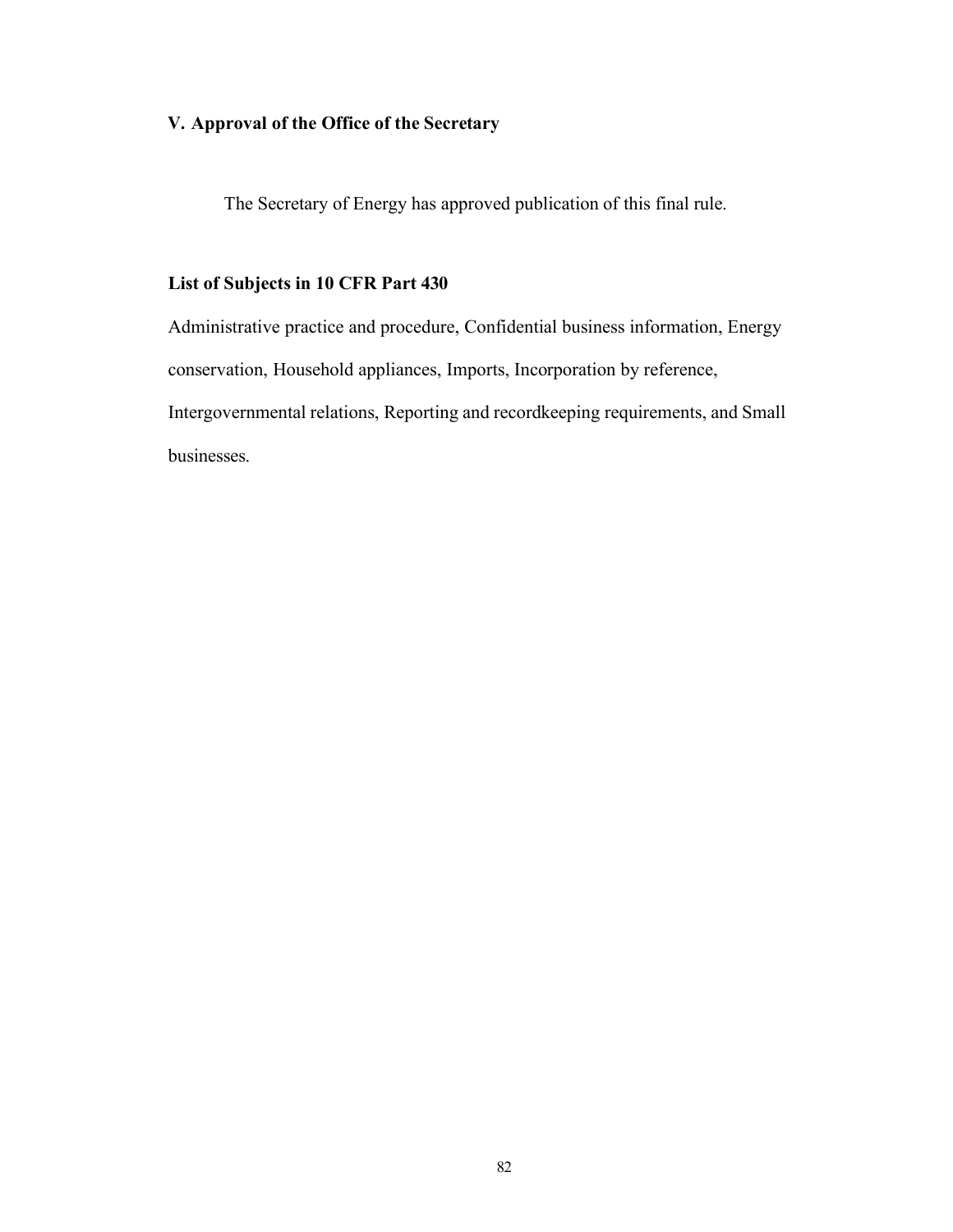# **V. Approval of the Office of the Secretary**

The Secretary of Energy has approved publication of this final rule.

# **List of Subjects in 10 CFR Part 430**

Administrative practice and procedure, Confidential business information, Energy conservation, Household appliances, Imports, Incorporation by reference, Intergovernmental relations, Reporting and recordkeeping requirements, and Small businesses.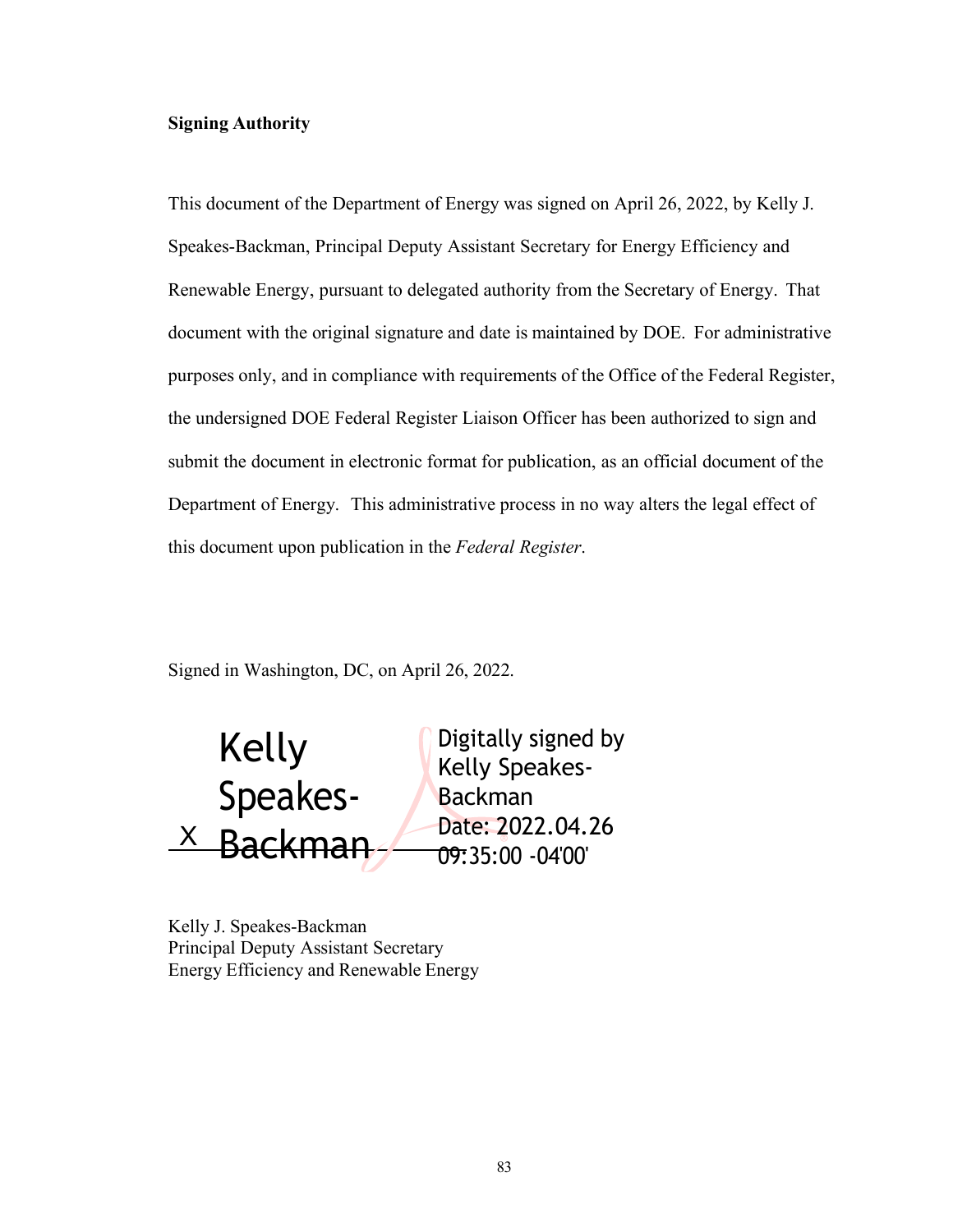# **Signing Authority**

This document of the Department of Energy was signed on April 26, 2022, by Kelly J. Speakes-Backman, Principal Deputy Assistant Secretary for Energy Efficiency and Renewable Energy, pursuant to delegated authority from the Secretary of Energy. That document with the original signature and date is maintained by DOE. For administrative purposes only, and in compliance with requirements of the Office of the Federal Register, the undersigned DOE Federal Register Liaison Officer has been authorized to sign and submit the document in electronic format for publication, as an official document of the Department of Energy. This administrative process in no way alters the legal effect of this document upon publication in the *Federal Register*.

Signed in Washington, DC, on April 26, 2022.

Kelly Speakes-  $\overline{X}$  Backman Digitally signed by Kelly Speakes-Backman Date: 2022.04.26 09:35:00 -04'00'

Kelly J. Speakes-Backman Principal Deputy Assistant Secretary Energy Efficiency and Renewable Energy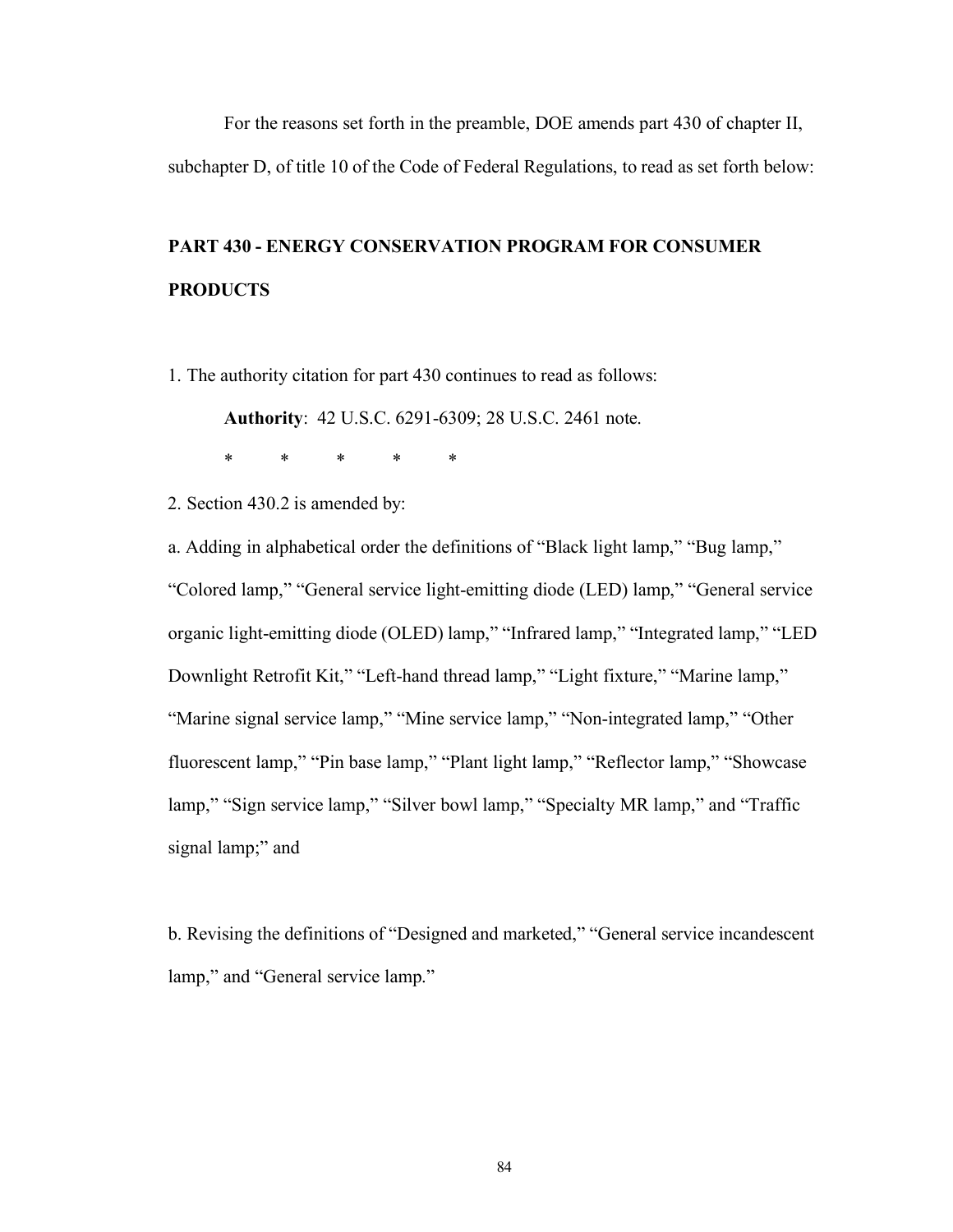For the reasons set forth in the preamble, DOE amends part 430 of chapter II, subchapter D, of title 10 of the Code of Federal Regulations, to read as set forth below:

# **PART 430 - ENERGY CONSERVATION PROGRAM FOR CONSUMER PRODUCTS**

1. The authority citation for part 430 continues to read as follows:

**Authority**: 42 U.S.C. 6291-6309; 28 U.S.C. 2461 note.

\* \* \* \* \*

2. Section 430.2 is amended by:

a. Adding in alphabetical order the definitions of "Black light lamp," "Bug lamp," "Colored lamp," "General service light-emitting diode (LED) lamp," "General service organic light-emitting diode (OLED) lamp," "Infrared lamp," "Integrated lamp," "LED Downlight Retrofit Kit," "Left-hand thread lamp," "Light fixture," "Marine lamp," "Marine signal service lamp," "Mine service lamp," "Non-integrated lamp," "Other fluorescent lamp," "Pin base lamp," "Plant light lamp," "Reflector lamp," "Showcase lamp," "Sign service lamp," "Silver bowl lamp," "Specialty MR lamp," and "Traffic signal lamp;" and

b. Revising the definitions of "Designed and marketed," "General service incandescent lamp," and "General service lamp."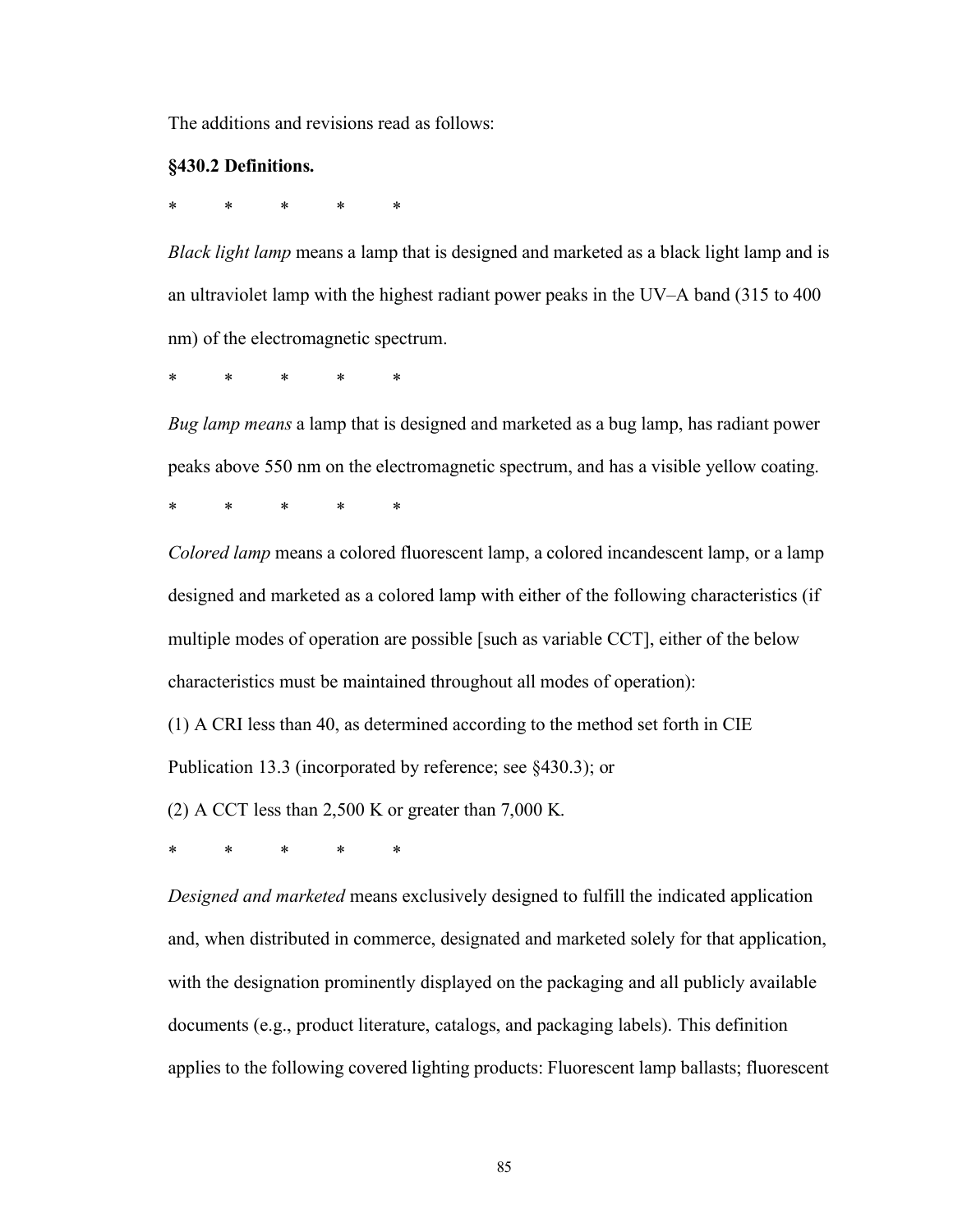The additions and revisions read as follows:

#### **§430.2 Definitions.**

\* \* \* \* \*

*Black light lamp* means a lamp that is designed and marketed as a black light lamp and is an ultraviolet lamp with the highest radiant power peaks in the UV–A band (315 to 400 nm) of the electromagnetic spectrum.

\* \* \* \* \*

*Bug lamp means* a lamp that is designed and marketed as a bug lamp, has radiant power peaks above 550 nm on the electromagnetic spectrum, and has a visible yellow coating.

\* \* \* \* \*

*Colored lamp* means a colored fluorescent lamp, a colored incandescent lamp, or a lamp designed and marketed as a colored lamp with either of the following characteristics (if multiple modes of operation are possible [such as variable CCT], either of the below characteristics must be maintained throughout all modes of operation):

(1) A CRI less than 40, as determined according to the method set forth in CIE

Publication 13.3 (incorporated by reference; see §430.3); or

(2) A CCT less than 2,500 K or greater than 7,000 K.

\* \* \* \* \*

*Designed and marketed* means exclusively designed to fulfill the indicated application and, when distributed in commerce, designated and marketed solely for that application, with the designation prominently displayed on the packaging and all publicly available documents (e.g., product literature, catalogs, and packaging labels). This definition applies to the following covered lighting products: Fluorescent lamp ballasts; fluorescent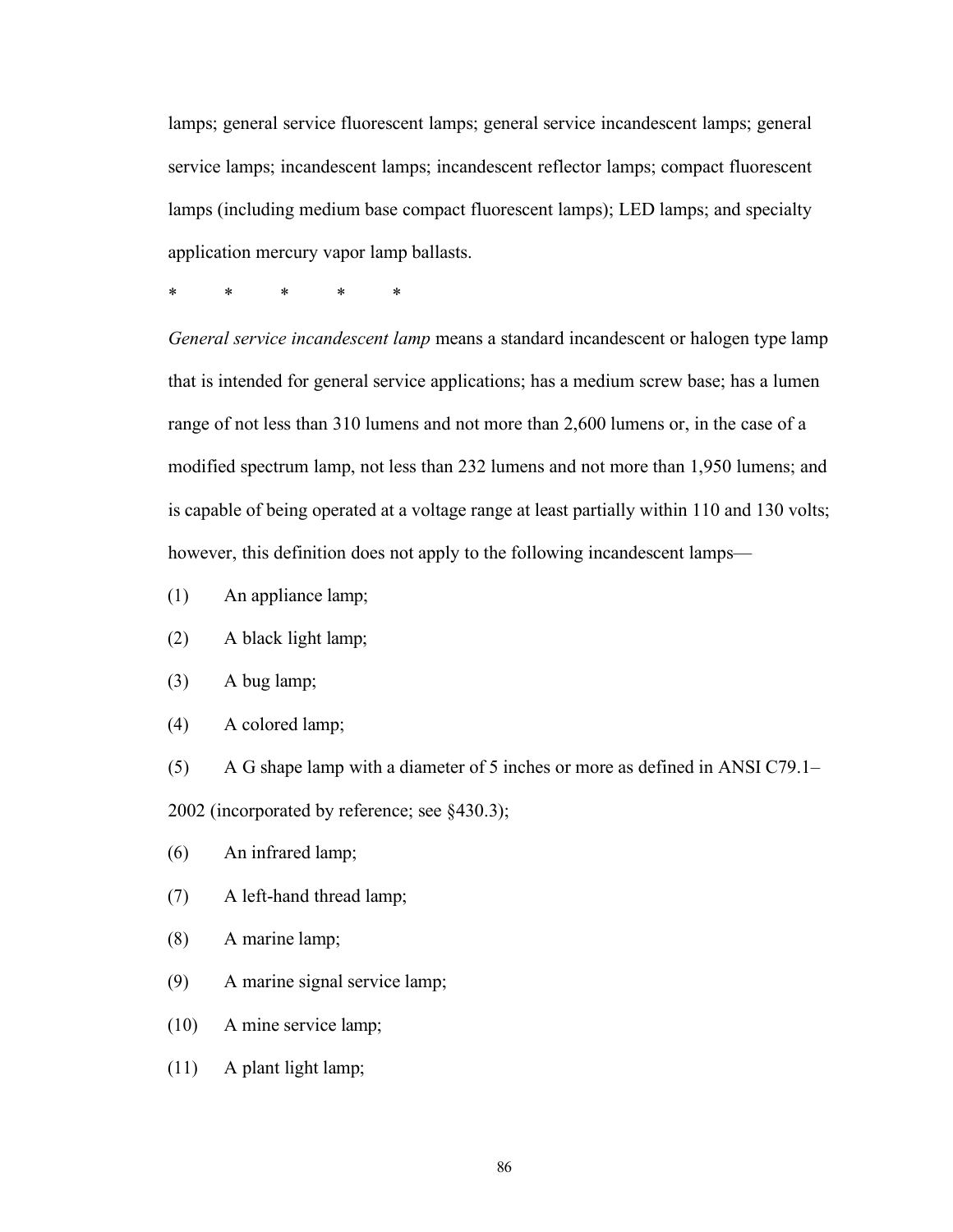lamps; general service fluorescent lamps; general service incandescent lamps; general service lamps; incandescent lamps; incandescent reflector lamps; compact fluorescent lamps (including medium base compact fluorescent lamps); LED lamps; and specialty application mercury vapor lamp ballasts.

\* \* \* \* \*

*General service incandescent lamp* means a standard incandescent or halogen type lamp that is intended for general service applications; has a medium screw base; has a lumen range of not less than 310 lumens and not more than 2,600 lumens or, in the case of a modified spectrum lamp, not less than 232 lumens and not more than 1,950 lumens; and is capable of being operated at a voltage range at least partially within 110 and 130 volts; however, this definition does not apply to the following incandescent lamps—

- (1) An appliance lamp;
- (2) A black light lamp;
- (3) A bug lamp;
- (4) A colored lamp;

(5) A G shape lamp with a diameter of 5 inches or more as defined in ANSI C79.1– 2002 (incorporated by reference; see §430.3);

- (6) An infrared lamp;
- (7) A left-hand thread lamp;
- (8) A marine lamp;
- (9) A marine signal service lamp;
- (10) A mine service lamp;
- (11) A plant light lamp;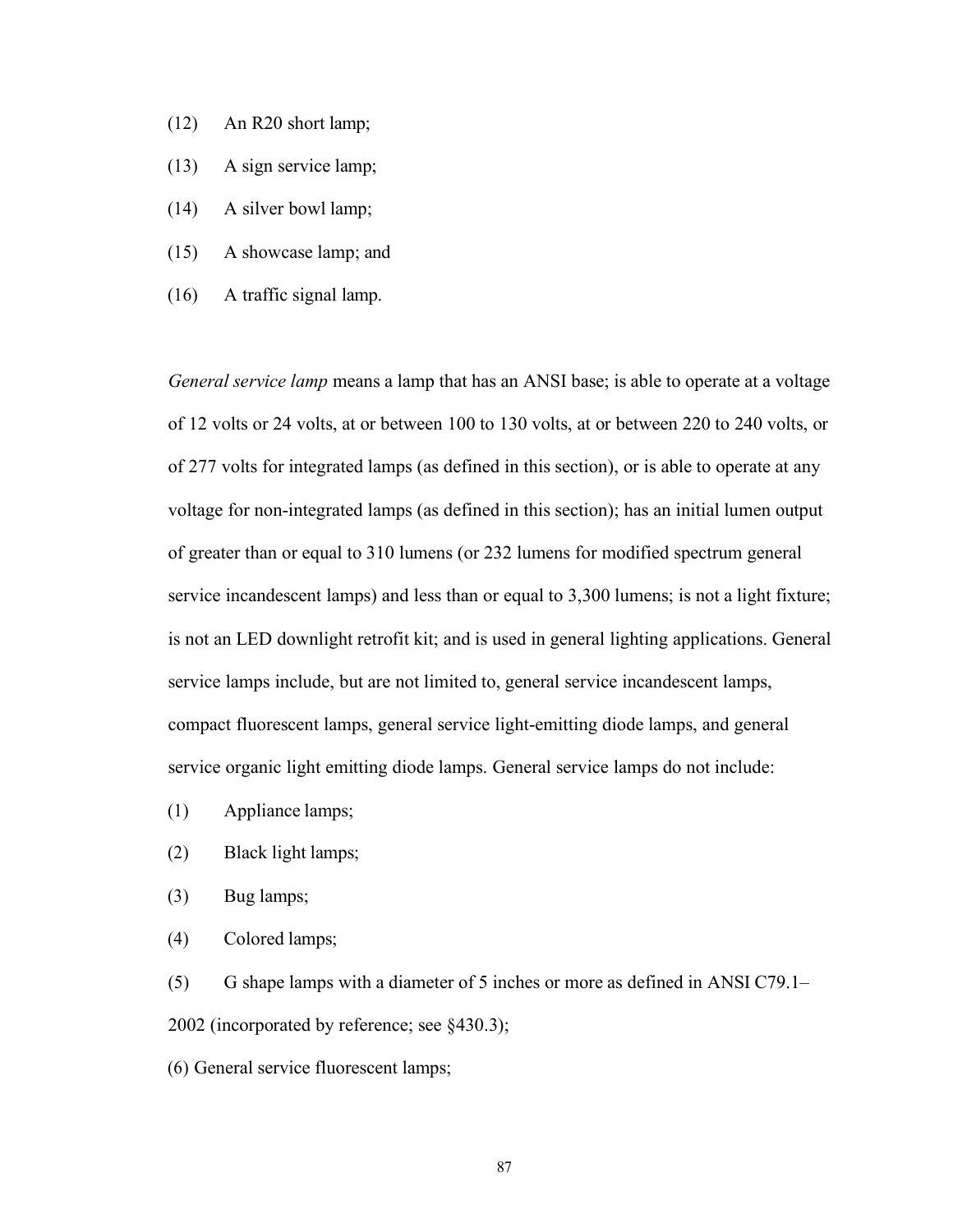- (12) An R20 short lamp;
- (13) A sign service lamp;
- (14) A silver bowl lamp;
- (15) A showcase lamp; and
- (16) A traffic signal lamp.

*General service lamp* means a lamp that has an ANSI base; is able to operate at a voltage of 12 volts or 24 volts, at or between 100 to 130 volts, at or between 220 to 240 volts, or of 277 volts for integrated lamps (as defined in this section), or is able to operate at any voltage for non-integrated lamps (as defined in this section); has an initial lumen output of greater than or equal to 310 lumens (or 232 lumens for modified spectrum general service incandescent lamps) and less than or equal to 3,300 lumens; is not a light fixture; is not an LED downlight retrofit kit; and is used in general lighting applications. General service lamps include, but are not limited to, general service incandescent lamps, compact fluorescent lamps, general service light-emitting diode lamps, and general service organic light emitting diode lamps. General service lamps do not include:

- (1) Appliance lamps;
- (2) Black light lamps;
- (3) Bug lamps;
- (4) Colored lamps;

(5) G shape lamps with a diameter of 5 inches or more as defined in ANSI C79.1– 2002 (incorporated by reference; see §430.3);

(6) General service fluorescent lamps;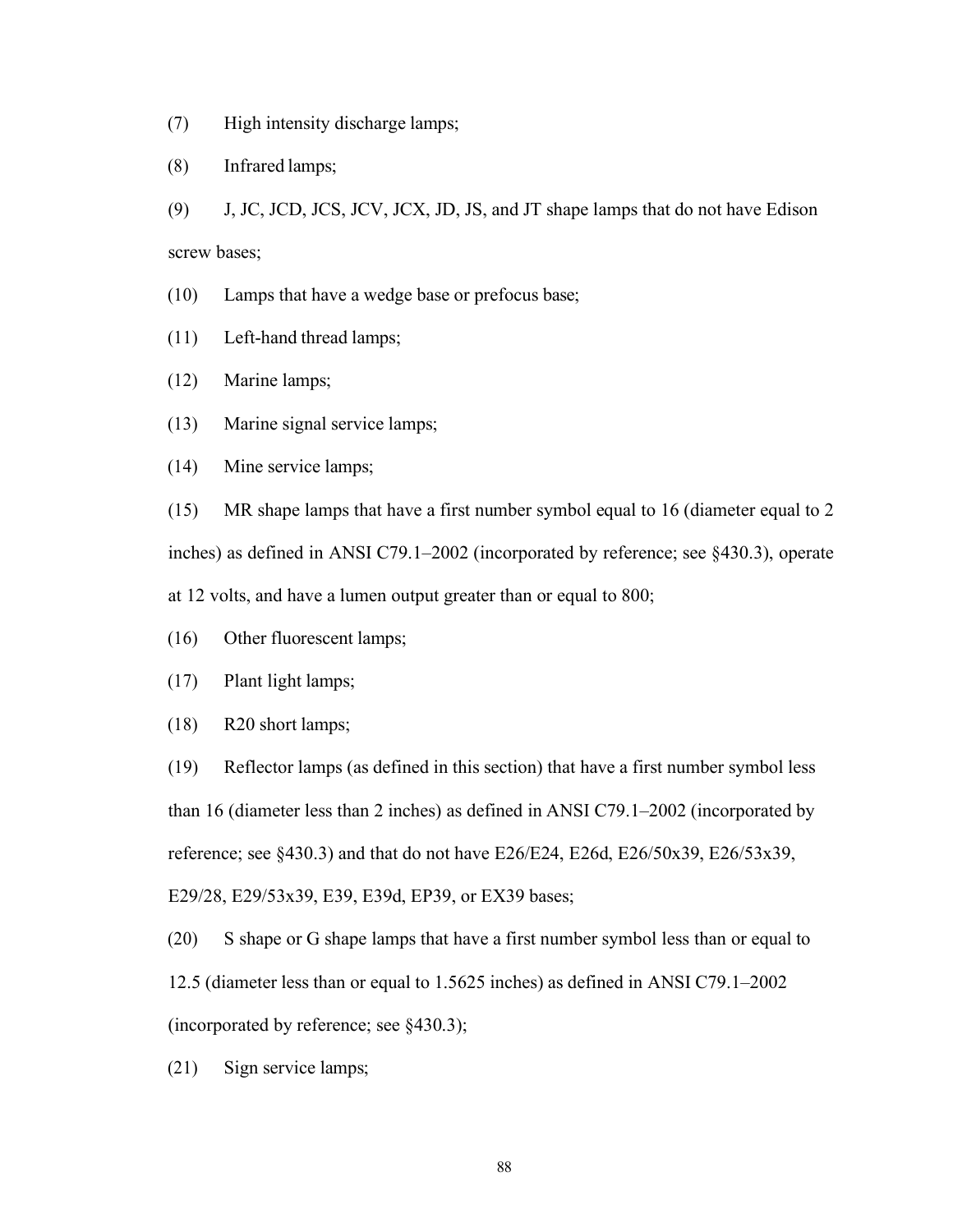- (7) High intensity discharge lamps;
- (8) Infrared lamps;
- (9) J, JC, JCD, JCS, JCV, JCX, JD, JS, and JT shape lamps that do not have Edison screw bases;
- (10) Lamps that have a wedge base or prefocus base;
- (11) Left-hand thread lamps;
- (12) Marine lamps;
- (13) Marine signal service lamps;
- (14) Mine service lamps;

(15) MR shape lamps that have a first number symbol equal to 16 (diameter equal to 2 inches) as defined in ANSI C79.1–2002 (incorporated by reference; see §430.3), operate at 12 volts, and have a lumen output greater than or equal to 800;

- (16) Other fluorescent lamps;
- (17) Plant light lamps;
- (18) R20 short lamps;

(19) Reflector lamps (as defined in this section) that have a first number symbol less than 16 (diameter less than 2 inches) as defined in ANSI C79.1–2002 (incorporated by reference; see  $\S 430.3$ ) and that do not have E26/E24, E26d, E26/50x39, E26/53x39, E29/28, E29/53x39, E39, E39d, EP39, or EX39 bases;

(20) S shape or G shape lamps that have a first number symbol less than or equal to 12.5 (diameter less than or equal to 1.5625 inches) as defined in ANSI C79.1–2002 (incorporated by reference; see §430.3);

(21) Sign service lamps;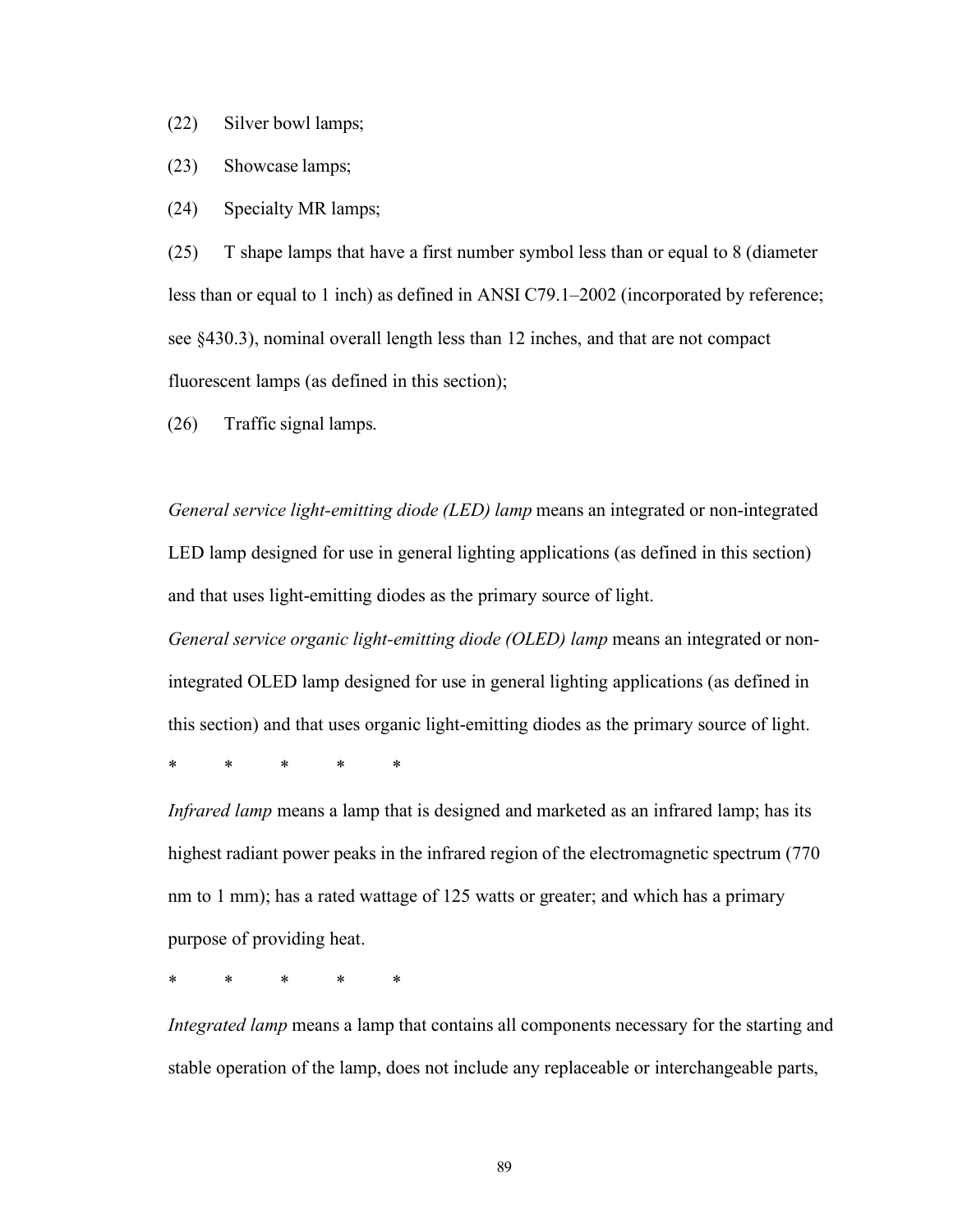(22) Silver bowl lamps;

(23) Showcase lamps;

(24) Specialty MR lamps;

(25) T shape lamps that have a first number symbol less than or equal to 8 (diameter less than or equal to 1 inch) as defined in ANSI C79.1–2002 (incorporated by reference; see §430.3), nominal overall length less than 12 inches, and that are not compact fluorescent lamps (as defined in this section);

(26) Traffic signal lamps.

*General service light-emitting diode (LED) lamp* means an integrated or non-integrated LED lamp designed for use in general lighting applications (as defined in this section) and that uses light-emitting diodes as the primary source of light.

*General service organic light-emitting diode (OLED) lamp* means an integrated or nonintegrated OLED lamp designed for use in general lighting applications (as defined in this section) and that uses organic light-emitting diodes as the primary source of light.

\* \* \* \* \*

*Infrared lamp* means a lamp that is designed and marketed as an infrared lamp; has its highest radiant power peaks in the infrared region of the electromagnetic spectrum (770) nm to 1 mm); has a rated wattage of 125 watts or greater; and which has a primary purpose of providing heat.

\* \* \* \* \*

*Integrated lamp* means a lamp that contains all components necessary for the starting and stable operation of the lamp, does not include any replaceable or interchangeable parts,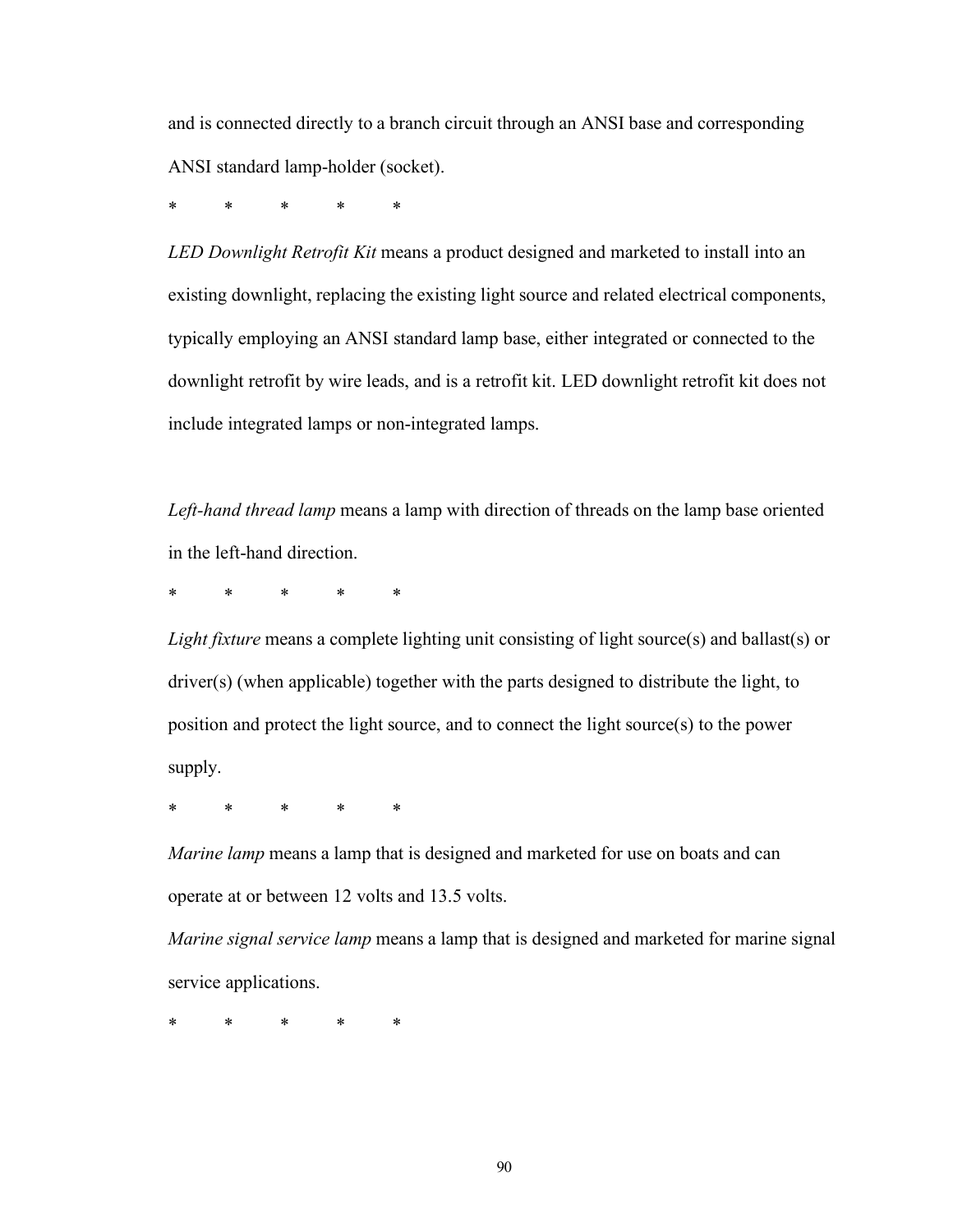and is connected directly to a branch circuit through an ANSI base and corresponding ANSI standard lamp-holder (socket).

\* \* \* \* \*

*LED Downlight Retrofit Kit* means a product designed and marketed to install into an existing downlight, replacing the existing light source and related electrical components, typically employing an ANSI standard lamp base, either integrated or connected to the downlight retrofit by wire leads, and is a retrofit kit. LED downlight retrofit kit does not include integrated lamps or non-integrated lamps.

*Left-hand thread lamp* means a lamp with direction of threads on the lamp base oriented in the left-hand direction.

\* \* \* \* \*

*Light fixture* means a complete lighting unit consisting of light source(s) and ballast(s) or driver(s) (when applicable) together with the parts designed to distribute the light, to position and protect the light source, and to connect the light source(s) to the power supply.

\* \* \* \* \*

*Marine lamp* means a lamp that is designed and marketed for use on boats and can operate at or between 12 volts and 13.5 volts.

*Marine signal service lamp* means a lamp that is designed and marketed for marine signal service applications.

\* \* \* \* \*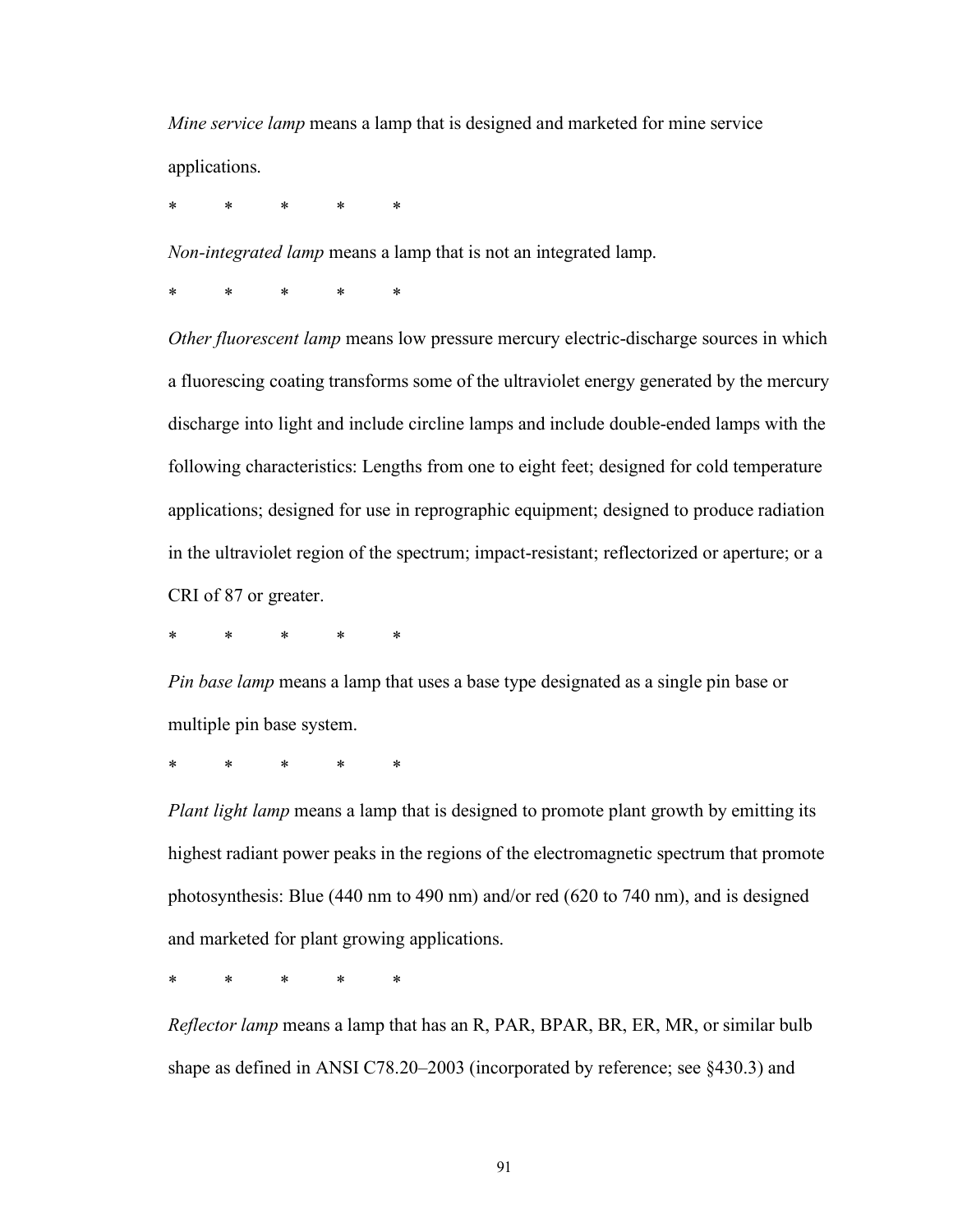*Mine service lamp* means a lamp that is designed and marketed for mine service applications.

\* \* \* \* \*

*Non-integrated lamp* means a lamp that is not an integrated lamp.

\* \* \* \* \*

*Other fluorescent lamp* means low pressure mercury electric-discharge sources in which a fluorescing coating transforms some of the ultraviolet energy generated by the mercury discharge into light and include circline lamps and include double-ended lamps with the following characteristics: Lengths from one to eight feet; designed for cold temperature applications; designed for use in reprographic equipment; designed to produce radiation in the ultraviolet region of the spectrum; impact-resistant; reflectorized or aperture; or a CRI of 87 or greater.

\* \* \* \* \*

*Pin base lamp* means a lamp that uses a base type designated as a single pin base or multiple pin base system.

\* \* \* \* \*

*Plant light lamp* means a lamp that is designed to promote plant growth by emitting its highest radiant power peaks in the regions of the electromagnetic spectrum that promote photosynthesis: Blue (440 nm to 490 nm) and/or red (620 to 740 nm), and is designed and marketed for plant growing applications.

\* \* \* \* \*

*Reflector lamp* means a lamp that has an R, PAR, BPAR, BR, ER, MR, or similar bulb shape as defined in ANSI C78.20–2003 (incorporated by reference; see §430.3) and